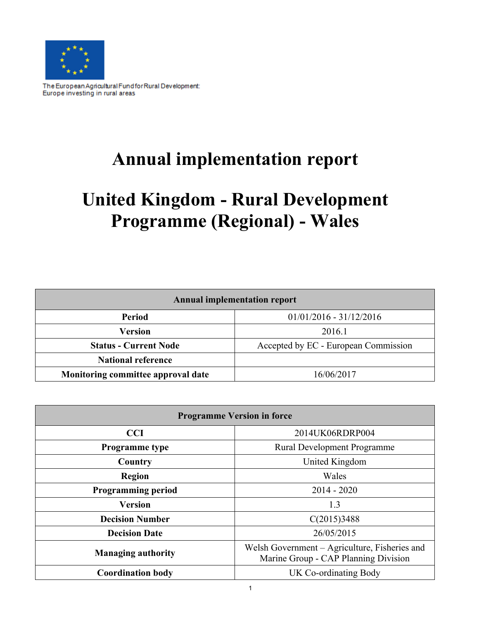

The European Agricultural Fund for Rural Development: Europe investing in rural areas

# **Annual implementation report**

# **United Kingdom - Rural Development Programme (Regional) - Wales**

| <b>Annual implementation report</b>              |                                      |  |  |  |  |
|--------------------------------------------------|--------------------------------------|--|--|--|--|
| Period                                           | $01/01/2016 - 31/12/2016$            |  |  |  |  |
| <b>Version</b>                                   | 2016.1                               |  |  |  |  |
| <b>Status - Current Node</b>                     | Accepted by EC - European Commission |  |  |  |  |
| <b>National reference</b>                        |                                      |  |  |  |  |
| Monitoring committee approval date<br>16/06/2017 |                                      |  |  |  |  |

| <b>Programme Version in force</b> |                                                                                       |  |  |  |  |
|-----------------------------------|---------------------------------------------------------------------------------------|--|--|--|--|
| 2014UK06RDRP004<br><b>CCI</b>     |                                                                                       |  |  |  |  |
| <b>Programme</b> type             | Rural Development Programme                                                           |  |  |  |  |
| United Kingdom<br>Country         |                                                                                       |  |  |  |  |
| <b>Region</b>                     | Wales                                                                                 |  |  |  |  |
| <b>Programming period</b>         | $2014 - 2020$                                                                         |  |  |  |  |
| <b>Version</b>                    | 1.3                                                                                   |  |  |  |  |
| <b>Decision Number</b>            | C(2015)3488                                                                           |  |  |  |  |
| <b>Decision Date</b>              | 26/05/2015                                                                            |  |  |  |  |
| <b>Managing authority</b>         | Welsh Government - Agriculture, Fisheries and<br>Marine Group - CAP Planning Division |  |  |  |  |
| <b>Coordination body</b>          | UK Co-ordinating Body                                                                 |  |  |  |  |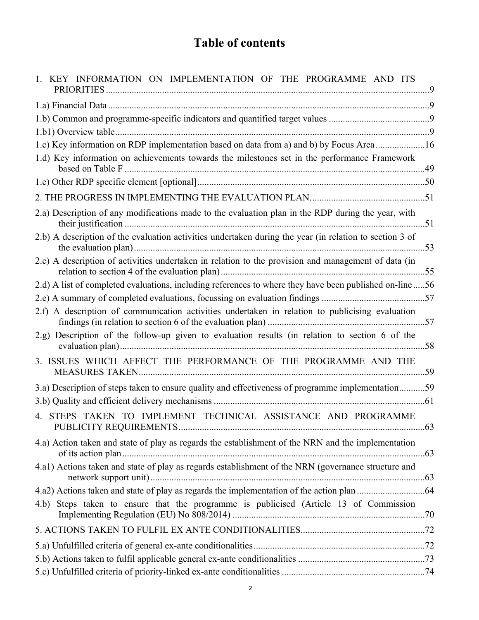## **Table of contents**

| 1. KEY INFORMATION ON IMPLEMENTATION OF THE PROGRAMME AND ITS                                           |  |
|---------------------------------------------------------------------------------------------------------|--|
|                                                                                                         |  |
|                                                                                                         |  |
|                                                                                                         |  |
| 1.c) Key information on RDP implementation based on data from a) and b) by Focus Area 16                |  |
| 1.d) Key information on achievements towards the milestones set in the performance Framework            |  |
|                                                                                                         |  |
|                                                                                                         |  |
| 2.a) Description of any modifications made to the evaluation plan in the RDP during the year, with      |  |
| 2.b) A description of the evaluation activities undertaken during the year (in relation to section 3 of |  |
| 2.c) A description of activities undertaken in relation to the provision and management of data (in     |  |
| 2.d) A list of completed evaluations, including references to where they have been published on-line56  |  |
|                                                                                                         |  |
| 2.f) A description of communication activities undertaken in relation to publicising evaluation         |  |
| 2.g) Description of the follow-up given to evaluation results (in relation to section 6 of the          |  |
| 3. ISSUES WHICH AFFECT THE PERFORMANCE OF THE PROGRAMME AND THE                                         |  |
| 3.a) Description of steps taken to ensure quality and effectiveness of programme implementation59       |  |
|                                                                                                         |  |
| 4. STEPS TAKEN TO IMPLEMENT TECHNICAL ASSISTANCE AND PROGRAMME                                          |  |
| 4.a) Action taken and state of play as regards the establishment of the NRN and the implementation      |  |
| 4.a1) Actions taken and state of play as regards establishment of the NRN (governance structure and     |  |
|                                                                                                         |  |
| 4.b) Steps taken to ensure that the programme is publicised (Article 13 of Commission                   |  |
|                                                                                                         |  |
|                                                                                                         |  |
|                                                                                                         |  |
|                                                                                                         |  |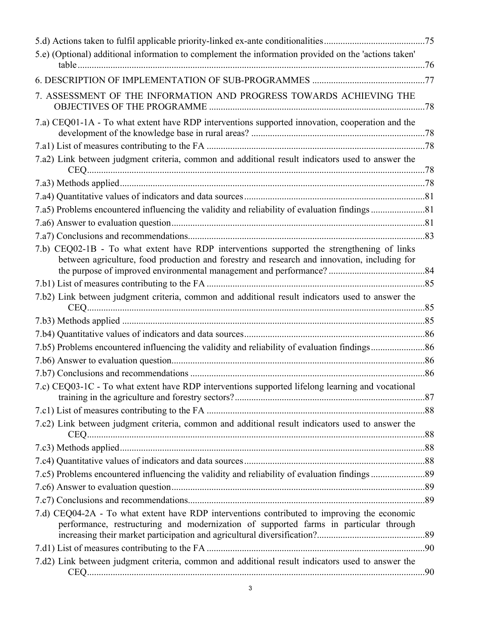| 5.e) (Optional) additional information to complement the information provided on the 'actions taken'                                                                                       |  |
|--------------------------------------------------------------------------------------------------------------------------------------------------------------------------------------------|--|
|                                                                                                                                                                                            |  |
|                                                                                                                                                                                            |  |
| 7. ASSESSMENT OF THE INFORMATION AND PROGRESS TOWARDS ACHIEVING THE                                                                                                                        |  |
| 7.a) CEQ01-1A - To what extent have RDP interventions supported innovation, cooperation and the                                                                                            |  |
|                                                                                                                                                                                            |  |
| 7.a2) Link between judgment criteria, common and additional result indicators used to answer the                                                                                           |  |
|                                                                                                                                                                                            |  |
|                                                                                                                                                                                            |  |
|                                                                                                                                                                                            |  |
|                                                                                                                                                                                            |  |
|                                                                                                                                                                                            |  |
| 7.b) CEQ02-1B - To what extent have RDP interventions supported the strengthening of links<br>between agriculture, food production and forestry and research and innovation, including for |  |
|                                                                                                                                                                                            |  |
| 7.b2) Link between judgment criteria, common and additional result indicators used to answer the                                                                                           |  |
|                                                                                                                                                                                            |  |
|                                                                                                                                                                                            |  |
|                                                                                                                                                                                            |  |
|                                                                                                                                                                                            |  |
|                                                                                                                                                                                            |  |
| 7.c) CEQ03-1C - To what extent have RDP interventions supported lifelong learning and vocational                                                                                           |  |
|                                                                                                                                                                                            |  |
| 7.c2) Link between judgment criteria, common and additional result indicators used to answer the                                                                                           |  |
|                                                                                                                                                                                            |  |
|                                                                                                                                                                                            |  |
|                                                                                                                                                                                            |  |
|                                                                                                                                                                                            |  |
|                                                                                                                                                                                            |  |
| 7.d) CEQ04-2A - To what extent have RDP interventions contributed to improving the economic<br>performance, restructuring and modernization of supported farms in particular through       |  |
|                                                                                                                                                                                            |  |
| 7.d2) Link between judgment criteria, common and additional result indicators used to answer the                                                                                           |  |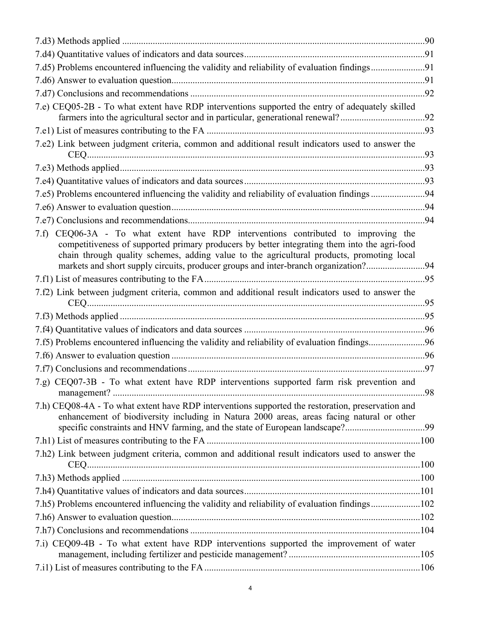| 7.d5) Problems encountered influencing the validity and reliability of evaluation findings91                                                                                                                                                                                                                                                                             |  |
|--------------------------------------------------------------------------------------------------------------------------------------------------------------------------------------------------------------------------------------------------------------------------------------------------------------------------------------------------------------------------|--|
|                                                                                                                                                                                                                                                                                                                                                                          |  |
|                                                                                                                                                                                                                                                                                                                                                                          |  |
| 7.e) CEQ05-2B - To what extent have RDP interventions supported the entry of adequately skilled                                                                                                                                                                                                                                                                          |  |
|                                                                                                                                                                                                                                                                                                                                                                          |  |
| 7.e2) Link between judgment criteria, common and additional result indicators used to answer the                                                                                                                                                                                                                                                                         |  |
|                                                                                                                                                                                                                                                                                                                                                                          |  |
|                                                                                                                                                                                                                                                                                                                                                                          |  |
| 7.e5) Problems encountered influencing the validity and reliability of evaluation findings 94                                                                                                                                                                                                                                                                            |  |
|                                                                                                                                                                                                                                                                                                                                                                          |  |
|                                                                                                                                                                                                                                                                                                                                                                          |  |
| CEQ06-3A - To what extent have RDP interventions contributed to improving the<br>7.f<br>competitiveness of supported primary producers by better integrating them into the agri-food<br>chain through quality schemes, adding value to the agricultural products, promoting local<br>markets and short supply circuits, producer groups and inter-branch organization?94 |  |
|                                                                                                                                                                                                                                                                                                                                                                          |  |
| 7.f2) Link between judgment criteria, common and additional result indicators used to answer the                                                                                                                                                                                                                                                                         |  |
|                                                                                                                                                                                                                                                                                                                                                                          |  |
|                                                                                                                                                                                                                                                                                                                                                                          |  |
|                                                                                                                                                                                                                                                                                                                                                                          |  |
| 7.f5) Problems encountered influencing the validity and reliability of evaluation findings96                                                                                                                                                                                                                                                                             |  |
|                                                                                                                                                                                                                                                                                                                                                                          |  |
|                                                                                                                                                                                                                                                                                                                                                                          |  |
| 7.g) CEQ07-3B - To what extent have RDP interventions supported farm risk prevention and                                                                                                                                                                                                                                                                                 |  |
| 7.h) CEQ08-4A - To what extent have RDP interventions supported the restoration, preservation and<br>enhancement of biodiversity including in Natura 2000 areas, areas facing natural or other                                                                                                                                                                           |  |
| specific constraints and HNV farming, and the state of European landscape?99                                                                                                                                                                                                                                                                                             |  |
|                                                                                                                                                                                                                                                                                                                                                                          |  |
| 7.h2) Link between judgment criteria, common and additional result indicators used to answer the                                                                                                                                                                                                                                                                         |  |
|                                                                                                                                                                                                                                                                                                                                                                          |  |
|                                                                                                                                                                                                                                                                                                                                                                          |  |
| 7.h5) Problems encountered influencing the validity and reliability of evaluation findings102                                                                                                                                                                                                                                                                            |  |
|                                                                                                                                                                                                                                                                                                                                                                          |  |
|                                                                                                                                                                                                                                                                                                                                                                          |  |
| 7.i) CEQ09-4B - To what extent have RDP interventions supported the improvement of water                                                                                                                                                                                                                                                                                 |  |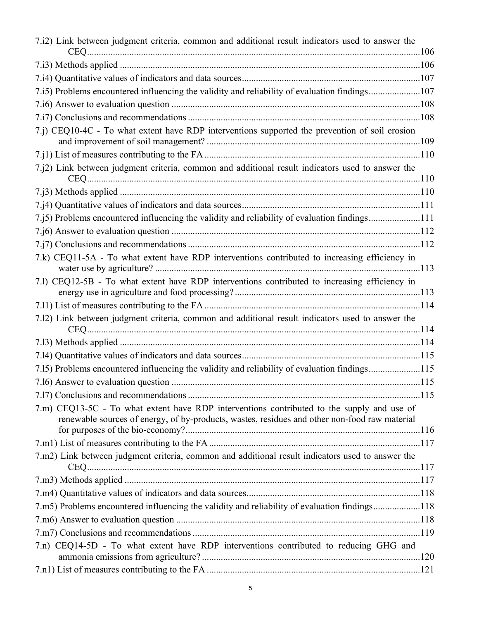| 7.i2) Link between judgment criteria, common and additional result indicators used to answer the                                                                                            |  |
|---------------------------------------------------------------------------------------------------------------------------------------------------------------------------------------------|--|
|                                                                                                                                                                                             |  |
|                                                                                                                                                                                             |  |
| 7.i5) Problems encountered influencing the validity and reliability of evaluation findings107                                                                                               |  |
|                                                                                                                                                                                             |  |
|                                                                                                                                                                                             |  |
| 7.j) CEQ10-4C - To what extent have RDP interventions supported the prevention of soil erosion                                                                                              |  |
|                                                                                                                                                                                             |  |
| 7.j2) Link between judgment criteria, common and additional result indicators used to answer the                                                                                            |  |
|                                                                                                                                                                                             |  |
|                                                                                                                                                                                             |  |
| 7.j5) Problems encountered influencing the validity and reliability of evaluation findings111                                                                                               |  |
|                                                                                                                                                                                             |  |
|                                                                                                                                                                                             |  |
| 7.k) CEQ11-5A - To what extent have RDP interventions contributed to increasing efficiency in                                                                                               |  |
| 7.1) CEQ12-5B - To what extent have RDP interventions contributed to increasing efficiency in                                                                                               |  |
|                                                                                                                                                                                             |  |
| 7.12) Link between judgment criteria, common and additional result indicators used to answer the                                                                                            |  |
|                                                                                                                                                                                             |  |
|                                                                                                                                                                                             |  |
| 7.15) Problems encountered influencing the validity and reliability of evaluation findings115                                                                                               |  |
|                                                                                                                                                                                             |  |
|                                                                                                                                                                                             |  |
| 7.m) CEQ13-5C - To what extent have RDP interventions contributed to the supply and use of<br>renewable sources of energy, of by-products, wastes, residues and other non-food raw material |  |
|                                                                                                                                                                                             |  |
|                                                                                                                                                                                             |  |
| 7.m2) Link between judgment criteria, common and additional result indicators used to answer the                                                                                            |  |
|                                                                                                                                                                                             |  |
|                                                                                                                                                                                             |  |
| 7.m5) Problems encountered influencing the validity and reliability of evaluation findings118                                                                                               |  |
|                                                                                                                                                                                             |  |
|                                                                                                                                                                                             |  |
| 7.n) CEQ14-5D - To what extent have RDP interventions contributed to reducing GHG and                                                                                                       |  |
|                                                                                                                                                                                             |  |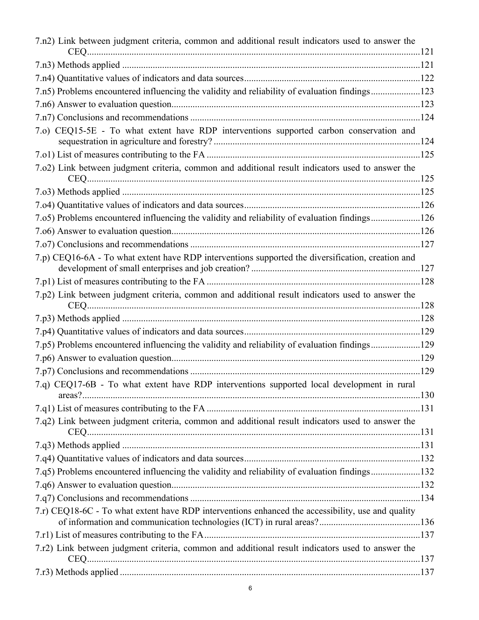| 7.n2) Link between judgment criteria, common and additional result indicators used to answer the  |  |
|---------------------------------------------------------------------------------------------------|--|
|                                                                                                   |  |
|                                                                                                   |  |
| 7.n5) Problems encountered influencing the validity and reliability of evaluation findings123     |  |
|                                                                                                   |  |
|                                                                                                   |  |
| 7.0) CEQ15-5E - To what extent have RDP interventions supported carbon conservation and           |  |
|                                                                                                   |  |
| 7.02) Link between judgment criteria, common and additional result indicators used to answer the  |  |
|                                                                                                   |  |
|                                                                                                   |  |
| 7.05) Problems encountered influencing the validity and reliability of evaluation findings126     |  |
|                                                                                                   |  |
|                                                                                                   |  |
| 7.p) CEQ16-6A - To what extent have RDP interventions supported the diversification, creation and |  |
|                                                                                                   |  |
| 7.p2) Link between judgment criteria, common and additional result indicators used to answer the  |  |
|                                                                                                   |  |
|                                                                                                   |  |
| 7.p5) Problems encountered influencing the validity and reliability of evaluation findings129     |  |
|                                                                                                   |  |
|                                                                                                   |  |
| 7.q) CEQ17-6B - To what extent have RDP interventions supported local development in rural        |  |
|                                                                                                   |  |
| 7.q2) Link between judgment criteria, common and additional result indicators used to answer the  |  |
|                                                                                                   |  |
|                                                                                                   |  |
|                                                                                                   |  |
| 7.q5) Problems encountered influencing the validity and reliability of evaluation findings132     |  |
|                                                                                                   |  |
|                                                                                                   |  |
| 7.r) CEQ18-6C - To what extent have RDP interventions enhanced the accessibility, use and quality |  |
|                                                                                                   |  |
| 7.r2) Link between judgment criteria, common and additional result indicators used to answer the  |  |
|                                                                                                   |  |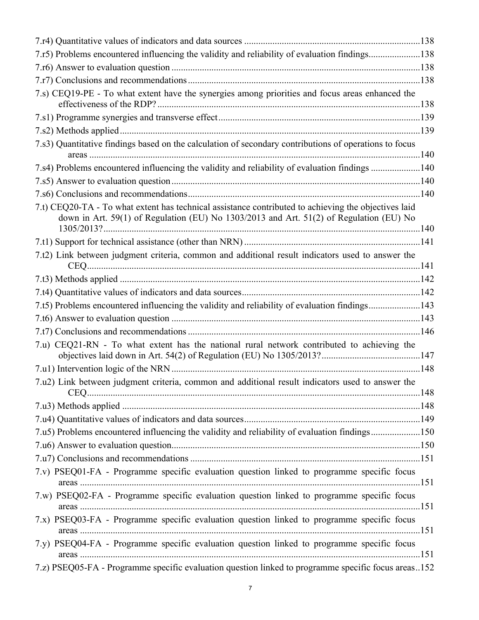| 7.r5) Problems encountered influencing the validity and reliability of evaluation findings138                                                                                                   |  |
|-------------------------------------------------------------------------------------------------------------------------------------------------------------------------------------------------|--|
|                                                                                                                                                                                                 |  |
|                                                                                                                                                                                                 |  |
| 7.s) CEQ19-PE - To what extent have the synergies among priorities and focus areas enhanced the                                                                                                 |  |
|                                                                                                                                                                                                 |  |
|                                                                                                                                                                                                 |  |
| 7.s3) Quantitative findings based on the calculation of secondary contributions of operations to focus                                                                                          |  |
| 7.s4) Problems encountered influencing the validity and reliability of evaluation findings 140                                                                                                  |  |
|                                                                                                                                                                                                 |  |
|                                                                                                                                                                                                 |  |
| 7.t) CEQ20-TA - To what extent has technical assistance contributed to achieving the objectives laid<br>down in Art. 59(1) of Regulation (EU) No 1303/2013 and Art. 51(2) of Regulation (EU) No |  |
|                                                                                                                                                                                                 |  |
|                                                                                                                                                                                                 |  |
| 7.t2) Link between judgment criteria, common and additional result indicators used to answer the                                                                                                |  |
|                                                                                                                                                                                                 |  |
|                                                                                                                                                                                                 |  |
| 7.t5) Problems encountered influencing the validity and reliability of evaluation findings143                                                                                                   |  |
|                                                                                                                                                                                                 |  |
|                                                                                                                                                                                                 |  |
| 7.u) CEQ21-RN - To what extent has the national rural network contributed to achieving the                                                                                                      |  |
|                                                                                                                                                                                                 |  |
| 7.u2) Link between judgment criteria, common and additional result indicators used to answer the                                                                                                |  |
|                                                                                                                                                                                                 |  |
|                                                                                                                                                                                                 |  |
| 7.u5) Problems encountered influencing the validity and reliability of evaluation findings150                                                                                                   |  |
|                                                                                                                                                                                                 |  |
|                                                                                                                                                                                                 |  |
| 7.v) PSEQ01-FA - Programme specific evaluation question linked to programme specific focus                                                                                                      |  |
| 7.w) PSEQ02-FA - Programme specific evaluation question linked to programme specific focus                                                                                                      |  |
| 7.x) PSEQ03-FA - Programme specific evaluation question linked to programme specific focus                                                                                                      |  |
| 7.y) PSEQ04-FA - Programme specific evaluation question linked to programme specific focus                                                                                                      |  |
| 7.z) PSEQ05-FA - Programme specific evaluation question linked to programme specific focus areas152                                                                                             |  |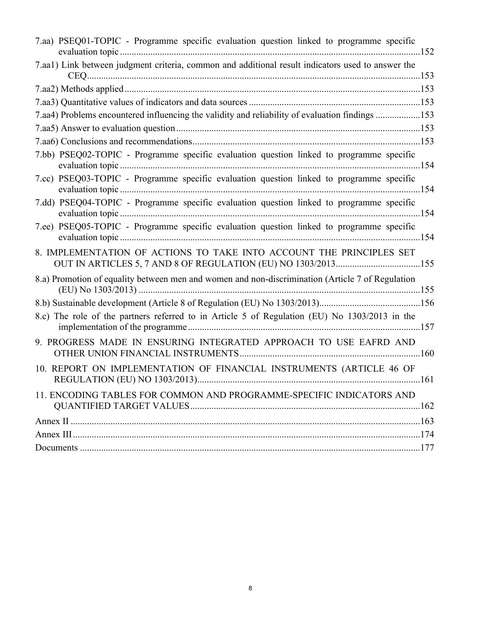| 7.aa) PSEQ01-TOPIC - Programme specific evaluation question linked to programme specific                                              |  |
|---------------------------------------------------------------------------------------------------------------------------------------|--|
| 7.aa1) Link between judgment criteria, common and additional result indicators used to answer the                                     |  |
|                                                                                                                                       |  |
|                                                                                                                                       |  |
| 7.aa4) Problems encountered influencing the validity and reliability of evaluation findings 153                                       |  |
|                                                                                                                                       |  |
|                                                                                                                                       |  |
| 7.bb) PSEQ02-TOPIC - Programme specific evaluation question linked to programme specific                                              |  |
| 7.cc) PSEQ03-TOPIC - Programme specific evaluation question linked to programme specific                                              |  |
| 7.dd) PSEQ04-TOPIC - Programme specific evaluation question linked to programme specific                                              |  |
| 7.ee) PSEQ05-TOPIC - Programme specific evaluation question linked to programme specific                                              |  |
| 8. IMPLEMENTATION OF ACTIONS TO TAKE INTO ACCOUNT THE PRINCIPLES SET<br>OUT IN ARTICLES 5, 7 AND 8 OF REGULATION (EU) NO 1303/2013155 |  |
| 8.a) Promotion of equality between men and women and non-discrimination (Article 7 of Regulation                                      |  |
|                                                                                                                                       |  |
| 8.c) The role of the partners referred to in Article 5 of Regulation (EU) No 1303/2013 in the                                         |  |
| 9. PROGRESS MADE IN ENSURING INTEGRATED APPROACH TO USE EAFRD AND                                                                     |  |
| 10. REPORT ON IMPLEMENTATION OF FINANCIAL INSTRUMENTS (ARTICLE 46 OF                                                                  |  |
| 11. ENCODING TABLES FOR COMMON AND PROGRAMME-SPECIFIC INDICATORS AND                                                                  |  |
|                                                                                                                                       |  |
|                                                                                                                                       |  |
|                                                                                                                                       |  |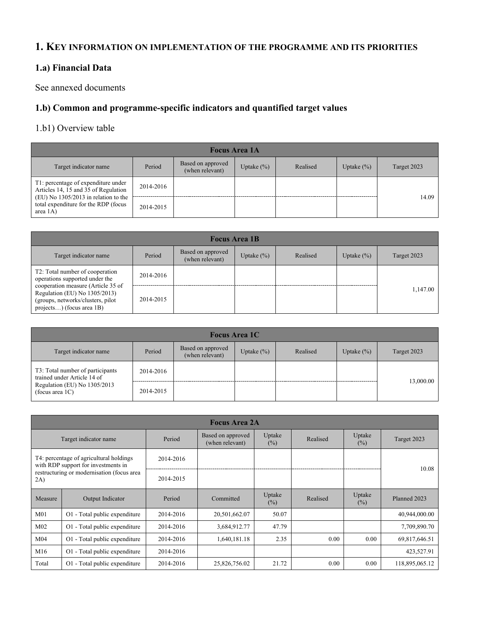#### <span id="page-8-0"></span>**1. KEY INFORMATION ON IMPLEMENTATION OF THE PROGRAMME AND ITS PRIORITIES**

#### <span id="page-8-1"></span>**1.a) Financial Data**

See annexed documents

#### <span id="page-8-2"></span>**1.b) Common and programme-specific indicators and quantified target values**

#### <span id="page-8-3"></span>1.b1) Overview table

| <b>Focus Area 1A</b>                                                                         |           |                                      |               |          |               |             |
|----------------------------------------------------------------------------------------------|-----------|--------------------------------------|---------------|----------|---------------|-------------|
| Target indicator name                                                                        | Period    | Based on approved<br>(when relevant) | Uptake $(\%)$ | Realised | Uptake $(\%)$ | Target 2023 |
| T1: percentage of expenditure under<br>Articles 14, 15 and 35 of Regulation                  | 2014-2016 |                                      |               |          |               |             |
| $(EU)$ No 1305/2013 in relation to the<br>total expenditure for the RDP (focus<br>area $1A)$ | 2014-2015 |                                      |               |          |               | 14.09       |

| <b>Focus Area 1B</b>                                                                                                                   |           |                                      |               |          |               |             |
|----------------------------------------------------------------------------------------------------------------------------------------|-----------|--------------------------------------|---------------|----------|---------------|-------------|
| Target indicator name                                                                                                                  | Period    | Based on approved<br>(when relevant) | Uptake $(\%)$ | Realised | Uptake $(\%)$ | Target 2023 |
| T2: Total number of cooperation<br>operations supported under the                                                                      | 2014-2016 |                                      |               |          |               |             |
| cooperation measure (Article 35 of<br>Regulation (EU) No 1305/2013)<br>(groups, networks/clusters, pilot)<br>projects) (focus area 1B) | 2014-2015 |                                      |               |          |               | 1.147.00    |

| <b>Focus Area 1C</b>                                            |           |                                      |               |          |               |             |
|-----------------------------------------------------------------|-----------|--------------------------------------|---------------|----------|---------------|-------------|
| Target indicator name                                           | Period    | Based on approved<br>(when relevant) | Uptake $(\%)$ | Realised | Uptake $(\%)$ | Target 2023 |
| T3: Total number of participants<br>trained under Article 14 of | 2014-2016 |                                      |               |          |               | 13,000.00   |
| Regulation (EU) No 1305/2013<br>(focus area $1C$ )              | 2014-2015 |                                      |               |          |               |             |

|                                                                                                                                     | <b>Focus Area 2A</b>          |           |                                      |                  |          |                  |                |  |  |  |
|-------------------------------------------------------------------------------------------------------------------------------------|-------------------------------|-----------|--------------------------------------|------------------|----------|------------------|----------------|--|--|--|
| Target indicator name                                                                                                               |                               | Period    | Based on approved<br>(when relevant) | Uptake<br>$(\%)$ | Realised | Uptake<br>$(\%)$ | Target 2023    |  |  |  |
| T4: percentage of agricultural holdings<br>with RDP support for investments in<br>restructuring or modernisation (focus area<br>2A) |                               | 2014-2016 |                                      |                  |          |                  |                |  |  |  |
|                                                                                                                                     |                               | 2014-2015 |                                      |                  |          |                  | 10.08          |  |  |  |
| Measure                                                                                                                             | Output Indicator              | Period    | Committed                            | Uptake<br>$(\%)$ | Realised | Uptake<br>$(\%)$ | Planned 2023   |  |  |  |
| M <sub>01</sub>                                                                                                                     | O1 - Total public expenditure | 2014-2016 | 20,501,662.07                        | 50.07            |          |                  | 40,944,000.00  |  |  |  |
| M <sub>02</sub>                                                                                                                     | O1 - Total public expenditure | 2014-2016 | 3,684,912.77                         | 47.79            |          |                  | 7,709,890.70   |  |  |  |
| M <sub>04</sub>                                                                                                                     | O1 - Total public expenditure | 2014-2016 | 1,640,181.18                         | 2.35             | 0.00     | 0.00             | 69,817,646.51  |  |  |  |
| M16                                                                                                                                 | O1 - Total public expenditure | 2014-2016 |                                      |                  |          |                  | 423,527.91     |  |  |  |
| Total                                                                                                                               | O1 - Total public expenditure | 2014-2016 | 25,826,756.02                        | 21.72            | 0.00     | 0.00             | 118,895,065.12 |  |  |  |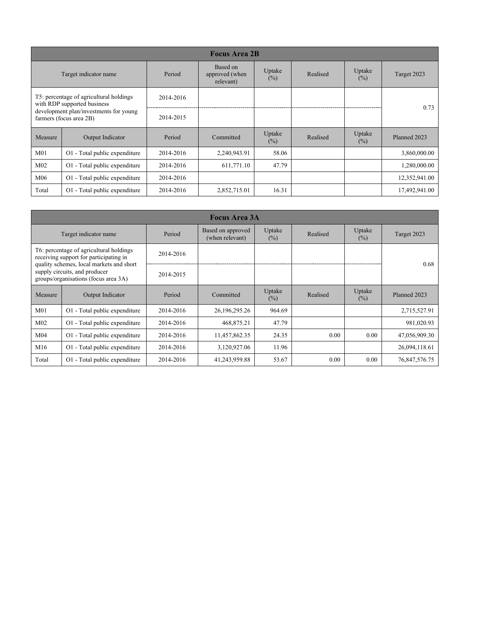| <b>Focus Area 2B</b>                                                                                                                        |                               |           |                                         |                  |          |                  |               |  |
|---------------------------------------------------------------------------------------------------------------------------------------------|-------------------------------|-----------|-----------------------------------------|------------------|----------|------------------|---------------|--|
|                                                                                                                                             | Target indicator name         | Period    | Based on<br>approved (when<br>relevant) | Uptake<br>$(\%)$ | Realised | Uptake<br>$(\%)$ | Target 2023   |  |
| T5: percentage of agricultural holdings<br>with RDP supported business<br>development plan/investments for young<br>farmers (focus area 2B) |                               | 2014-2016 |                                         |                  |          |                  | 0.73          |  |
|                                                                                                                                             |                               | 2014-2015 |                                         |                  |          |                  |               |  |
| Measure                                                                                                                                     | Output Indicator              | Period    | Committed                               | Uptake<br>$(\%)$ | Realised | Uptake<br>$(\%)$ | Planned 2023  |  |
| M <sub>01</sub>                                                                                                                             | O1 - Total public expenditure | 2014-2016 | 2,240,943.91                            | 58.06            |          |                  | 3,860,000.00  |  |
| M <sub>02</sub>                                                                                                                             | O1 - Total public expenditure | 2014-2016 | 611,771.10                              | 47.79            |          |                  | 1,280,000.00  |  |
| M <sub>06</sub>                                                                                                                             | O1 - Total public expenditure | 2014-2016 |                                         |                  |          |                  | 12,352,941.00 |  |
| Total                                                                                                                                       | O1 - Total public expenditure | 2014-2016 | 2,852,715.01                            | 16.31            |          |                  | 17,492,941.00 |  |

| <b>Focus Area 3A</b>                                                                                                                                                                                   |                               |           |                                      |                  |          |                  |               |  |
|--------------------------------------------------------------------------------------------------------------------------------------------------------------------------------------------------------|-------------------------------|-----------|--------------------------------------|------------------|----------|------------------|---------------|--|
| Target indicator name                                                                                                                                                                                  |                               | Period    | Based on approved<br>(when relevant) | Uptake<br>$(\%)$ | Realised | Uptake<br>$(\%)$ | Target 2023   |  |
| T6: percentage of agricultural holdings<br>receiving support for participating in<br>quality schemes, local markets and short<br>supply circuits, and producer<br>groups/organisations (focus area 3A) |                               | 2014-2016 |                                      |                  |          |                  |               |  |
|                                                                                                                                                                                                        |                               | 2014-2015 |                                      |                  |          |                  | 0.68          |  |
| Measure                                                                                                                                                                                                | Output Indicator              | Period    | Committed                            | Uptake<br>$(\%)$ | Realised | Uptake<br>$(\%)$ | Planned 2023  |  |
| M <sub>01</sub>                                                                                                                                                                                        | O1 - Total public expenditure | 2014-2016 | 26, 196, 295. 26                     | 964.69           |          |                  | 2,715,527.91  |  |
| M <sub>02</sub>                                                                                                                                                                                        | O1 - Total public expenditure | 2014-2016 | 468,875.21                           | 47.79            |          |                  | 981,020.93    |  |
| M04                                                                                                                                                                                                    | O1 - Total public expenditure | 2014-2016 | 11,457,862.35                        | 24.35            | 0.00     | 0.00             | 47,056,909.30 |  |
| M16                                                                                                                                                                                                    | O1 - Total public expenditure | 2014-2016 | 3,120,927.06                         | 11.96            |          |                  | 26,094,118.61 |  |
| Total                                                                                                                                                                                                  | O1 - Total public expenditure | 2014-2016 | 41,243,959.88                        | 53.67            | 0.00     | 0.00             | 76,847,576.75 |  |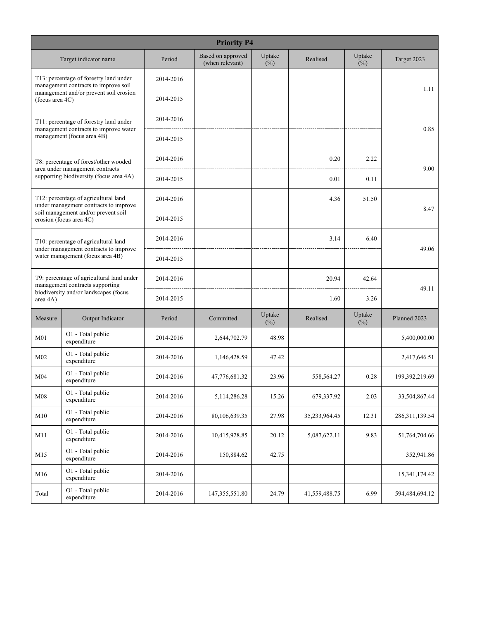| <b>Priority P4</b>                                                        |                                                                                 |           |                                      |               |               |                  |                  |  |  |
|---------------------------------------------------------------------------|---------------------------------------------------------------------------------|-----------|--------------------------------------|---------------|---------------|------------------|------------------|--|--|
|                                                                           | Target indicator name                                                           | Period    | Based on approved<br>(when relevant) | Uptake<br>(%) | Realised      | Uptake<br>$(\%)$ | Target 2023      |  |  |
|                                                                           | T13: percentage of forestry land under<br>management contracts to improve soil  | 2014-2016 |                                      |               |               |                  |                  |  |  |
| (focus area 4C)                                                           | management and/or prevent soil erosion                                          | 2014-2015 |                                      |               |               |                  | 1.11             |  |  |
|                                                                           | T11: percentage of forestry land under<br>management contracts to improve water | 2014-2016 |                                      |               |               |                  | 0.85             |  |  |
|                                                                           | management (focus area 4B)                                                      | 2014-2015 |                                      |               |               |                  |                  |  |  |
|                                                                           | T8: percentage of forest/other wooded<br>area under management contracts        | 2014-2016 |                                      |               | 0.20          | 2.22             | 9.00             |  |  |
|                                                                           | supporting biodiversity (focus area 4A)                                         | 2014-2015 |                                      |               | 0.01          | 0.11             |                  |  |  |
|                                                                           | T12: percentage of agricultural land<br>under management contracts to improve   | 2014-2016 |                                      |               | 4.36          | 51.50            | 8.47             |  |  |
|                                                                           | soil management and/or prevent soil<br>erosion (focus area 4C)                  | 2014-2015 |                                      |               |               |                  |                  |  |  |
|                                                                           | T10: percentage of agricultural land                                            | 2014-2016 |                                      |               | 3.14          | 6.40             | 49.06            |  |  |
| under management contracts to improve<br>water management (focus area 4B) |                                                                                 | 2014-2015 |                                      |               |               |                  |                  |  |  |
|                                                                           | T9: percentage of agricultural land under<br>management contracts supporting    | 2014-2016 |                                      |               | 20.94         | 42.64            |                  |  |  |
| area 4A)                                                                  | biodiversity and/or landscapes (focus                                           | 2014-2015 |                                      |               | 1.60          | 3.26             | 49.11            |  |  |
| Measure                                                                   | Output Indicator                                                                | Period    | Committed                            | Uptake<br>(%) | Realised      | Uptake<br>$(\%)$ | Planned 2023     |  |  |
| M <sub>01</sub>                                                           | O1 - Total public<br>expenditure                                                | 2014-2016 | 2,644,702.79                         | 48.98         |               |                  | 5,400,000.00     |  |  |
| M <sub>02</sub>                                                           | O1 - Total public<br>expenditure                                                | 2014-2016 | 1,146,428.59                         | 47.42         |               |                  | 2,417,646.51     |  |  |
| M <sub>04</sub>                                                           | O1 - Total public<br>expenditure                                                | 2014-2016 | 47,776,681.32                        | 23.96         | 558,564.27    | 0.28             | 199,392,219.69   |  |  |
| M <sub>08</sub>                                                           | O1 - Total public<br>expenditure                                                | 2014-2016 | 5, 114, 286. 28                      | 15.26         | 679,337.92    | 2.03             | 33,504,867.44    |  |  |
| M10                                                                       | O1 - Total public<br>expenditure                                                | 2014-2016 | 80,106,639.35                        | 27.98         | 35,233,964.45 | 12.31            | 286, 311, 139.54 |  |  |
| M11                                                                       | O1 - Total public<br>expenditure                                                | 2014-2016 | 10,415,928.85                        | 20.12         | 5,087,622.11  | 9.83             | 51,764,704.66    |  |  |
| M15                                                                       | O1 - Total public<br>expenditure                                                | 2014-2016 | 150,884.62                           | 42.75         |               |                  | 352,941.86       |  |  |
| M16                                                                       | O1 - Total public<br>expenditure                                                | 2014-2016 |                                      |               |               |                  | 15,341,174.42    |  |  |
| Total                                                                     | O1 - Total public<br>expenditure                                                | 2014-2016 | 147, 355, 551.80                     | 24.79         | 41,559,488.75 | 6.99             | 594,484,694.12   |  |  |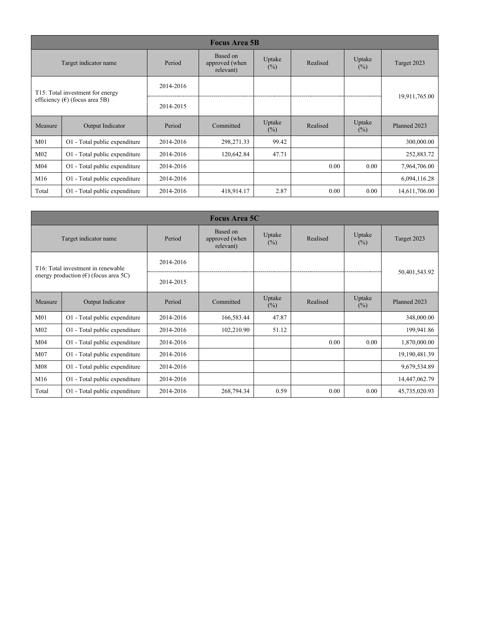| <b>Focus Area 5B</b>                      |                                  |           |                                         |                   |          |                  |               |  |
|-------------------------------------------|----------------------------------|-----------|-----------------------------------------|-------------------|----------|------------------|---------------|--|
| Target indicator name                     |                                  | Period    | Based on<br>approved (when<br>relevant) | Uptake<br>$(\% )$ | Realised | Uptake<br>$(\%)$ | Target 2023   |  |
|                                           | T15: Total investment for energy | 2014-2016 |                                         |                   |          |                  |               |  |
| efficiency ( $\epsilon$ ) (focus area 5B) |                                  | 2014-2015 |                                         |                   |          |                  | 19,911,765.00 |  |
| Measure                                   | Output Indicator                 | Period    | Committed                               | Uptake<br>$(\% )$ | Realised | Uptake<br>$(\%)$ | Planned 2023  |  |
| M <sub>01</sub>                           | O1 - Total public expenditure    | 2014-2016 | 298,271.33                              | 99.42             |          |                  | 300,000.00    |  |
| M <sub>02</sub>                           | O1 - Total public expenditure    | 2014-2016 | 120,642.84                              | 47.71             |          |                  | 252,883.72    |  |
| M <sub>04</sub>                           | O1 - Total public expenditure    | 2014-2016 |                                         |                   | 0.00     | 0.00             | 7,964,706.00  |  |
| M16                                       | O1 - Total public expenditure    | 2014-2016 |                                         |                   |          |                  | 6,094,116.28  |  |
| Total                                     | O1 - Total public expenditure    | 2014-2016 | 418,914.17                              | 2.87              | 0.00     | 0.00             | 14,611,706.00 |  |

| <b>Focus Area 5C</b>                           |                                                 |           |                                         |               |          |                  |                 |  |
|------------------------------------------------|-------------------------------------------------|-----------|-----------------------------------------|---------------|----------|------------------|-----------------|--|
| Target indicator name                          |                                                 | Period    | Based on<br>approved (when<br>relevant) | Uptake<br>(%) | Realised | Uptake<br>$(\%)$ | Target 2023     |  |
|                                                | T <sub>16</sub> : Total investment in renewable | 2014-2016 |                                         |               |          |                  |                 |  |
| energy production $(\epsilon)$ (focus area 5C) |                                                 | 2014-2015 |                                         |               |          |                  | 50,401,543.92   |  |
| Measure                                        | Output Indicator                                | Period    | Committed                               | Uptake<br>(%) | Realised | Uptake<br>$(\%)$ | Planned 2023    |  |
| M <sub>01</sub>                                | O1 - Total public expenditure                   | 2014-2016 | 166,583.44                              | 47.87         |          |                  | 348,000.00      |  |
| M <sub>02</sub>                                | O1 - Total public expenditure                   | 2014-2016 | 102,210.90                              | 51.12         |          |                  | 199,941.86      |  |
| M <sub>04</sub>                                | O1 - Total public expenditure                   | 2014-2016 |                                         |               | 0.00     | 0.00             | 1,870,000.00    |  |
| M <sub>07</sub>                                | O1 - Total public expenditure                   | 2014-2016 |                                         |               |          |                  | 19, 190, 481.39 |  |
| M <sub>08</sub>                                | O1 - Total public expenditure                   | 2014-2016 |                                         |               |          |                  | 9,679,534.89    |  |
| M16                                            | O1 - Total public expenditure                   | 2014-2016 |                                         |               |          |                  | 14,447,062.79   |  |
| Total                                          | O1 - Total public expenditure                   | 2014-2016 | 268,794.34                              | 0.59          | 0.00     | 0.00             | 45,735,020.93   |  |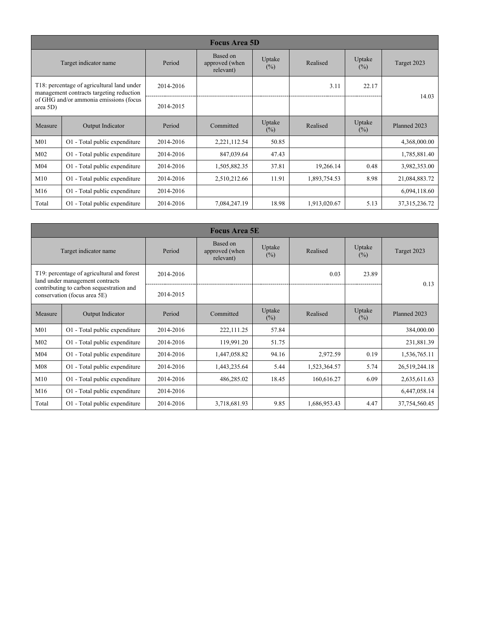| <b>Focus Area 5D</b>                               |                                                                                        |           |                                         |                  |              |                  |                  |  |
|----------------------------------------------------|----------------------------------------------------------------------------------------|-----------|-----------------------------------------|------------------|--------------|------------------|------------------|--|
| Target indicator name                              |                                                                                        | Period    | Based on<br>approved (when<br>relevant) | Uptake<br>$(\%)$ | Realised     | Uptake<br>$(\%)$ | Target 2023      |  |
|                                                    | T18: percentage of agricultural land under<br>management contracts targeting reduction | 2014-2016 |                                         |                  | 3.11         | 22.17            | 14.03            |  |
| of GHG and/or ammonia emissions (focus<br>area 5D) |                                                                                        | 2014-2015 |                                         |                  |              |                  |                  |  |
| Measure                                            | Output Indicator                                                                       | Period    | Committed                               | Uptake<br>$(\%)$ | Realised     | Uptake<br>$(\%)$ | Planned 2023     |  |
| M <sub>01</sub>                                    | O1 - Total public expenditure                                                          | 2014-2016 | 2,221,112.54                            | 50.85            |              |                  | 4,368,000.00     |  |
| M <sub>02</sub>                                    | O1 - Total public expenditure                                                          | 2014-2016 | 847,039.64                              | 47.43            |              |                  | 1,785,881.40     |  |
| M <sub>04</sub>                                    | O1 - Total public expenditure                                                          | 2014-2016 | 1,505,882.35                            | 37.81            | 19,266.14    | 0.48             | 3,982,353.00     |  |
| M10                                                | O1 - Total public expenditure                                                          | 2014-2016 | 2,510,212.66                            | 11.91            | 1,893,754.53 | 8.98             | 21,084,883.72    |  |
| M16                                                | O1 - Total public expenditure                                                          | 2014-2016 |                                         |                  |              |                  | 6,094,118.60     |  |
| Total                                              | O1 - Total public expenditure                                                          | 2014-2016 | 7,084,247.19                            | 18.98            | 1,913,020.67 | 5.13             | 37, 315, 236. 72 |  |

|                                                                          | <b>Focus Area 5E</b>                                                          |           |                                         |                  |              |                  |               |  |  |  |
|--------------------------------------------------------------------------|-------------------------------------------------------------------------------|-----------|-----------------------------------------|------------------|--------------|------------------|---------------|--|--|--|
| Target indicator name                                                    |                                                                               | Period    | Based on<br>approved (when<br>relevant) | Uptake<br>$(\%)$ | Realised     | Uptake<br>$(\%)$ | Target 2023   |  |  |  |
|                                                                          | T19: percentage of agricultural and forest<br>land under management contracts | 2014-2016 |                                         |                  | 0.03         | 23.89            | 0.13          |  |  |  |
| contributing to carbon sequestration and<br>conservation (focus area 5E) |                                                                               | 2014-2015 |                                         |                  |              |                  |               |  |  |  |
| Measure                                                                  | Output Indicator                                                              | Period    | Committed                               | Uptake<br>$(\%)$ | Realised     | Uptake<br>$(\%)$ | Planned 2023  |  |  |  |
| M <sub>01</sub>                                                          | O1 - Total public expenditure                                                 | 2014-2016 | 222,111.25                              | 57.84            |              |                  | 384,000.00    |  |  |  |
| M <sub>02</sub>                                                          | O1 - Total public expenditure                                                 | 2014-2016 | 119,991.20                              | 51.75            |              |                  | 231,881.39    |  |  |  |
| M <sub>04</sub>                                                          | O1 - Total public expenditure                                                 | 2014-2016 | 1,447,058.82                            | 94.16            | 2,972.59     | 0.19             | 1,536,765.11  |  |  |  |
| M <sub>08</sub>                                                          | O1 - Total public expenditure                                                 | 2014-2016 | 1,443,235.64                            | 5.44             | 1,523,364.57 | 5.74             | 26,519,244.18 |  |  |  |
| M10                                                                      | O1 - Total public expenditure                                                 | 2014-2016 | 486,285.02                              | 18.45            | 160,616.27   | 6.09             | 2,635,611.63  |  |  |  |
| M16                                                                      | O1 - Total public expenditure                                                 | 2014-2016 |                                         |                  |              |                  | 6,447,058.14  |  |  |  |
| Total                                                                    | O1 - Total public expenditure                                                 | 2014-2016 | 3,718,681.93                            | 9.85             | 1,686,953.43 | 4.47             | 37,754,560.45 |  |  |  |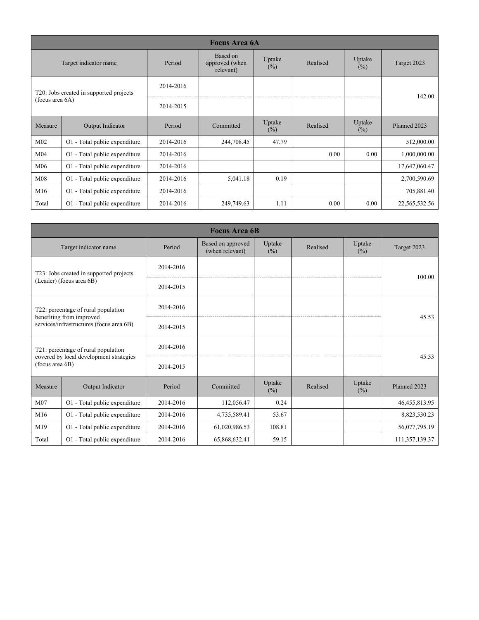|                                                            | <b>Focus Area 6A</b>          |           |                                         |                  |          |                  |               |  |  |
|------------------------------------------------------------|-------------------------------|-----------|-----------------------------------------|------------------|----------|------------------|---------------|--|--|
|                                                            | Target indicator name         | Period    | Based on<br>approved (when<br>relevant) | Uptake<br>(%)    | Realised | Uptake<br>$(\%)$ | Target 2023   |  |  |
| T20: Jobs created in supported projects<br>(focus area 6A) |                               | 2014-2016 |                                         |                  |          |                  |               |  |  |
|                                                            |                               | 2014-2015 |                                         |                  |          |                  | 142.00        |  |  |
| Measure                                                    | Output Indicator              | Period    | Committed                               | Uptake<br>$(\%)$ | Realised | Uptake<br>$(\%)$ | Planned 2023  |  |  |
| M <sub>02</sub>                                            | O1 - Total public expenditure | 2014-2016 | 244,708.45                              | 47.79            |          |                  | 512,000.00    |  |  |
| M <sub>04</sub>                                            | O1 - Total public expenditure | 2014-2016 |                                         |                  | 0.00     | 0.00             | 1,000,000.00  |  |  |
| M <sub>06</sub>                                            | O1 - Total public expenditure | 2014-2016 |                                         |                  |          |                  | 17,647,060.47 |  |  |
| M <sub>08</sub>                                            | O1 - Total public expenditure | 2014-2016 | 5,041.18                                | 0.19             |          |                  | 2,700,590.69  |  |  |
| M16                                                        | O1 - Total public expenditure | 2014-2016 |                                         |                  |          |                  | 705,881.40    |  |  |
| Total                                                      | O1 - Total public expenditure | 2014-2016 | 249,749.63                              | 1.11             | 0.00     | 0.00             | 22,565,532.56 |  |  |

|                                                                      | <b>Focus Area 6B</b>                                                           |           |                                      |               |          |                  |                  |  |  |
|----------------------------------------------------------------------|--------------------------------------------------------------------------------|-----------|--------------------------------------|---------------|----------|------------------|------------------|--|--|
|                                                                      | Target indicator name                                                          | Period    | Based on approved<br>(when relevant) | Uptake<br>(%) | Realised | Uptake<br>$(\%)$ | Target 2023      |  |  |
|                                                                      | T23: Jobs created in supported projects                                        | 2014-2016 |                                      |               |          |                  | 100.00           |  |  |
|                                                                      | (Leader) (focus area 6B)                                                       | 2014-2015 |                                      |               |          |                  |                  |  |  |
|                                                                      | T22: percentage of rural population                                            | 2014-2016 |                                      |               |          |                  | 45.53            |  |  |
| benefiting from improved<br>services/infrastructures (focus area 6B) |                                                                                | 2014-2015 |                                      |               |          |                  |                  |  |  |
|                                                                      | T21: percentage of rural population<br>covered by local development strategies | 2014-2016 |                                      |               |          |                  | 45.53            |  |  |
| (focus area 6B)                                                      |                                                                                | 2014-2015 |                                      |               |          |                  |                  |  |  |
| Measure                                                              | Output Indicator                                                               | Period    | Committed                            | Uptake<br>(%) | Realised | Uptake<br>(%)    | Planned 2023     |  |  |
| M07                                                                  | O1 - Total public expenditure                                                  | 2014-2016 | 112,056.47                           | 0.24          |          |                  | 46, 455, 813. 95 |  |  |
| M16                                                                  | O1 - Total public expenditure                                                  | 2014-2016 | 4,735,589.41                         | 53.67         |          |                  | 8,823,530.23     |  |  |
| M19                                                                  | O1 - Total public expenditure                                                  | 2014-2016 | 61,020,986.53                        | 108.81        |          |                  | 56,077,795.19    |  |  |
| Total                                                                | O1 - Total public expenditure                                                  | 2014-2016 | 65,868,632.41                        | 59.15         |          |                  | 111,357,139.37   |  |  |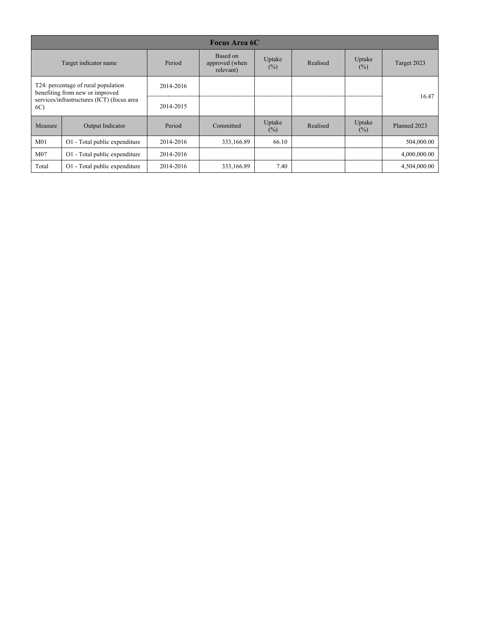| <b>Focus Area 6C</b>                                                                                                       |                               |           |                                         |                  |          |                  |              |  |  |
|----------------------------------------------------------------------------------------------------------------------------|-------------------------------|-----------|-----------------------------------------|------------------|----------|------------------|--------------|--|--|
| Target indicator name                                                                                                      |                               | Period    | Based on<br>approved (when<br>relevant) | Uptake<br>$(\%)$ | Realised | Uptake<br>$(\%)$ | Target 2023  |  |  |
| T24: percentage of rural population<br>benefiting from new or improved<br>services/infrastructures (ICT) (focus area<br>6C |                               | 2014-2016 |                                         |                  |          |                  | 16.47        |  |  |
|                                                                                                                            |                               | 2014-2015 |                                         |                  |          |                  |              |  |  |
| Measure                                                                                                                    | Output Indicator              | Period    | Committed                               | Uptake<br>$(\%)$ | Realised | Uptake<br>$(\%)$ | Planned 2023 |  |  |
| M <sub>01</sub>                                                                                                            | O1 - Total public expenditure | 2014-2016 | 333,166.89                              | 66.10            |          |                  | 504,000.00   |  |  |
| M <sub>07</sub>                                                                                                            | O1 - Total public expenditure | 2014-2016 |                                         |                  |          |                  | 4,000,000.00 |  |  |
| Total                                                                                                                      | O1 - Total public expenditure | 2014-2016 | 333,166.89                              | 7.40             |          |                  | 4,504,000.00 |  |  |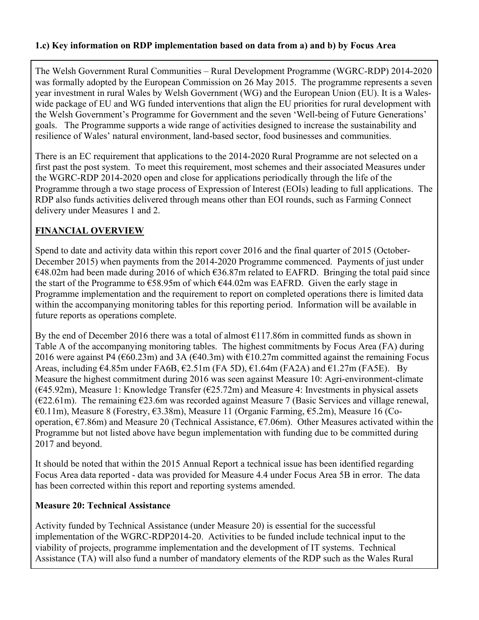#### <span id="page-15-0"></span>**1.c) Key information on RDP implementation based on data from a) and b) by Focus Area**

The Welsh Government Rural Communities – Rural Development Programme (WGRC-RDP) 2014-2020 was formally adopted by the European Commission on 26 May 2015. The programme represents a seven year investment in rural Wales by Welsh Government (WG) and the European Union (EU). It is a Waleswide package of EU and WG funded interventions that align the EU priorities for rural development with the Welsh Government's Programme for Government and the seven 'Well-being of Future Generations' goals. The Programme supports a wide range of activities designed to increase the sustainability and resilience of Wales' natural environment, land-based sector, food businesses and communities.

There is an EC requirement that applications to the 2014-2020 Rural Programme are not selected on a first past the post system. To meet this requirement, most schemes and their associated Measures under the WGRC-RDP 2014-2020 open and close for applications periodically through the life of the Programme through a two stage process of Expression of Interest (EOIs) leading to full applications. The RDP also funds activities delivered through means other than EOI rounds, such as Farming Connect delivery under Measures 1 and 2.

#### **FINANCIAL OVERVIEW**

Spend to date and activity data within this report cover 2016 and the final quarter of 2015 (October-December 2015) when payments from the 2014-2020 Programme commenced. Payments of just under  $€48.02m$  had been made during 2016 of which  $€36.87m$  related to EAFRD. Bringing the total paid since the start of the Programme to  $\epsilon$ 58.95m of which  $\epsilon$ 44.02m was EAFRD. Given the early stage in Programme implementation and the requirement to report on completed operations there is limited data within the accompanying monitoring tables for this reporting period. Information will be available in future reports as operations complete.

By the end of December 2016 there was a total of almost  $E117.86m$  in committed funds as shown in Table A of the accompanying monitoring tables. The highest commitments by Focus Area (FA) during 2016 were against P4 ( $\epsilon$ 60.23m) and 3A ( $\epsilon$ 40.3m) with  $\epsilon$ 10.27m committed against the remaining Focus Areas, including €4.85m under FA6B, €2.51m (FA 5D), €1.64m (FA2A) and €1.27m (FA5E). By Measure the highest commitment during 2016 was seen against Measure 10: Agri-environment-climate  $(645.92m)$ , Measure 1: Knowledge Transfer  $(625.72m)$  and Measure 4: Investments in physical assets  $(622.61m)$ . The remaining  $623.6m$  was recorded against Measure 7 (Basic Services and village renewal, €0.11m), Measure 8 (Forestry, €3.38m), Measure 11 (Organic Farming, €5.2m), Measure 16 (Cooperation, €7.86m) and Measure 20 (Technical Assistance, €7.06m). Other Measures activated within the Programme but not listed above have begun implementation with funding due to be committed during 2017 and beyond.

It should be noted that within the 2015 Annual Report a technical issue has been identified regarding Focus Area data reported - data was provided for Measure 4.4 under Focus Area 5B in error. The data has been corrected within this report and reporting systems amended.

#### **Measure 20: Technical Assistance**

Activity funded by Technical Assistance (under Measure 20) is essential for the successful implementation of the WGRC-RDP2014-20. Activities to be funded include technical input to the viability of projects, programme implementation and the development of IT systems. Technical Assistance (TA) will also fund a number of mandatory elements of the RDP such as the Wales Rural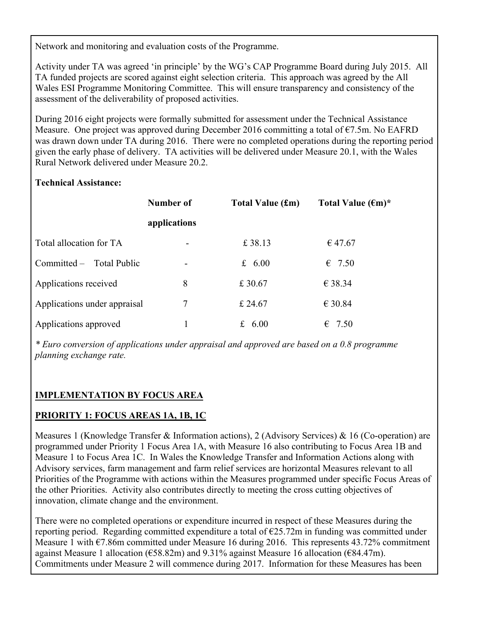Network and monitoring and evaluation costs of the Programme.

Activity under TA was agreed 'in principle' by the WG's CAP Programme Board during July 2015. All TA funded projects are scored against eight selection criteria. This approach was agreed by the All Wales ESI Programme Monitoring Committee. This will ensure transparency and consistency of the assessment of the deliverability of proposed activities.

During 2016 eight projects were formally submitted for assessment under the Technical Assistance Measure. One project was approved during December 2016 committing a total of €7.5m. No EAFRD was drawn down under TA during 2016. There were no completed operations during the reporting period given the early phase of delivery. TA activities will be delivered under Measure 20.1, with the Wales Rural Network delivered under Measure 20.2.

#### **Technical Assistance:**

|                              | Number of    | <b>Total Value (£m)</b> | Total Value $(\epsilon m)^*$ |
|------------------------------|--------------|-------------------------|------------------------------|
|                              | applications |                         |                              |
| Total allocation for TA      |              | £38.13                  | € 47.67                      |
| Committed – Total Public     |              | £ $6.00$                | $\epsilon$ 7.50              |
| Applications received        | 8            | £30.67                  | € 38.34                      |
| Applications under appraisal | 7            | £ 24.67                 | $\epsilon$ 30.84             |
| Applications approved        |              | £<br>6.00               | $\epsilon$ 7.50              |

*\* Euro conversion of applications under appraisal and approved are based on a 0.8 programme planning exchange rate.*

#### **IMPLEMENTATION BY FOCUS AREA**

#### **PRIORITY 1: FOCUS AREAS 1A, 1B, 1C**

Measures 1 (Knowledge Transfer & Information actions), 2 (Advisory Services) & 16 (Co-operation) are programmed under Priority 1 Focus Area 1A, with Measure 16 also contributing to Focus Area 1B and Measure 1 to Focus Area 1C. In Wales the Knowledge Transfer and Information Actions along with Advisory services, farm management and farm relief services are horizontal Measures relevant to all Priorities of the Programme with actions within the Measures programmed under specific Focus Areas of the other Priorities. Activity also contributes directly to meeting the cross cutting objectives of innovation, climate change and the environment.

There were no completed operations or expenditure incurred in respect of these Measures during the reporting period. Regarding committed expenditure a total of  $E25.72m$  in funding was committed under Measure 1 with  $\epsilon$ 7.86m committed under Measure 16 during 2016. This represents 43.72% commitment against Measure 1 allocation ( $\epsilon$ 58.82m) and 9.31% against Measure 16 allocation ( $\epsilon$ 84.47m). Commitments under Measure 2 will commence during 2017. Information for these Measures has been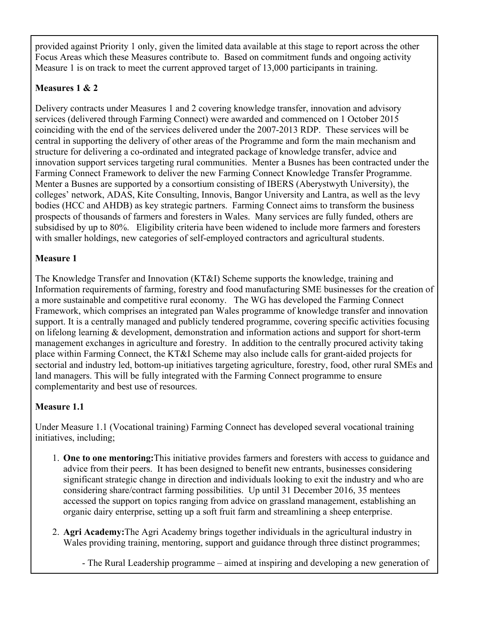provided against Priority 1 only, given the limited data available at this stage to report across the other Focus Areas which these Measures contribute to. Based on commitment funds and ongoing activity Measure 1 is on track to meet the current approved target of 13,000 participants in training.

#### **Measures 1 & 2**

Delivery contracts under Measures 1 and 2 covering knowledge transfer, innovation and advisory services (delivered through Farming Connect) were awarded and commenced on 1 October 2015 coinciding with the end of the services delivered under the 2007-2013 RDP. These services will be central in supporting the delivery of other areas of the Programme and form the main mechanism and structure for delivering a co-ordinated and integrated package of knowledge transfer, advice and innovation support services targeting rural communities. Menter a Busnes has been contracted under the Farming Connect Framework to deliver the new Farming Connect Knowledge Transfer Programme. Menter a Busnes are supported by a consortium consisting of IBERS (Aberystwyth University), the colleges' network, ADAS, Kite Consulting, Innovis, Bangor University and Lantra, as well as the levy bodies (HCC and AHDB) as key strategic partners. Farming Connect aims to transform the business prospects of thousands of farmers and foresters in Wales. Many services are fully funded, others are subsidised by up to 80%. Eligibility criteria have been widened to include more farmers and foresters with smaller holdings, new categories of self-employed contractors and agricultural students.

### **Measure 1**

The Knowledge Transfer and Innovation (KT&I) Scheme supports the knowledge, training and Information requirements of farming, forestry and food manufacturing SME businesses for the creation of a more sustainable and competitive rural economy. The WG has developed the Farming Connect Framework, which comprises an integrated pan Wales programme of knowledge transfer and innovation support. It is a centrally managed and publicly tendered programme, covering specific activities focusing on lifelong learning & development, demonstration and information actions and support for short-term management exchanges in agriculture and forestry. In addition to the centrally procured activity taking place within Farming Connect, the KT&I Scheme may also include calls for grant-aided projects for sectorial and industry led, bottom-up initiatives targeting agriculture, forestry, food, other rural SMEs and land managers. This will be fully integrated with the Farming Connect programme to ensure complementarity and best use of resources.

### **Measure 1.1**

Under Measure 1.1 (Vocational training) Farming Connect has developed several vocational training initiatives, including;

- 1. **One to one mentoring:**This initiative provides farmers and foresters with access to guidance and advice from their peers. It has been designed to benefit new entrants, businesses considering significant strategic change in direction and individuals looking to exit the industry and who are considering share/contract farming possibilities. Up until 31 December 2016, 35 mentees accessed the support on topics ranging from advice on grassland management, establishing an organic dairy enterprise, setting up a soft fruit farm and streamlining a sheep enterprise.
- 2. **Agri Academy:**The Agri Academy brings together individuals in the agricultural industry in Wales providing training, mentoring, support and guidance through three distinct programmes;

- The Rural Leadership programme – aimed at inspiring and developing a new generation of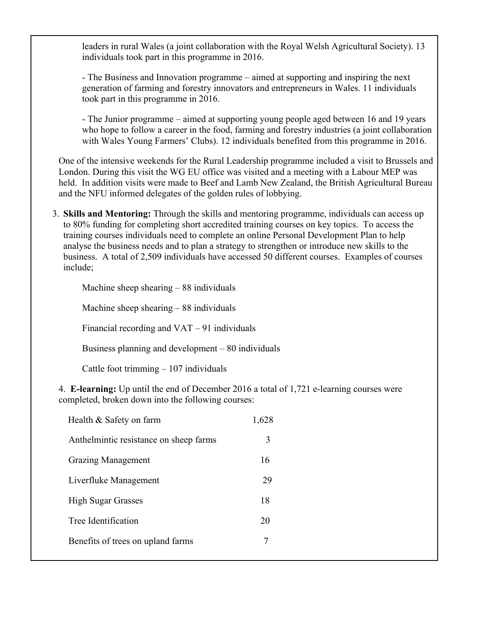leaders in rural Wales (a joint collaboration with the Royal Welsh Agricultural Society). 13 individuals took part in this programme in 2016.

- The Business and Innovation programme – aimed at supporting and inspiring the next generation of farming and forestry innovators and entrepreneurs in Wales. 11 individuals took part in this programme in 2016.

- The Junior programme – aimed at supporting young people aged between 16 and 19 years who hope to follow a career in the food, farming and forestry industries (a joint collaboration with Wales Young Farmers' Clubs). 12 individuals benefited from this programme in 2016.

One of the intensive weekends for the Rural Leadership programme included a visit to Brussels and London. During this visit the WG EU office was visited and a meeting with a Labour MEP was held. In addition visits were made to Beef and Lamb New Zealand, the British Agricultural Bureau and the NFU informed delegates of the golden rules of lobbying.

3. **Skills and Mentoring:** Through the skills and mentoring programme, individuals can access up to 80% funding for completing short accredited training courses on key topics. To access the training courses individuals need to complete an online Personal Development Plan to help analyse the business needs and to plan a strategy to strengthen or introduce new skills to the business. A total of 2,509 individuals have accessed 50 different courses. Examples of courses include;

Machine sheep shearing – 88 individuals Machine sheep shearing – 88 individuals Financial recording and VAT – 91 individuals Business planning and development – 80 individuals Cattle foot trimming – 107 individuals

4. **E-learning:** Up until the end of December 2016 a total of 1,721 e-learning courses were completed, broken down into the following courses:

| Health & Safety on farm                | 1.628 |
|----------------------------------------|-------|
| Anthelmintic resistance on sheep farms | 3     |
| <b>Grazing Management</b>              | 16    |
| Liverfluke Management                  | 29    |
| <b>High Sugar Grasses</b>              | 18    |
| Tree Identification                    | 20    |
| Benefits of trees on upland farms      |       |
|                                        |       |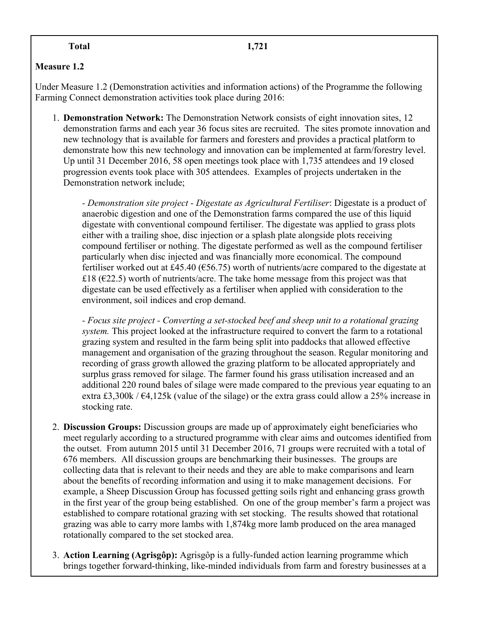#### **Measure 1.2**

Under Measure 1.2 (Demonstration activities and information actions) of the Programme the following Farming Connect demonstration activities took place during 2016:

1. **Demonstration Network:** The Demonstration Network consists of eight innovation sites, 12 demonstration farms and each year 36 focus sites are recruited. The sites promote innovation and new technology that is available for farmers and foresters and provides a practical platform to demonstrate how this new technology and innovation can be implemented at farm/forestry level. Up until 31 December 2016, 58 open meetings took place with 1,735 attendees and 19 closed progression events took place with 305 attendees. Examples of projects undertaken in the Demonstration network include;

*- Demonstration site project - Digestate as Agricultural Fertiliser*: Digestate is a product of anaerobic digestion and one of the Demonstration farms compared the use of this liquid digestate with conventional compound fertiliser. The digestate was applied to grass plots either with a trailing shoe, disc injection or a splash plate alongside plots receiving compound fertiliser or nothing. The digestate performed as well as the compound fertiliser particularly when disc injected and was financially more economical. The compound fertiliser worked out at £45.40 (€56.75) worth of nutrients/acre compared to the digestate at £18 ( $E$ 22.5) worth of nutrients/acre. The take home message from this project was that digestate can be used effectively as a fertiliser when applied with consideration to the environment, soil indices and crop demand.

*- Focus site project - Converting a set-stocked beef and sheep unit to a rotational grazing system.* This project looked at the infrastructure required to convert the farm to a rotational grazing system and resulted in the farm being split into paddocks that allowed effective management and organisation of the grazing throughout the season. Regular monitoring and recording of grass growth allowed the grazing platform to be allocated appropriately and surplus grass removed for silage. The farmer found his grass utilisation increased and an additional 220 round bales of silage were made compared to the previous year equating to an extra £3,300k /  $\epsilon$ 4,125k (value of the silage) or the extra grass could allow a 25% increase in stocking rate.

- 2. **Discussion Groups:** Discussion groups are made up of approximately eight beneficiaries who meet regularly according to a structured programme with clear aims and outcomes identified from the outset. From autumn 2015 until 31 December 2016, 71 groups were recruited with a total of 676 members. All discussion groups are benchmarking their businesses. The groups are collecting data that is relevant to their needs and they are able to make comparisons and learn about the benefits of recording information and using it to make management decisions. For example, a Sheep Discussion Group has focussed getting soils right and enhancing grass growth in the first year of the group being established. On one of the group member's farm a project was established to compare rotational grazing with set stocking. The results showed that rotational grazing was able to carry more lambs with 1,874kg more lamb produced on the area managed rotationally compared to the set stocked area.
- 3. **Action Learning (Agrisgôp):** Agrisgôp is a fully-funded action learning programme which brings together forward-thinking, like-minded individuals from farm and forestry businesses at a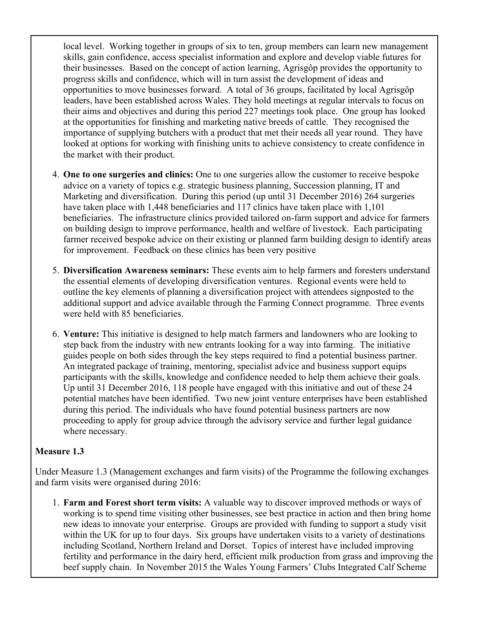local level. Working together in groups of six to ten, group members can learn new management skills, gain confidence, access specialist information and explore and develop viable futures for their businesses. Based on the concept of action learning, Agrisgôp provides the opportunity to progress skills and confidence, which will in turn assist the development of ideas and opportunities to move businesses forward. A total of 36 groups, facilitated by local Agrisgôp leaders, have been established across Wales. They hold meetings at regular intervals to focus on their aims and objectives and during this period 227 meetings took place. One group has looked at the opportunities for finishing and marketing native breeds of cattle. They recognised the importance of supplying butchers with a product that met their needs all year round. They have looked at options for working with finishing units to achieve consistency to create confidence in the market with their product.

- 4. **One to one surgeries and clinics:** One to one surgeries allow the customer to receive bespoke advice on a variety of topics e.g. strategic business planning, Succession planning, IT and Marketing and diversification. During this period (up until 31 December 2016) 264 surgeries have taken place with 1,448 beneficiaries and 117 clinics have taken place with 1,101 beneficiaries. The infrastructure clinics provided tailored on-farm support and advice for farmers on building design to improve performance, health and welfare of livestock. Each participating farmer received bespoke advice on their existing or planned farm building design to identify areas for improvement. Feedback on these clinics has been very positive
- 5. **Diversification Awareness seminars:** These events aim to help farmers and foresters understand the essential elements of developing diversification ventures. Regional events were held to outline the key elements of planning a diversification project with attendees signposted to the additional support and advice available through the Farming Connect programme. Three events were held with 85 beneficiaries.
- 6. **Venture:** This initiative is designed to help match farmers and landowners who are looking to step back from the industry with new entrants looking for a way into farming. The initiative guides people on both sides through the key steps required to find a potential business partner. An integrated package of training, mentoring, specialist advice and business support equips participants with the skills, knowledge and confidence needed to help them achieve their goals. Up until 31 December 2016, 118 people have engaged with this initiative and out of these 24 potential matches have been identified. Two new joint venture enterprises have been established during this period. The individuals who have found potential business partners are now proceeding to apply for group advice through the advisory service and further legal guidance where necessary.

#### **Measure 1.3**

Under Measure 1.3 (Management exchanges and farm visits) of the Programme the following exchanges and farm visits were organised during 2016:

1. **Farm and Forest short term visits:** A valuable way to discover improved methods or ways of working is to spend time visiting other businesses, see best practice in action and then bring home new ideas to innovate your enterprise. Groups are provided with funding to support a study visit within the UK for up to four days. Six groups have undertaken visits to a variety of destinations including Scotland, Northern Ireland and Dorset. Topics of interest have included improving fertility and performance in the dairy herd, efficient milk production from grass and improving the beef supply chain. In November 2015 the Wales Young Farmers' Clubs Integrated Calf Scheme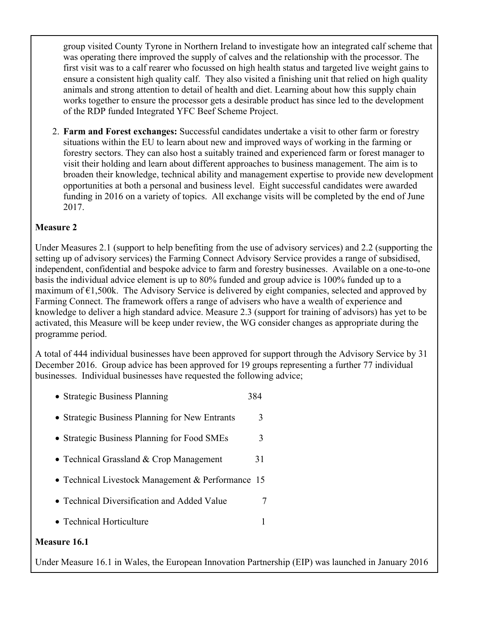group visited County Tyrone in Northern Ireland to investigate how an integrated calf scheme that was operating there improved the supply of calves and the relationship with the processor. The first visit was to a calf rearer who focussed on high health status and targeted live weight gains to ensure a consistent high quality calf. They also visited a finishing unit that relied on high quality animals and strong attention to detail of health and diet. Learning about how this supply chain works together to ensure the processor gets a desirable product has since led to the development of the RDP funded Integrated YFC Beef Scheme Project.

2. **Farm and Forest exchanges:** Successful candidates undertake a visit to other farm or forestry situations within the EU to learn about new and improved ways of working in the farming or forestry sectors. They can also host a suitably trained and experienced farm or forest manager to visit their holding and learn about different approaches to business management. The aim is to broaden their knowledge, technical ability and management expertise to provide new development opportunities at both a personal and business level. Eight successful candidates were awarded funding in 2016 on a variety of topics. All exchange visits will be completed by the end of June 2017.

#### **Measure 2**

Under Measures 2.1 (support to help benefiting from the use of advisory services) and 2.2 (supporting the setting up of advisory services) the Farming Connect Advisory Service provides a range of subsidised, independent, confidential and bespoke advice to farm and forestry businesses. Available on a one-to-one basis the individual advice element is up to 80% funded and group advice is 100% funded up to a maximum of  $\epsilon$ 1,500k. The Advisory Service is delivered by eight companies, selected and approved by Farming Connect. The framework offers a range of advisers who have a wealth of experience and knowledge to deliver a high standard advice. Measure 2.3 (support for training of advisors) has yet to be activated, this Measure will be keep under review, the WG consider changes as appropriate during the programme period.

A total of 444 individual businesses have been approved for support through the Advisory Service by 31 December 2016. Group advice has been approved for 19 groups representing a further 77 individual businesses. Individual businesses have requested the following advice;

- Strategic Business Planning 384
- Strategic Business Planning for New Entrants 3
- Strategic Business Planning for Food SMEs 3
- Technical Grassland & Crop Management 31
- Technical Livestock Management & Performance 15
- Technical Diversification and Added Value 7
- Technical Horticulture 1

#### **Measure 16.1**

Under Measure 16.1 in Wales, the European Innovation Partnership (EIP) was launched in January 2016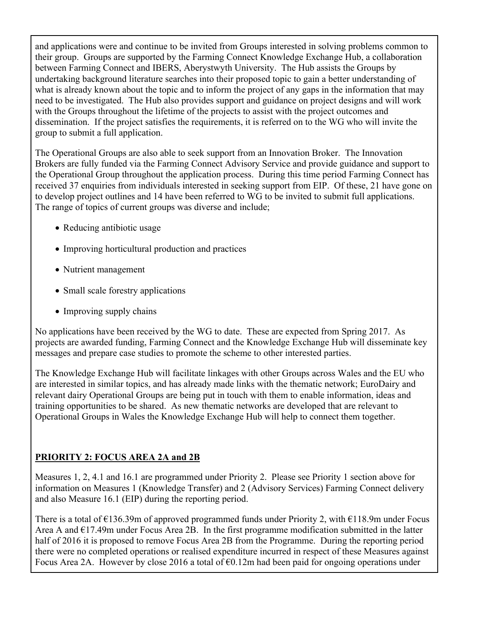and applications were and continue to be invited from Groups interested in solving problems common to their group. Groups are supported by the Farming Connect Knowledge Exchange Hub, a collaboration between Farming Connect and IBERS, Aberystwyth University. The Hub assists the Groups by undertaking background literature searches into their proposed topic to gain a better understanding of what is already known about the topic and to inform the project of any gaps in the information that may need to be investigated. The Hub also provides support and guidance on project designs and will work with the Groups throughout the lifetime of the projects to assist with the project outcomes and dissemination. If the project satisfies the requirements, it is referred on to the WG who will invite the group to submit a full application.

The Operational Groups are also able to seek support from an Innovation Broker. The Innovation Brokers are fully funded via the Farming Connect Advisory Service and provide guidance and support to the Operational Group throughout the application process. During this time period Farming Connect has received 37 enquiries from individuals interested in seeking support from EIP. Of these, 21 have gone on to develop project outlines and 14 have been referred to WG to be invited to submit full applications. The range of topics of current groups was diverse and include;

- Reducing antibiotic usage
- Improving horticultural production and practices
- Nutrient management
- Small scale forestry applications
- Improving supply chains

No applications have been received by the WG to date. These are expected from Spring 2017. As projects are awarded funding, Farming Connect and the Knowledge Exchange Hub will disseminate key messages and prepare case studies to promote the scheme to other interested parties.

The Knowledge Exchange Hub will facilitate linkages with other Groups across Wales and the EU who are interested in similar topics, and has already made links with the thematic network; EuroDairy and relevant dairy Operational Groups are being put in touch with them to enable information, ideas and training opportunities to be shared. As new thematic networks are developed that are relevant to Operational Groups in Wales the Knowledge Exchange Hub will help to connect them together.

### **PRIORITY 2: FOCUS AREA 2A and 2B**

Measures 1, 2, 4.1 and 16.1 are programmed under Priority 2. Please see Priority 1 section above for information on Measures 1 (Knowledge Transfer) and 2 (Advisory Services) Farming Connect delivery and also Measure 16.1 (EIP) during the reporting period.

There is a total of  $\epsilon$ 136.39m of approved programmed funds under Priority 2, with  $\epsilon$ 118.9m under Focus Area A and  $E17.49$ m under Focus Area 2B. In the first programme modification submitted in the latter half of 2016 it is proposed to remove Focus Area 2B from the Programme. During the reporting period there were no completed operations or realised expenditure incurred in respect of these Measures against Focus Area 2A. However by close 2016 a total of  $\epsilon$ 0.12m had been paid for ongoing operations under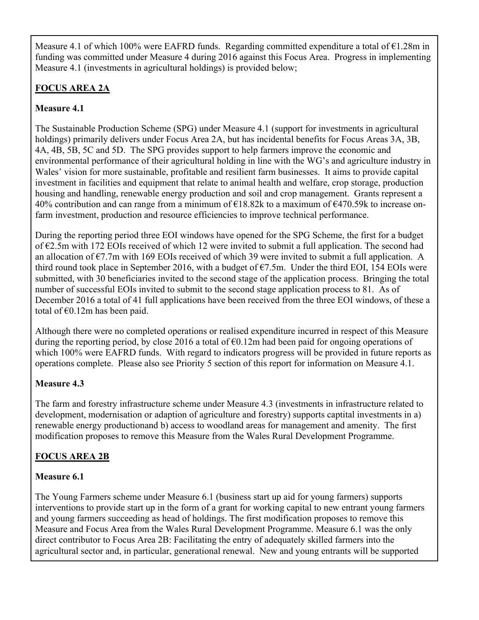Measure 4.1 of which 100% were EAFRD funds. Regarding committed expenditure a total of  $E1.28m$  in funding was committed under Measure 4 during 2016 against this Focus Area. Progress in implementing Measure 4.1 (investments in agricultural holdings) is provided below;

#### **FOCUS AREA 2A**

#### **Measure 4.1**

The Sustainable Production Scheme (SPG) under Measure 4.1 (support for investments in agricultural holdings) primarily delivers under Focus Area 2A, but has incidental benefits for Focus Areas 3A, 3B, 4A, 4B, 5B, 5C and 5D. The SPG provides support to help farmers improve the economic and environmental performance of their agricultural holding in line with the WG's and agriculture industry in Wales' vision for more sustainable, profitable and resilient farm businesses. It aims to provide capital investment in facilities and equipment that relate to animal health and welfare, crop storage, production housing and handling, renewable energy production and soil and crop management. Grants represent a 40% contribution and can range from a minimum of €18.82k to a maximum of €470.59k to increase onfarm investment, production and resource efficiencies to improve technical performance.

During the reporting period three EOI windows have opened for the SPG Scheme, the first for a budget of €2.5m with 172 EOIs received of which 12 were invited to submit a full application. The second had an allocation of  $\epsilon$ 7.7m with 169 EOIs received of which 39 were invited to submit a full application. A third round took place in September 2016, with a budget of  $\epsilon$ 7.5m. Under the third EOI, 154 EOIs were submitted, with 30 beneficiaries invited to the second stage of the application process. Bringing the total number of successful EOIs invited to submit to the second stage application process to 81. As of December 2016 a total of 41 full applications have been received from the three EOI windows, of these a total of  $\epsilon$ 0.12m has been paid.

Although there were no completed operations or realised expenditure incurred in respect of this Measure during the reporting period, by close 2016 a total of  $\epsilon$ 0.12m had been paid for ongoing operations of which 100% were EAFRD funds. With regard to indicators progress will be provided in future reports as operations complete. Please also see Priority 5 section of this report for information on Measure 4.1.

#### **Measure 4.3**

The farm and forestry infrastructure scheme under Measure 4.3 (investments in infrastructure related to development, modernisation or adaption of agriculture and forestry) supports captital investments in a) renewable energy productionand b) access to woodland areas for management and amenity. The first modification proposes to remove this Measure from the Wales Rural Development Programme.

#### **FOCUS AREA 2B**

#### **Measure 6.1**

The Young Farmers scheme under Measure 6.1 (business start up aid for young farmers) supports interventions to provide start up in the form of a grant for working capital to new entrant young farmers and young farmers succeeding as head of holdings. The first modification proposes to remove this Measure and Focus Area from the Wales Rural Development Programme. Measure 6.1 was the only direct contributor to Focus Area 2B: Facilitating the entry of adequately skilled farmers into the agricultural sector and, in particular, generational renewal. New and young entrants will be supported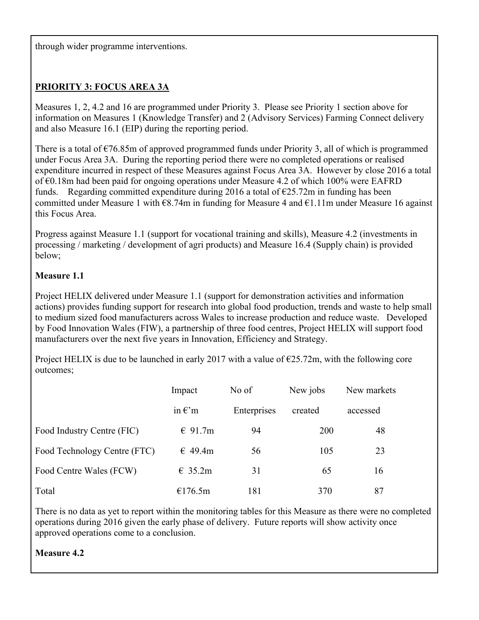through wider programme interventions.

#### **PRIORITY 3: FOCUS AREA 3A**

Measures 1, 2, 4.2 and 16 are programmed under Priority 3. Please see Priority 1 section above for information on Measures 1 (Knowledge Transfer) and 2 (Advisory Services) Farming Connect delivery and also Measure 16.1 (EIP) during the reporting period.

There is a total of  $\epsilon$ 76.85m of approved programmed funds under Priority 3, all of which is programmed under Focus Area 3A. During the reporting period there were no completed operations or realised expenditure incurred in respect of these Measures against Focus Area 3A. However by close 2016 a total of €0.18m had been paid for ongoing operations under Measure 4.2 of which 100% were EAFRD funds. Regarding committed expenditure during 2016 a total of  $\epsilon$ 25.72m in funding has been committed under Measure 1 with €8.74m in funding for Measure 4 and €1.11m under Measure 16 against this Focus Area.

Progress against Measure 1.1 (support for vocational training and skills), Measure 4.2 (investments in processing / marketing / development of agri products) and Measure 16.4 (Supply chain) is provided below;

#### **Measure 1.1**

Project HELIX delivered under Measure 1.1 (support for demonstration activities and information actions) provides funding support for research into global food production, trends and waste to help small to medium sized food manufacturers across Wales to increase production and reduce waste. Developed by Food Innovation Wales (FIW), a partnership of three food centres, Project HELIX will support food manufacturers over the next five years in Innovation, Efficiency and Strategy.

Project HELIX is due to be launched in early 2017 with a value of  $\epsilon$ 25.72m, with the following core outcomes;

|                              | Impact           | No of       | New jobs | New markets |
|------------------------------|------------------|-------------|----------|-------------|
|                              | in $\epsilon$ 'm | Enterprises | created  | accessed    |
| Food Industry Centre (FIC)   | $\in$ 91.7m      | 94          | 200      | 48          |
| Food Technology Centre (FTC) | $\in$ 49.4m      | 56          | 105      | 23          |
| Food Centre Wales (FCW)      | $\in$ 35.2m      | 31          | 65       | 16          |
| Total                        | €176.5m          | 181         | 370      | 87          |

There is no data as yet to report within the monitoring tables for this Measure as there were no completed operations during 2016 given the early phase of delivery. Future reports will show activity once approved operations come to a conclusion.

#### **Measure 4.2**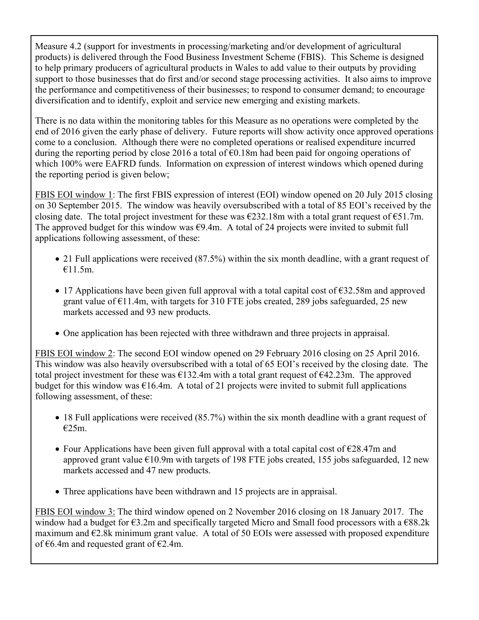Measure 4.2 (support for investments in processing/marketing and/or development of agricultural products) is delivered through the Food Business Investment Scheme (FBIS). This Scheme is designed to help primary producers of agricultural products in Wales to add value to their outputs by providing support to those businesses that do first and/or second stage processing activities. It also aims to improve the performance and competitiveness of their businesses; to respond to consumer demand; to encourage diversification and to identify, exploit and service new emerging and existing markets.

There is no data within the monitoring tables for this Measure as no operations were completed by the end of 2016 given the early phase of delivery. Future reports will show activity once approved operations come to a conclusion. Although there were no completed operations or realised expenditure incurred during the reporting period by close 2016 a total of  $\epsilon$ 0.18m had been paid for ongoing operations of which 100% were EAFRD funds. Information on expression of interest windows which opened during the reporting period is given below;

FBIS EOI window 1: The first FBIS expression of interest (EOI) window opened on 20 July 2015 closing on 30 September 2015. The window was heavily oversubscribed with a total of 85 EOI's received by the closing date. The total project investment for these was  $\epsilon$ 232.18m with a total grant request of  $\epsilon$ 51.7m. The approved budget for this window was  $\epsilon$ 9.4m. A total of 24 projects were invited to submit full applications following assessment, of these:

- 21 Full applications were received (87.5%) within the six month deadline, with a grant request of €11.5m.
- 17 Applications have been given full approval with a total capital cost of  $\epsilon$ 32.58m and approved grant value of  $\epsilon$ 11.4m, with targets for 310 FTE jobs created, 289 jobs safeguarded, 25 new markets accessed and 93 new products.
- One application has been rejected with three withdrawn and three projects in appraisal.

FBIS EOI window 2: The second EOI window opened on 29 February 2016 closing on 25 April 2016. This window was also heavily oversubscribed with a total of 65 EOI's received by the closing date. The total project investment for these was  $\epsilon$ 132.4m with a total grant request of  $\epsilon$ 42.23m. The approved budget for this window was  $\epsilon$ 16.4m. A total of 21 projects were invited to submit full applications following assessment, of these:

- 18 Full applications were received (85.7%) within the six month deadline with a grant request of €25m.
- Four Applications have been given full approval with a total capital cost of  $\epsilon$ 28.47m and approved grant value  $\epsilon$ 10.9m with targets of 198 FTE jobs created, 155 jobs safeguarded, 12 new markets accessed and 47 new products.
- Three applications have been withdrawn and 15 projects are in appraisal.

FBIS EOI window 3: The third window opened on 2 November 2016 closing on 18 January 2017. The window had a budget for  $\epsilon$ 3.2m and specifically targeted Micro and Small food processors with a  $\epsilon$ 88.2k maximum and  $E2.8k$  minimum grant value. A total of 50 EOIs were assessed with proposed expenditure of €6.4m and requested grant of  $€2.4$ m.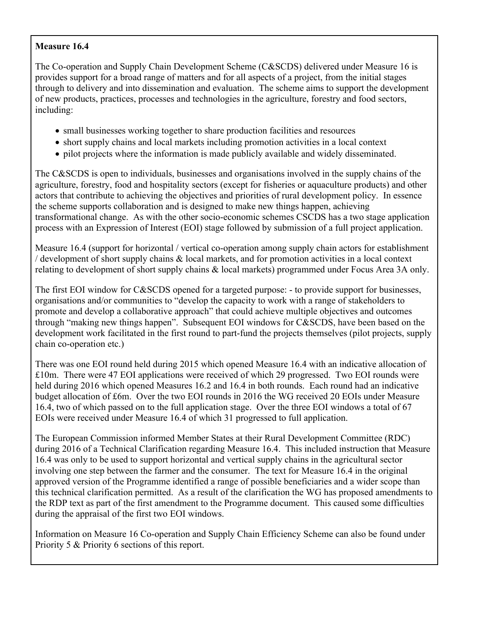#### **Measure 16.4**

The Co-operation and Supply Chain Development Scheme (C&SCDS) delivered under Measure 16 is provides support for a broad range of matters and for all aspects of a project, from the initial stages through to delivery and into dissemination and evaluation. The scheme aims to support the development of new products, practices, processes and technologies in the agriculture, forestry and food sectors, including:

- small businesses working together to share production facilities and resources
- short supply chains and local markets including promotion activities in a local context
- pilot projects where the information is made publicly available and widely disseminated.

The C&SCDS is open to individuals, businesses and organisations involved in the supply chains of the agriculture, forestry, food and hospitality sectors (except for fisheries or aquaculture products) and other actors that contribute to achieving the objectives and priorities of rural development policy. In essence the scheme supports collaboration and is designed to make new things happen, achieving transformational change. As with the other socio-economic schemes CSCDS has a two stage application process with an Expression of Interest (EOI) stage followed by submission of a full project application.

Measure 16.4 (support for horizontal / vertical co-operation among supply chain actors for establishment / development of short supply chains & local markets, and for promotion activities in a local context relating to development of short supply chains & local markets) programmed under Focus Area 3A only.

The first EOI window for C&SCDS opened for a targeted purpose: - to provide support for businesses, organisations and/or communities to "develop the capacity to work with a range of stakeholders to promote and develop a collaborative approach" that could achieve multiple objectives and outcomes through "making new things happen". Subsequent EOI windows for C&SCDS, have been based on the development work facilitated in the first round to part-fund the projects themselves (pilot projects, supply chain co-operation etc.)

There was one EOI round held during 2015 which opened Measure 16.4 with an indicative allocation of £10m. There were 47 EOI applications were received of which 29 progressed. Two EOI rounds were held during 2016 which opened Measures 16.2 and 16.4 in both rounds. Each round had an indicative budget allocation of £6m. Over the two EOI rounds in 2016 the WG received 20 EOIs under Measure 16.4, two of which passed on to the full application stage. Over the three EOI windows a total of 67 EOIs were received under Measure 16.4 of which 31 progressed to full application.

The European Commission informed Member States at their Rural Development Committee (RDC) during 2016 of a Technical Clarification regarding Measure 16.4. This included instruction that Measure 16.4 was only to be used to support horizontal and vertical supply chains in the agricultural sector involving one step between the farmer and the consumer. The text for Measure 16.4 in the original approved version of the Programme identified a range of possible beneficiaries and a wider scope than this technical clarification permitted. As a result of the clarification the WG has proposed amendments to the RDP text as part of the first amendment to the Programme document. This caused some difficulties during the appraisal of the first two EOI windows.

Information on Measure 16 Co-operation and Supply Chain Efficiency Scheme can also be found under Priority 5 & Priority 6 sections of this report.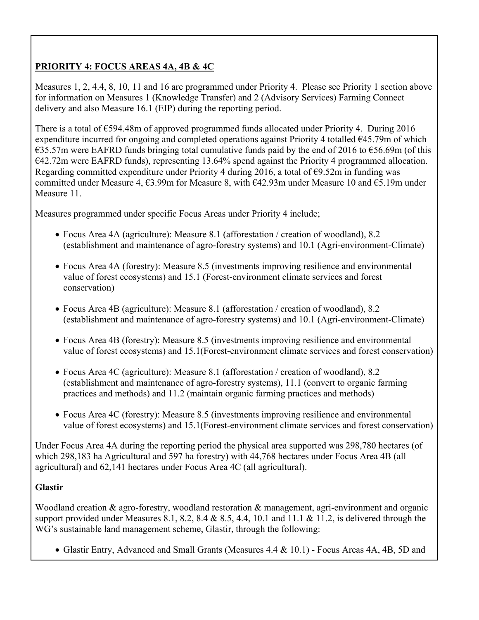#### **PRIORITY 4: FOCUS AREAS 4A, 4B & 4C**

Measures 1, 2, 4.4, 8, 10, 11 and 16 are programmed under Priority 4. Please see Priority 1 section above for information on Measures 1 (Knowledge Transfer) and 2 (Advisory Services) Farming Connect delivery and also Measure 16.1 (EIP) during the reporting period.

There is a total of  $\epsilon$ 594.48m of approved programmed funds allocated under Priority 4. During 2016 expenditure incurred for ongoing and completed operations against Priority 4 totalled €45.79m of which  $\epsilon$ 35.57m were EAFRD funds bringing total cumulative funds paid by the end of 2016 to  $\epsilon$ 56.69m (of this €42.72m were EAFRD funds), representing 13.64% spend against the Priority 4 programmed allocation. Regarding committed expenditure under Priority 4 during 2016, a total of  $\epsilon$ 9.52m in funding was committed under Measure 4,  $\epsilon$ 3.99m for Measure 8, with  $\epsilon$ 42.93m under Measure 10 and  $\epsilon$ 5.19m under Measure 11.

Measures programmed under specific Focus Areas under Priority 4 include;

- Focus Area 4A (agriculture): Measure 8.1 (afforestation / creation of woodland), 8.2 (establishment and maintenance of agro-forestry systems) and 10.1 (Agri-environment-Climate)
- Focus Area 4A (forestry): Measure 8.5 (investments improving resilience and environmental value of forest ecosystems) and 15.1 (Forest-environment climate services and forest conservation)
- Focus Area 4B (agriculture): Measure 8.1 (afforestation / creation of woodland), 8.2 (establishment and maintenance of agro-forestry systems) and 10.1 (Agri-environment-Climate)
- Focus Area 4B (forestry): Measure 8.5 (investments improving resilience and environmental value of forest ecosystems) and 15.1(Forest-environment climate services and forest conservation)
- Focus Area 4C (agriculture): Measure 8.1 (afforestation / creation of woodland), 8.2 (establishment and maintenance of agro-forestry systems), 11.1 (convert to organic farming practices and methods) and 11.2 (maintain organic farming practices and methods)
- Focus Area 4C (forestry): Measure 8.5 (investments improving resilience and environmental value of forest ecosystems) and 15.1(Forest-environment climate services and forest conservation)

Under Focus Area 4A during the reporting period the physical area supported was 298,780 hectares (of which 298,183 ha Agricultural and 597 ha forestry) with 44,768 hectares under Focus Area 4B (all agricultural) and 62,141 hectares under Focus Area 4C (all agricultural).

#### **Glastir**

Woodland creation & agro-forestry, woodland restoration & management, agri-environment and organic support provided under Measures 8.1, 8.2, 8.4 & 8.5, 4.4, 10.1 and 11.1 & 11.2, is delivered through the WG's sustainable land management scheme, Glastir, through the following:

Glastir Entry, Advanced and Small Grants (Measures 4.4 & 10.1) - Focus Areas 4A, 4B, 5D and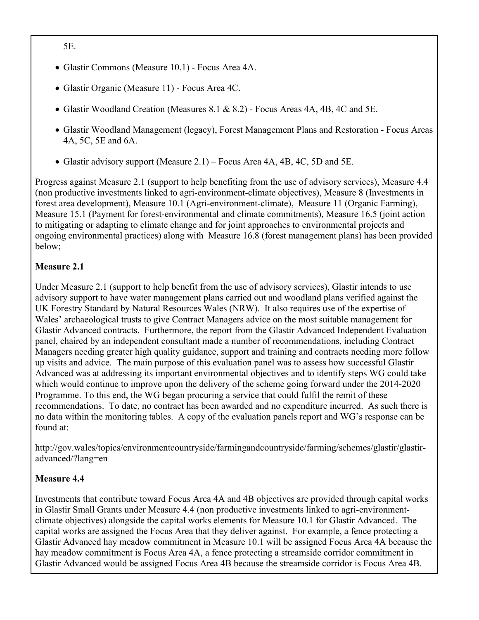5E.

- Glastir Commons (Measure 10.1) Focus Area 4A.
- Glastir Organic (Measure 11) Focus Area 4C.
- Glastir Woodland Creation (Measures 8.1 & 8.2) Focus Areas 4A, 4B, 4C and 5E.
- Glastir Woodland Management (legacy), Forest Management Plans and Restoration Focus Areas 4A, 5C, 5E and 6A.
- Glastir advisory support (Measure 2.1) Focus Area 4A, 4B, 4C, 5D and 5E.

Progress against Measure 2.1 (support to help benefiting from the use of advisory services), Measure 4.4 (non productive investments linked to agri-environment-climate objectives), Measure 8 (Investments in forest area development), Measure 10.1 (Agri-environment-climate), Measure 11 (Organic Farming), Measure 15.1 (Payment for forest-environmental and climate commitments), Measure 16.5 (joint action to mitigating or adapting to climate change and for joint approaches to environmental projects and ongoing environmental practices) along with Measure 16.8 (forest management plans) has been provided below;

#### **Measure 2.1**

Under Measure 2.1 (support to help benefit from the use of advisory services), Glastir intends to use advisory support to have water management plans carried out and woodland plans verified against the UK Forestry Standard by Natural Resources Wales (NRW). It also requires use of the expertise of Wales' archaeological trusts to give Contract Managers advice on the most suitable management for Glastir Advanced contracts. Furthermore, the report from the Glastir Advanced Independent Evaluation panel, chaired by an independent consultant made a number of recommendations, including Contract Managers needing greater high quality guidance, support and training and contracts needing more follow up visits and advice. The main purpose of this evaluation panel was to assess how successful Glastir Advanced was at addressing its important environmental objectives and to identify steps WG could take which would continue to improve upon the delivery of the scheme going forward under the 2014-2020 Programme. To this end, the WG began procuring a service that could fulfil the remit of these recommendations. To date, no contract has been awarded and no expenditure incurred. As such there is no data within the monitoring tables. A copy of the evaluation panels report and WG's response can be found at:

http://gov.wales/topics/environmentcountryside/farmingandcountryside/farming/schemes/glastir/glastiradvanced/?lang=en

#### **Measure 4.4**

Investments that contribute toward Focus Area 4A and 4B objectives are provided through capital works in Glastir Small Grants under Measure 4.4 (non productive investments linked to agri-environmentclimate objectives) alongside the capital works elements for Measure 10.1 for Glastir Advanced. The capital works are assigned the Focus Area that they deliver against. For example, a fence protecting a Glastir Advanced hay meadow commitment in Measure 10.1 will be assigned Focus Area 4A because the hay meadow commitment is Focus Area 4A, a fence protecting a streamside corridor commitment in Glastir Advanced would be assigned Focus Area 4B because the streamside corridor is Focus Area 4B.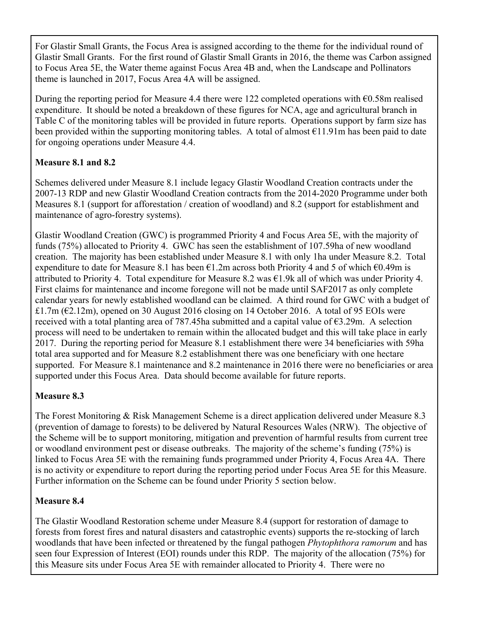For Glastir Small Grants, the Focus Area is assigned according to the theme for the individual round of Glastir Small Grants. For the first round of Glastir Small Grants in 2016, the theme was Carbon assigned to Focus Area 5E, the Water theme against Focus Area 4B and, when the Landscape and Pollinators theme is launched in 2017, Focus Area 4A will be assigned.

During the reporting period for Measure 4.4 there were 122 completed operations with €0.58m realised expenditure. It should be noted a breakdown of these figures for NCA, age and agricultural branch in Table C of the monitoring tables will be provided in future reports. Operations support by farm size has been provided within the supporting monitoring tables. A total of almost  $\epsilon$ 11.91m has been paid to date for ongoing operations under Measure 4.4.

#### **Measure 8.1 and 8.2**

Schemes delivered under Measure 8.1 include legacy Glastir Woodland Creation contracts under the 2007-13 RDP and new Glastir Woodland Creation contracts from the 2014-2020 Programme under both Measures 8.1 (support for afforestation / creation of woodland) and 8.2 (support for establishment and maintenance of agro-forestry systems).

Glastir Woodland Creation (GWC) is programmed Priority 4 and Focus Area 5E, with the majority of funds (75%) allocated to Priority 4. GWC has seen the establishment of 107.59ha of new woodland creation. The majority has been established under Measure 8.1 with only 1ha under Measure 8.2. Total expenditure to date for Measure 8.1 has been  $\epsilon$ 1.2m across both Priority 4 and 5 of which  $\epsilon$ 0.49m is attributed to Priority 4. Total expenditure for Measure 8.2 was  $\epsilon$ 1.9k all of which was under Priority 4. First claims for maintenance and income foregone will not be made until SAF2017 as only complete calendar years for newly established woodland can be claimed. A third round for GWC with a budget of £1.7m ( $E2.12m$ ), opened on 30 August 2016 closing on 14 October 2016. A total of 95 EOIs were received with a total planting area of 787.45ha submitted and a capital value of €3.29m. A selection process will need to be undertaken to remain within the allocated budget and this will take place in early 2017. During the reporting period for Measure 8.1 establishment there were 34 beneficiaries with 59ha total area supported and for Measure 8.2 establishment there was one beneficiary with one hectare supported. For Measure 8.1 maintenance and 8.2 maintenance in 2016 there were no beneficiaries or area supported under this Focus Area. Data should become available for future reports.

#### **Measure 8.3**

The Forest Monitoring & Risk Management Scheme is a direct application delivered under Measure 8.3 (prevention of damage to forests) to be delivered by Natural Resources Wales (NRW). The objective of the Scheme will be to support monitoring, mitigation and prevention of harmful results from current tree or woodland environment pest or disease outbreaks. The majority of the scheme's funding (75%) is linked to Focus Area 5E with the remaining funds programmed under Priority 4, Focus Area 4A. There is no activity or expenditure to report during the reporting period under Focus Area 5E for this Measure. Further information on the Scheme can be found under Priority 5 section below.

#### **Measure 8.4**

The Glastir Woodland Restoration scheme under Measure 8.4 (support for restoration of damage to forests from forest fires and natural disasters and catastrophic events) supports the re-stocking of larch woodlands that have been infected or threatened by the fungal pathogen *Phytophthora ramorum* and has seen four Expression of Interest (EOI) rounds under this RDP. The majority of the allocation (75%) for this Measure sits under Focus Area 5E with remainder allocated to Priority 4. There were no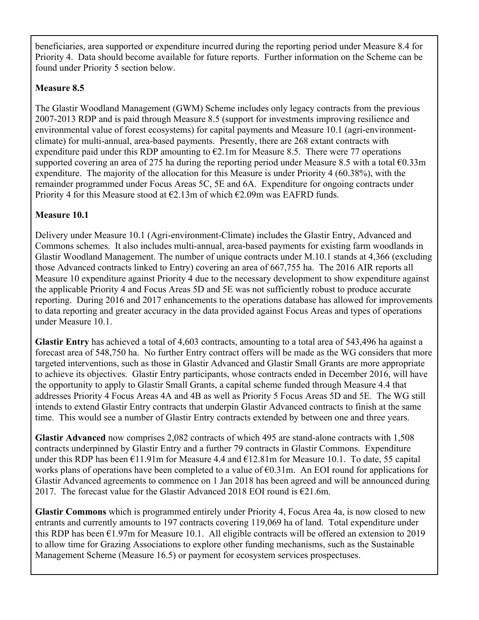beneficiaries, area supported or expenditure incurred during the reporting period under Measure 8.4 for Priority 4. Data should become available for future reports. Further information on the Scheme can be found under Priority 5 section below.

#### **Measure 8.5**

The Glastir Woodland Management (GWM) Scheme includes only legacy contracts from the previous 2007-2013 RDP and is paid through Measure 8.5 (support for investments improving resilience and environmental value of forest ecosystems) for capital payments and Measure 10.1 (agri-environmentclimate) for multi-annual, area-based payments. Presently, there are 268 extant contracts with expenditure paid under this RDP amounting to  $\epsilon$ 2.1m for Measure 8.5. There were 77 operations supported covering an area of 275 ha during the reporting period under Measure 8.5 with a total  $\epsilon$ 0.33m expenditure. The majority of the allocation for this Measure is under Priority 4 (60.38%), with the remainder programmed under Focus Areas 5C, 5E and 6A. Expenditure for ongoing contracts under Priority 4 for this Measure stood at  $\epsilon$ 2.13m of which  $\epsilon$ 2.09m was EAFRD funds.

#### **Measure 10.1**

Delivery under Measure 10.1 (Agri-environment-Climate) includes the Glastir Entry, Advanced and Commons schemes. It also includes multi-annual, area-based payments for existing farm woodlands in Glastir Woodland Management. The number of unique contracts under M.10.1 stands at 4,366 (excluding those Advanced contracts linked to Entry) covering an area of 667,755 ha. The 2016 AIR reports all Measure 10 expenditure against Priority 4 due to the necessary development to show expenditure against the applicable Priority 4 and Focus Areas 5D and 5E was not sufficiently robust to produce accurate reporting. During 2016 and 2017 enhancements to the operations database has allowed for improvements to data reporting and greater accuracy in the data provided against Focus Areas and types of operations under Measure 10.1.

**Glastir Entry** has achieved a total of 4,603 contracts, amounting to a total area of 543,496 ha against a forecast area of 548,750 ha. No further Entry contract offers will be made as the WG considers that more targeted interventions, such as those in Glastir Advanced and Glastir Small Grants are more appropriate to achieve its objectives. Glastir Entry participants, whose contracts ended in December 2016, will have the opportunity to apply to Glastir Small Grants, a capital scheme funded through Measure 4.4 that addresses Priority 4 Focus Areas 4A and 4B as well as Priority 5 Focus Areas 5D and 5E. The WG still intends to extend Glastir Entry contracts that underpin Glastir Advanced contracts to finish at the same time. This would see a number of Glastir Entry contracts extended by between one and three years.

**Glastir Advanced** now comprises 2,082 contracts of which 495 are stand-alone contracts with 1,508 contracts underpinned by Glastir Entry and a further 79 contracts in Glastir Commons. Expenditure under this RDP has been €11.91m for Measure 4.4 and €12.81m for Measure 10.1. To date, 55 capital works plans of operations have been completed to a value of  $\epsilon$ 0.31m. An EOI round for applications for Glastir Advanced agreements to commence on 1 Jan 2018 has been agreed and will be announced during 2017. The forecast value for the Glastir Advanced 2018 EOI round is  $E$ 21.6m.

**Glastir Commons** which is programmed entirely under Priority 4, Focus Area 4a, is now closed to new entrants and currently amounts to 197 contracts covering 119,069 ha of land. Total expenditure under this RDP has been  $\epsilon$ 1.97m for Measure 10.1. All eligible contracts will be offered an extension to 2019 to allow time for Grazing Associations to explore other funding mechanisms, such as the Sustainable Management Scheme (Measure 16.5) or payment for ecosystem services prospectuses.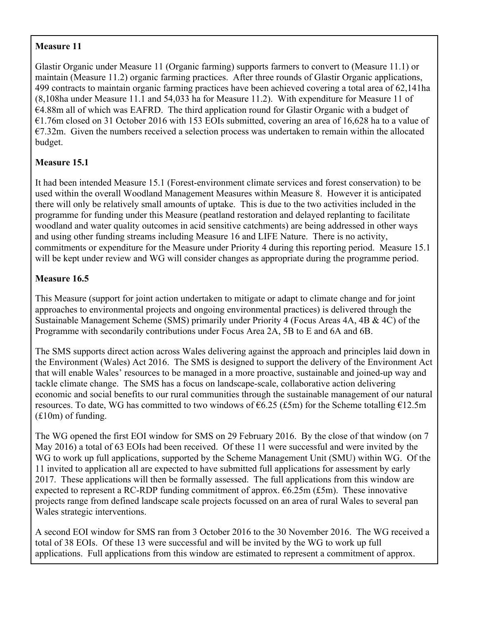#### **Measure 11**

Glastir Organic under Measure 11 (Organic farming) supports farmers to convert to (Measure 11.1) or maintain (Measure 11.2) organic farming practices. After three rounds of Glastir Organic applications, 499 contracts to maintain organic farming practices have been achieved covering a total area of 62,141ha (8,108ha under Measure 11.1 and 54,033 ha for Measure 11.2). With expenditure for Measure 11 of €4.88m all of which was EAFRD. The third application round for Glastir Organic with a budget of €1.76m closed on 31 October 2016 with 153 EOIs submitted, covering an area of 16,628 ha to a value of  $E7.32m$ . Given the numbers received a selection process was undertaken to remain within the allocated budget.

#### **Measure 15.1**

It had been intended Measure 15.1 (Forest-environment climate services and forest conservation) to be used within the overall Woodland Management Measures within Measure 8. However it is anticipated there will only be relatively small amounts of uptake. This is due to the two activities included in the programme for funding under this Measure (peatland restoration and delayed replanting to facilitate woodland and water quality outcomes in acid sensitive catchments) are being addressed in other ways and using other funding streams including Measure 16 and LIFE Nature. There is no activity, commitments or expenditure for the Measure under Priority 4 during this reporting period. Measure 15.1 will be kept under review and WG will consider changes as appropriate during the programme period.

#### **Measure 16.5**

This Measure (support for joint action undertaken to mitigate or adapt to climate change and for joint approaches to environmental projects and ongoing environmental practices) is delivered through the Sustainable Management Scheme (SMS) primarily under Priority 4 (Focus Areas 4A, 4B & 4C) of the Programme with secondarily contributions under Focus Area 2A, 5B to E and 6A and 6B.

The SMS supports direct action across Wales delivering against the approach and principles laid down in the Environment (Wales) Act 2016. The SMS is designed to support the delivery of the Environment Act that will enable Wales' resources to be managed in a more proactive, sustainable and joined-up way and tackle climate change. The SMS has a focus on landscape-scale, collaborative action delivering economic and social benefits to our rural communities through the sustainable management of our natural resources. To date, WG has committed to two windows of  $6.25$  (£5m) for the Scheme totalling  $612.5m$ (£10m) of funding.

The WG opened the first EOI window for SMS on 29 February 2016. By the close of that window (on 7 May 2016) a total of 63 EOIs had been received. Of these 11 were successful and were invited by the WG to work up full applications, supported by the Scheme Management Unit (SMU) within WG. Of the 11 invited to application all are expected to have submitted full applications for assessment by early 2017. These applications will then be formally assessed. The full applications from this window are expected to represent a RC-RDP funding commitment of approx.  $6.25m$  (£5m). These innovative projects range from defined landscape scale projects focussed on an area of rural Wales to several pan Wales strategic interventions.

A second EOI window for SMS ran from 3 October 2016 to the 30 November 2016. The WG received a total of 38 EOIs. Of these 13 were successful and will be invited by the WG to work up full applications. Full applications from this window are estimated to represent a commitment of approx.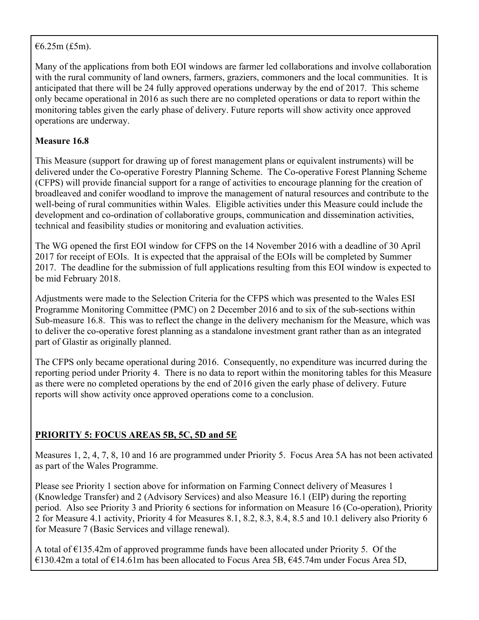#### $€6.25m (£5m)$ .

Many of the applications from both EOI windows are farmer led collaborations and involve collaboration with the rural community of land owners, farmers, graziers, commoners and the local communities. It is anticipated that there will be 24 fully approved operations underway by the end of 2017. This scheme only became operational in 2016 as such there are no completed operations or data to report within the monitoring tables given the early phase of delivery. Future reports will show activity once approved operations are underway.

#### **Measure 16.8**

This Measure (support for drawing up of forest management plans or equivalent instruments) will be delivered under the Co-operative Forestry Planning Scheme. The Co-operative Forest Planning Scheme (CFPS) will provide financial support for a range of activities to encourage planning for the creation of broadleaved and conifer woodland to improve the management of natural resources and contribute to the well-being of rural communities within Wales. Eligible activities under this Measure could include the development and co-ordination of collaborative groups, communication and dissemination activities, technical and feasibility studies or monitoring and evaluation activities.

The WG opened the first EOI window for CFPS on the 14 November 2016 with a deadline of 30 April 2017 for receipt of EOIs. It is expected that the appraisal of the EOIs will be completed by Summer 2017. The deadline for the submission of full applications resulting from this EOI window is expected to be mid February 2018.

Adjustments were made to the Selection Criteria for the CFPS which was presented to the Wales ESI Programme Monitoring Committee (PMC) on 2 December 2016 and to six of the sub-sections within Sub-measure 16.8. This was to reflect the change in the delivery mechanism for the Measure, which was to deliver the co-operative forest planning as a standalone investment grant rather than as an integrated part of Glastir as originally planned.

The CFPS only became operational during 2016. Consequently, no expenditure was incurred during the reporting period under Priority 4. There is no data to report within the monitoring tables for this Measure as there were no completed operations by the end of 2016 given the early phase of delivery. Future reports will show activity once approved operations come to a conclusion.

### **PRIORITY 5: FOCUS AREAS 5B, 5C, 5D and 5E**

Measures 1, 2, 4, 7, 8, 10 and 16 are programmed under Priority 5. Focus Area 5A has not been activated as part of the Wales Programme.

Please see Priority 1 section above for information on Farming Connect delivery of Measures 1 (Knowledge Transfer) and 2 (Advisory Services) and also Measure 16.1 (EIP) during the reporting period. Also see Priority 3 and Priority 6 sections for information on Measure 16 (Co-operation), Priority 2 for Measure 4.1 activity, Priority 4 for Measures 8.1, 8.2, 8.3, 8.4, 8.5 and 10.1 delivery also Priority 6 for Measure 7 (Basic Services and village renewal).

A total of €135.42m of approved programme funds have been allocated under Priority 5. Of the €130.42m a total of €14.61m has been allocated to Focus Area 5B, €45.74m under Focus Area 5D,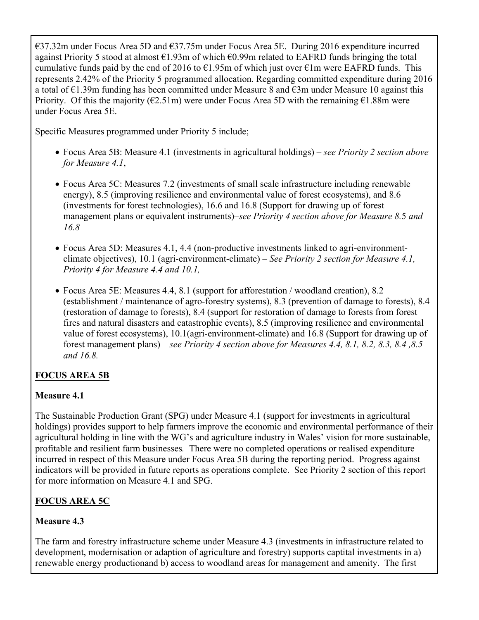€37.32m under Focus Area 5D and €37.75m under Focus Area 5E. During 2016 expenditure incurred against Priority 5 stood at almost  $\epsilon$ 1.93m of which  $\epsilon$ 0.99m related to EAFRD funds bringing the total cumulative funds paid by the end of 2016 to  $\epsilon$ 1.95m of which just over  $\epsilon$ 1m were EAFRD funds. This represents 2.42% of the Priority 5 programmed allocation. Regarding committed expenditure during 2016 a total of  $\epsilon$ 1.39m funding has been committed under Measure 8 and  $\epsilon$ 3m under Measure 10 against this Priority. Of this the majority ( $\epsilon$ 2.51m) were under Focus Area 5D with the remaining  $\epsilon$ 1.88m were under Focus Area 5E.

Specific Measures programmed under Priority 5 include;

- Focus Area 5B: Measure 4.1 (investments in agricultural holdings) *see Priority 2 section above for Measure 4.1*,
- Focus Area 5C: Measures 7.2 (investments of small scale infrastructure including renewable energy), 8.5 (improving resilience and environmental value of forest ecosystems), and 8.6 (investments for forest technologies), 16.6 and 16.8 (Support for drawing up of forest management plans or equivalent instruments)–*see Priority 4 section above for Measure 8.*5 *and 16.8*
- Focus Area 5D: Measures 4.1, 4.4 (non-productive investments linked to agri-environmentclimate objectives), 10.1 (agri-environment-climate) – *See Priority 2 section for Measure 4.1, Priority 4 for Measure 4.4 and 10.1,*
- Focus Area 5E: Measures 4.4, 8.1 (support for afforestation / woodland creation), 8.2 (establishment / maintenance of agro-forestry systems), 8.3 (prevention of damage to forests), 8.4 (restoration of damage to forests), 8.4 (support for restoration of damage to forests from forest fires and natural disasters and catastrophic events), 8.5 (improving resilience and environmental value of forest ecosystems), 10.1(agri-environment-climate) and 16.8 (Support for drawing up of forest management plans) – *see Priority 4 section above for Measures 4.4, 8.1, 8.2, 8.3, 8.4 ,8.5 and 16.8.*

### **FOCUS AREA 5B**

#### **Measure 4.1**

The Sustainable Production Grant (SPG) under Measure 4.1 (support for investments in agricultural holdings) provides support to help farmers improve the economic and environmental performance of their agricultural holding in line with the WG's and agriculture industry in Wales' vision for more sustainable, profitable and resilient farm businesses*.* There were no completed operations or realised expenditure incurred in respect of this Measure under Focus Area 5B during the reporting period. Progress against indicators will be provided in future reports as operations complete. See Priority 2 section of this report for more information on Measure 4.1 and SPG.

### **FOCUS AREA 5C**

#### **Measure 4.3**

The farm and forestry infrastructure scheme under Measure 4.3 (investments in infrastructure related to development, modernisation or adaption of agriculture and forestry) supports captital investments in a) renewable energy productionand b) access to woodland areas for management and amenity. The first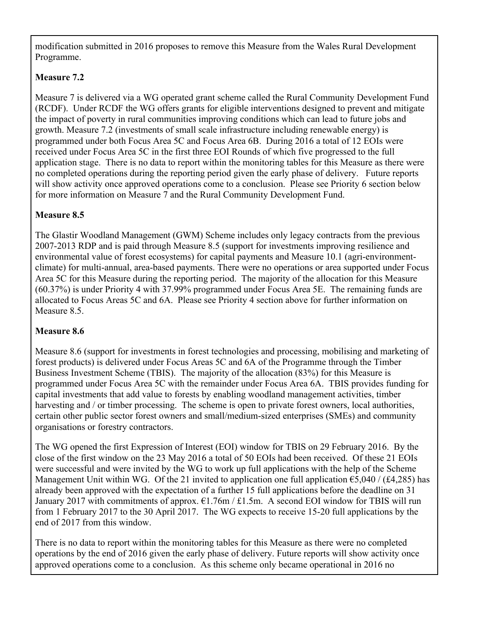modification submitted in 2016 proposes to remove this Measure from the Wales Rural Development Programme.

#### **Measure 7.2**

Measure 7 is delivered via a WG operated grant scheme called the Rural Community Development Fund (RCDF). Under RCDF the WG offers grants for eligible interventions designed to prevent and mitigate the impact of poverty in rural communities improving conditions which can lead to future jobs and growth. Measure 7.2 (investments of small scale infrastructure including renewable energy) is programmed under both Focus Area 5C and Focus Area 6B. During 2016 a total of 12 EOIs were received under Focus Area 5C in the first three EOI Rounds of which five progressed to the full application stage. There is no data to report within the monitoring tables for this Measure as there were no completed operations during the reporting period given the early phase of delivery. Future reports will show activity once approved operations come to a conclusion. Please see Priority 6 section below for more information on Measure 7 and the Rural Community Development Fund.

#### **Measure 8.5**

The Glastir Woodland Management (GWM) Scheme includes only legacy contracts from the previous 2007-2013 RDP and is paid through Measure 8.5 (support for investments improving resilience and environmental value of forest ecosystems) for capital payments and Measure 10.1 (agri-environmentclimate) for multi-annual, area-based payments. There were no operations or area supported under Focus Area 5C for this Measure during the reporting period. The majority of the allocation for this Measure (60.37%) is under Priority 4 with 37.99% programmed under Focus Area 5E. The remaining funds are allocated to Focus Areas 5C and 6A. Please see Priority 4 section above for further information on Measure 8.5.

#### **Measure 8.6**

Measure 8.6 (support for investments in forest technologies and processing, mobilising and marketing of forest products) is delivered under Focus Areas 5C and 6A of the Programme through the Timber Business Investment Scheme (TBIS). The majority of the allocation (83%) for this Measure is programmed under Focus Area 5C with the remainder under Focus Area 6A. TBIS provides funding for capital investments that add value to forests by enabling woodland management activities, timber harvesting and / or timber processing. The scheme is open to private forest owners, local authorities, certain other public sector forest owners and small/medium-sized enterprises (SMEs) and community organisations or forestry contractors.

The WG opened the first Expression of Interest (EOI) window for TBIS on 29 February 2016. By the close of the first window on the 23 May 2016 a total of 50 EOIs had been received. Of these 21 EOIs were successful and were invited by the WG to work up full applications with the help of the Scheme Management Unit within WG. Of the 21 invited to application one full application  $\epsilon$ 5,040 / (£4,285) has already been approved with the expectation of a further 15 full applications before the deadline on 31 January 2017 with commitments of approx.  $\epsilon$ 1.76m / £1.5m. A second EOI window for TBIS will run from 1 February 2017 to the 30 April 2017. The WG expects to receive 15-20 full applications by the end of 2017 from this window.

There is no data to report within the monitoring tables for this Measure as there were no completed operations by the end of 2016 given the early phase of delivery. Future reports will show activity once approved operations come to a conclusion. As this scheme only became operational in 2016 no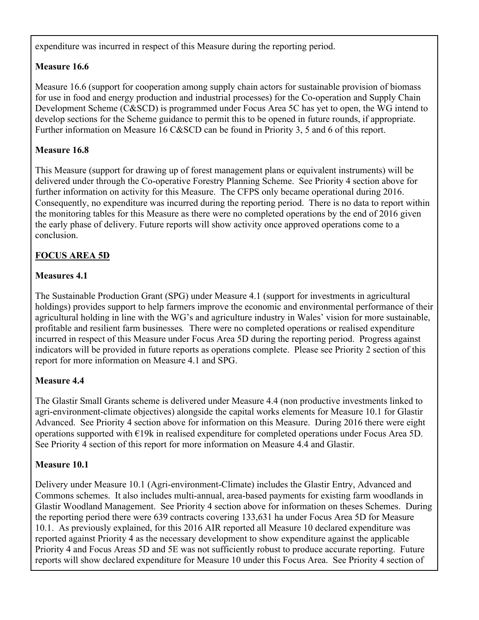expenditure was incurred in respect of this Measure during the reporting period.

#### **Measure 16.6**

Measure 16.6 (support for cooperation among supply chain actors for sustainable provision of biomass for use in food and energy production and industrial processes) for the Co-operation and Supply Chain Development Scheme (C&SCD) is programmed under Focus Area 5C has yet to open, the WG intend to develop sections for the Scheme guidance to permit this to be opened in future rounds, if appropriate. Further information on Measure 16 C&SCD can be found in Priority 3, 5 and 6 of this report.

#### **Measure 16.8**

This Measure (support for drawing up of forest management plans or equivalent instruments) will be delivered under through the Co-operative Forestry Planning Scheme. See Priority 4 section above for further information on activity for this Measure. The CFPS only became operational during 2016. Consequently, no expenditure was incurred during the reporting period. There is no data to report within the monitoring tables for this Measure as there were no completed operations by the end of 2016 given the early phase of delivery. Future reports will show activity once approved operations come to a conclusion.

#### **FOCUS AREA 5D**

#### **Measures 4.1**

The Sustainable Production Grant (SPG) under Measure 4.1 (support for investments in agricultural holdings) provides support to help farmers improve the economic and environmental performance of their agricultural holding in line with the WG's and agriculture industry in Wales' vision for more sustainable, profitable and resilient farm businesses*.* There were no completed operations or realised expenditure incurred in respect of this Measure under Focus Area 5D during the reporting period. Progress against indicators will be provided in future reports as operations complete. Please see Priority 2 section of this report for more information on Measure 4.1 and SPG.

#### **Measure 4.4**

The Glastir Small Grants scheme is delivered under Measure 4.4 (non productive investments linked to agri-environment-climate objectives) alongside the capital works elements for Measure 10.1 for Glastir Advanced. See Priority 4 section above for information on this Measure. During 2016 there were eight operations supported with €19k in realised expenditure for completed operations under Focus Area 5D. See Priority 4 section of this report for more information on Measure 4.4 and Glastir.

#### **Measure 10.1**

Delivery under Measure 10.1 (Agri-environment-Climate) includes the Glastir Entry, Advanced and Commons schemes. It also includes multi-annual, area-based payments for existing farm woodlands in Glastir Woodland Management. See Priority 4 section above for information on theses Schemes. During the reporting period there were 639 contracts covering 133,631 ha under Focus Area 5D for Measure 10.1. As previously explained, for this 2016 AIR reported all Measure 10 declared expenditure was reported against Priority 4 as the necessary development to show expenditure against the applicable Priority 4 and Focus Areas 5D and 5E was not sufficiently robust to produce accurate reporting. Future reports will show declared expenditure for Measure 10 under this Focus Area. See Priority 4 section of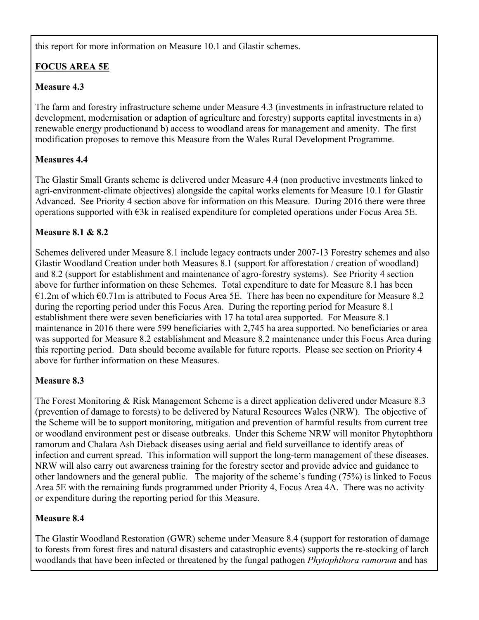this report for more information on Measure 10.1 and Glastir schemes.

## **FOCUS AREA 5E**

## **Measure 4.3**

The farm and forestry infrastructure scheme under Measure 4.3 (investments in infrastructure related to development, modernisation or adaption of agriculture and forestry) supports captital investments in a) renewable energy productionand b) access to woodland areas for management and amenity. The first modification proposes to remove this Measure from the Wales Rural Development Programme.

## **Measures 4.4**

The Glastir Small Grants scheme is delivered under Measure 4.4 (non productive investments linked to agri-environment-climate objectives) alongside the capital works elements for Measure 10.1 for Glastir Advanced. See Priority 4 section above for information on this Measure. During 2016 there were three operations supported with €3k in realised expenditure for completed operations under Focus Area 5E.

## **Measure 8.1 & 8.2**

Schemes delivered under Measure 8.1 include legacy contracts under 2007-13 Forestry schemes and also Glastir Woodland Creation under both Measures 8.1 (support for afforestation / creation of woodland) and 8.2 (support for establishment and maintenance of agro-forestry systems). See Priority 4 section above for further information on these Schemes. Total expenditure to date for Measure 8.1 has been €1.2m of which  $€0.71$ m is attributed to Focus Area 5E. There has been no expenditure for Measure 8.2 during the reporting period under this Focus Area. During the reporting period for Measure 8.1 establishment there were seven beneficiaries with 17 ha total area supported. For Measure 8.1 maintenance in 2016 there were 599 beneficiaries with 2,745 ha area supported. No beneficiaries or area was supported for Measure 8.2 establishment and Measure 8.2 maintenance under this Focus Area during this reporting period. Data should become available for future reports. Please see section on Priority 4 above for further information on these Measures.

## **Measure 8.3**

The Forest Monitoring & Risk Management Scheme is a direct application delivered under Measure 8.3 (prevention of damage to forests) to be delivered by Natural Resources Wales (NRW). The objective of the Scheme will be to support monitoring, mitigation and prevention of harmful results from current tree or woodland environment pest or disease outbreaks. Under this Scheme NRW will monitor Phytophthora ramorum and Chalara Ash Dieback diseases using aerial and field surveillance to identify areas of infection and current spread. This information will support the long-term management of these diseases. NRW will also carry out awareness training for the forestry sector and provide advice and guidance to other landowners and the general public. The majority of the scheme's funding (75%) is linked to Focus Area 5E with the remaining funds programmed under Priority 4, Focus Area 4A. There was no activity or expenditure during the reporting period for this Measure.

## **Measure 8.4**

The Glastir Woodland Restoration (GWR) scheme under Measure 8.4 (support for restoration of damage to forests from forest fires and natural disasters and catastrophic events) supports the re-stocking of larch woodlands that have been infected or threatened by the fungal pathogen *Phytophthora ramorum* and has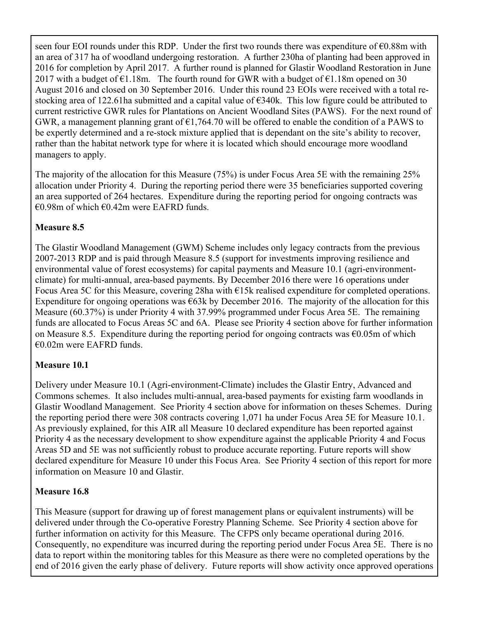seen four EOI rounds under this RDP. Under the first two rounds there was expenditure of €0.88m with an area of 317 ha of woodland undergoing restoration. A further 230ha of planting had been approved in 2016 for completion by April 2017. A further round is planned for Glastir Woodland Restoration in June 2017 with a budget of  $\epsilon$ 1.18m. The fourth round for GWR with a budget of  $\epsilon$ 1.18m opened on 30 August 2016 and closed on 30 September 2016. Under this round 23 EOIs were received with a total restocking area of 122.61ha submitted and a capital value of €340k. This low figure could be attributed to current restrictive GWR rules for Plantations on Ancient Woodland Sites (PAWS). For the next round of GWR, a management planning grant of  $\epsilon$ 1,764.70 will be offered to enable the condition of a PAWS to be expertly determined and a re-stock mixture applied that is dependant on the site's ability to recover, rather than the habitat network type for where it is located which should encourage more woodland managers to apply.

The majority of the allocation for this Measure (75%) is under Focus Area 5E with the remaining 25% allocation under Priority 4. During the reporting period there were 35 beneficiaries supported covering an area supported of 264 hectares. Expenditure during the reporting period for ongoing contracts was  $€0.98$ m of which  $€0.42$ m were EAFRD funds.

## **Measure 8.5**

The Glastir Woodland Management (GWM) Scheme includes only legacy contracts from the previous 2007-2013 RDP and is paid through Measure 8.5 (support for investments improving resilience and environmental value of forest ecosystems) for capital payments and Measure 10.1 (agri-environmentclimate) for multi-annual, area-based payments. By December 2016 there were 16 operations under Focus Area 5C for this Measure, covering 28ha with €15k realised expenditure for completed operations. Expenditure for ongoing operations was  $\epsilon$ 63k by December 2016. The majority of the allocation for this Measure (60.37%) is under Priority 4 with 37.99% programmed under Focus Area 5E. The remaining funds are allocated to Focus Areas 5C and 6A. Please see Priority 4 section above for further information on Measure 8.5. Expenditure during the reporting period for ongoing contracts was  $\epsilon$ 0.05m of which €0.02m were EAFRD funds.

## **Measure 10.1**

Delivery under Measure 10.1 (Agri-environment-Climate) includes the Glastir Entry, Advanced and Commons schemes. It also includes multi-annual, area-based payments for existing farm woodlands in Glastir Woodland Management. See Priority 4 section above for information on theses Schemes. During the reporting period there were 308 contracts covering 1,071 ha under Focus Area 5E for Measure 10.1. As previously explained, for this AIR all Measure 10 declared expenditure has been reported against Priority 4 as the necessary development to show expenditure against the applicable Priority 4 and Focus Areas 5D and 5E was not sufficiently robust to produce accurate reporting. Future reports will show declared expenditure for Measure 10 under this Focus Area. See Priority 4 section of this report for more information on Measure 10 and Glastir.

## **Measure 16.8**

This Measure (support for drawing up of forest management plans or equivalent instruments) will be delivered under through the Co-operative Forestry Planning Scheme. See Priority 4 section above for further information on activity for this Measure. The CFPS only became operational during 2016. Consequently, no expenditure was incurred during the reporting period under Focus Area 5E. There is no data to report within the monitoring tables for this Measure as there were no completed operations by the end of 2016 given the early phase of delivery. Future reports will show activity once approved operations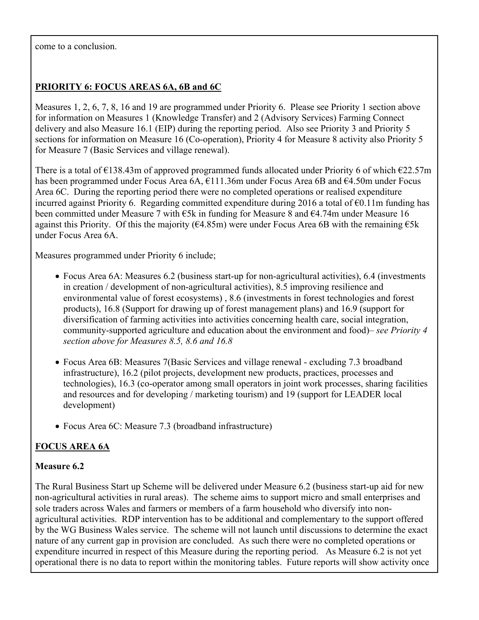come to a conclusion.

## **PRIORITY 6: FOCUS AREAS 6A, 6B and 6C**

Measures 1, 2, 6, 7, 8, 16 and 19 are programmed under Priority 6. Please see Priority 1 section above for information on Measures 1 (Knowledge Transfer) and 2 (Advisory Services) Farming Connect delivery and also Measure 16.1 (EIP) during the reporting period. Also see Priority 3 and Priority 5 sections for information on Measure 16 (Co-operation), Priority 4 for Measure 8 activity also Priority 5 for Measure 7 (Basic Services and village renewal).

There is a total of  $\epsilon$ 138.43m of approved programmed funds allocated under Priority 6 of which  $\epsilon$ 22.57m has been programmed under Focus Area 6A, €111.36m under Focus Area 6B and €4.50m under Focus Area 6C. During the reporting period there were no completed operations or realised expenditure incurred against Priority 6. Regarding committed expenditure during 2016 a total of €0.11m funding has been committed under Measure 7 with €5k in funding for Measure 8 and €4.74m under Measure 16 against this Priority. Of this the majority ( $64.85m$ ) were under Focus Area 6B with the remaining  $65k$ under Focus Area 6A.

Measures programmed under Priority 6 include;

- Focus Area 6A: Measures 6.2 (business start-up for non-agricultural activities), 6.4 (investments in creation / development of non-agricultural activities), 8.5 improving resilience and environmental value of forest ecosystems) , 8.6 (investments in forest technologies and forest products), 16.8 (Support for drawing up of forest management plans) and 16.9 (support for diversification of farming activities into activities concerning health care, social integration, community-supported agriculture and education about the environment and food)– *see Priority 4 section above for Measures 8.5, 8.6 and 16.8*
- Focus Area 6B: Measures 7(Basic Services and village renewal excluding 7.3 broadband infrastructure), 16.2 (pilot projects, development new products, practices, processes and technologies), 16.3 (co-operator among small operators in joint work processes, sharing facilities and resources and for developing / marketing tourism) and 19 (support for LEADER local development)
- Focus Area 6C: Measure 7.3 (broadband infrastructure)

## **FOCUS AREA 6A**

## **Measure 6.2**

The Rural Business Start up Scheme will be delivered under Measure 6.2 (business start-up aid for new non-agricultural activities in rural areas). The scheme aims to support micro and small enterprises and sole traders across Wales and farmers or members of a farm household who diversify into nonagricultural activities. RDP intervention has to be additional and complementary to the support offered by the WG Business Wales service. The scheme will not launch until discussions to determine the exact nature of any current gap in provision are concluded. As such there were no completed operations or expenditure incurred in respect of this Measure during the reporting period. As Measure 6.2 is not yet operational there is no data to report within the monitoring tables. Future reports will show activity once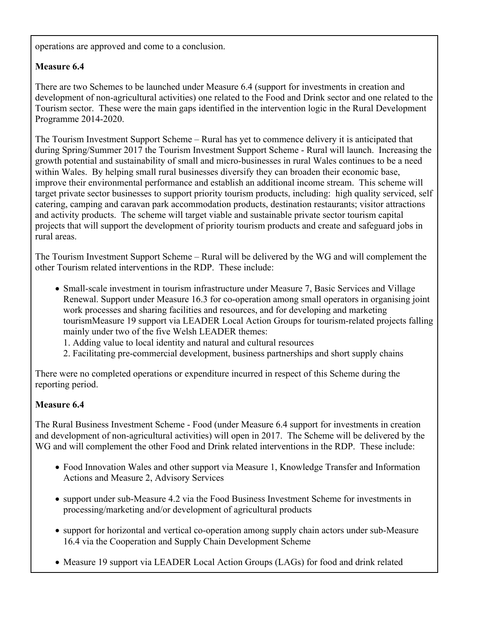operations are approved and come to a conclusion.

## **Measure 6.4**

There are two Schemes to be launched under Measure 6.4 (support for investments in creation and development of non-agricultural activities) one related to the Food and Drink sector and one related to the Tourism sector. These were the main gaps identified in the intervention logic in the Rural Development Programme 2014-2020.

The Tourism Investment Support Scheme – Rural has yet to commence delivery it is anticipated that during Spring/Summer 2017 the Tourism Investment Support Scheme - Rural will launch. Increasing the growth potential and sustainability of small and micro-businesses in rural Wales continues to be a need within Wales. By helping small rural businesses diversify they can broaden their economic base, improve their environmental performance and establish an additional income stream. This scheme will target private sector businesses to support priority tourism products, including: high quality serviced, self catering, camping and caravan park accommodation products, destination restaurants; visitor attractions and activity products. The scheme will target viable and sustainable private sector tourism capital projects that will support the development of priority tourism products and create and safeguard jobs in rural areas.

The Tourism Investment Support Scheme – Rural will be delivered by the WG and will complement the other Tourism related interventions in the RDP. These include:

- Small-scale investment in tourism infrastructure under Measure 7, Basic Services and Village Renewal. Support under Measure 16.3 for co-operation among small operators in organising joint work processes and sharing facilities and resources, and for developing and marketing tourismMeasure 19 support via LEADER Local Action Groups for tourism-related projects falling mainly under two of the five Welsh LEADER themes:
	- 1. Adding value to local identity and natural and cultural resources
	- 2. Facilitating pre-commercial development, business partnerships and short supply chains

There were no completed operations or expenditure incurred in respect of this Scheme during the reporting period.

## **Measure 6.4**

The Rural Business Investment Scheme - Food (under Measure 6.4 support for investments in creation and development of non-agricultural activities) will open in 2017. The Scheme will be delivered by the WG and will complement the other Food and Drink related interventions in the RDP. These include:

- Food Innovation Wales and other support via Measure 1, Knowledge Transfer and Information Actions and Measure 2, Advisory Services
- support under sub-Measure 4.2 via the Food Business Investment Scheme for investments in processing/marketing and/or development of agricultural products
- support for horizontal and vertical co-operation among supply chain actors under sub-Measure 16.4 via the Cooperation and Supply Chain Development Scheme
- Measure 19 support via LEADER Local Action Groups (LAGs) for food and drink related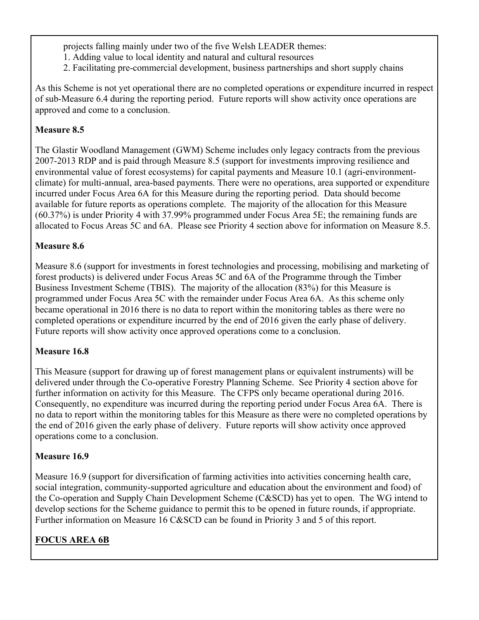projects falling mainly under two of the five Welsh LEADER themes:

- 1. Adding value to local identity and natural and cultural resources
- 2. Facilitating pre-commercial development, business partnerships and short supply chains

As this Scheme is not yet operational there are no completed operations or expenditure incurred in respect of sub-Measure 6.4 during the reporting period. Future reports will show activity once operations are approved and come to a conclusion.

## **Measure 8.5**

The Glastir Woodland Management (GWM) Scheme includes only legacy contracts from the previous 2007-2013 RDP and is paid through Measure 8.5 (support for investments improving resilience and environmental value of forest ecosystems) for capital payments and Measure 10.1 (agri-environmentclimate) for multi-annual, area-based payments. There were no operations, area supported or expenditure incurred under Focus Area 6A for this Measure during the reporting period. Data should become available for future reports as operations complete. The majority of the allocation for this Measure (60.37%) is under Priority 4 with 37.99% programmed under Focus Area 5E; the remaining funds are allocated to Focus Areas 5C and 6A. Please see Priority 4 section above for information on Measure 8.5.

## **Measure 8.6**

Measure 8.6 (support for investments in forest technologies and processing, mobilising and marketing of forest products) is delivered under Focus Areas 5C and 6A of the Programme through the Timber Business Investment Scheme (TBIS). The majority of the allocation (83%) for this Measure is programmed under Focus Area 5C with the remainder under Focus Area 6A. As this scheme only became operational in 2016 there is no data to report within the monitoring tables as there were no completed operations or expenditure incurred by the end of 2016 given the early phase of delivery. Future reports will show activity once approved operations come to a conclusion.

## **Measure 16.8**

This Measure (support for drawing up of forest management plans or equivalent instruments) will be delivered under through the Co-operative Forestry Planning Scheme. See Priority 4 section above for further information on activity for this Measure. The CFPS only became operational during 2016. Consequently, no expenditure was incurred during the reporting period under Focus Area 6A. There is no data to report within the monitoring tables for this Measure as there were no completed operations by the end of 2016 given the early phase of delivery. Future reports will show activity once approved operations come to a conclusion.

## **Measure 16.9**

Measure 16.9 (support for diversification of farming activities into activities concerning health care, social integration, community-supported agriculture and education about the environment and food) of the Co-operation and Supply Chain Development Scheme (C&SCD) has yet to open. The WG intend to develop sections for the Scheme guidance to permit this to be opened in future rounds, if appropriate. Further information on Measure 16 C&SCD can be found in Priority 3 and 5 of this report.

## **FOCUS AREA 6B**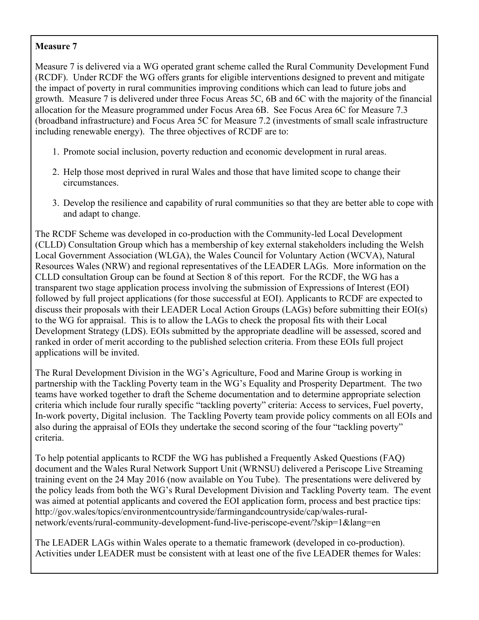### **Measure 7**

Measure 7 is delivered via a WG operated grant scheme called the Rural Community Development Fund (RCDF). Under RCDF the WG offers grants for eligible interventions designed to prevent and mitigate the impact of poverty in rural communities improving conditions which can lead to future jobs and growth. Measure 7 is delivered under three Focus Areas 5C, 6B and 6C with the majority of the financial allocation for the Measure programmed under Focus Area 6B. See Focus Area 6C for Measure 7.3 (broadband infrastructure) and Focus Area 5C for Measure 7.2 (investments of small scale infrastructure including renewable energy). The three objectives of RCDF are to:

- 1. Promote social inclusion, poverty reduction and economic development in rural areas.
- 2. Help those most deprived in rural Wales and those that have limited scope to change their circumstances.
- 3. Develop the resilience and capability of rural communities so that they are better able to cope with and adapt to change.

The RCDF Scheme was developed in co-production with the Community-led Local Development (CLLD) Consultation Group which has a membership of key external stakeholders including the Welsh Local Government Association (WLGA), the Wales Council for Voluntary Action (WCVA), Natural Resources Wales (NRW) and regional representatives of the LEADER LAGs. More information on the CLLD consultation Group can be found at Section 8 of this report. For the RCDF, the WG has a transparent two stage application process involving the submission of Expressions of Interest (EOI) followed by full project applications (for those successful at EOI). Applicants to RCDF are expected to discuss their proposals with their LEADER Local Action Groups (LAGs) before submitting their EOI(s) to the WG for appraisal. This is to allow the LAGs to check the proposal fits with their Local Development Strategy (LDS). EOIs submitted by the appropriate deadline will be assessed, scored and ranked in order of merit according to the published selection criteria. From these EOIs full project applications will be invited.

The Rural Development Division in the WG's Agriculture, Food and Marine Group is working in partnership with the Tackling Poverty team in the WG's Equality and Prosperity Department. The two teams have worked together to draft the Scheme documentation and to determine appropriate selection criteria which include four rurally specific "tackling poverty" criteria: Access to services, Fuel poverty, In-work poverty, Digital inclusion. The Tackling Poverty team provide policy comments on all EOIs and also during the appraisal of EOIs they undertake the second scoring of the four "tackling poverty" criteria.

To help potential applicants to RCDF the WG has published a Frequently Asked Questions (FAQ) document and the Wales Rural Network Support Unit (WRNSU) delivered a Periscope Live Streaming training event on the 24 May 2016 (now available on You Tube). The presentations were delivered by the policy leads from both the WG's Rural Development Division and Tackling Poverty team. The event was aimed at potential applicants and covered the EOI application form, process and best practice tips: http://gov.wales/topics/environmentcountryside/farmingandcountryside/cap/wales-ruralnetwork/events/rural-community-development-fund-live-periscope-event/?skip=1&lang=en

The LEADER LAGs within Wales operate to a thematic framework (developed in co-production). Activities under LEADER must be consistent with at least one of the five LEADER themes for Wales: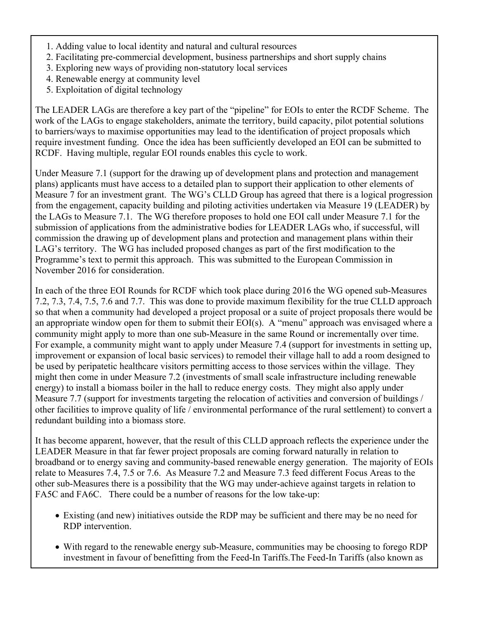- 1. Adding value to local identity and natural and cultural resources
- 2. Facilitating pre-commercial development, business partnerships and short supply chains
- 3. Exploring new ways of providing non-statutory local services
- 4. Renewable energy at community level
- 5. Exploitation of digital technology

The LEADER LAGs are therefore a key part of the "pipeline" for EOIs to enter the RCDF Scheme. The work of the LAGs to engage stakeholders, animate the territory, build capacity, pilot potential solutions to barriers/ways to maximise opportunities may lead to the identification of project proposals which require investment funding. Once the idea has been sufficiently developed an EOI can be submitted to RCDF. Having multiple, regular EOI rounds enables this cycle to work.

Under Measure 7.1 (support for the drawing up of development plans and protection and management plans) applicants must have access to a detailed plan to support their application to other elements of Measure 7 for an investment grant. The WG's CLLD Group has agreed that there is a logical progression from the engagement, capacity building and piloting activities undertaken via Measure 19 (LEADER) by the LAGs to Measure 7.1. The WG therefore proposes to hold one EOI call under Measure 7.1 for the submission of applications from the administrative bodies for LEADER LAGs who, if successful, will commission the drawing up of development plans and protection and management plans within their LAG's territory. The WG has included proposed changes as part of the first modification to the Programme's text to permit this approach. This was submitted to the European Commission in November 2016 for consideration.

In each of the three EOI Rounds for RCDF which took place during 2016 the WG opened sub-Measures 7.2, 7.3, 7.4, 7.5, 7.6 and 7.7. This was done to provide maximum flexibility for the true CLLD approach so that when a community had developed a project proposal or a suite of project proposals there would be an appropriate window open for them to submit their EOI(s). A "menu" approach was envisaged where a community might apply to more than one sub-Measure in the same Round or incrementally over time. For example, a community might want to apply under Measure 7.4 (support for investments in setting up, improvement or expansion of local basic services) to remodel their village hall to add a room designed to be used by peripatetic healthcare visitors permitting access to those services within the village. They might then come in under Measure 7.2 (investments of small scale infrastructure including renewable energy) to install a biomass boiler in the hall to reduce energy costs. They might also apply under Measure 7.7 (support for investments targeting the relocation of activities and conversion of buildings / other facilities to improve quality of life / environmental performance of the rural settlement) to convert a redundant building into a biomass store.

It has become apparent, however, that the result of this CLLD approach reflects the experience under the LEADER Measure in that far fewer project proposals are coming forward naturally in relation to broadband or to energy saving and community-based renewable energy generation. The majority of EOIs relate to Measures 7.4, 7.5 or 7.6. As Measure 7.2 and Measure 7.3 feed different Focus Areas to the other sub-Measures there is a possibility that the WG may under-achieve against targets in relation to FA5C and FA6C. There could be a number of reasons for the low take-up:

- Existing (and new) initiatives outside the RDP may be sufficient and there may be no need for RDP intervention.
- With regard to the renewable energy sub-Measure, communities may be choosing to forego RDP investment in favour of benefitting from the Feed-In Tariffs.The Feed-In Tariffs (also known as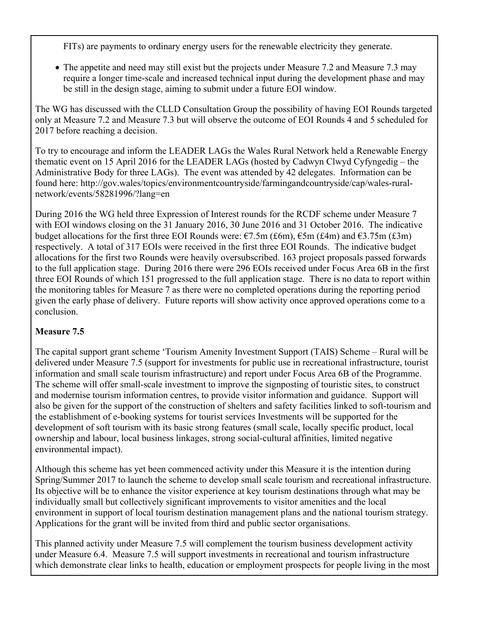FITs) are payments to ordinary energy users for the renewable electricity they generate.

• The appetite and need may still exist but the projects under Measure 7.2 and Measure 7.3 may require a longer time-scale and increased technical input during the development phase and may be still in the design stage, aiming to submit under a future EOI window.

The WG has discussed with the CLLD Consultation Group the possibility of having EOI Rounds targeted only at Measure 7.2 and Measure 7.3 but will observe the outcome of EOI Rounds 4 and 5 scheduled for 2017 before reaching a decision.

To try to encourage and inform the LEADER LAGs the Wales Rural Network held a Renewable Energy thematic event on 15 April 2016 for the LEADER LAGs (hosted by Cadwyn Clwyd Cyfyngedig – the Administrative Body for three LAGs). The event was attended by 42 delegates. Information can be found here: http://gov.wales/topics/environmentcountryside/farmingandcountryside/cap/wales-ruralnetwork/events/58281996/?lang=en

During 2016 the WG held three Expression of Interest rounds for the RCDF scheme under Measure 7 with EOI windows closing on the 31 January 2016, 30 June 2016 and 31 October 2016. The indicative budget allocations for the first three EOI Rounds were:  $\epsilon$ 7.5m (£6m),  $\epsilon$ 5m (£4m) and  $\epsilon$ 3.75m (£3m) respectively. A total of 317 EOIs were received in the first three EOI Rounds. The indicative budget allocations for the first two Rounds were heavily oversubscribed. 163 project proposals passed forwards to the full application stage. During 2016 there were 296 EOIs received under Focus Area 6B in the first three EOI Rounds of which 151 progressed to the full application stage. There is no data to report within the monitoring tables for Measure 7 as there were no completed operations during the reporting period given the early phase of delivery. Future reports will show activity once approved operations come to a conclusion.

## **Measure 7.5**

The capital support grant scheme 'Tourism Amenity Investment Support (TAIS) Scheme – Rural will be delivered under Measure 7.5 (support for investments for public use in recreational infrastructure, tourist information and small scale tourism infrastructure) and report under Focus Area 6B of the Programme. The scheme will offer small-scale investment to improve the signposting of touristic sites, to construct and modernise tourism information centres, to provide visitor information and guidance. Support will also be given for the support of the construction of shelters and safety facilities linked to soft-tourism and the establishment of e-booking systems for tourist services Investments will be supported for the development of soft tourism with its basic strong features (small scale, locally specific product, local ownership and labour, local business linkages, strong social-cultural affinities, limited negative environmental impact).

Although this scheme has yet been commenced activity under this Measure it is the intention during Spring/Summer 2017 to launch the scheme to develop small scale tourism and recreational infrastructure. Its objective will be to enhance the visitor experience at key tourism destinations through what may be individually small but collectively significant improvements to visitor amenities and the local environment in support of local tourism destination management plans and the national tourism strategy. Applications for the grant will be invited from third and public sector organisations.

This planned activity under Measure 7.5 will complement the tourism business development activity under Measure 6.4. Measure 7.5 will support investments in recreational and tourism infrastructure which demonstrate clear links to health, education or employment prospects for people living in the most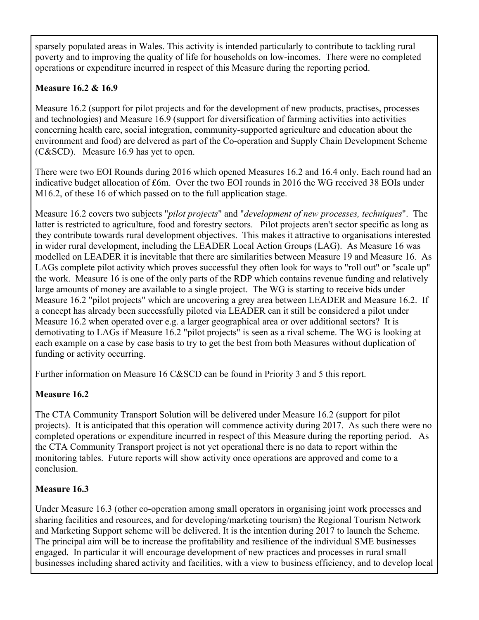sparsely populated areas in Wales. This activity is intended particularly to contribute to tackling rural poverty and to improving the quality of life for households on low-incomes. There were no completed operations or expenditure incurred in respect of this Measure during the reporting period.

## **Measure 16.2 & 16.9**

Measure 16.2 (support for pilot projects and for the development of new products, practises, processes and technologies) and Measure 16.9 (support for diversification of farming activities into activities concerning health care, social integration, community-supported agriculture and education about the environment and food) are delvered as part of the Co-operation and Supply Chain Development Scheme (C&SCD). Measure 16.9 has yet to open.

There were two EOI Rounds during 2016 which opened Measures 16.2 and 16.4 only. Each round had an indicative budget allocation of £6m. Over the two EOI rounds in 2016 the WG received 38 EOIs under M16.2, of these 16 of which passed on to the full application stage.

Measure 16.2 covers two subjects "*pilot projects*" and "*development of new processes, techniques*". The latter is restricted to agriculture, food and forestry sectors. Pilot projects aren't sector specific as long as they contribute towards rural development objectives. This makes it attractive to organisations interested in wider rural development, including the LEADER Local Action Groups (LAG). As Measure 16 was modelled on LEADER it is inevitable that there are similarities between Measure 19 and Measure 16. As LAGs complete pilot activity which proves successful they often look for ways to "roll out" or "scale up" the work. Measure 16 is one of the only parts of the RDP which contains revenue funding and relatively large amounts of money are available to a single project. The WG is starting to receive bids under Measure 16.2 "pilot projects" which are uncovering a grey area between LEADER and Measure 16.2. If a concept has already been successfully piloted via LEADER can it still be considered a pilot under Measure 16.2 when operated over e.g. a larger geographical area or over additional sectors? It is demotivating to LAGs if Measure 16.2 "pilot projects" is seen as a rival scheme. The WG is looking at each example on a case by case basis to try to get the best from both Measures without duplication of funding or activity occurring.

Further information on Measure 16 C&SCD can be found in Priority 3 and 5 this report.

## **Measure 16.2**

The CTA Community Transport Solution will be delivered under Measure 16.2 (support for pilot projects). It is anticipated that this operation will commence activity during 2017. As such there were no completed operations or expenditure incurred in respect of this Measure during the reporting period. As the CTA Community Transport project is not yet operational there is no data to report within the monitoring tables. Future reports will show activity once operations are approved and come to a conclusion.

## **Measure 16.3**

Under Measure 16.3 (other co-operation among small operators in organising joint work processes and sharing facilities and resources, and for developing/marketing tourism) the Regional Tourism Network and Marketing Support scheme will be delivered. It is the intention during 2017 to launch the Scheme. The principal aim will be to increase the profitability and resilience of the individual SME businesses engaged. In particular it will encourage development of new practices and processes in rural small businesses including shared activity and facilities, with a view to business efficiency, and to develop local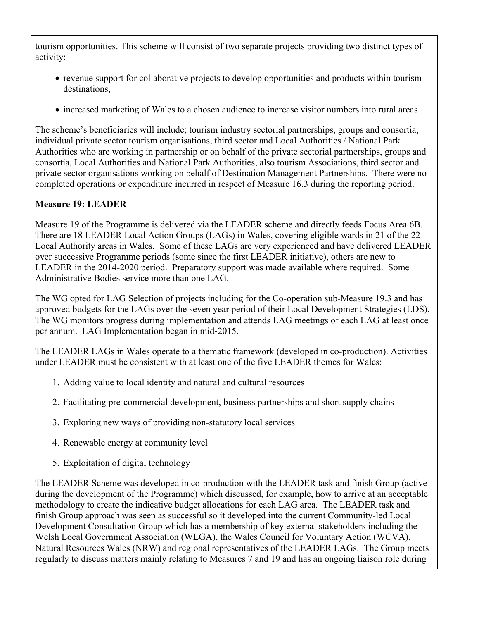tourism opportunities. This scheme will consist of two separate projects providing two distinct types of activity:

- revenue support for collaborative projects to develop opportunities and products within tourism destinations,
- increased marketing of Wales to a chosen audience to increase visitor numbers into rural areas

The scheme's beneficiaries will include; tourism industry sectorial partnerships, groups and consortia, individual private sector tourism organisations, third sector and Local Authorities / National Park Authorities who are working in partnership or on behalf of the private sectorial partnerships, groups and consortia, Local Authorities and National Park Authorities, also tourism Associations, third sector and private sector organisations working on behalf of Destination Management Partnerships. There were no completed operations or expenditure incurred in respect of Measure 16.3 during the reporting period.

## **Measure 19: LEADER**

Measure 19 of the Programme is delivered via the LEADER scheme and directly feeds Focus Area 6B. There are 18 LEADER Local Action Groups (LAGs) in Wales, covering eligible wards in 21 of the 22 Local Authority areas in Wales. Some of these LAGs are very experienced and have delivered LEADER over successive Programme periods (some since the first LEADER initiative), others are new to LEADER in the 2014-2020 period. Preparatory support was made available where required. Some Administrative Bodies service more than one LAG.

The WG opted for LAG Selection of projects including for the Co-operation sub-Measure 19.3 and has approved budgets for the LAGs over the seven year period of their Local Development Strategies (LDS). The WG monitors progress during implementation and attends LAG meetings of each LAG at least once per annum. LAG Implementation began in mid-2015.

The LEADER LAGs in Wales operate to a thematic framework (developed in co-production). Activities under LEADER must be consistent with at least one of the five LEADER themes for Wales:

- 1. Adding value to local identity and natural and cultural resources
- 2. Facilitating pre-commercial development, business partnerships and short supply chains
- 3. Exploring new ways of providing non-statutory local services
- 4. Renewable energy at community level
- 5. Exploitation of digital technology

The LEADER Scheme was developed in co-production with the LEADER task and finish Group (active during the development of the Programme) which discussed, for example, how to arrive at an acceptable methodology to create the indicative budget allocations for each LAG area. The LEADER task and finish Group approach was seen as successful so it developed into the current Community-led Local Development Consultation Group which has a membership of key external stakeholders including the Welsh Local Government Association (WLGA), the Wales Council for Voluntary Action (WCVA), Natural Resources Wales (NRW) and regional representatives of the LEADER LAGs. The Group meets regularly to discuss matters mainly relating to Measures 7 and 19 and has an ongoing liaison role during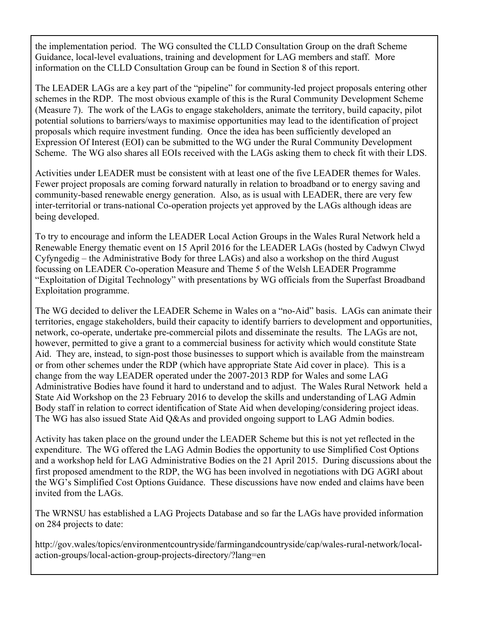the implementation period. The WG consulted the CLLD Consultation Group on the draft Scheme Guidance, local-level evaluations, training and development for LAG members and staff. More information on the CLLD Consultation Group can be found in Section 8 of this report.

The LEADER LAGs are a key part of the "pipeline" for community-led project proposals entering other schemes in the RDP. The most obvious example of this is the Rural Community Development Scheme (Measure 7). The work of the LAGs to engage stakeholders, animate the territory, build capacity, pilot potential solutions to barriers/ways to maximise opportunities may lead to the identification of project proposals which require investment funding. Once the idea has been sufficiently developed an Expression Of Interest (EOI) can be submitted to the WG under the Rural Community Development Scheme. The WG also shares all EOIs received with the LAGs asking them to check fit with their LDS.

Activities under LEADER must be consistent with at least one of the five LEADER themes for Wales. Fewer project proposals are coming forward naturally in relation to broadband or to energy saving and community-based renewable energy generation. Also, as is usual with LEADER, there are very few inter-territorial or trans-national Co-operation projects yet approved by the LAGs although ideas are being developed.

To try to encourage and inform the LEADER Local Action Groups in the Wales Rural Network held a Renewable Energy thematic event on 15 April 2016 for the LEADER LAGs (hosted by Cadwyn Clwyd Cyfyngedig – the Administrative Body for three LAGs) and also a workshop on the third August focussing on LEADER Co-operation Measure and Theme 5 of the Welsh LEADER Programme "Exploitation of Digital Technology" with presentations by WG officials from the Superfast Broadband Exploitation programme.

The WG decided to deliver the LEADER Scheme in Wales on a "no-Aid" basis. LAGs can animate their territories, engage stakeholders, build their capacity to identify barriers to development and opportunities, network, co-operate, undertake pre-commercial pilots and disseminate the results. The LAGs are not, however, permitted to give a grant to a commercial business for activity which would constitute State Aid. They are, instead, to sign-post those businesses to support which is available from the mainstream or from other schemes under the RDP (which have appropriate State Aid cover in place). This is a change from the way LEADER operated under the 2007-2013 RDP for Wales and some LAG Administrative Bodies have found it hard to understand and to adjust. The Wales Rural Network held a State Aid Workshop on the 23 February 2016 to develop the skills and understanding of LAG Admin Body staff in relation to correct identification of State Aid when developing/considering project ideas. The WG has also issued State Aid Q&As and provided ongoing support to LAG Admin bodies.

Activity has taken place on the ground under the LEADER Scheme but this is not yet reflected in the expenditure. The WG offered the LAG Admin Bodies the opportunity to use Simplified Cost Options and a workshop held for LAG Administrative Bodies on the 21 April 2015. During discussions about the first proposed amendment to the RDP, the WG has been involved in negotiations with DG AGRI about the WG's Simplified Cost Options Guidance. These discussions have now ended and claims have been invited from the LAGs.

The WRNSU has established a LAG Projects Database and so far the LAGs have provided information on 284 projects to date:

http://gov.wales/topics/environmentcountryside/farmingandcountryside/cap/wales-rural-network/localaction-groups/local-action-group-projects-directory/?lang=en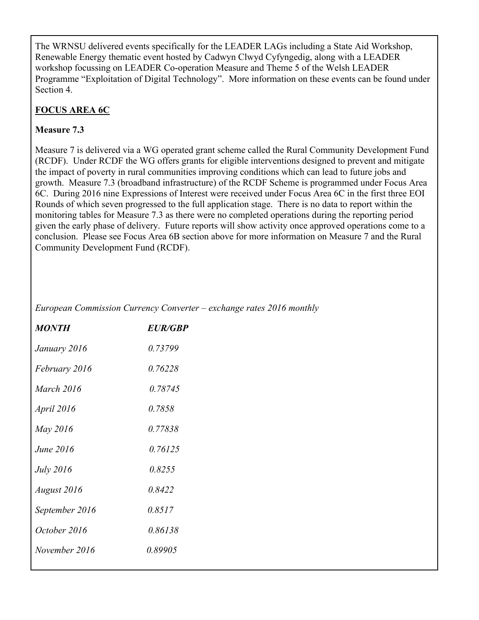The WRNSU delivered events specifically for the LEADER LAGs including a State Aid Workshop, Renewable Energy thematic event hosted by Cadwyn Clwyd Cyfyngedig, along with a LEADER workshop focussing on LEADER Co-operation Measure and Theme 5 of the Welsh LEADER Programme "Exploitation of Digital Technology". More information on these events can be found under Section 4.

## **FOCUS AREA 6C**

## **Measure 7.3**

Measure 7 is delivered via a WG operated grant scheme called the Rural Community Development Fund (RCDF). Under RCDF the WG offers grants for eligible interventions designed to prevent and mitigate the impact of poverty in rural communities improving conditions which can lead to future jobs and growth. Measure 7.3 (broadband infrastructure) of the RCDF Scheme is programmed under Focus Area 6C. During 2016 nine Expressions of Interest were received under Focus Area 6C in the first three EOI Rounds of which seven progressed to the full application stage. There is no data to report within the monitoring tables for Measure 7.3 as there were no completed operations during the reporting period given the early phase of delivery. Future reports will show activity once approved operations come to a conclusion. Please see Focus Area 6B section above for more information on Measure 7 and the Rural Community Development Fund (RCDF).

*European Commission Currency Converter – exchange rates 2016 monthly*

| <i>MONTH</i>      | <i>EUR/GRP</i> |
|-------------------|----------------|
| January 2016      | 0.73799        |
| February 2016     | 0.76228        |
| <b>March 2016</b> | 0.78745        |
| April 2016        | 0.7858         |
| May 2016          | 0.77838        |
| June 2016         | 0.76125        |
| <i>July</i> 2016  | 0.8255         |
| August 2016       | 0.8422         |
| September 2016    | 0.8517         |
| October 2016      | 0.86138        |
| November 2016     | 0.89905        |
|                   |                |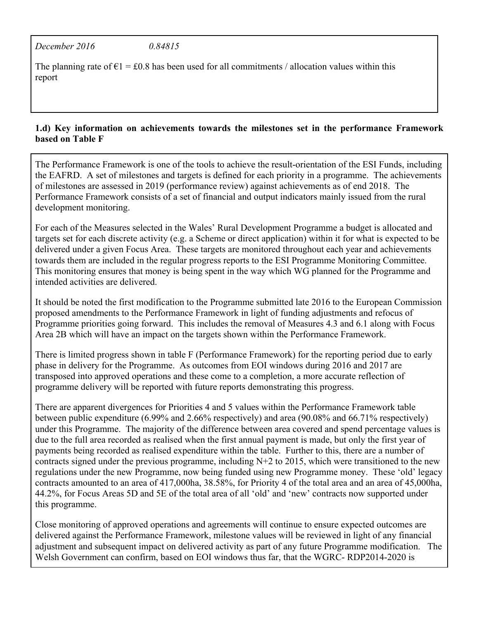*December 2016 0.84815*

The planning rate of  $\epsilon$ 1 = £0.8 has been used for all commitments / allocation values within this report

### **1.d) Key information on achievements towards the milestones set in the performance Framework based on Table F**

The Performance Framework is one of the tools to achieve the result-orientation of the ESI Funds, including the EAFRD. A set of milestones and targets is defined for each priority in a programme. The achievements of milestones are assessed in 2019 (performance review) against achievements as of end 2018. The Performance Framework consists of a set of financial and output indicators mainly issued from the rural development monitoring.

For each of the Measures selected in the Wales' Rural Development Programme a budget is allocated and targets set for each discrete activity (e.g. a Scheme or direct application) within it for what is expected to be delivered under a given Focus Area. These targets are monitored throughout each year and achievements towards them are included in the regular progress reports to the ESI Programme Monitoring Committee. This monitoring ensures that money is being spent in the way which WG planned for the Programme and intended activities are delivered.

It should be noted the first modification to the Programme submitted late 2016 to the European Commission proposed amendments to the Performance Framework in light of funding adjustments and refocus of Programme priorities going forward. This includes the removal of Measures 4.3 and 6.1 along with Focus Area 2B which will have an impact on the targets shown within the Performance Framework.

There is limited progress shown in table F (Performance Framework) for the reporting period due to early phase in delivery for the Programme. As outcomes from EOI windows during 2016 and 2017 are transposed into approved operations and these come to a completion, a more accurate reflection of programme delivery will be reported with future reports demonstrating this progress.

There are apparent divergences for Priorities 4 and 5 values within the Performance Framework table between public expenditure (6.99% and 2.66% respectively) and area (90.08% and 66.71% respectively) under this Programme. The majority of the difference between area covered and spend percentage values is due to the full area recorded as realised when the first annual payment is made, but only the first year of payments being recorded as realised expenditure within the table. Further to this, there are a number of contracts signed under the previous programme, including N+2 to 2015, which were transitioned to the new regulations under the new Programme, now being funded using new Programme money. These 'old' legacy contracts amounted to an area of 417,000ha, 38.58%, for Priority 4 of the total area and an area of 45,000ha, 44.2%, for Focus Areas 5D and 5E of the total area of all 'old' and 'new' contracts now supported under this programme.

Close monitoring of approved operations and agreements will continue to ensure expected outcomes are delivered against the Performance Framework, milestone values will be reviewed in light of any financial adjustment and subsequent impact on delivered activity as part of any future Programme modification. The Welsh Government can confirm, based on EOI windows thus far, that the WGRC- RDP2014-2020 is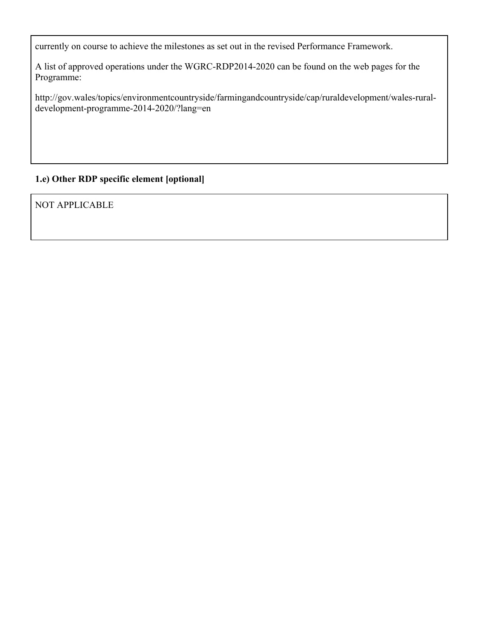currently on course to achieve the milestones as set out in the revised Performance Framework.

A list of approved operations under the WGRC-RDP2014-2020 can be found on the web pages for the Programme:

http://gov.wales/topics/environmentcountryside/farmingandcountryside/cap/ruraldevelopment/wales-ruraldevelopment-programme-2014-2020/?lang=en

## **1.e) Other RDP specific element [optional]**

NOT APPLICABLE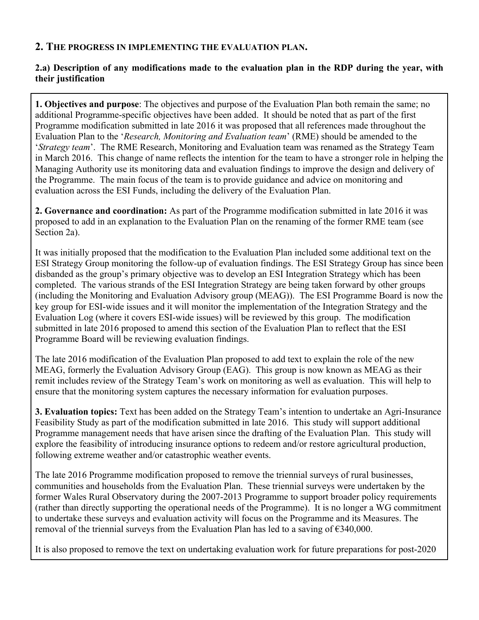## **2. THE PROGRESS IN IMPLEMENTING THE EVALUATION PLAN.**

### **2.a) Description of any modifications made to the evaluation plan in the RDP during the year, with their justification**

**1. Objectives and purpose**: The objectives and purpose of the Evaluation Plan both remain the same; no additional Programme-specific objectives have been added. It should be noted that as part of the first Programme modification submitted in late 2016 it was proposed that all references made throughout the Evaluation Plan to the '*Research, Monitoring and Evaluation team*' (RME) should be amended to the '*Strategy team*'. The RME Research, Monitoring and Evaluation team was renamed as the Strategy Team in March 2016. This change of name reflects the intention for the team to have a stronger role in helping the Managing Authority use its monitoring data and evaluation findings to improve the design and delivery of the Programme. The main focus of the team is to provide guidance and advice on monitoring and evaluation across the ESI Funds, including the delivery of the Evaluation Plan.

**2. Governance and coordination:** As part of the Programme modification submitted in late 2016 it was proposed to add in an explanation to the Evaluation Plan on the renaming of the former RME team (see Section 2a).

It was initially proposed that the modification to the Evaluation Plan included some additional text on the ESI Strategy Group monitoring the follow-up of evaluation findings. The ESI Strategy Group has since been disbanded as the group's primary objective was to develop an ESI Integration Strategy which has been completed. The various strands of the ESI Integration Strategy are being taken forward by other groups (including the Monitoring and Evaluation Advisory group (MEAG)). The ESI Programme Board is now the key group for ESI-wide issues and it will monitor the implementation of the Integration Strategy and the Evaluation Log (where it covers ESI-wide issues) will be reviewed by this group. The modification submitted in late 2016 proposed to amend this section of the Evaluation Plan to reflect that the ESI Programme Board will be reviewing evaluation findings.

The late 2016 modification of the Evaluation Plan proposed to add text to explain the role of the new MEAG, formerly the Evaluation Advisory Group (EAG). This group is now known as MEAG as their remit includes review of the Strategy Team's work on monitoring as well as evaluation. This will help to ensure that the monitoring system captures the necessary information for evaluation purposes.

**3. Evaluation topics:** Text has been added on the Strategy Team's intention to undertake an Agri-Insurance Feasibility Study as part of the modification submitted in late 2016. This study will support additional Programme management needs that have arisen since the drafting of the Evaluation Plan. This study will explore the feasibility of introducing insurance options to redeem and/or restore agricultural production, following extreme weather and/or catastrophic weather events.

The late 2016 Programme modification proposed to remove the triennial surveys of rural businesses, communities and households from the Evaluation Plan. These triennial surveys were undertaken by the former Wales Rural Observatory during the 2007-2013 Programme to support broader policy requirements (rather than directly supporting the operational needs of the Programme). It is no longer a WG commitment to undertake these surveys and evaluation activity will focus on the Programme and its Measures. The removal of the triennial surveys from the Evaluation Plan has led to a saving of €340,000.

It is also proposed to remove the text on undertaking evaluation work for future preparations for post-2020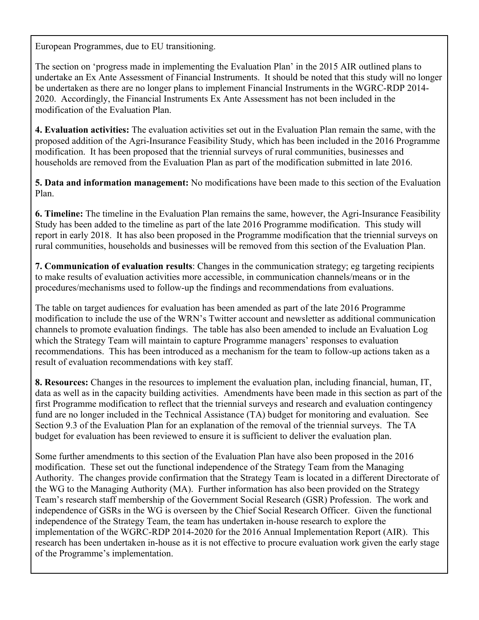European Programmes, due to EU transitioning.

The section on 'progress made in implementing the Evaluation Plan' in the 2015 AIR outlined plans to undertake an Ex Ante Assessment of Financial Instruments. It should be noted that this study will no longer be undertaken as there are no longer plans to implement Financial Instruments in the WGRC-RDP 2014- 2020. Accordingly, the Financial Instruments Ex Ante Assessment has not been included in the modification of the Evaluation Plan.

**4. Evaluation activities:** The evaluation activities set out in the Evaluation Plan remain the same, with the proposed addition of the Agri-Insurance Feasibility Study, which has been included in the 2016 Programme modification. It has been proposed that the triennial surveys of rural communities, businesses and households are removed from the Evaluation Plan as part of the modification submitted in late 2016.

**5. Data and information management:** No modifications have been made to this section of the Evaluation Plan.

**6. Timeline:** The timeline in the Evaluation Plan remains the same, however, the Agri-Insurance Feasibility Study has been added to the timeline as part of the late 2016 Programme modification. This study will report in early 2018. It has also been proposed in the Programme modification that the triennial surveys on rural communities, households and businesses will be removed from this section of the Evaluation Plan.

**7. Communication of evaluation results**: Changes in the communication strategy; eg targeting recipients to make results of evaluation activities more accessible, in communication channels/means or in the procedures/mechanisms used to follow-up the findings and recommendations from evaluations.

The table on target audiences for evaluation has been amended as part of the late 2016 Programme modification to include the use of the WRN's Twitter account and newsletter as additional communication channels to promote evaluation findings. The table has also been amended to include an Evaluation Log which the Strategy Team will maintain to capture Programme managers' responses to evaluation recommendations. This has been introduced as a mechanism for the team to follow-up actions taken as a result of evaluation recommendations with key staff.

**8. Resources:** Changes in the resources to implement the evaluation plan, including financial, human, IT, data as well as in the capacity building activities. Amendments have been made in this section as part of the first Programme modification to reflect that the triennial surveys and research and evaluation contingency fund are no longer included in the Technical Assistance (TA) budget for monitoring and evaluation. See Section 9.3 of the Evaluation Plan for an explanation of the removal of the triennial surveys. The TA budget for evaluation has been reviewed to ensure it is sufficient to deliver the evaluation plan.

Some further amendments to this section of the Evaluation Plan have also been proposed in the 2016 modification. These set out the functional independence of the Strategy Team from the Managing Authority. The changes provide confirmation that the Strategy Team is located in a different Directorate of the WG to the Managing Authority (MA). Further information has also been provided on the Strategy Team's research staff membership of the Government Social Research (GSR) Profession. The work and independence of GSRs in the WG is overseen by the Chief Social Research Officer. Given the functional independence of the Strategy Team, the team has undertaken in-house research to explore the implementation of the WGRC-RDP 2014-2020 for the 2016 Annual Implementation Report (AIR). This research has been undertaken in-house as it is not effective to procure evaluation work given the early stage of the Programme's implementation.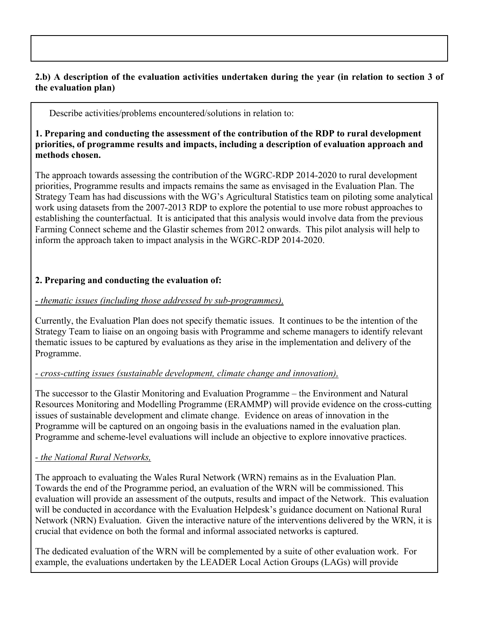### **2.b) A description of the evaluation activities undertaken during the year (in relation to section 3 of the evaluation plan)**

Describe activities/problems encountered/solutions in relation to:

#### **1. Preparing and conducting the assessment of the contribution of the RDP to rural development priorities, of programme results and impacts, including a description of evaluation approach and methods chosen.**

The approach towards assessing the contribution of the WGRC-RDP 2014-2020 to rural development priorities, Programme results and impacts remains the same as envisaged in the Evaluation Plan. The Strategy Team has had discussions with the WG's Agricultural Statistics team on piloting some analytical work using datasets from the 2007-2013 RDP to explore the potential to use more robust approaches to establishing the counterfactual. It is anticipated that this analysis would involve data from the previous Farming Connect scheme and the Glastir schemes from 2012 onwards. This pilot analysis will help to inform the approach taken to impact analysis in the WGRC-RDP 2014-2020.

### **2. Preparing and conducting the evaluation of:**

### *- thematic issues (including those addressed by sub-programmes),*

Currently, the Evaluation Plan does not specify thematic issues. It continues to be the intention of the Strategy Team to liaise on an ongoing basis with Programme and scheme managers to identify relevant thematic issues to be captured by evaluations as they arise in the implementation and delivery of the Programme.

### *- cross-cutting issues (sustainable development, climate change and innovation),*

The successor to the Glastir Monitoring and Evaluation Programme – the Environment and Natural Resources Monitoring and Modelling Programme (ERAMMP) will provide evidence on the cross-cutting issues of sustainable development and climate change. Evidence on areas of innovation in the Programme will be captured on an ongoing basis in the evaluations named in the evaluation plan. Programme and scheme-level evaluations will include an objective to explore innovative practices.

### *- the National Rural Networks,*

The approach to evaluating the Wales Rural Network (WRN) remains as in the Evaluation Plan. Towards the end of the Programme period, an evaluation of the WRN will be commissioned. This evaluation will provide an assessment of the outputs, results and impact of the Network. This evaluation will be conducted in accordance with the Evaluation Helpdesk's guidance document on National Rural Network (NRN) Evaluation. Given the interactive nature of the interventions delivered by the WRN, it is crucial that evidence on both the formal and informal associated networks is captured.

The dedicated evaluation of the WRN will be complemented by a suite of other evaluation work. For example, the evaluations undertaken by the LEADER Local Action Groups (LAGs) will provide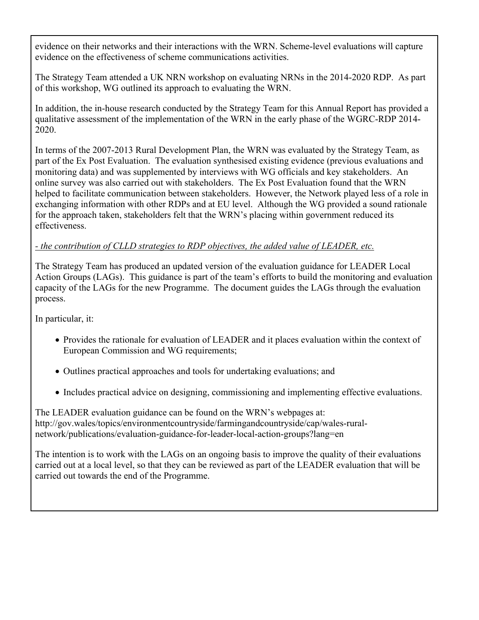evidence on their networks and their interactions with the WRN. Scheme-level evaluations will capture evidence on the effectiveness of scheme communications activities.

The Strategy Team attended a UK NRN workshop on evaluating NRNs in the 2014-2020 RDP. As part of this workshop, WG outlined its approach to evaluating the WRN.

In addition, the in-house research conducted by the Strategy Team for this Annual Report has provided a qualitative assessment of the implementation of the WRN in the early phase of the WGRC-RDP 2014- 2020.

In terms of the 2007-2013 Rural Development Plan, the WRN was evaluated by the Strategy Team, as part of the Ex Post Evaluation. The evaluation synthesised existing evidence (previous evaluations and monitoring data) and was supplemented by interviews with WG officials and key stakeholders. An online survey was also carried out with stakeholders. The Ex Post Evaluation found that the WRN helped to facilitate communication between stakeholders. However, the Network played less of a role in exchanging information with other RDPs and at EU level. Although the WG provided a sound rationale for the approach taken, stakeholders felt that the WRN's placing within government reduced its effectiveness.

## *- the contribution of CLLD strategies to RDP objectives, the added value of LEADER, etc.*

The Strategy Team has produced an updated version of the evaluation guidance for LEADER Local Action Groups (LAGs). This guidance is part of the team's efforts to build the monitoring and evaluation capacity of the LAGs for the new Programme. The document guides the LAGs through the evaluation process.

In particular, it:

- Provides the rationale for evaluation of LEADER and it places evaluation within the context of European Commission and WG requirements;
- Outlines practical approaches and tools for undertaking evaluations; and
- Includes practical advice on designing, commissioning and implementing effective evaluations.

The LEADER evaluation guidance can be found on the WRN's webpages at: http://gov.wales/topics/environmentcountryside/farmingandcountryside/cap/wales-ruralnetwork/publications/evaluation-guidance-for-leader-local-action-groups?lang=en

The intention is to work with the LAGs on an ongoing basis to improve the quality of their evaluations carried out at a local level, so that they can be reviewed as part of the LEADER evaluation that will be carried out towards the end of the Programme.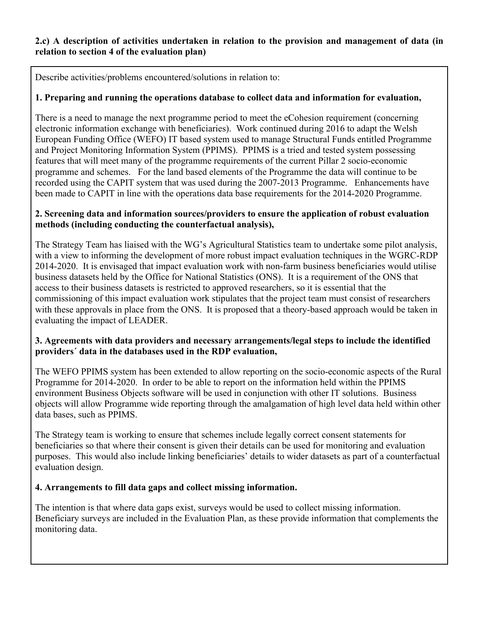### **2.c) A description of activities undertaken in relation to the provision and management of data (in relation to section 4 of the evaluation plan)**

Describe activities/problems encountered/solutions in relation to:

## **1. Preparing and running the operations database to collect data and information for evaluation,**

There is a need to manage the next programme period to meet the eCohesion requirement (concerning electronic information exchange with beneficiaries). Work continued during 2016 to adapt the Welsh European Funding Office (WEFO) IT based system used to manage Structural Funds entitled Programme and Project Monitoring Information System (PPIMS). PPIMS is a tried and tested system possessing features that will meet many of the programme requirements of the current Pillar 2 socio-economic programme and schemes. For the land based elements of the Programme the data will continue to be recorded using the CAPIT system that was used during the 2007-2013 Programme. Enhancements have been made to CAPIT in line with the operations data base requirements for the 2014-2020 Programme.

### **2. Screening data and information sources/providers to ensure the application of robust evaluation methods (including conducting the counterfactual analysis),**

The Strategy Team has liaised with the WG's Agricultural Statistics team to undertake some pilot analysis, with a view to informing the development of more robust impact evaluation techniques in the WGRC-RDP 2014-2020. It is envisaged that impact evaluation work with non-farm business beneficiaries would utilise business datasets held by the Office for National Statistics (ONS). It is a requirement of the ONS that access to their business datasets is restricted to approved researchers, so it is essential that the commissioning of this impact evaluation work stipulates that the project team must consist of researchers with these approvals in place from the ONS. It is proposed that a theory-based approach would be taken in evaluating the impact of LEADER.

### **3. Agreements with data providers and necessary arrangements/legal steps to include the identified providers´ data in the databases used in the RDP evaluation,**

The WEFO PPIMS system has been extended to allow reporting on the socio-economic aspects of the Rural Programme for 2014-2020. In order to be able to report on the information held within the PPIMS environment Business Objects software will be used in conjunction with other IT solutions. Business objects will allow Programme wide reporting through the amalgamation of high level data held within other data bases, such as PPIMS.

The Strategy team is working to ensure that schemes include legally correct consent statements for beneficiaries so that where their consent is given their details can be used for monitoring and evaluation purposes. This would also include linking beneficiaries' details to wider datasets as part of a counterfactual evaluation design.

## **4. Arrangements to fill data gaps and collect missing information.**

The intention is that where data gaps exist, surveys would be used to collect missing information. Beneficiary surveys are included in the Evaluation Plan, as these provide information that complements the monitoring data.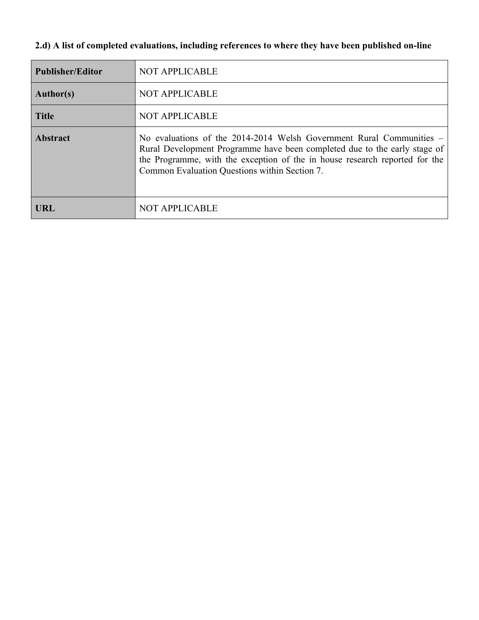## **2.d) A list of completed evaluations, including references to where they have been published on-line**

| <b>Publisher/Editor</b> | <b>NOT APPLICABLE</b>                                                                                                                                                                                                                                                                 |
|-------------------------|---------------------------------------------------------------------------------------------------------------------------------------------------------------------------------------------------------------------------------------------------------------------------------------|
| <b>Author(s)</b>        | <b>NOT APPLICABLE</b>                                                                                                                                                                                                                                                                 |
| <b>Title</b>            | <b>NOT APPLICABLE</b>                                                                                                                                                                                                                                                                 |
| <b>Abstract</b>         | No evaluations of the $2014-2014$ Welsh Government Rural Communities $-$<br>Rural Development Programme have been completed due to the early stage of<br>the Programme, with the exception of the in house research reported for the<br>Common Evaluation Questions within Section 7. |
| URL                     | <b>NOT APPLICABLE</b>                                                                                                                                                                                                                                                                 |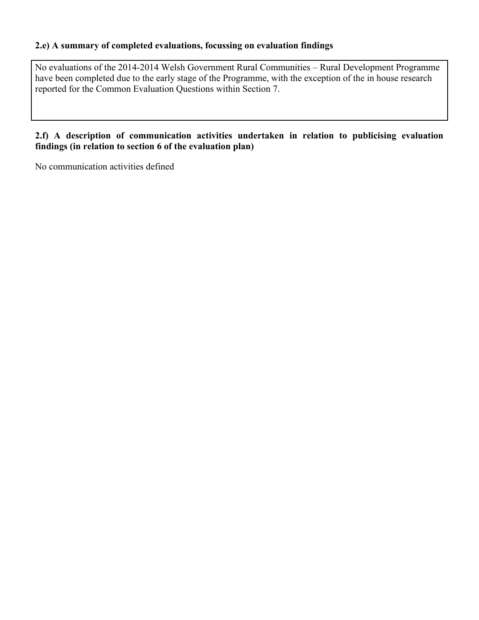### **2.e) A summary of completed evaluations, focussing on evaluation findings**

No evaluations of the 2014-2014 Welsh Government Rural Communities – Rural Development Programme have been completed due to the early stage of the Programme, with the exception of the in house research reported for the Common Evaluation Questions within Section 7.

### **2.f) A description of communication activities undertaken in relation to publicising evaluation findings (in relation to section 6 of the evaluation plan)**

No communication activities defined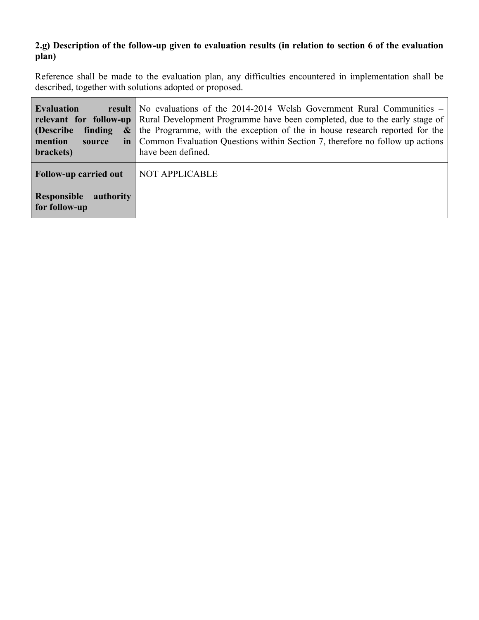## **2.g) Description of the follow-up given to evaluation results (in relation to section 6 of the evaluation plan)**

Reference shall be made to the evaluation plan, any difficulties encountered in implementation shall be described, together with solutions adopted or proposed.

 $\blacksquare$ 

| <b>Evaluation</b><br>(Describe)<br><b>finding</b><br>$\boldsymbol{\&}$<br>mention<br>source<br>brackets) | <b>result</b> No evaluations of the 2014-2014 Welsh Government Rural Communities $-$<br><b>relevant for follow-up</b> Rural Development Programme have been completed, due to the early stage of<br>the Programme, with the exception of the in house research reported for the<br>in   Common Evaluation Questions within Section 7, therefore no follow up actions<br>have been defined. |
|----------------------------------------------------------------------------------------------------------|--------------------------------------------------------------------------------------------------------------------------------------------------------------------------------------------------------------------------------------------------------------------------------------------------------------------------------------------------------------------------------------------|
| <b>Follow-up carried out</b>                                                                             | <b>NOT APPLICABLE</b>                                                                                                                                                                                                                                                                                                                                                                      |
| Responsible<br>authority<br>for follow-up                                                                |                                                                                                                                                                                                                                                                                                                                                                                            |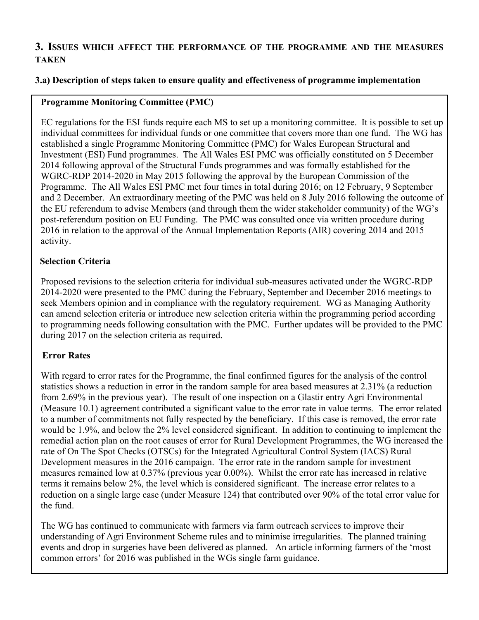## **3. ISSUES WHICH AFFECT THE PERFORMANCE OF THE PROGRAMME AND THE MEASURES TAKEN**

### **3.a) Description of steps taken to ensure quality and effectiveness of programme implementation**

## **Programme Monitoring Committee (PMC)**

EC regulations for the ESI funds require each MS to set up a monitoring committee. It is possible to set up individual committees for individual funds or one committee that covers more than one fund. The WG has established a single Programme Monitoring Committee (PMC) for Wales European Structural and Investment (ESI) Fund programmes. The All Wales ESI PMC was officially constituted on 5 December 2014 following approval of the Structural Funds programmes and was formally established for the WGRC-RDP 2014-2020 in May 2015 following the approval by the European Commission of the Programme. The All Wales ESI PMC met four times in total during 2016; on 12 February, 9 September and 2 December. An extraordinary meeting of the PMC was held on 8 July 2016 following the outcome of the EU referendum to advise Members (and through them the wider stakeholder community) of the WG's post-referendum position on EU Funding. The PMC was consulted once via written procedure during 2016 in relation to the approval of the Annual Implementation Reports (AIR) covering 2014 and 2015 activity.

### **Selection Criteria**

Proposed revisions to the selection criteria for individual sub-measures activated under the WGRC-RDP 2014-2020 were presented to the PMC during the February, September and December 2016 meetings to seek Members opinion and in compliance with the regulatory requirement. WG as Managing Authority can amend selection criteria or introduce new selection criteria within the programming period according to programming needs following consultation with the PMC. Further updates will be provided to the PMC during 2017 on the selection criteria as required.

## **Error Rates**

With regard to error rates for the Programme, the final confirmed figures for the analysis of the control statistics shows a reduction in error in the random sample for area based measures at 2.31% (a reduction from 2.69% in the previous year). The result of one inspection on a Glastir entry Agri Environmental (Measure 10.1) agreement contributed a significant value to the error rate in value terms. The error related to a number of commitments not fully respected by the beneficiary. If this case is removed, the error rate would be 1.9%, and below the 2% level considered significant. In addition to continuing to implement the remedial action plan on the root causes of error for Rural Development Programmes, the WG increased the rate of On The Spot Checks (OTSCs) for the Integrated Agricultural Control System (IACS) Rural Development measures in the 2016 campaign. The error rate in the random sample for investment measures remained low at 0.37% (previous year 0.00%). Whilst the error rate has increased in relative terms it remains below 2%, the level which is considered significant. The increase error relates to a reduction on a single large case (under Measure 124) that contributed over 90% of the total error value for the fund.

The WG has continued to communicate with farmers via farm outreach services to improve their understanding of Agri Environment Scheme rules and to minimise irregularities. The planned training events and drop in surgeries have been delivered as planned. An article informing farmers of the 'most common errors' for 2016 was published in the WGs single farm guidance.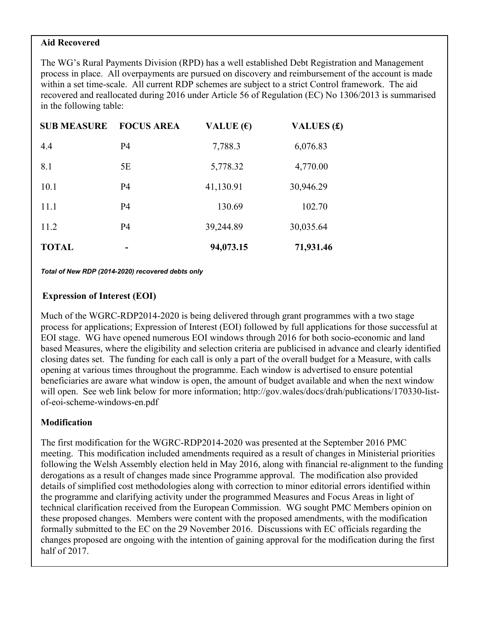#### **Aid Recovered**

The WG's Rural Payments Division (RPD) has a well established Debt Registration and Management process in place. All overpayments are pursued on discovery and reimbursement of the account is made within a set time-scale. All current RDP schemes are subject to a strict Control framework. The aid recovered and reallocated during 2016 under Article 56 of Regulation (EC) No 1306/2013 is summarised in the following table:

| <b>SUB MEASURE</b> | <b>FOCUS AREA</b> | VALUE $(\epsilon)$ | <b>VALUES</b> (£) |
|--------------------|-------------------|--------------------|-------------------|
| 4.4                | <b>P4</b>         | 7,788.3            | 6,076.83          |
| 8.1                | 5E                | 5,778.32           | 4,770.00          |
| 10.1               | <b>P4</b>         | 41,130.91          | 30,946.29         |
| 11.1               | <b>P4</b>         | 130.69             | 102.70            |
| 11.2               | <b>P4</b>         | 39,244.89          | 30,035.64         |
| <b>TOTAL</b>       |                   | 94,073.15          | 71,931.46         |

 *Total of New RDP (2014-2020) recovered debts only* 

#### **Expression of Interest (EOI)**

Much of the WGRC-RDP2014-2020 is being delivered through grant programmes with a two stage process for applications; Expression of Interest (EOI) followed by full applications for those successful at EOI stage. WG have opened numerous EOI windows through 2016 for both socio-economic and land based Measures, where the eligibility and selection criteria are publicised in advance and clearly identified closing dates set. The funding for each call is only a part of the overall budget for a Measure, with calls opening at various times throughout the programme. Each window is advertised to ensure potential beneficiaries are aware what window is open, the amount of budget available and when the next window will open. See web link below for more information; http://gov.wales/docs/drah/publications/170330-listof-eoi-scheme-windows-en.pdf

### **Modification**

The first modification for the WGRC-RDP2014-2020 was presented at the September 2016 PMC meeting. This modification included amendments required as a result of changes in Ministerial priorities following the Welsh Assembly election held in May 2016, along with financial re-alignment to the funding derogations as a result of changes made since Programme approval. The modification also provided details of simplified cost methodologies along with correction to minor editorial errors identified within the programme and clarifying activity under the programmed Measures and Focus Areas in light of technical clarification received from the European Commission. WG sought PMC Members opinion on these proposed changes. Members were content with the proposed amendments, with the modification formally submitted to the EC on the 29 November 2016. Discussions with EC officials regarding the changes proposed are ongoing with the intention of gaining approval for the modification during the first half of 2017.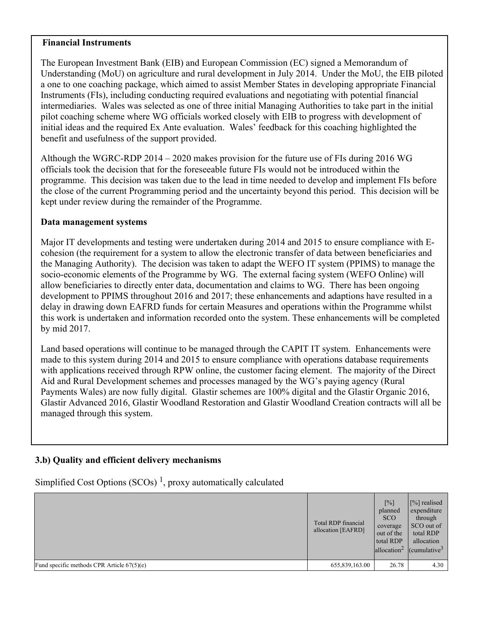#### **Financial Instruments**

The European Investment Bank (EIB) and European Commission (EC) signed a Memorandum of Understanding (MoU) on agriculture and rural development in July 2014. Under the MoU, the EIB piloted a one to one coaching package, which aimed to assist Member States in developing appropriate Financial Instruments (FIs), including conducting required evaluations and negotiating with potential financial intermediaries. Wales was selected as one of three initial Managing Authorities to take part in the initial pilot coaching scheme where WG officials worked closely with EIB to progress with development of initial ideas and the required Ex Ante evaluation. Wales' feedback for this coaching highlighted the benefit and usefulness of the support provided.

Although the WGRC-RDP 2014 – 2020 makes provision for the future use of FIs during 2016 WG officials took the decision that for the foreseeable future FIs would not be introduced within the programme. This decision was taken due to the lead in time needed to develop and implement FIs before the close of the current Programming period and the uncertainty beyond this period. This decision will be kept under review during the remainder of the Programme.

#### **Data management systems**

Major IT developments and testing were undertaken during 2014 and 2015 to ensure compliance with Ecohesion (the requirement for a system to allow the electronic transfer of data between beneficiaries and the Managing Authority). The decision was taken to adapt the WEFO IT system (PPIMS) to manage the socio-economic elements of the Programme by WG. The external facing system (WEFO Online) will allow beneficiaries to directly enter data, documentation and claims to WG. There has been ongoing development to PPIMS throughout 2016 and 2017; these enhancements and adaptions have resulted in a delay in drawing down EAFRD funds for certain Measures and operations within the Programme whilst this work is undertaken and information recorded onto the system. These enhancements will be completed by mid 2017.

Land based operations will continue to be managed through the CAPIT IT system. Enhancements were made to this system during 2014 and 2015 to ensure compliance with operations database requirements with applications received through RPW online, the customer facing element. The majority of the Direct Aid and Rural Development schemes and processes managed by the WG's paying agency (Rural Payments Wales) are now fully digital. Glastir schemes are 100% digital and the Glastir Organic 2016, Glastir Advanced 2016, Glastir Woodland Restoration and Glastir Woodland Creation contracts will all be managed through this system.

### **3.b) Quality and efficient delivery mechanisms**

Simplified Cost Options (SCOs)<sup>1</sup>, proxy automatically calculated

|                                              | Total RDP financial<br>allocation [EAFRD] | $[\%]$<br>planned<br><b>SCO</b><br>coverage<br>out of the<br>total RDP<br>$ $ allocation <sup>2</sup> | [%] realised<br>expenditure<br>through<br>SCO out of<br>total RDP<br>allocation<br>$ $ (cumulative <sup>3</sup> ) |
|----------------------------------------------|-------------------------------------------|-------------------------------------------------------------------------------------------------------|-------------------------------------------------------------------------------------------------------------------|
| Fund specific methods CPR Article $67(5)(e)$ | 655,839,163.00                            | 26.78                                                                                                 | 4.30                                                                                                              |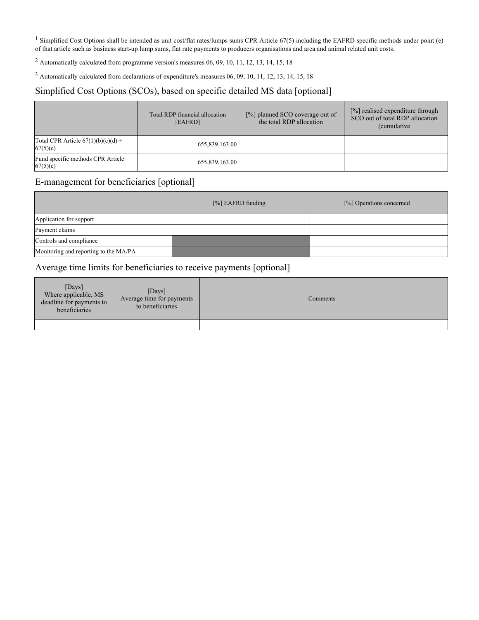<sup>1</sup> Simplified Cost Options shall be intended as unit cost/flat rates/lumps sums CPR Article 67(5) including the EAFRD specific methods under point (e) of that article such as business start-up lump sums, flat rate payments to producers organisations and area and animal related unit costs.

<sup>2</sup> Automatically calculated from programme version's measures 06, 09, 10, 11, 12, 13, 14, 15, 18

 $3$  Automatically calculated from declarations of expenditure's measures 06, 09, 10, 11, 12, 13, 14, 15, 18

#### Simplified Cost Options (SCOs), based on specific detailed MS data [optional]

|                                                   | Total RDP financial allocation<br>[EAFRD] | [%] planned SCO coverage out of<br>the total RDP allocation | [%] realised expenditure through<br>SCO out of total RDP allocation<br><i>(cumulative)</i> |
|---------------------------------------------------|-------------------------------------------|-------------------------------------------------------------|--------------------------------------------------------------------------------------------|
| Total CPR Article $67(1)(b)(c)(d) +$<br> 67(5)(e) | 655,839,163.00                            |                                                             |                                                                                            |
| Fund specific methods CPR Article<br> 67(5)(e)    | 655,839,163.00                            |                                                             |                                                                                            |

### E-management for beneficiaries [optional]

|                                       | $[\%]$ EAFRD funding | [%] Operations concerned |
|---------------------------------------|----------------------|--------------------------|
| Application for support               |                      |                          |
| Payment claims                        |                      |                          |
| Controls and compliance               |                      |                          |
| Monitoring and reporting to the MA/PA |                      |                          |

### Average time limits for beneficiaries to receive payments [optional]

| $[$ Days $]$<br>Where applicable, MS<br>deadline for payments to<br>beneficiaries | $[$ Days $]$<br>Average time for payments<br>to beneficiaries | Comments |
|-----------------------------------------------------------------------------------|---------------------------------------------------------------|----------|
|                                                                                   |                                                               |          |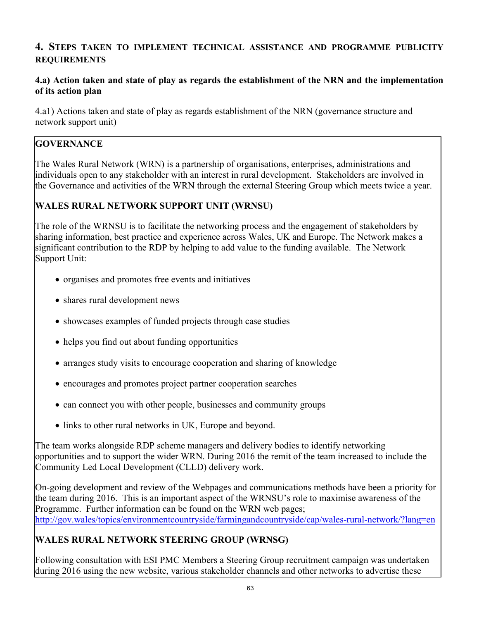## **4. STEPS TAKEN TO IMPLEMENT TECHNICAL ASSISTANCE AND PROGRAMME PUBLICITY REQUIREMENTS**

### **4.a) Action taken and state of play as regards the establishment of the NRN and the implementation of its action plan**

4.a1) Actions taken and state of play as regards establishment of the NRN (governance structure and network support unit)

## **GOVERNANCE**

The Wales Rural Network (WRN) is a partnership of organisations, enterprises, administrations and individuals open to any stakeholder with an interest in rural development. Stakeholders are involved in the Governance and activities of the WRN through the external Steering Group which meets twice a year.

## **WALES RURAL NETWORK SUPPORT UNIT (WRNSU)**

The role of the WRNSU is to facilitate the networking process and the engagement of stakeholders by sharing information, best practice and experience across Wales, UK and Europe. The Network makes a significant contribution to the RDP by helping to add value to the funding available. The Network Support Unit:

- organises and promotes free events and initiatives
- shares rural development news
- showcases examples of funded projects through case studies
- helps you find out about funding opportunities
- arranges study visits to encourage cooperation and sharing of knowledge
- encourages and promotes project partner cooperation searches
- can connect you with other people, businesses and community groups
- links to other rural networks in UK, Europe and beyond.

The team works alongside RDP scheme managers and delivery bodies to identify networking opportunities and to support the wider WRN. During 2016 the remit of the team increased to include the Community Led Local Development (CLLD) delivery work.

On-going development and review of the Webpages and communications methods have been a priority for the team during 2016. This is an important aspect of the WRNSU's role to maximise awareness of the Programme. Further information can be found on the WRN web pages; <http://gov.wales/topics/environmentcountryside/farmingandcountryside/cap/wales-rural-network/?lang=en>

## **WALES RURAL NETWORK STEERING GROUP (WRNSG)**

Following consultation with ESI PMC Members a Steering Group recruitment campaign was undertaken during 2016 using the new website, various stakeholder channels and other networks to advertise these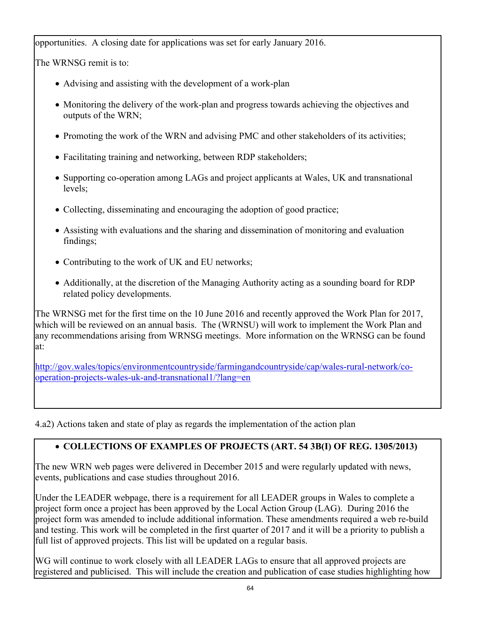opportunities. A closing date for applications was set for early January 2016.

The WRNSG remit is to:

- Advising and assisting with the development of a work-plan
- Monitoring the delivery of the work-plan and progress towards achieving the objectives and outputs of the WRN;
- Promoting the work of the WRN and advising PMC and other stakeholders of its activities;
- Facilitating training and networking, between RDP stakeholders;
- Supporting co-operation among LAGs and project applicants at Wales, UK and transnational levels;
- Collecting, disseminating and encouraging the adoption of good practice;
- Assisting with evaluations and the sharing and dissemination of monitoring and evaluation findings;
- Contributing to the work of UK and EU networks;
- Additionally, at the discretion of the Managing Authority acting as a sounding board for RDP related policy developments.

The WRNSG met for the first time on the 10 June 2016 and recently approved the Work Plan for 2017, which will be reviewed on an annual basis. The (WRNSU) will work to implement the Work Plan and any recommendations arising from WRNSG meetings. More information on the WRNSG can be found at:

[http://gov.wales/topics/environmentcountryside/farmingandcountryside/cap/wales-rural-network/co](http://gov.wales/topics/environmentcountryside/farmingandcountryside/cap/wales-rural-network/co-operation-projects-wales-uk-and-transnational1/?lang=en)[operation-projects-wales-uk-and-transnational1/?lang=en](http://gov.wales/topics/environmentcountryside/farmingandcountryside/cap/wales-rural-network/co-operation-projects-wales-uk-and-transnational1/?lang=en)

4.a2) Actions taken and state of play as regards the implementation of the action plan

# **COLLECTIONS OF EXAMPLES OF PROJECTS (ART. 54 3B(I) OF REG. 1305/2013)**

The new WRN web pages were delivered in December 2015 and were regularly updated with news, events, publications and case studies throughout 2016.

Under the LEADER webpage, there is a requirement for all LEADER groups in Wales to complete a project form once a project has been approved by the Local Action Group (LAG). During 2016 the project form was amended to include additional information. These amendments required a web re-build and testing. This work will be completed in the first quarter of 2017 and it will be a priority to publish a full list of approved projects. This list will be updated on a regular basis.

WG will continue to work closely with all LEADER LAGs to ensure that all approved projects are registered and publicised. This will include the creation and publication of case studies highlighting how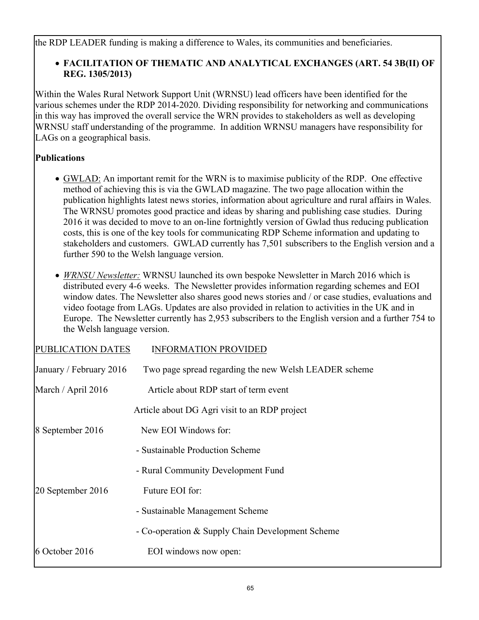the RDP LEADER funding is making a difference to Wales, its communities and beneficiaries.

## **FACILITATION OF THEMATIC AND ANALYTICAL EXCHANGES (ART. 54 3B(II) OF REG. 1305/2013)**

Within the Wales Rural Network Support Unit (WRNSU) lead officers have been identified for the various schemes under the RDP 2014-2020. Dividing responsibility for networking and communications in this way has improved the overall service the WRN provides to stakeholders as well as developing WRNSU staff understanding of the programme. In addition WRNSU managers have responsibility for LAGs on a geographical basis.

## **Publications**

- GWLAD: An important remit for the WRN is to maximise publicity of the RDP. One effective method of achieving this is via the GWLAD magazine. The two page allocation within the publication highlights latest news stories, information about agriculture and rural affairs in Wales. The WRNSU promotes good practice and ideas by sharing and publishing case studies. During 2016 it was decided to move to an on-line fortnightly version of Gwlad thus reducing publication costs, this is one of the key tools for communicating RDP Scheme information and updating to stakeholders and customers. GWLAD currently has 7,501 subscribers to the English version and a further 590 to the Welsh language version.
- *WRNSU Newsletter:* WRNSU launched its own bespoke Newsletter in March 2016 which is distributed every 4-6 weeks. The Newsletter provides information regarding schemes and EOI window dates. The Newsletter also shares good news stories and / or case studies, evaluations and video footage from LAGs. Updates are also provided in relation to activities in the UK and in Europe. The Newsletter currently has 2,953 subscribers to the English version and a further 754 to the Welsh language version.

| PUBLICATION DATES       | <b>INFORMATION PROVIDED</b>                           |
|-------------------------|-------------------------------------------------------|
| January / February 2016 | Two page spread regarding the new Welsh LEADER scheme |
| March / April 2016      | Article about RDP start of term event                 |
|                         | Article about DG Agri visit to an RDP project         |
| 8 September 2016        | New EOI Windows for:                                  |
|                         | - Sustainable Production Scheme                       |
|                         | - Rural Community Development Fund                    |
| 20 September 2016       | Future EOI for:                                       |
|                         | - Sustainable Management Scheme                       |
|                         | - Co-operation & Supply Chain Development Scheme      |
| 6 October 2016          | EOI windows now open:                                 |
|                         |                                                       |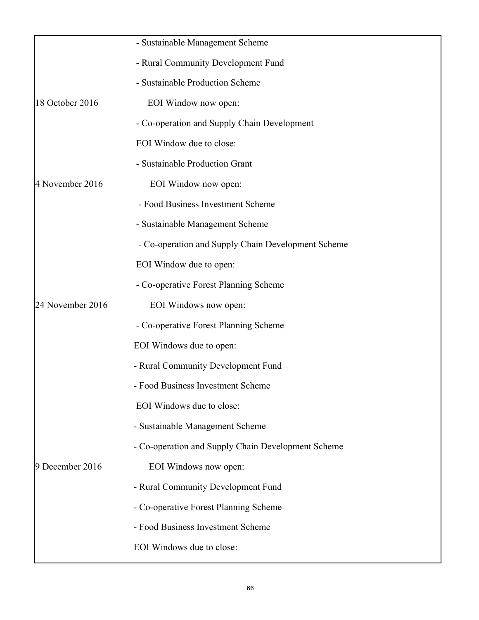|                  | - Sustainable Management Scheme                    |
|------------------|----------------------------------------------------|
|                  | - Rural Community Development Fund                 |
|                  | - Sustainable Production Scheme                    |
| 18 October 2016  | EOI Window now open:                               |
|                  | - Co-operation and Supply Chain Development        |
|                  | EOI Window due to close:                           |
|                  | - Sustainable Production Grant                     |
| 4 November 2016  | EOI Window now open:                               |
|                  | - Food Business Investment Scheme                  |
|                  | - Sustainable Management Scheme                    |
|                  | - Co-operation and Supply Chain Development Scheme |
|                  | EOI Window due to open:                            |
|                  | - Co-operative Forest Planning Scheme              |
| 24 November 2016 | EOI Windows now open:                              |
|                  | - Co-operative Forest Planning Scheme              |
|                  | EOI Windows due to open:                           |
|                  | - Rural Community Development Fund                 |
|                  | - Food Business Investment Scheme                  |
|                  | EOI Windows due to close:                          |
|                  | - Sustainable Management Scheme                    |
|                  | - Co-operation and Supply Chain Development Scheme |
| 9 December 2016  | EOI Windows now open:                              |
|                  | - Rural Community Development Fund                 |
|                  | - Co-operative Forest Planning Scheme              |
|                  | - Food Business Investment Scheme                  |
|                  | EOI Windows due to close:                          |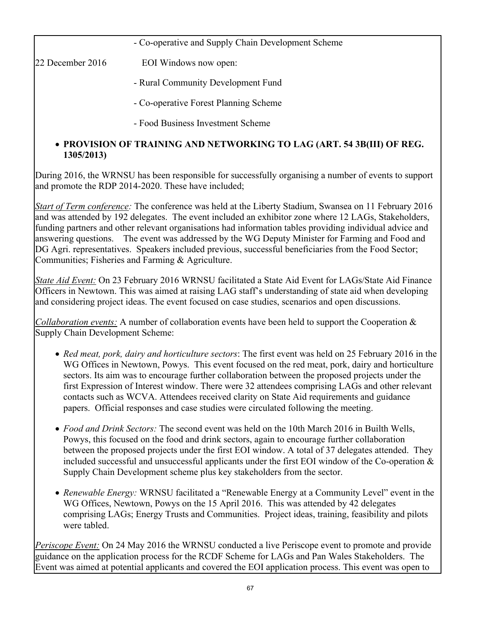- Co-operative and Supply Chain Development Scheme

22 December 2016 EOI Windows now open:

- Rural Community Development Fund
- Co-operative Forest Planning Scheme
- Food Business Investment Scheme

## **PROVISION OF TRAINING AND NETWORKING TO LAG (ART. 54 3B(III) OF REG. 1305/2013)**

During 2016, the WRNSU has been responsible for successfully organising a number of events to support and promote the RDP 2014-2020. These have included;

*Start of Term conference:* The conference was held at the Liberty Stadium, Swansea on 11 February 2016 and was attended by 192 delegates. The event included an exhibitor zone where 12 LAGs, Stakeholders, funding partners and other relevant organisations had information tables providing individual advice and answering questions. The event was addressed by the WG Deputy Minister for Farming and Food and DG Agri. representatives. Speakers included previous, successful beneficiaries from the Food Sector; Communities; Fisheries and Farming & Agriculture.

*State Aid Event:* On 23 February 2016 WRNSU facilitated a State Aid Event for LAGs/State Aid Finance Officers in Newtown. This was aimed at raising LAG staff's understanding of state aid when developing and considering project ideas. The event focused on case studies, scenarios and open discussions.

*Collaboration events:* A number of collaboration events have been held to support the Cooperation & Supply Chain Development Scheme:

- *Red meat, pork, dairy and horticulture sectors*: The first event was held on 25 February 2016 in the WG Offices in Newtown, Powys. This event focused on the red meat, pork, dairy and horticulture sectors. Its aim was to encourage further collaboration between the proposed projects under the first Expression of Interest window. There were 32 attendees comprising LAGs and other relevant contacts such as WCVA. Attendees received clarity on State Aid requirements and guidance papers. Official responses and case studies were circulated following the meeting.
- *Food and Drink Sectors:* The second event was held on the 10th March 2016 in Builth Wells, Powys, this focused on the food and drink sectors, again to encourage further collaboration between the proposed projects under the first EOI window. A total of 37 delegates attended. They included successful and unsuccessful applicants under the first EOI window of the Co-operation & Supply Chain Development scheme plus key stakeholders from the sector.
- *Renewable Energy:* WRNSU facilitated a "Renewable Energy at a Community Level" event in the WG Offices, Newtown, Powys on the 15 April 2016. This was attended by 42 delegates comprising LAGs; Energy Trusts and Communities. Project ideas, training, feasibility and pilots were tabled.

*Periscope Event:* On 24 May 2016 the WRNSU conducted a live Periscope event to promote and provide guidance on the application process for the RCDF Scheme for LAGs and Pan Wales Stakeholders. The Event was aimed at potential applicants and covered the EOI application process. This event was open to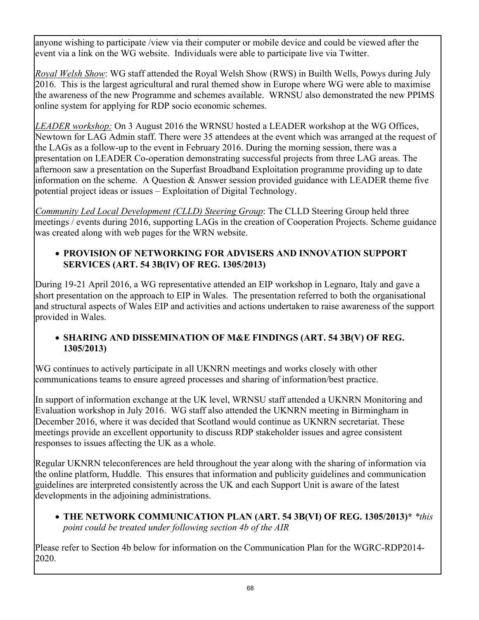anyone wishing to participate /view via their computer or mobile device and could be viewed after the event via a link on the WG website. Individuals were able to participate live via Twitter.

*Royal Welsh Show*: WG staff attended the Royal Welsh Show (RWS) in Builth Wells, Powys during July 2016. This is the largest agricultural and rural themed show in Europe where WG were able to maximise the awareness of the new Programme and schemes available. WRNSU also demonstrated the new PPIMS online system for applying for RDP socio economic schemes.

*LEADER workshop:* On 3 August 2016 the WRNSU hosted a LEADER workshop at the WG Offices, Newtown for LAG Admin staff. There were 35 attendees at the event which was arranged at the request of the LAGs as a follow-up to the event in February 2016. During the morning session, there was a presentation on LEADER Co-operation demonstrating successful projects from three LAG areas. The afternoon saw a presentation on the Superfast Broadband Exploitation programme providing up to date information on the scheme. A Question  $\&$  Answer session provided guidance with LEADER theme five potential project ideas or issues – Exploitation of Digital Technology.

*Community Led Local Development (CLLD) Steering Group*: The CLLD Steering Group held three meetings / events during 2016, supporting LAGs in the creation of Cooperation Projects. Scheme guidance was created along with web pages for the WRN website.

## **PROVISION OF NETWORKING FOR ADVISERS AND INNOVATION SUPPORT SERVICES (ART. 54 3B(IV) OF REG. 1305/2013)**

During 19-21 April 2016, a WG representative attended an EIP workshop in Legnaro, Italy and gave a short presentation on the approach to EIP in Wales. The presentation referred to both the organisational and structural aspects of Wales EIP and activities and actions undertaken to raise awareness of the support provided in Wales.

## **SHARING AND DISSEMINATION OF M&E FINDINGS (ART. 54 3B(V) OF REG. 1305/2013)**

WG continues to actively participate in all UKNRN meetings and works closely with other communications teams to ensure agreed processes and sharing of information/best practice.

In support of information exchange at the UK level, WRNSU staff attended a UKNRN Monitoring and Evaluation workshop in July 2016. WG staff also attended the UKNRN meeting in Birmingham in December 2016, where it was decided that Scotland would continue as UKNRN secretariat. These meetings provide an excellent opportunity to discuss RDP stakeholder issues and agree consistent responses to issues affecting the UK as a whole.

Regular UKNRN teleconferences are held throughout the year along with the sharing of information via the online platform, Huddle. This ensures that information and publicity guidelines and communication guidelines are interpreted consistently across the UK and each Support Unit is aware of the latest developments in the adjoining administrations.

 **THE NETWORK COMMUNICATION PLAN (ART. 54 3B(VI) OF REG. 1305/2013)\*** *\*this point could be treated under following section 4b of the AIR*

Please refer to Section 4b below for information on the Communication Plan for the WGRC-RDP2014- 2020.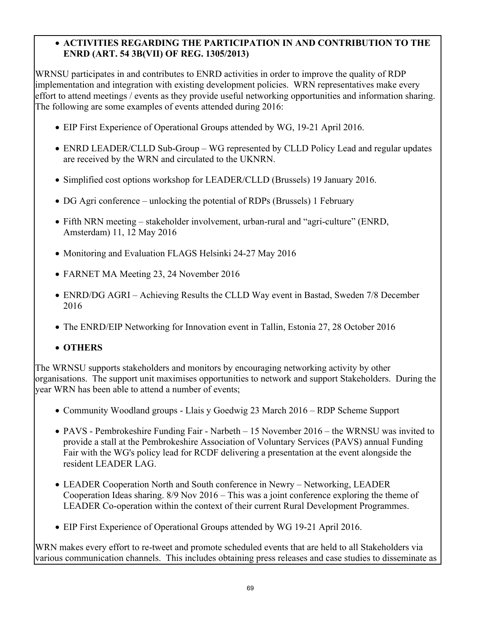## **ACTIVITIES REGARDING THE PARTICIPATION IN AND CONTRIBUTION TO THE ENRD (ART. 54 3B(VII) OF REG. 1305/2013)**

WRNSU participates in and contributes to ENRD activities in order to improve the quality of RDP implementation and integration with existing development policies. WRN representatives make every effort to attend meetings / events as they provide useful networking opportunities and information sharing. The following are some examples of events attended during 2016:

- EIP First Experience of Operational Groups attended by WG, 19-21 April 2016.
- ENRD LEADER/CLLD Sub-Group WG represented by CLLD Policy Lead and regular updates are received by the WRN and circulated to the UKNRN.
- Simplified cost options workshop for LEADER/CLLD (Brussels) 19 January 2016.
- DG Agri conference unlocking the potential of RDPs (Brussels) 1 February
- Fifth NRN meeting stakeholder involvement, urban-rural and "agri-culture" (ENRD, Amsterdam) 11, 12 May 2016
- Monitoring and Evaluation FLAGS Helsinki 24-27 May 2016
- FARNET MA Meeting 23, 24 November 2016
- ENRD/DG AGRI Achieving Results the CLLD Way event in Bastad, Sweden 7/8 December 2016
- The ENRD/EIP Networking for Innovation event in Tallin, Estonia 27, 28 October 2016

## **OTHERS**

The WRNSU supports stakeholders and monitors by encouraging networking activity by other organisations. The support unit maximises opportunities to network and support Stakeholders. During the year WRN has been able to attend a number of events;

- Community Woodland groups Llais y Goedwig 23 March 2016 RDP Scheme Support
- PAVS Pembrokeshire Funding Fair Narbeth 15 November 2016 the WRNSU was invited to provide a stall at the Pembrokeshire Association of Voluntary Services (PAVS) annual Funding Fair with the WG's policy lead for RCDF delivering a presentation at the event alongside the resident LEADER LAG.
- LEADER Cooperation North and South conference in Newry Networking, LEADER Cooperation Ideas sharing. 8/9 Nov 2016 – This was a joint conference exploring the theme of LEADER Co-operation within the context of their current Rural Development Programmes.
- EIP First Experience of Operational Groups attended by WG 19-21 April 2016.

WRN makes every effort to re-tweet and promote scheduled events that are held to all Stakeholders via various communication channels. This includes obtaining press releases and case studies to disseminate as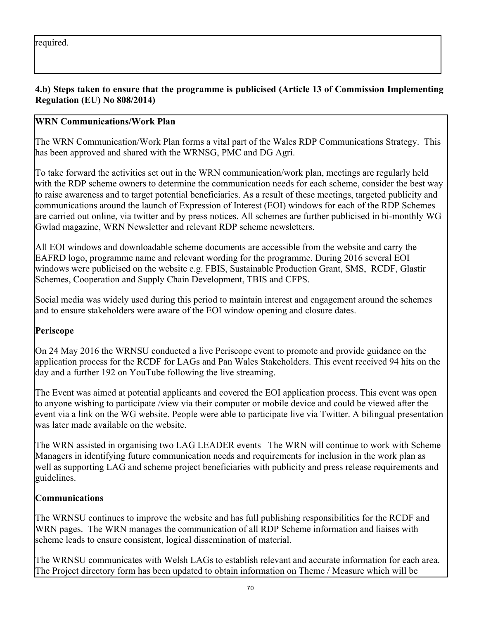## **4.b) Steps taken to ensure that the programme is publicised (Article 13 of Commission Implementing Regulation (EU) No 808/2014)**

## **WRN Communications/Work Plan**

The WRN Communication/Work Plan forms a vital part of the Wales RDP Communications Strategy. This has been approved and shared with the WRNSG, PMC and DG Agri.

To take forward the activities set out in the WRN communication/work plan, meetings are regularly held with the RDP scheme owners to determine the communication needs for each scheme, consider the best way to raise awareness and to target potential beneficiaries. As a result of these meetings, targeted publicity and communications around the launch of Expression of Interest (EOI) windows for each of the RDP Schemes are carried out online, via twitter and by press notices. All schemes are further publicised in bi-monthly WG Gwlad magazine, WRN Newsletter and relevant RDP scheme newsletters.

All EOI windows and downloadable scheme documents are accessible from the website and carry the EAFRD logo, programme name and relevant wording for the programme. During 2016 several EOI windows were publicised on the website e.g. FBIS, Sustainable Production Grant, SMS, RCDF, Glastir Schemes, Cooperation and Supply Chain Development, TBIS and CFPS.

Social media was widely used during this period to maintain interest and engagement around the schemes and to ensure stakeholders were aware of the EOI window opening and closure dates.

### **Periscope**

On 24 May 2016 the WRNSU conducted a live Periscope event to promote and provide guidance on the application process for the RCDF for LAGs and Pan Wales Stakeholders. This event received 94 hits on the day and a further 192 on YouTube following the live streaming.

The Event was aimed at potential applicants and covered the EOI application process. This event was open to anyone wishing to participate /view via their computer or mobile device and could be viewed after the event via a link on the WG website. People were able to participate live via Twitter. A bilingual presentation was later made available on the website.

The WRN assisted in organising two LAG LEADER events The WRN will continue to work with Scheme Managers in identifying future communication needs and requirements for inclusion in the work plan as well as supporting LAG and scheme project beneficiaries with publicity and press release requirements and guidelines.

### **Communications**

The WRNSU continues to improve the website and has full publishing responsibilities for the RCDF and WRN pages. The WRN manages the communication of all RDP Scheme information and liaises with scheme leads to ensure consistent, logical dissemination of material.

The WRNSU communicates with Welsh LAGs to establish relevant and accurate information for each area. The Project directory form has been updated to obtain information on Theme / Measure which will be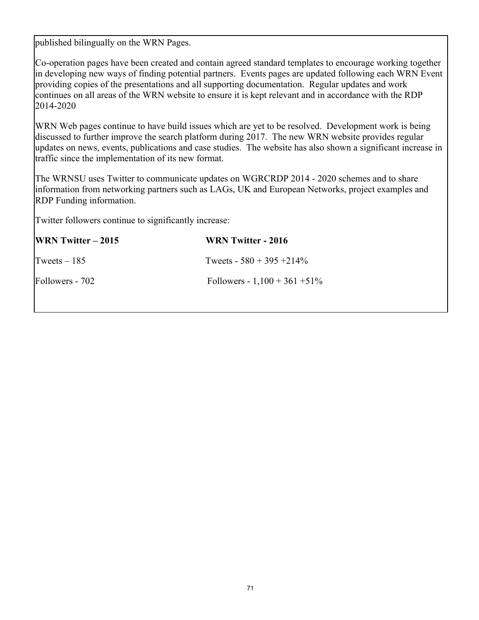published bilingually on the WRN Pages.

Co-operation pages have been created and contain agreed standard templates to encourage working together in developing new ways of finding potential partners. Events pages are updated following each WRN Event providing copies of the presentations and all supporting documentation. Regular updates and work continues on all areas of the WRN website to ensure it is kept relevant and in accordance with the RDP 2014-2020

WRN Web pages continue to have build issues which are yet to be resolved. Development work is being discussed to further improve the search platform during 2017. The new WRN website provides regular updates on news, events, publications and case studies. The website has also shown a significant increase in traffic since the implementation of its new format.

The WRNSU uses Twitter to communicate updates on WGRCRDP 2014 - 2020 schemes and to share information from networking partners such as LAGs, UK and European Networks, project examples and RDP Funding information.

Twitter followers continue to significantly increase:

| <b>WRN</b> Twitter $-2015$ | WRN Twitter - 2016               |
|----------------------------|----------------------------------|
| Tweets $-185$              | Tweets - $580 + 395 + 214\%$     |
| Followers - 702            | Followers - $1,100 + 361 + 51\%$ |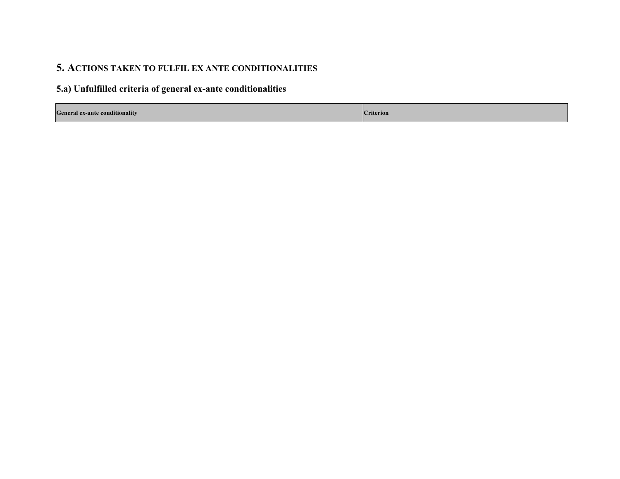# **5. ACTIONS TAKEN TO FULFIL EX ANTE CONDITIONALITIES**

## **5.a) Unfulfilled criteria of general ex-ante conditionalities**

| <b>General ex-ante conditionality</b> | riterion. |
|---------------------------------------|-----------|
|---------------------------------------|-----------|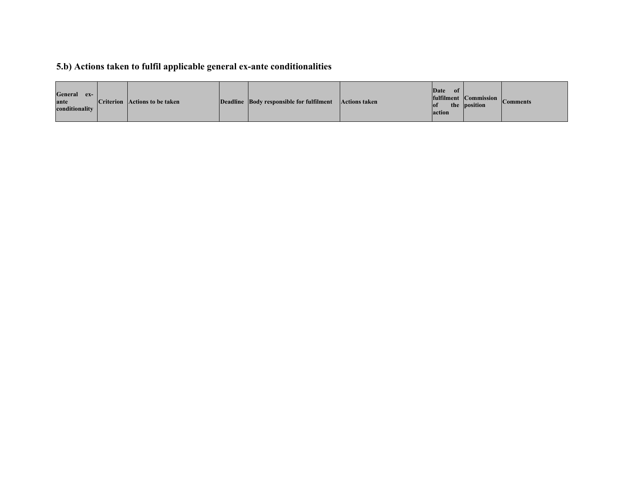# **5.b) Actions taken to fulfil applicable general ex-ante conditionalities**

| General<br>$ex-$<br>ante<br>conditionality |  | <b>Criterion</b> Actions to be taken |  | Deadline Body responsible for fulfilment | Actions taken | Date<br>of<br>the<br>lof<br>action | fulfilment $\overline{Commission}$  <br>position | <b>Comments</b> |
|--------------------------------------------|--|--------------------------------------|--|------------------------------------------|---------------|------------------------------------|--------------------------------------------------|-----------------|
|--------------------------------------------|--|--------------------------------------|--|------------------------------------------|---------------|------------------------------------|--------------------------------------------------|-----------------|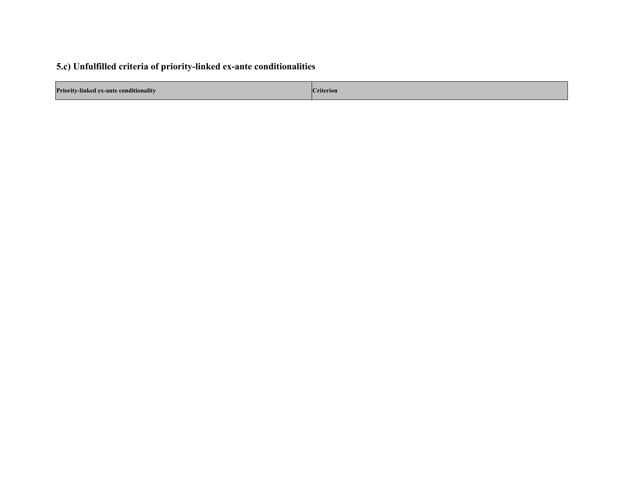# **5.c) Unfulfilled criteria of priority-linked ex-ante conditionalities**

| <b>Priority-linked ex-ante conditionality</b> | . .<br><b>Titerion</b> |
|-----------------------------------------------|------------------------|
|                                               |                        |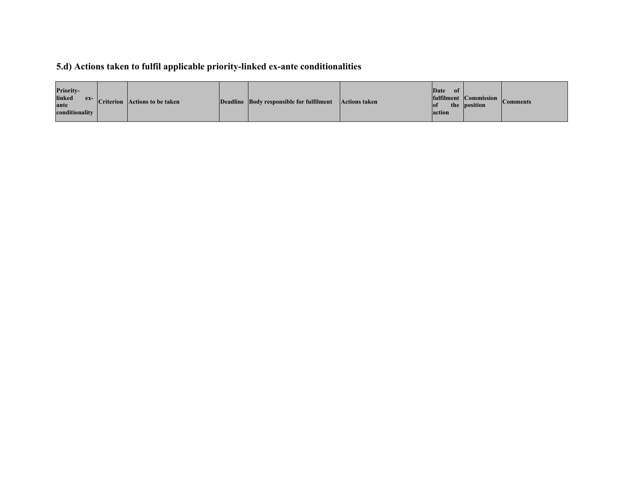# **5.d) Actions taken to fulfil applicable priority-linked ex-ante conditionalities**

| <b>Priority-</b><br>linked<br>ante<br>conditionality |  | $\frac{ex}{ex}$ Criterion Actions to be taken |  | Deadline Body responsible for fulfilment | <b>Actions taken</b> | Date<br>-of-<br>lot <sup>-</sup><br>action | fulfilment $ $ Commission $ _{\alpha}$<br>the position | <b>\omments</b> |
|------------------------------------------------------|--|-----------------------------------------------|--|------------------------------------------|----------------------|--------------------------------------------|--------------------------------------------------------|-----------------|
|------------------------------------------------------|--|-----------------------------------------------|--|------------------------------------------|----------------------|--------------------------------------------|--------------------------------------------------------|-----------------|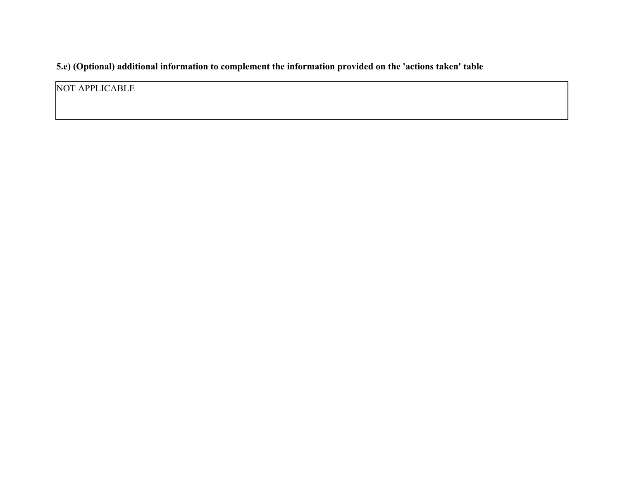**5.e) (Optional) additional information to complement the information provided on the 'actions taken' table**

NOT APPLICABLE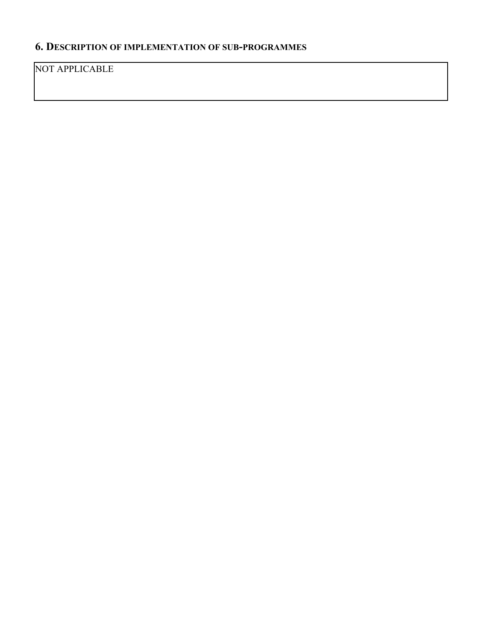# **6. DESCRIPTION OF IMPLEMENTATION OF SUB-PROGRAMMES**

NOT APPLICABLE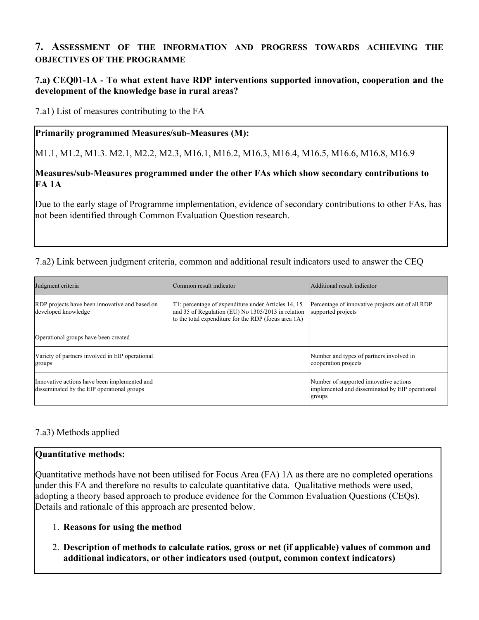# **7. ASSESSMENT OF THE INFORMATION AND PROGRESS TOWARDS ACHIEVING THE OBJECTIVES OF THE PROGRAMME**

### **7.a) CEQ01-1A - To what extent have RDP interventions supported innovation, cooperation and the development of the knowledge base in rural areas?**

7.a1) List of measures contributing to the FA

### **Primarily programmed Measures/sub-Measures (M):**

M1.1, M1.2, M1.3. M2.1, M2.2, M2.3, M16.1, M16.2, M16.3, M16.4, M16.5, M16.6, M16.8, M16.9

#### **Measures/sub-Measures programmed under the other FAs which show secondary contributions to FA 1A**

Due to the early stage of Programme implementation, evidence of secondary contributions to other FAs, has not been identified through Common Evaluation Question research.

7.a2) Link between judgment criteria, common and additional result indicators used to answer the CEQ

| Judgment criteria                                                                          | Common result indicator                                                                                                                                           | Additional result indicator                                                                         |
|--------------------------------------------------------------------------------------------|-------------------------------------------------------------------------------------------------------------------------------------------------------------------|-----------------------------------------------------------------------------------------------------|
| RDP projects have been innovative and based on<br>developed knowledge                      | T1: percentage of expenditure under Articles 14, 15<br>and 35 of Regulation (EU) No 1305/2013 in relation<br>to the total expenditure for the RDP (focus area 1A) | Percentage of innovative projects out of all RDP<br>supported projects                              |
| Operational groups have been created                                                       |                                                                                                                                                                   |                                                                                                     |
| Variety of partners involved in EIP operational<br>groups                                  |                                                                                                                                                                   | Number and types of partners involved in<br>cooperation projects                                    |
| Innovative actions have been implemented and<br>disseminated by the EIP operational groups |                                                                                                                                                                   | Number of supported innovative actions<br>implemented and disseminated by EIP operational<br>groups |

# 7.a3) Methods applied

# **Quantitative methods:**

Quantitative methods have not been utilised for Focus Area (FA) 1A as there are no completed operations under this FA and therefore no results to calculate quantitative data. Qualitative methods were used, adopting a theory based approach to produce evidence for the Common Evaluation Questions (CEQs). Details and rationale of this approach are presented below.

# 1. **Reasons for using the method**

2. **Description of methods to calculate ratios, gross or net (if applicable) values of common and additional indicators, or other indicators used (output, common context indicators)**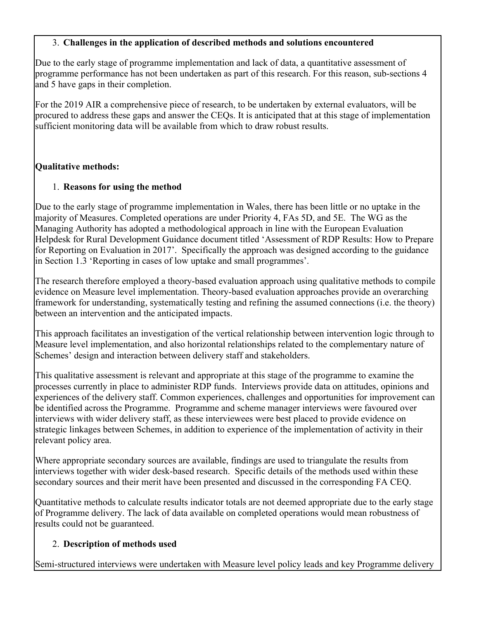### 3. **Challenges in the application of described methods and solutions encountered**

Due to the early stage of programme implementation and lack of data, a quantitative assessment of programme performance has not been undertaken as part of this research. For this reason, sub-sections 4 and 5 have gaps in their completion.

For the 2019 AIR a comprehensive piece of research, to be undertaken by external evaluators, will be procured to address these gaps and answer the CEQs. It is anticipated that at this stage of implementation sufficient monitoring data will be available from which to draw robust results.

### **Qualitative methods:**

### 1. **Reasons for using the method**

Due to the early stage of programme implementation in Wales, there has been little or no uptake in the majority of Measures. Completed operations are under Priority 4, FAs 5D, and 5E. The WG as the Managing Authority has adopted a methodological approach in line with the European Evaluation Helpdesk for Rural Development Guidance document titled 'Assessment of RDP Results: How to Prepare for Reporting on Evaluation in 2017'. Specifically the approach was designed according to the guidance in Section 1.3 'Reporting in cases of low uptake and small programmes'.

The research therefore employed a theory-based evaluation approach using qualitative methods to compile evidence on Measure level implementation. Theory-based evaluation approaches provide an overarching framework for understanding, systematically testing and refining the assumed connections (i.e. the theory) between an intervention and the anticipated impacts.

This approach facilitates an investigation of the vertical relationship between intervention logic through to Measure level implementation, and also horizontal relationships related to the complementary nature of Schemes' design and interaction between delivery staff and stakeholders.

This qualitative assessment is relevant and appropriate at this stage of the programme to examine the processes currently in place to administer RDP funds. Interviews provide data on attitudes, opinions and experiences of the delivery staff. Common experiences, challenges and opportunities for improvement can be identified across the Programme. Programme and scheme manager interviews were favoured over interviews with wider delivery staff, as these interviewees were best placed to provide evidence on strategic linkages between Schemes, in addition to experience of the implementation of activity in their relevant policy area.

Where appropriate secondary sources are available, findings are used to triangulate the results from interviews together with wider desk-based research. Specific details of the methods used within these secondary sources and their merit have been presented and discussed in the corresponding FA CEQ.

Quantitative methods to calculate results indicator totals are not deemed appropriate due to the early stage of Programme delivery. The lack of data available on completed operations would mean robustness of results could not be guaranteed.

# 2. **Description of methods used**

Semi-structured interviews were undertaken with Measure level policy leads and key Programme delivery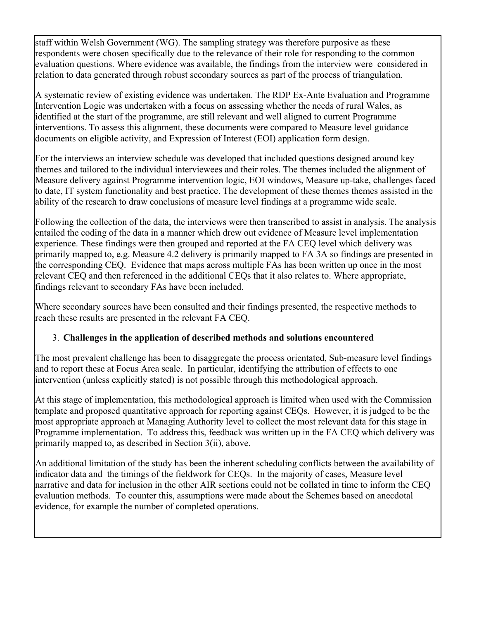staff within Welsh Government (WG). The sampling strategy was therefore purposive as these respondents were chosen specifically due to the relevance of their role for responding to the common evaluation questions. Where evidence was available, the findings from the interview were considered in relation to data generated through robust secondary sources as part of the process of triangulation.

A systematic review of existing evidence was undertaken. The RDP Ex-Ante Evaluation and Programme Intervention Logic was undertaken with a focus on assessing whether the needs of rural Wales, as identified at the start of the programme, are still relevant and well aligned to current Programme interventions. To assess this alignment, these documents were compared to Measure level guidance documents on eligible activity, and Expression of Interest (EOI) application form design.

For the interviews an interview schedule was developed that included questions designed around key themes and tailored to the individual interviewees and their roles. The themes included the alignment of Measure delivery against Programme intervention logic, EOI windows, Measure up-take, challenges faced to date, IT system functionality and best practice. The development of these themes themes assisted in the ability of the research to draw conclusions of measure level findings at a programme wide scale.

Following the collection of the data, the interviews were then transcribed to assist in analysis. The analysis entailed the coding of the data in a manner which drew out evidence of Measure level implementation experience. These findings were then grouped and reported at the FA CEQ level which delivery was primarily mapped to, e.g. Measure 4.2 delivery is primarily mapped to FA 3A so findings are presented in the corresponding CEQ. Evidence that maps across multiple FAs has been written up once in the most relevant CEQ and then referenced in the additional CEQs that it also relates to. Where appropriate, findings relevant to secondary FAs have been included.

Where secondary sources have been consulted and their findings presented, the respective methods to reach these results are presented in the relevant FA CEQ.

# 3. **Challenges in the application of described methods and solutions encountered**

The most prevalent challenge has been to disaggregate the process orientated, Sub-measure level findings and to report these at Focus Area scale. In particular, identifying the attribution of effects to one intervention (unless explicitly stated) is not possible through this methodological approach.

At this stage of implementation, this methodological approach is limited when used with the Commission template and proposed quantitative approach for reporting against CEQs. However, it is judged to be the most appropriate approach at Managing Authority level to collect the most relevant data for this stage in Programme implementation. To address this, feedback was written up in the FA CEQ which delivery was primarily mapped to, as described in Section 3(ii), above.

An additional limitation of the study has been the inherent scheduling conflicts between the availability of indicator data and the timings of the fieldwork for CEQs. In the majority of cases, Measure level narrative and data for inclusion in the other AIR sections could not be collated in time to inform the CEQ evaluation methods. To counter this, assumptions were made about the Schemes based on anecdotal evidence, for example the number of completed operations.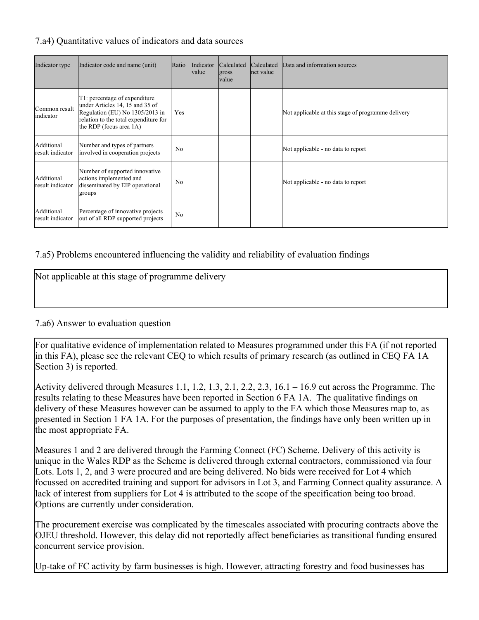### 7.a4) Quantitative values of indicators and data sources

| Indicator type                 | Indicator code and name (unit)                                                                                                                                          | Ratio          | Indicator<br><i>value</i> | <b>Calculated</b><br>gross<br> value | Calculated<br>net value | Data and information sources                       |
|--------------------------------|-------------------------------------------------------------------------------------------------------------------------------------------------------------------------|----------------|---------------------------|--------------------------------------|-------------------------|----------------------------------------------------|
| Common result<br>indicator     | T1: percentage of expenditure<br>under Articles 14, 15 and 35 of<br>Regulation (EU) No 1305/2013 in<br>relation to the total expenditure for<br>the RDP (focus area 1A) | Yes            |                           |                                      |                         | Not applicable at this stage of programme delivery |
| Additional<br>result indicator | Number and types of partners<br>involved in cooperation projects                                                                                                        | N <sub>0</sub> |                           |                                      |                         | Not applicable - no data to report                 |
| Additional<br>result indicator | Number of supported innovative<br>actions implemented and<br>disseminated by EIP operational<br>groups                                                                  | N <sub>0</sub> |                           |                                      |                         | Not applicable - no data to report                 |
| Additional<br>result indicator | Percentage of innovative projects<br>out of all RDP supported projects                                                                                                  | N <sub>0</sub> |                           |                                      |                         |                                                    |

### 7.a5) Problems encountered influencing the validity and reliability of evaluation findings

| Not applicable at this stage of programme delivery |  |  |
|----------------------------------------------------|--|--|
|                                                    |  |  |

### 7.a6) Answer to evaluation question

For qualitative evidence of implementation related to Measures programmed under this FA (if not reported in this FA), please see the relevant CEQ to which results of primary research (as outlined in CEQ FA 1A Section 3) is reported.

Activity delivered through Measures 1.1, 1.2, 1.3, 2.1, 2.2, 2.3, 16.1 – 16.9 cut across the Programme. The results relating to these Measures have been reported in Section 6 FA 1A. The qualitative findings on delivery of these Measures however can be assumed to apply to the FA which those Measures map to, as presented in Section 1 FA 1A. For the purposes of presentation, the findings have only been written up in the most appropriate FA.

Measures 1 and 2 are delivered through the Farming Connect (FC) Scheme. Delivery of this activity is unique in the Wales RDP as the Scheme is delivered through external contractors, commissioned via four Lots. Lots 1, 2, and 3 were procured and are being delivered. No bids were received for Lot 4 which focussed on accredited training and support for advisors in Lot 3, and Farming Connect quality assurance. A lack of interest from suppliers for Lot 4 is attributed to the scope of the specification being too broad. Options are currently under consideration.

The procurement exercise was complicated by the timescales associated with procuring contracts above the OJEU threshold. However, this delay did not reportedly affect beneficiaries as transitional funding ensured concurrent service provision.

Up-take of FC activity by farm businesses is high. However, attracting forestry and food businesses has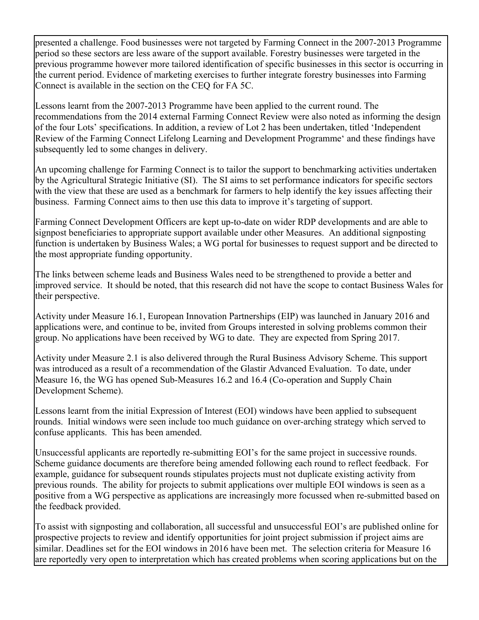presented a challenge. Food businesses were not targeted by Farming Connect in the 2007-2013 Programme period so these sectors are less aware of the support available. Forestry businesses were targeted in the previous programme however more tailored identification of specific businesses in this sector is occurring in the current period. Evidence of marketing exercises to further integrate forestry businesses into Farming Connect is available in the section on the CEQ for FA 5C.

Lessons learnt from the 2007-2013 Programme have been applied to the current round. The recommendations from the 2014 external Farming Connect Review were also noted as informing the design of the four Lots' specifications. In addition, a review of Lot 2 has been undertaken, titled 'Independent Review of the Farming Connect Lifelong Learning and Development Programme' and these findings have subsequently led to some changes in delivery.

An upcoming challenge for Farming Connect is to tailor the support to benchmarking activities undertaken by the Agricultural Strategic Initiative (SI). The SI aims to set performance indicators for specific sectors with the view that these are used as a benchmark for farmers to help identify the key issues affecting their business. Farming Connect aims to then use this data to improve it's targeting of support.

Farming Connect Development Officers are kept up-to-date on wider RDP developments and are able to signpost beneficiaries to appropriate support available under other Measures. An additional signposting function is undertaken by Business Wales; a WG portal for businesses to request support and be directed to the most appropriate funding opportunity.

The links between scheme leads and Business Wales need to be strengthened to provide a better and improved service. It should be noted, that this research did not have the scope to contact Business Wales for their perspective.

Activity under Measure 16.1, European Innovation Partnerships (EIP) was launched in January 2016 and applications were, and continue to be, invited from Groups interested in solving problems common their group. No applications have been received by WG to date. They are expected from Spring 2017.

Activity under Measure 2.1 is also delivered through the Rural Business Advisory Scheme. This support was introduced as a result of a recommendation of the Glastir Advanced Evaluation. To date, under Measure 16, the WG has opened Sub-Measures 16.2 and 16.4 (Co-operation and Supply Chain Development Scheme).

Lessons learnt from the initial Expression of Interest (EOI) windows have been applied to subsequent rounds. Initial windows were seen include too much guidance on over-arching strategy which served to confuse applicants. This has been amended.

Unsuccessful applicants are reportedly re-submitting EOI's for the same project in successive rounds. Scheme guidance documents are therefore being amended following each round to reflect feedback. For example, guidance for subsequent rounds stipulates projects must not duplicate existing activity from previous rounds. The ability for projects to submit applications over multiple EOI windows is seen as a positive from a WG perspective as applications are increasingly more focussed when re-submitted based on the feedback provided.

To assist with signposting and collaboration, all successful and unsuccessful EOI's are published online for prospective projects to review and identify opportunities for joint project submission if project aims are similar. Deadlines set for the EOI windows in 2016 have been met. The selection criteria for Measure 16 are reportedly very open to interpretation which has created problems when scoring applications but on the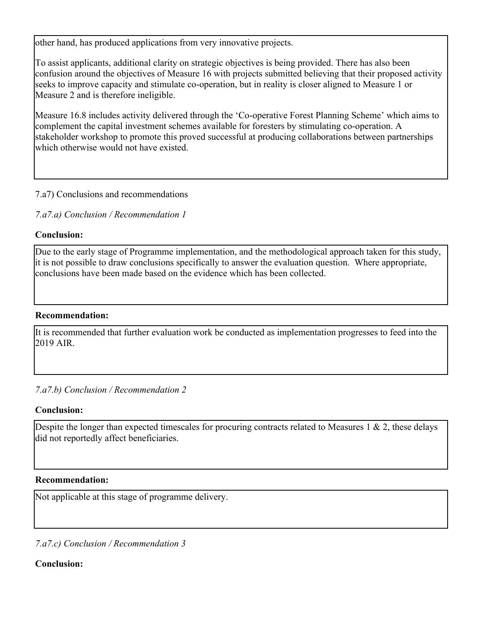other hand, has produced applications from very innovative projects.

To assist applicants, additional clarity on strategic objectives is being provided. There has also been confusion around the objectives of Measure 16 with projects submitted believing that their proposed activity seeks to improve capacity and stimulate co-operation, but in reality is closer aligned to Measure 1 or Measure 2 and is therefore ineligible.

Measure 16.8 includes activity delivered through the 'Co-operative Forest Planning Scheme' which aims to complement the capital investment schemes available for foresters by stimulating co-operation. A stakeholder workshop to promote this proved successful at producing collaborations between partnerships which otherwise would not have existed.

### 7.a7) Conclusions and recommendations

*7.a7.a) Conclusion / Recommendation 1*

### **Conclusion:**

Due to the early stage of Programme implementation, and the methodological approach taken for this study, it is not possible to draw conclusions specifically to answer the evaluation question. Where appropriate, conclusions have been made based on the evidence which has been collected.

### **Recommendation:**

It is recommended that further evaluation work be conducted as implementation progresses to feed into the 2019 AIR.

*7.a7.b) Conclusion / Recommendation 2*

# **Conclusion:**

Despite the longer than expected timescales for procuring contracts related to Measures 1  $\&$  2, these delays did not reportedly affect beneficiaries.

# **Recommendation:**

Not applicable at this stage of programme delivery.

*7.a7.c) Conclusion / Recommendation 3*

**Conclusion:**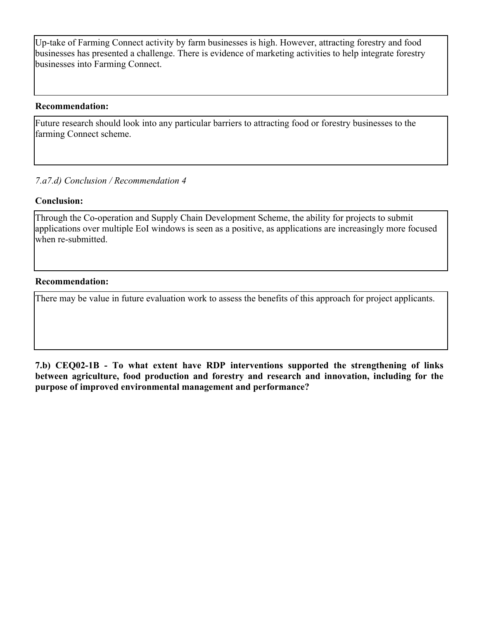Up-take of Farming Connect activity by farm businesses is high. However, attracting forestry and food businesses has presented a challenge. There is evidence of marketing activities to help integrate forestry businesses into Farming Connect.

#### **Recommendation:**

Future research should look into any particular barriers to attracting food or forestry businesses to the farming Connect scheme.

### *7.a7.d) Conclusion / Recommendation 4*

### **Conclusion:**

Through the Co-operation and Supply Chain Development Scheme, the ability for projects to submit applications over multiple EoI windows is seen as a positive, as applications are increasingly more focused when re-submitted.

#### **Recommendation:**

There may be value in future evaluation work to assess the benefits of this approach for project applicants.

**7.b) CEQ02-1B - To what extent have RDP interventions supported the strengthening of links between agriculture, food production and forestry and research and innovation, including for the purpose of improved environmental management and performance?**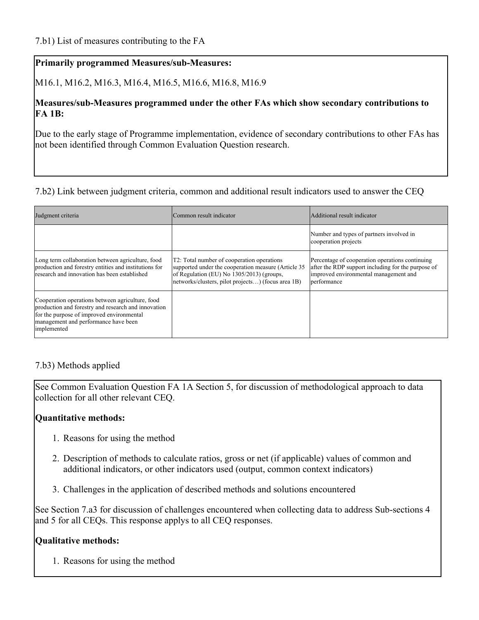### **Primarily programmed Measures/sub-Measures:**

M16.1, M16.2, M16.3, M16.4, M16.5, M16.6, M16.8, M16.9

### **Measures/sub-Measures programmed under the other FAs which show secondary contributions to FA 1B:**

Due to the early stage of Programme implementation, evidence of secondary contributions to other FAs has not been identified through Common Evaluation Question research.

### 7.b2) Link between judgment criteria, common and additional result indicators used to answer the CEQ

| Judgment criteria                                                                                                                                                                                           | Common result indicator                                                                                                                                                                               | Additional result indicator                                                                                                                                   |
|-------------------------------------------------------------------------------------------------------------------------------------------------------------------------------------------------------------|-------------------------------------------------------------------------------------------------------------------------------------------------------------------------------------------------------|---------------------------------------------------------------------------------------------------------------------------------------------------------------|
|                                                                                                                                                                                                             |                                                                                                                                                                                                       | Number and types of partners involved in<br>cooperation projects                                                                                              |
| Long term collaboration between agriculture, food<br>production and forestry entities and institutions for<br>research and innovation has been established                                                  | T2: Total number of cooperation operations<br>supported under the cooperation measure (Article 35)<br>of Regulation (EU) No 1305/2013) (groups,<br>networks/clusters, pilot projects) (focus area 1B) | Percentage of cooperation operations continuing<br>after the RDP support including for the purpose of<br>improved environmental management and<br>berformance |
| Cooperation operations between agriculture, food<br>production and forestry and research and innovation<br>for the purpose of improved environmental<br>management and performance have been<br>implemented |                                                                                                                                                                                                       |                                                                                                                                                               |

### 7.b3) Methods applied

See Common Evaluation Question FA 1A Section 5, for discussion of methodological approach to data collection for all other relevant CEQ.

### **Quantitative methods:**

- 1. Reasons for using the method
- 2. Description of methods to calculate ratios, gross or net (if applicable) values of common and additional indicators, or other indicators used (output, common context indicators)
- 3. Challenges in the application of described methods and solutions encountered

See Section 7.a3 for discussion of challenges encountered when collecting data to address Sub-sections 4 and 5 for all CEQs. This response applys to all CEQ responses.

# **Qualitative methods:**

1. Reasons for using the method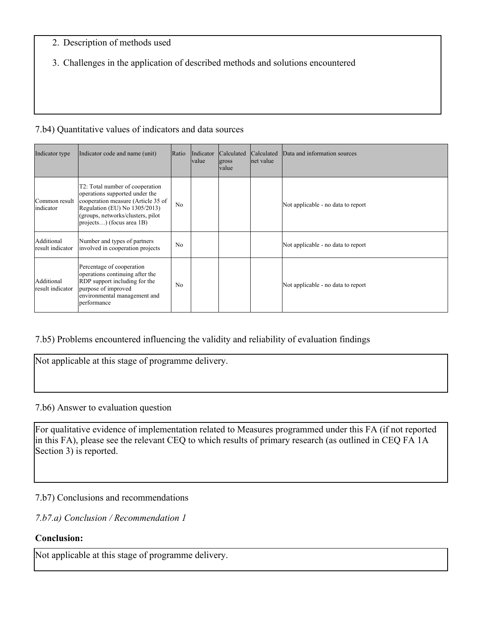### 2. Description of methods used

3. Challenges in the application of described methods and solutions encountered

### 7.b4) Quantitative values of indicators and data sources

| Indicator type                 | Indicator code and name (unit)                                                                                                                                                                             | Ratio          | Indicator<br> value | Calculated<br>gross<br><b>value</b> | Calculated<br>net value | Data and information sources       |
|--------------------------------|------------------------------------------------------------------------------------------------------------------------------------------------------------------------------------------------------------|----------------|---------------------|-------------------------------------|-------------------------|------------------------------------|
| Common result<br>indicator     | T2: Total number of cooperation<br>operations supported under the<br>cooperation measure (Article 35 of<br>Regulation (EU) No 1305/2013)<br>(groups, networks/clusters, pilot<br>projects) (focus area 1B) | N <sub>o</sub> |                     |                                     |                         | Not applicable - no data to report |
| Additional<br>result indicator | Number and types of partners<br>involved in cooperation projects                                                                                                                                           | N <sub>0</sub> |                     |                                     |                         | Not applicable - no data to report |
| Additional<br>result indicator | Percentage of cooperation<br>operations continuing after the<br>RDP support including for the<br>purpose of improved<br>environmental management and<br>performance                                        | No             |                     |                                     |                         | Not applicable - no data to report |

# 7.b5) Problems encountered influencing the validity and reliability of evaluation findings

Not applicable at this stage of programme delivery.

### 7.b6) Answer to evaluation question

For qualitative evidence of implementation related to Measures programmed under this FA (if not reported in this FA), please see the relevant CEQ to which results of primary research (as outlined in CEQ FA 1A Section 3) is reported.

### 7.b7) Conclusions and recommendations

### *7.b7.a) Conclusion / Recommendation 1*

### **Conclusion:**

Not applicable at this stage of programme delivery.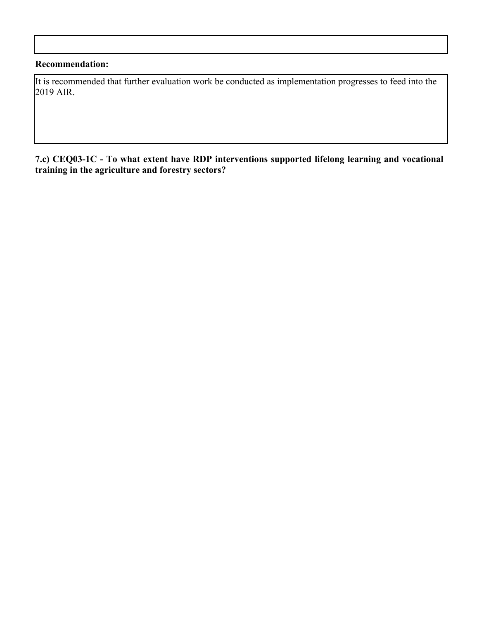### **Recommendation:**

It is recommended that further evaluation work be conducted as implementation progresses to feed into the 2019 AIR.

#### **7.c) CEQ03-1C - To what extent have RDP interventions supported lifelong learning and vocational training in the agriculture and forestry sectors?**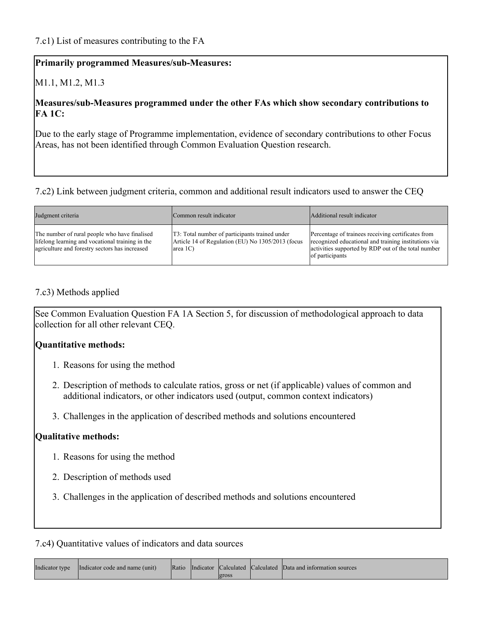### **Primarily programmed Measures/sub-Measures:**

# M1.1, M1.2, M1.3

### **Measures/sub-Measures programmed under the other FAs which show secondary contributions to FA 1C:**

Due to the early stage of Programme implementation, evidence of secondary contributions to other Focus Areas, has not been identified through Common Evaluation Question research.

### 7.c2) Link between judgment criteria, common and additional result indicators used to answer the CEQ

| Judgment criteria                                                                                                                                   | Common result indicator                                                                                                  | Additional result indicator                                                                                                                                                          |
|-----------------------------------------------------------------------------------------------------------------------------------------------------|--------------------------------------------------------------------------------------------------------------------------|--------------------------------------------------------------------------------------------------------------------------------------------------------------------------------------|
| The number of rural people who have finalised<br>lifelong learning and vocational training in the<br>agriculture and forestry sectors has increased | T3: Total number of participants trained under<br>Article 14 of Regulation (EU) No 1305/2013 (focus<br>$ area 1C\rangle$ | Percentage of trainees receiving certificates from<br>recognized educational and training institutions via<br>activities supported by RDP out of the total number<br>of participants |

### 7.c3) Methods applied

See Common Evaluation Question FA 1A Section 5, for discussion of methodological approach to data collection for all other relevant CEQ.

### **Quantitative methods:**

- 1. Reasons for using the method
- 2. Description of methods to calculate ratios, gross or net (if applicable) values of common and additional indicators, or other indicators used (output, common context indicators)
- 3. Challenges in the application of described methods and solutions encountered

### **Qualitative methods:**

- 1. Reasons for using the method
- 2. Description of methods used
- 3. Challenges in the application of described methods and solutions encountered

### 7.c4) Quantitative values of indicators and data sources

| Indicator type | Indicator code and name (unit) |  |        | Ratio Indicator Calculated Calculated Data and information sources |
|----------------|--------------------------------|--|--------|--------------------------------------------------------------------|
|                |                                |  | lgross |                                                                    |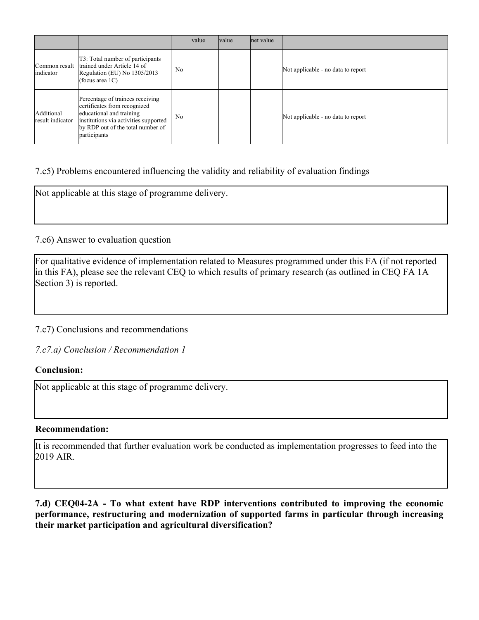|                                |                                                                                                                                                                                            |                | <b>value</b> | <i>value</i> | net value |                                    |
|--------------------------------|--------------------------------------------------------------------------------------------------------------------------------------------------------------------------------------------|----------------|--------------|--------------|-----------|------------------------------------|
| indicator                      | T3: Total number of participants<br>Common result   trained under Article 14 of<br>Regulation (EU) No 1305/2013<br>(focus area $1C$ )                                                      | N <sub>0</sub> |              |              |           | Not applicable - no data to report |
| Additional<br>result indicator | Percentage of trainees receiving<br>certificates from recognized<br>educational and training<br>institutions via activities supported<br>by RDP out of the total number of<br>participants | N <sub>o</sub> |              |              |           | Not applicable - no data to report |

### 7.c5) Problems encountered influencing the validity and reliability of evaluation findings

Not applicable at this stage of programme delivery.

#### 7.c6) Answer to evaluation question

For qualitative evidence of implementation related to Measures programmed under this FA (if not reported in this FA), please see the relevant CEQ to which results of primary research (as outlined in CEQ FA 1A Section 3) is reported.

### 7.c7) Conclusions and recommendations

*7.c7.a) Conclusion / Recommendation 1*

#### **Conclusion:**

Not applicable at this stage of programme delivery.

#### **Recommendation:**

It is recommended that further evaluation work be conducted as implementation progresses to feed into the 2019 AIR.

**7.d) CEQ04-2A - To what extent have RDP interventions contributed to improving the economic performance, restructuring and modernization of supported farms in particular through increasing their market participation and agricultural diversification?**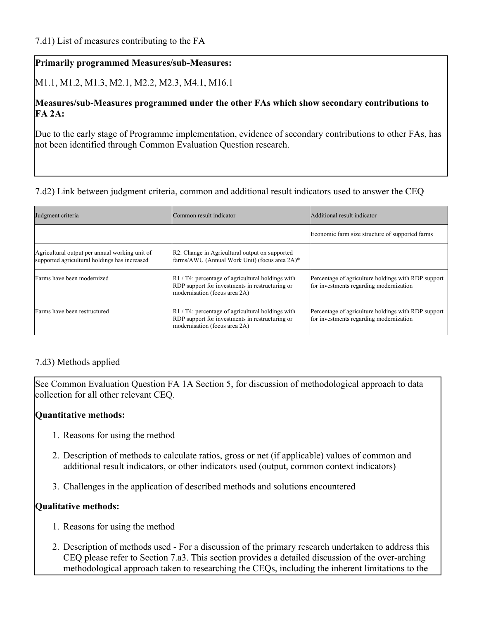### **Primarily programmed Measures/sub-Measures:**

M1.1, M1.2, M1.3, M2.1, M2.2, M2.3, M4.1, M16.1

### **Measures/sub-Measures programmed under the other FAs which show secondary contributions to FA 2A:**

Due to the early stage of Programme implementation, evidence of secondary contributions to other FAs, has not been identified through Common Evaluation Question research.

### 7.d2) Link between judgment criteria, common and additional result indicators used to answer the CEQ

| Judgment criteria                                                                               | Common result indicator                                                                                                                           | Additional result indicator                                                                    |
|-------------------------------------------------------------------------------------------------|---------------------------------------------------------------------------------------------------------------------------------------------------|------------------------------------------------------------------------------------------------|
|                                                                                                 |                                                                                                                                                   | Economic farm size structure of supported farms                                                |
| Agricultural output per annual working unit of<br>supported agricultural holdings has increased | R2: Change in Agricultural output on supported<br>farms/AWU (Annual Work Unit) (focus area 2A)*                                                   |                                                                                                |
| Farms have been modernized                                                                      | R1 / T4: percentage of agricultural holdings with<br>RDP support for investments in restructuring or<br>modernisation (focus area 2A)             | Percentage of agriculture holdings with RDP support<br>for investments regarding modernization |
| Farms have been restructured                                                                    | $\mathbb{R}$ 1 / T4: percentage of agricultural holdings with<br>RDP support for investments in restructuring or<br>modernisation (focus area 2A) | Percentage of agriculture holdings with RDP support<br>for investments regarding modernization |

### 7.d3) Methods applied

See Common Evaluation Question FA 1A Section 5, for discussion of methodological approach to data collection for all other relevant CEQ.

### **Quantitative methods:**

- 1. Reasons for using the method
- 2. Description of methods to calculate ratios, gross or net (if applicable) values of common and additional result indicators, or other indicators used (output, common context indicators)
- 3. Challenges in the application of described methods and solutions encountered

### **Qualitative methods:**

- 1. Reasons for using the method
- 2. Description of methods used For a discussion of the primary research undertaken to address this CEQ please refer to Section 7.a3. This section provides a detailed discussion of the over-arching methodological approach taken to researching the CEQs, including the inherent limitations to the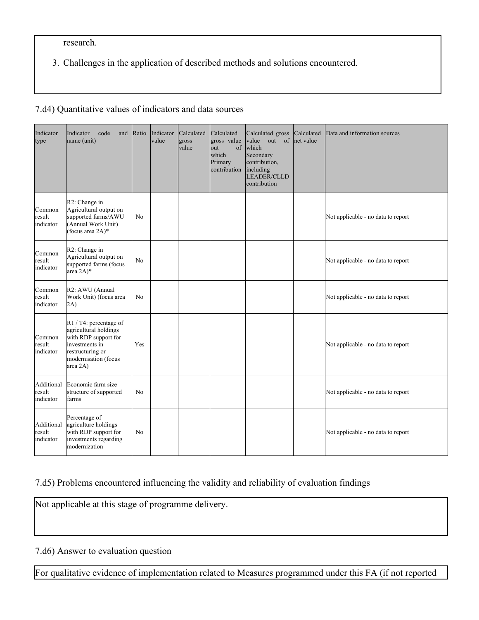research.

3. Challenges in the application of described methods and solutions encountered.

### 7.d4) Quantitative values of indicators and data sources

| Indicator<br>type                 | Indicator<br>code<br>and<br>name (unit)                                                                                                              | Ratio          | Indicator<br>value | Calculated<br>gross<br>value | Calculated<br>gross value<br>of<br>lout<br>which<br>Primary<br>contribution | Calculated gross<br>value out of<br>which<br>Secondary<br>contribution,<br>including<br><b>LEADER/CLLD</b><br>contribution | Calculated<br>net value | Data and information sources       |
|-----------------------------------|------------------------------------------------------------------------------------------------------------------------------------------------------|----------------|--------------------|------------------------------|-----------------------------------------------------------------------------|----------------------------------------------------------------------------------------------------------------------------|-------------------------|------------------------------------|
| Common<br>result<br>indicator     | R2: Change in<br>Agricultural output on<br>supported farms/AWU<br>(Annual Work Unit)<br>(focus area 2A)*                                             | N <sub>0</sub> |                    |                              |                                                                             |                                                                                                                            |                         | Not applicable - no data to report |
| Common<br>result<br>indicator     | R2: Change in<br>Agricultural output on<br>supported farms (focus<br>area 2A)*                                                                       | N <sub>0</sub> |                    |                              |                                                                             |                                                                                                                            |                         | Not applicable - no data to report |
| Common<br>result<br>indicator     | R <sub>2</sub> : AWU (Annual<br>Work Unit) (focus area<br>2A)                                                                                        | N <sub>0</sub> |                    |                              |                                                                             |                                                                                                                            |                         | Not applicable - no data to report |
| Common<br>result<br>indicator     | $R1 / T4$ : percentage of<br>agricultural holdings<br>with RDP support for<br>investments in<br>restructuring or<br>modernisation (focus<br>area 2A) | Yes            |                    |                              |                                                                             |                                                                                                                            |                         | Not applicable - no data to report |
| Additional<br>result<br>indicator | Economic farm size<br>structure of supported<br>farms                                                                                                | No             |                    |                              |                                                                             |                                                                                                                            |                         | Not applicable - no data to report |
| Additional<br>result<br>indicator | Percentage of<br>agriculture holdings<br>with RDP support for<br>investments regarding<br>modernization                                              | N <sub>0</sub> |                    |                              |                                                                             |                                                                                                                            |                         | Not applicable - no data to report |

# 7.d5) Problems encountered influencing the validity and reliability of evaluation findings

Not applicable at this stage of programme delivery.

### 7.d6) Answer to evaluation question

For qualitative evidence of implementation related to Measures programmed under this FA (if not reported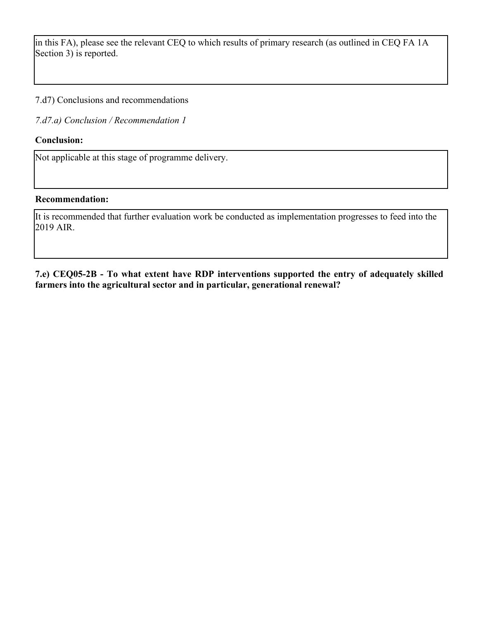in this FA), please see the relevant CEQ to which results of primary research (as outlined in CEQ FA 1A Section 3) is reported.

7.d7) Conclusions and recommendations

*7.d7.a) Conclusion / Recommendation 1*

### **Conclusion:**

Not applicable at this stage of programme delivery.

#### **Recommendation:**

It is recommended that further evaluation work be conducted as implementation progresses to feed into the 2019 AIR.

**7.e) CEQ05-2B - To what extent have RDP interventions supported the entry of adequately skilled farmers into the agricultural sector and in particular, generational renewal?**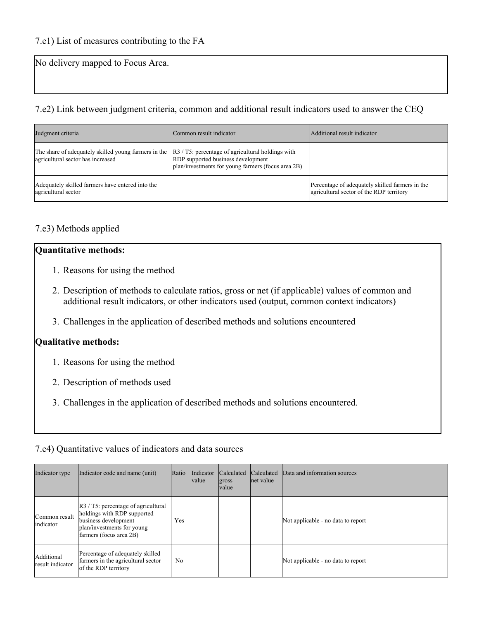No delivery mapped to Focus Area.

### 7.e2) Link between judgment criteria, common and additional result indicators used to answer the CEQ

| Judgment criteria                                                                         | Common result indicator                                                                                                                           | Additional result indicator                                                                 |
|-------------------------------------------------------------------------------------------|---------------------------------------------------------------------------------------------------------------------------------------------------|---------------------------------------------------------------------------------------------|
| The share of adequately skilled young farmers in the<br>agricultural sector has increased | $ R3 / T5$ : percentage of agricultural holdings with<br>RDP supported business development<br>plan/investments for young farmers (focus area 2B) |                                                                                             |
| Adequately skilled farmers have entered into the<br>agricultural sector                   |                                                                                                                                                   | Percentage of adequately skilled farmers in the<br>agricultural sector of the RDP territory |

# 7.e3) Methods applied

# **Quantitative methods:**

- 1. Reasons for using the method
- 2. Description of methods to calculate ratios, gross or net (if applicable) values of common and additional result indicators, or other indicators used (output, common context indicators)
- 3. Challenges in the application of described methods and solutions encountered

### **Qualitative methods:**

- 1. Reasons for using the method
- 2. Description of methods used
- 3. Challenges in the application of described methods and solutions encountered.

### 7.e4) Quantitative values of indicators and data sources

| Indicator type                 | Indicator code and name (unit)                                                                                                                                     | Ratio          | Indicator<br><i>value</i> | <b>Calculated</b><br>gross<br><b>value</b> | <b>Calculated</b><br>net value | Data and information sources       |
|--------------------------------|--------------------------------------------------------------------------------------------------------------------------------------------------------------------|----------------|---------------------------|--------------------------------------------|--------------------------------|------------------------------------|
| Common result<br>indicator     | $\left  R3 \right $ T5: percentage of agricultural<br>holdings with RDP supported<br>business development<br>plan/investments for young<br>farmers (focus area 2B) | Yes            |                           |                                            |                                | Not applicable - no data to report |
| Additional<br>result indicator | Percentage of adequately skilled<br>farmers in the agricultural sector<br>of the RDP territory                                                                     | N <sub>0</sub> |                           |                                            |                                | Not applicable - no data to report |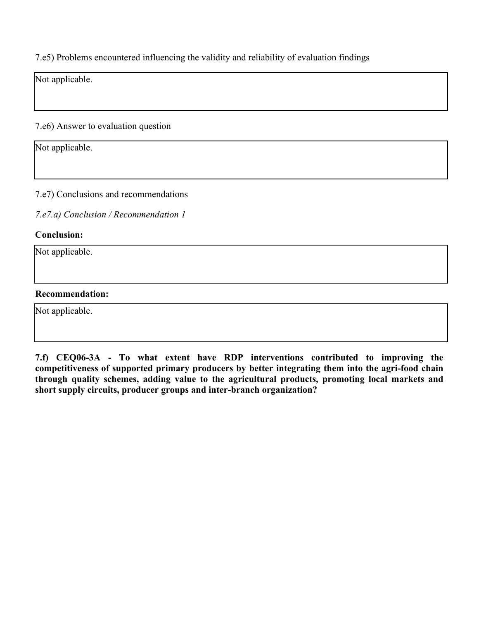7.e5) Problems encountered influencing the validity and reliability of evaluation findings

Not applicable.

7.e6) Answer to evaluation question

Not applicable.

7.e7) Conclusions and recommendations

*7.e7.a) Conclusion / Recommendation 1*

#### **Conclusion:**

Not applicable.

#### **Recommendation:**

Not applicable.

**7.f) CEQ06-3A - To what extent have RDP interventions contributed to improving the competitiveness of supported primary producers by better integrating them into the agri-food chain through quality schemes, adding value to the agricultural products, promoting local markets and short supply circuits, producer groups and inter-branch organization?**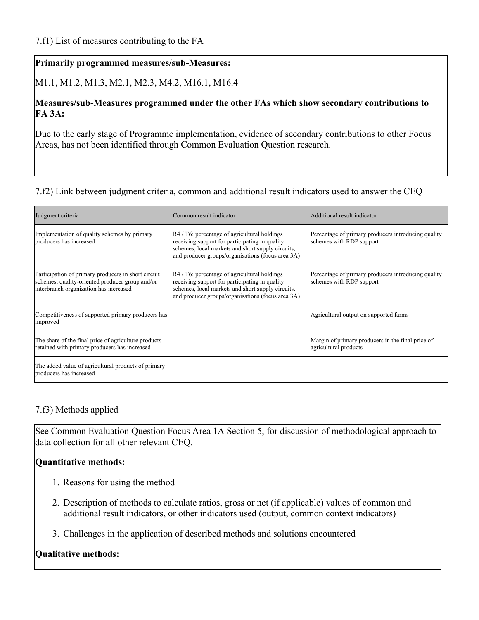### **Primarily programmed measures/sub-Measures:**

M1.1, M1.2, M1.3, M2.1, M2.3, M4.2, M16.1, M16.4

### **Measures/sub-Measures programmed under the other FAs which show secondary contributions to FA 3A:**

Due to the early stage of Programme implementation, evidence of secondary contributions to other Focus Areas, has not been identified through Common Evaluation Question research.

#### 7.f2) Link between judgment criteria, common and additional result indicators used to answer the CEQ

| Judgment criteria                                                                                                                                | Common result indicator                                                                                                                                                                                              | Additional result indicator                                                     |
|--------------------------------------------------------------------------------------------------------------------------------------------------|----------------------------------------------------------------------------------------------------------------------------------------------------------------------------------------------------------------------|---------------------------------------------------------------------------------|
| Implementation of quality schemes by primary<br>producers has increased                                                                          | $\mathbb{R}^4$ / T6: percentage of agricultural holdings<br>receiving support for participating in quality<br>schemes, local markets and short supply circuits,<br>and producer groups/organisations (focus area 3A) | Percentage of primary producers introducing quality<br>schemes with RDP support |
| Participation of primary producers in short circuit<br>schemes, quality-oriented producer group and/or<br>interbranch organization has increased | $\mathbb{R}^4$ / T6: percentage of agricultural holdings<br>receiving support for participating in quality<br>schemes, local markets and short supply circuits,<br>and producer groups/organisations (focus area 3A) | Percentage of primary producers introducing quality<br>schemes with RDP support |
| Competitiveness of supported primary producers has<br>improved                                                                                   |                                                                                                                                                                                                                      | Agricultural output on supported farms                                          |
| The share of the final price of agriculture products<br>retained with primary producers has increased                                            |                                                                                                                                                                                                                      | Margin of primary producers in the final price of<br>agricultural products      |
| The added value of agricultural products of primary<br>producers has increased                                                                   |                                                                                                                                                                                                                      |                                                                                 |

### 7.f3) Methods applied

See Common Evaluation Question Focus Area 1A Section 5, for discussion of methodological approach to data collection for all other relevant CEQ.

### **Quantitative methods:**

- 1. Reasons for using the method
- 2. Description of methods to calculate ratios, gross or net (if applicable) values of common and additional result indicators, or other indicators used (output, common context indicators)
- 3. Challenges in the application of described methods and solutions encountered

### **Qualitative methods:**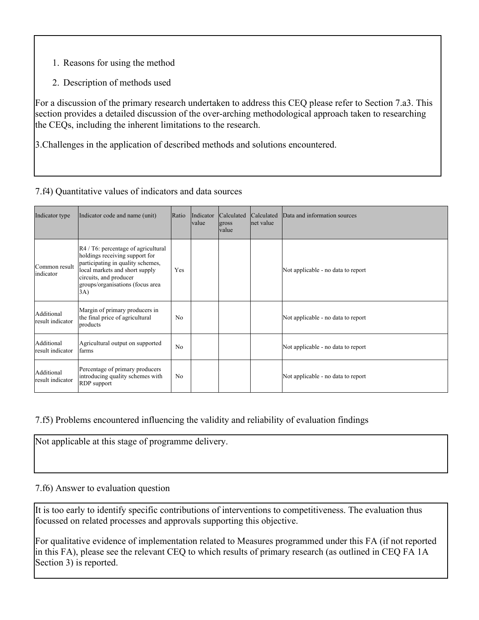- 1. Reasons for using the method
- 2. Description of methods used

For a discussion of the primary research undertaken to address this CEQ please refer to Section 7.a3. This section provides a detailed discussion of the over-arching methodological approach taken to researching the CEQs, including the inherent limitations to the research.

3.Challenges in the application of described methods and solutions encountered.

### 7.f4) Quantitative values of indicators and data sources

| Indicator type                 | Indicator code and name (unit)                                                                                                                                                                                                | Ratio          | Indicator<br><i>value</i> | Calculated<br>gross<br><i>value</i> | Calculated<br>net value | Data and information sources       |
|--------------------------------|-------------------------------------------------------------------------------------------------------------------------------------------------------------------------------------------------------------------------------|----------------|---------------------------|-------------------------------------|-------------------------|------------------------------------|
| Common result<br>indicator     | $R4 / T6$ : percentage of agricultural<br>holdings receiving support for<br>participating in quality schemes,<br>local markets and short supply<br>circuits, and producer<br>groups/organisations (focus area<br>$ 3A\rangle$ | Yes            |                           |                                     |                         | Not applicable - no data to report |
| Additional<br>result indicator | Margin of primary producers in<br>the final price of agricultural<br>products                                                                                                                                                 | N <sub>0</sub> |                           |                                     |                         | Not applicable - no data to report |
| Additional<br>result indicator | Agricultural output on supported<br>farms                                                                                                                                                                                     | N <sub>0</sub> |                           |                                     |                         | Not applicable - no data to report |
| Additional<br>result indicator | Percentage of primary producers<br>introducing quality schemes with<br><b>RDP</b> support                                                                                                                                     | No             |                           |                                     |                         | Not applicable - no data to report |

# 7.f5) Problems encountered influencing the validity and reliability of evaluation findings

Not applicable at this stage of programme delivery.

### 7.f6) Answer to evaluation question

It is too early to identify specific contributions of interventions to competitiveness. The evaluation thus focussed on related processes and approvals supporting this objective.

For qualitative evidence of implementation related to Measures programmed under this FA (if not reported in this FA), please see the relevant CEQ to which results of primary research (as outlined in CEQ FA 1A Section 3) is reported.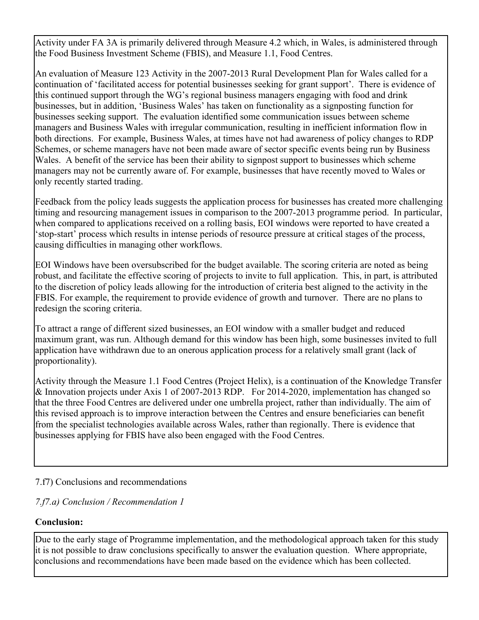Activity under FA 3A is primarily delivered through Measure 4.2 which, in Wales, is administered through the Food Business Investment Scheme (FBIS), and Measure 1.1, Food Centres.

An evaluation of Measure 123 Activity in the 2007-2013 Rural Development Plan for Wales called for a continuation of 'facilitated access for potential businesses seeking for grant support'. There is evidence of this continued support through the WG's regional business managers engaging with food and drink businesses, but in addition, 'Business Wales' has taken on functionality as a signposting function for businesses seeking support. The evaluation identified some communication issues between scheme managers and Business Wales with irregular communication, resulting in inefficient information flow in both directions. For example, Business Wales, at times have not had awareness of policy changes to RDP Schemes, or scheme managers have not been made aware of sector specific events being run by Business Wales. A benefit of the service has been their ability to signpost support to businesses which scheme managers may not be currently aware of. For example, businesses that have recently moved to Wales or only recently started trading.

Feedback from the policy leads suggests the application process for businesses has created more challenging timing and resourcing management issues in comparison to the 2007-2013 programme period. In particular, when compared to applications received on a rolling basis, EOI windows were reported to have created a 'stop-start' process which results in intense periods of resource pressure at critical stages of the process, causing difficulties in managing other workflows.

EOI Windows have been oversubscribed for the budget available. The scoring criteria are noted as being robust, and facilitate the effective scoring of projects to invite to full application. This, in part, is attributed to the discretion of policy leads allowing for the introduction of criteria best aligned to the activity in the FBIS. For example, the requirement to provide evidence of growth and turnover. There are no plans to redesign the scoring criteria.

To attract a range of different sized businesses, an EOI window with a smaller budget and reduced maximum grant, was run. Although demand for this window has been high, some businesses invited to full application have withdrawn due to an onerous application process for a relatively small grant (lack of proportionality).

Activity through the Measure 1.1 Food Centres (Project Helix), is a continuation of the Knowledge Transfer & Innovation projects under Axis 1 of 2007-2013 RDP. For 2014-2020, implementation has changed so that the three Food Centres are delivered under one umbrella project, rather than individually. The aim of this revised approach is to improve interaction between the Centres and ensure beneficiaries can benefit from the specialist technologies available across Wales, rather than regionally. There is evidence that businesses applying for FBIS have also been engaged with the Food Centres.

# 7.f7) Conclusions and recommendations

# *7.f7.a) Conclusion / Recommendation 1*

# **Conclusion:**

Due to the early stage of Programme implementation, and the methodological approach taken for this study it is not possible to draw conclusions specifically to answer the evaluation question. Where appropriate, conclusions and recommendations have been made based on the evidence which has been collected.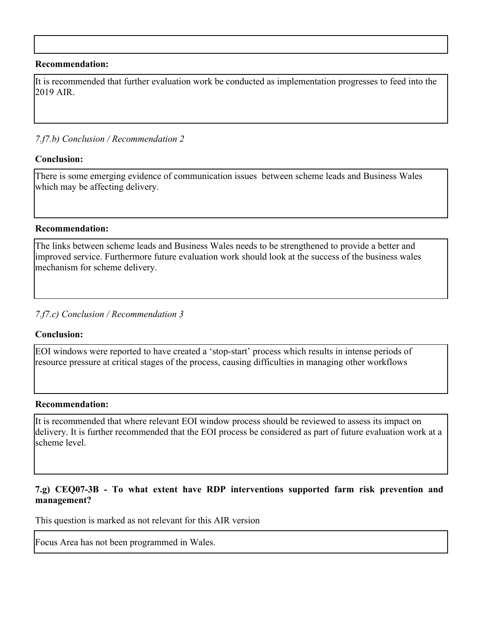#### **Recommendation:**

It is recommended that further evaluation work be conducted as implementation progresses to feed into the 2019 AIR.

#### *7.f7.b) Conclusion / Recommendation 2*

#### **Conclusion:**

There is some emerging evidence of communication issues between scheme leads and Business Wales which may be affecting delivery.

#### **Recommendation:**

The links between scheme leads and Business Wales needs to be strengthened to provide a better and improved service. Furthermore future evaluation work should look at the success of the business wales mechanism for scheme delivery.

#### *7.f7.c) Conclusion / Recommendation 3*

#### **Conclusion:**

EOI windows were reported to have created a 'stop-start' process which results in intense periods of resource pressure at critical stages of the process, causing difficulties in managing other workflows

#### **Recommendation:**

It is recommended that where relevant EOI window process should be reviewed to assess its impact on delivery. It is further recommended that the EOI process be considered as part of future evaluation work at a scheme level.

#### **7.g) CEQ07-3B - To what extent have RDP interventions supported farm risk prevention and management?**

This question is marked as not relevant for this AIR version

Focus Area has not been programmed in Wales.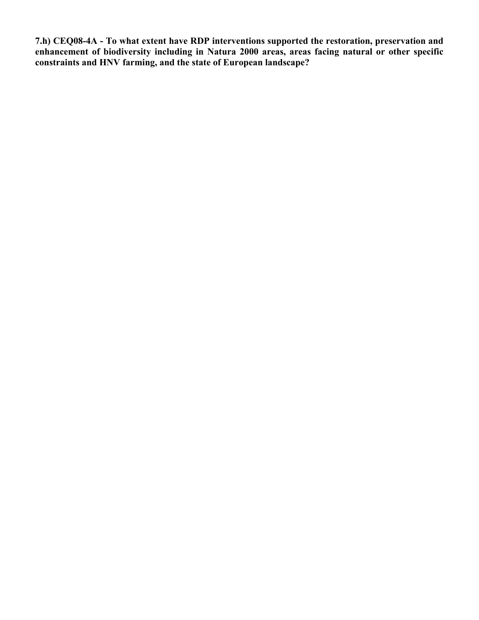**7.h) CEQ08-4A - To what extent have RDP interventions supported the restoration, preservation and enhancement of biodiversity including in Natura 2000 areas, areas facing natural or other specific constraints and HNV farming, and the state of European landscape?**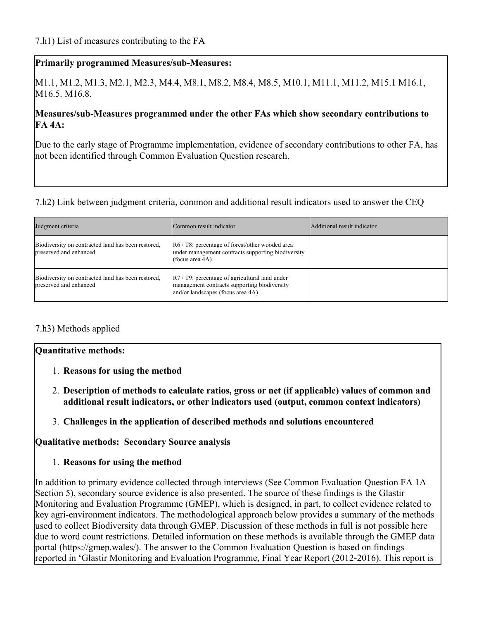### **Primarily programmed Measures/sub-Measures:**

M1.1, M1.2, M1.3, M2.1, M2.3, M4.4, M8.1, M8.2, M8.4, M8.5, M10.1, M11.1, M11.2, M15.1 M16.1, M<sub>16.5</sub>. M<sub>16.8</sub>.

### **Measures/sub-Measures programmed under the other FAs which show secondary contributions to FA 4A:**

Due to the early stage of Programme implementation, evidence of secondary contributions to other FA, has not been identified through Common Evaluation Question research.

7.h2) Link between judgment criteria, common and additional result indicators used to answer the CEQ

| Judgment criteria                                                            | Common result indicator                                                                                                                             | Additional result indicator |
|------------------------------------------------------------------------------|-----------------------------------------------------------------------------------------------------------------------------------------------------|-----------------------------|
| Biodiversity on contracted land has been restored,<br>preserved and enhanced | R6 / T8: percentage of forest/other wooded area<br>under management contracts supporting biodiversity<br>(focus area $4A$ )                         |                             |
| Biodiversity on contracted land has been restored,<br>preserved and enhanced | $\left  R7/79 \right $ : percentage of agricultural land under<br>management contracts supporting biodiversity<br>and/or landscapes (focus area 4A) |                             |

### 7.h3) Methods applied

### **Quantitative methods:**

- 1. **Reasons for using the method**
- 2. **Description of methods to calculate ratios, gross or net (if applicable) values of common and additional result indicators, or other indicators used (output, common context indicators)**
- 3. **Challenges in the application of described methods and solutions encountered**

**Qualitative methods: Secondary Source analysis**

1. **Reasons for using the method**

In addition to primary evidence collected through interviews (See Common Evaluation Question FA 1A Section 5), secondary source evidence is also presented. The source of these findings is the Glastir Monitoring and Evaluation Programme (GMEP), which is designed, in part, to collect evidence related to key agri-environment indicators. The methodological approach below provides a summary of the methods used to collect Biodiversity data through GMEP. Discussion of these methods in full is not possible here due to word count restrictions. Detailed information on these methods is available through the GMEP data portal (https://gmep.wales/). The answer to the Common Evaluation Question is based on findings reported in 'Glastir Monitoring and Evaluation Programme, Final Year Report (2012-2016). This report is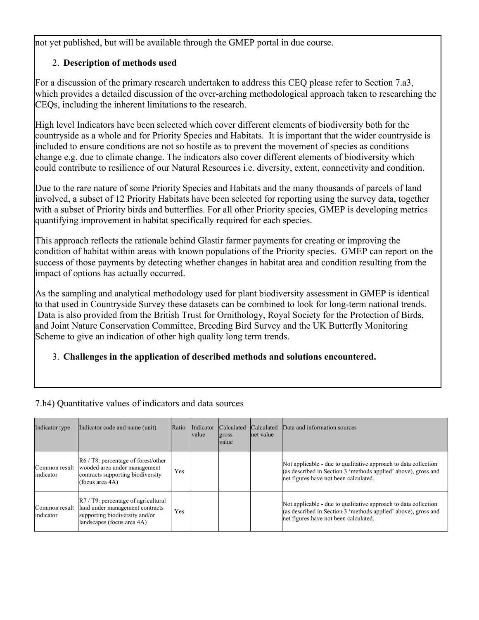not yet published, but will be available through the GMEP portal in due course.

# 2. **Description of methods used**

For a discussion of the primary research undertaken to address this CEQ please refer to Section 7.a3, which provides a detailed discussion of the over-arching methodological approach taken to researching the CEQs, including the inherent limitations to the research.

High level Indicators have been selected which cover different elements of biodiversity both for the countryside as a whole and for Priority Species and Habitats. It is important that the wider countryside is included to ensure conditions are not so hostile as to prevent the movement of species as conditions change e.g. due to climate change. The indicators also cover different elements of biodiversity which could contribute to resilience of our Natural Resources i.e. diversity, extent, connectivity and condition.

Due to the rare nature of some Priority Species and Habitats and the many thousands of parcels of land involved, a subset of 12 Priority Habitats have been selected for reporting using the survey data, together with a subset of Priority birds and butterflies. For all other Priority species, GMEP is developing metrics quantifying improvement in habitat specifically required for each species.

This approach reflects the rationale behind Glastir farmer payments for creating or improving the condition of habitat within areas with known populations of the Priority species. GMEP can report on the success of those payments by detecting whether changes in habitat area and condition resulting from the impact of options has actually occurred.

As the sampling and analytical methodology used for plant biodiversity assessment in GMEP is identical to that used in Countryside Survey these datasets can be combined to look for long-term national trends. Data is also provided from the British Trust for Ornithology, Royal Society for the Protection of Birds, and Joint Nature Conservation Committee, Breeding Bird Survey and the UK Butterfly Monitoring Scheme to give an indication of other high quality long term trends.

# 3. **Challenges in the application of described methods and solutions encountered.**

| Indicator type | Indicator code and name (unit)                                                                                                                                               | Ratio | Indicator<br><b>value</b> | <b>Calculated</b><br>gross<br><b>value</b> | <b>Calculated</b><br>net value | Data and information sources                                                                                                                                               |
|----------------|------------------------------------------------------------------------------------------------------------------------------------------------------------------------------|-------|---------------------------|--------------------------------------------|--------------------------------|----------------------------------------------------------------------------------------------------------------------------------------------------------------------------|
| indicator      | $\left  \text{R6} / \text{T8} \right $ : percentage of forest/other<br>Common result wooded area under management<br>contracts supporting biodiversity<br>(focus area $4A$ ) | Yes   |                           |                                            |                                | Not applicable - due to qualitative approach to data collection<br>(as described in Section 3 'methods applied' above), gross and<br>net figures have not been calculated. |
| indicator      | $\left  R7/ T9 \right $ : percentage of agricultural<br>Common result   land under management contracts<br>supporting biodiversity and/or<br>landscapes (focus area 4A)      | Yes   |                           |                                            |                                | Not applicable - due to qualitative approach to data collection<br>(as described in Section 3 'methods applied' above), gross and<br>net figures have not been calculated. |

7.h4) Quantitative values of indicators and data sources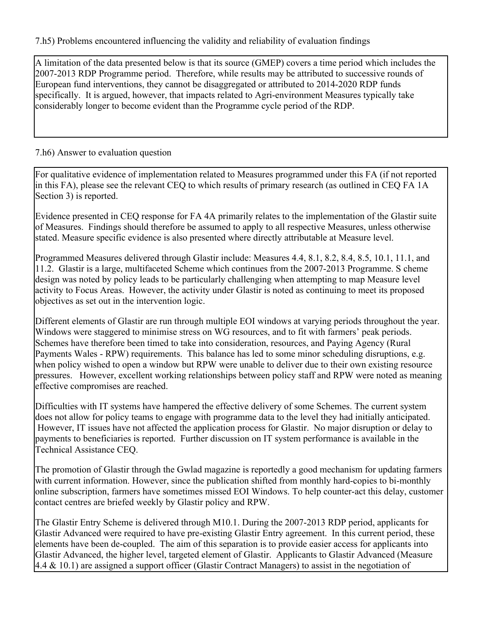7.h5) Problems encountered influencing the validity and reliability of evaluation findings

A limitation of the data presented below is that its source (GMEP) covers a time period which includes the 2007-2013 RDP Programme period. Therefore, while results may be attributed to successive rounds of European fund interventions, they cannot be disaggregated or attributed to 2014-2020 RDP funds specifically. It is argued, however, that impacts related to Agri-environment Measures typically take considerably longer to become evident than the Programme cycle period of the RDP.

# 7.h6) Answer to evaluation question

For qualitative evidence of implementation related to Measures programmed under this FA (if not reported in this FA), please see the relevant CEQ to which results of primary research (as outlined in CEQ FA 1A Section 3) is reported.

Evidence presented in CEQ response for FA 4A primarily relates to the implementation of the Glastir suite of Measures. Findings should therefore be assumed to apply to all respective Measures, unless otherwise stated. Measure specific evidence is also presented where directly attributable at Measure level.

Programmed Measures delivered through Glastir include: Measures 4.4, 8.1, 8.2, 8.4, 8.5, 10.1, 11.1, and 11.2. Glastir is a large, multifaceted Scheme which continues from the 2007-2013 Programme. S cheme design was noted by policy leads to be particularly challenging when attempting to map Measure level activity to Focus Areas. However, the activity under Glastir is noted as continuing to meet its proposed objectives as set out in the intervention logic.

Different elements of Glastir are run through multiple EOI windows at varying periods throughout the year. Windows were staggered to minimise stress on WG resources, and to fit with farmers' peak periods. Schemes have therefore been timed to take into consideration, resources, and Paying Agency (Rural Payments Wales - RPW) requirements. This balance has led to some minor scheduling disruptions, e.g. when policy wished to open a window but RPW were unable to deliver due to their own existing resource pressures. However, excellent working relationships between policy staff and RPW were noted as meaning effective compromises are reached.

Difficulties with IT systems have hampered the effective delivery of some Schemes. The current system does not allow for policy teams to engage with programme data to the level they had initially anticipated. However, IT issues have not affected the application process for Glastir. No major disruption or delay to payments to beneficiaries is reported. Further discussion on IT system performance is available in the Technical Assistance CEQ.

The promotion of Glastir through the Gwlad magazine is reportedly a good mechanism for updating farmers with current information. However, since the publication shifted from monthly hard-copies to bi-monthly online subscription, farmers have sometimes missed EOI Windows. To help counter-act this delay, customer contact centres are briefed weekly by Glastir policy and RPW.

The Glastir Entry Scheme is delivered through M10.1. During the 2007-2013 RDP period, applicants for Glastir Advanced were required to have pre-existing Glastir Entry agreement. In this current period, these elements have been de-coupled. The aim of this separation is to provide easier access for applicants into Glastir Advanced, the higher level, targeted element of Glastir. Applicants to Glastir Advanced (Measure 4.4 & 10.1) are assigned a support officer (Glastir Contract Managers) to assist in the negotiation of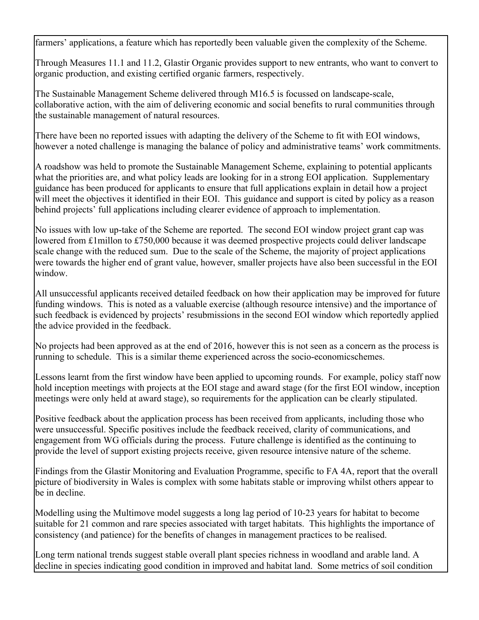farmers' applications, a feature which has reportedly been valuable given the complexity of the Scheme.

Through Measures 11.1 and 11.2, Glastir Organic provides support to new entrants, who want to convert to organic production, and existing certified organic farmers, respectively.

The Sustainable Management Scheme delivered through M16.5 is focussed on landscape-scale, collaborative action, with the aim of delivering economic and social benefits to rural communities through the sustainable management of natural resources.

There have been no reported issues with adapting the delivery of the Scheme to fit with EOI windows, however a noted challenge is managing the balance of policy and administrative teams' work commitments.

A roadshow was held to promote the Sustainable Management Scheme, explaining to potential applicants what the priorities are, and what policy leads are looking for in a strong EOI application. Supplementary guidance has been produced for applicants to ensure that full applications explain in detail how a project will meet the objectives it identified in their EOI. This guidance and support is cited by policy as a reason behind projects' full applications including clearer evidence of approach to implementation.

No issues with low up-take of the Scheme are reported. The second EOI window project grant cap was lowered from £1millon to £750,000 because it was deemed prospective projects could deliver landscape scale change with the reduced sum. Due to the scale of the Scheme, the majority of project applications were towards the higher end of grant value, however, smaller projects have also been successful in the EOI window.

All unsuccessful applicants received detailed feedback on how their application may be improved for future funding windows. This is noted as a valuable exercise (although resource intensive) and the importance of such feedback is evidenced by projects' resubmissions in the second EOI window which reportedly applied the advice provided in the feedback.

No projects had been approved as at the end of 2016, however this is not seen as a concern as the process is running to schedule. This is a similar theme experienced across the socio-economicschemes.

Lessons learnt from the first window have been applied to upcoming rounds. For example, policy staff now hold inception meetings with projects at the EOI stage and award stage (for the first EOI window, inception meetings were only held at award stage), so requirements for the application can be clearly stipulated.

Positive feedback about the application process has been received from applicants, including those who were unsuccessful. Specific positives include the feedback received, clarity of communications, and engagement from WG officials during the process. Future challenge is identified as the continuing to provide the level of support existing projects receive, given resource intensive nature of the scheme.

Findings from the Glastir Monitoring and Evaluation Programme, specific to FA 4A, report that the overall picture of biodiversity in Wales is complex with some habitats stable or improving whilst others appear to be in decline.

Modelling using the Multimove model suggests a long lag period of 10-23 years for habitat to become suitable for 21 common and rare species associated with target habitats. This highlights the importance of consistency (and patience) for the benefits of changes in management practices to be realised.

Long term national trends suggest stable overall plant species richness in woodland and arable land. A decline in species indicating good condition in improved and habitat land. Some metrics of soil condition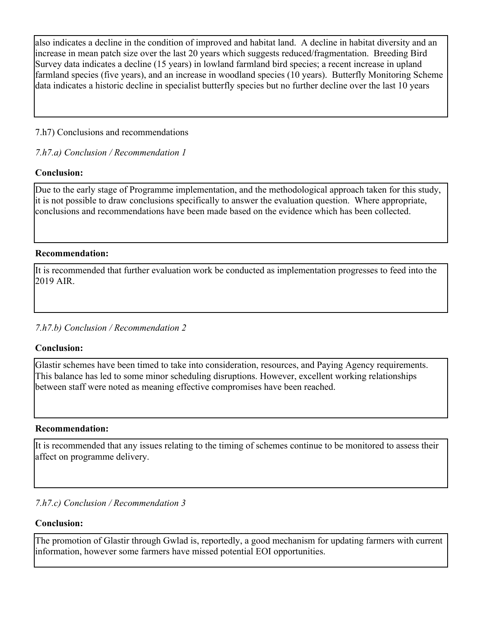also indicates a decline in the condition of improved and habitat land. A decline in habitat diversity and an increase in mean patch size over the last 20 years which suggests reduced/fragmentation. Breeding Bird Survey data indicates a decline (15 years) in lowland farmland bird species; a recent increase in upland farmland species (five years), and an increase in woodland species (10 years). Butterfly Monitoring Scheme data indicates a historic decline in specialist butterfly species but no further decline over the last 10 years

### 7.h7) Conclusions and recommendations

*7.h7.a) Conclusion / Recommendation 1*

# **Conclusion:**

Due to the early stage of Programme implementation, and the methodological approach taken for this study, it is not possible to draw conclusions specifically to answer the evaluation question. Where appropriate, conclusions and recommendations have been made based on the evidence which has been collected.

### **Recommendation:**

It is recommended that further evaluation work be conducted as implementation progresses to feed into the 2019 AIR.

# *7.h7.b) Conclusion / Recommendation 2*

# **Conclusion:**

Glastir schemes have been timed to take into consideration, resources, and Paying Agency requirements. This balance has led to some minor scheduling disruptions. However, excellent working relationships between staff were noted as meaning effective compromises have been reached.

### **Recommendation:**

It is recommended that any issues relating to the timing of schemes continue to be monitored to assess their affect on programme delivery.

### *7.h7.c) Conclusion / Recommendation 3*

### **Conclusion:**

The promotion of Glastir through Gwlad is, reportedly, a good mechanism for updating farmers with current information, however some farmers have missed potential EOI opportunities.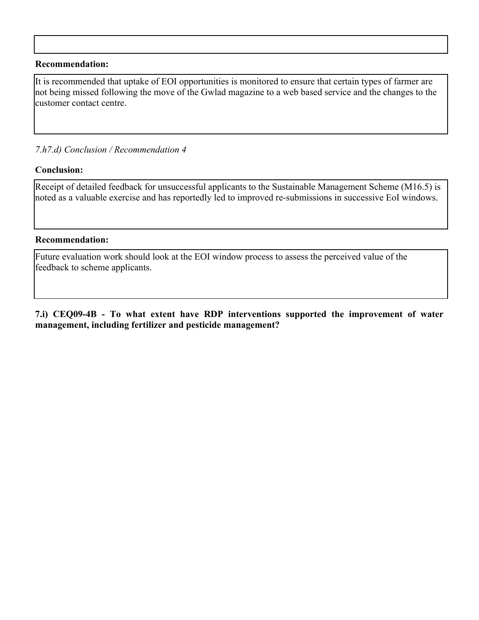#### **Recommendation:**

It is recommended that uptake of EOI opportunities is monitored to ensure that certain types of farmer are not being missed following the move of the Gwlad magazine to a web based service and the changes to the customer contact centre.

#### *7.h7.d) Conclusion / Recommendation 4*

#### **Conclusion:**

Receipt of detailed feedback for unsuccessful applicants to the Sustainable Management Scheme (M16.5) is noted as a valuable exercise and has reportedly led to improved re-submissions in successive EoI windows.

#### **Recommendation:**

Future evaluation work should look at the EOI window process to assess the perceived value of the feedback to scheme applicants.

**7.i) CEQ09-4B - To what extent have RDP interventions supported the improvement of water management, including fertilizer and pesticide management?**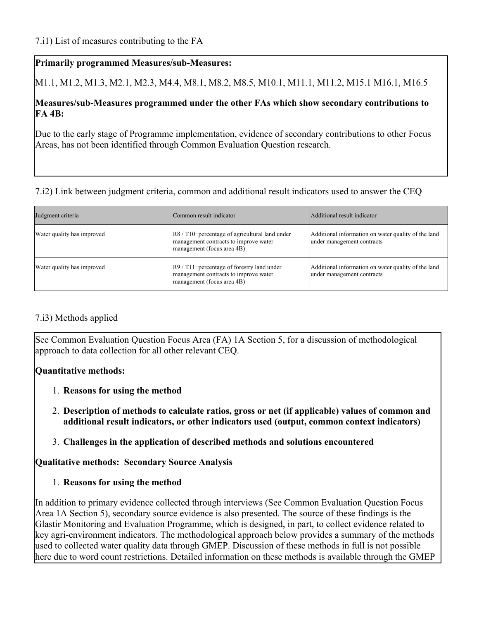# **Primarily programmed Measures/sub-Measures:**

M1.1, M1.2, M1.3, M2.1, M2.3, M4.4, M8.1, M8.2, M8.5, M10.1, M11.1, M11.2, M15.1 M16.1, M16.5

### **Measures/sub-Measures programmed under the other FAs which show secondary contributions to FA 4B:**

Due to the early stage of Programme implementation, evidence of secondary contributions to other Focus Areas, has not been identified through Common Evaluation Question research.

# 7.i2) Link between judgment criteria, common and additional result indicators used to answer the CEQ

| Judgment criteria          | Common result indicator                                                                                                         | Additional result indicator                                                       |
|----------------------------|---------------------------------------------------------------------------------------------------------------------------------|-----------------------------------------------------------------------------------|
| Water quality has improved | $\left $ R8 / T10: percentage of agricultural land under<br>management contracts to improve water<br>management (focus area 4B) | Additional information on water quality of the land<br>under management contracts |
| Water quality has improved | $ R9 / T11$ : percentage of forestry land under<br>management contracts to improve water<br>management (focus area 4B)          | Additional information on water quality of the land<br>under management contracts |

# 7.i3) Methods applied

See Common Evaluation Question Focus Area (FA) 1A Section 5, for a discussion of methodological approach to data collection for all other relevant CEQ.

# **Quantitative methods:**

- 1. **Reasons for using the method**
- 2. **Description of methods to calculate ratios, gross or net (if applicable) values of common and additional result indicators, or other indicators used (output, common context indicators)**
- 3. **Challenges in the application of described methods and solutions encountered**

# **Qualitative methods: Secondary Source Analysis**

1. **Reasons for using the method**

In addition to primary evidence collected through interviews (See Common Evaluation Question Focus Area 1A Section 5), secondary source evidence is also presented. The source of these findings is the Glastir Monitoring and Evaluation Programme, which is designed, in part, to collect evidence related to key agri-environment indicators. The methodological approach below provides a summary of the methods used to collected water quality data through GMEP. Discussion of these methods in full is not possible here due to word count restrictions. Detailed information on these methods is available through the GMEP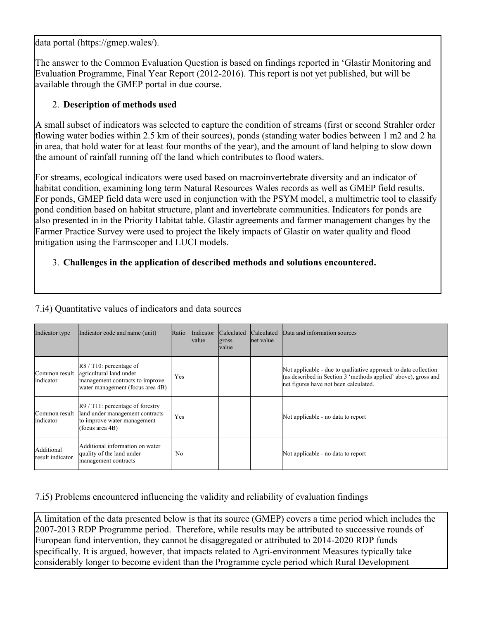data portal (https://gmep.wales/).

The answer to the Common Evaluation Question is based on findings reported in 'Glastir Monitoring and Evaluation Programme, Final Year Report (2012-2016). This report is not yet published, but will be available through the GMEP portal in due course.

# 2. **Description of methods used**

A small subset of indicators was selected to capture the condition of streams (first or second Strahler order flowing water bodies within 2.5 km of their sources), ponds (standing water bodies between 1 m2 and 2 ha in area, that hold water for at least four months of the year), and the amount of land helping to slow down the amount of rainfall running off the land which contributes to flood waters.

For streams, ecological indicators were used based on macroinvertebrate diversity and an indicator of habitat condition, examining long term Natural Resources Wales records as well as GMEP field results. For ponds, GMEP field data were used in conjunction with the PSYM model, a multimetric tool to classify pond condition based on habitat structure, plant and invertebrate communities. Indicators for ponds are also presented in in the Priority Habitat table. Glastir agreements and farmer management changes by the Farmer Practice Survey were used to project the likely impacts of Glastir on water quality and flood mitigation using the Farmscoper and LUCI models.

# 3. **Challenges in the application of described methods and solutions encountered.**

| Indicator type                 | Indicator code and name (unit)                                                                                                                            | Ratio          | Indicator<br> value | <i>Calculated</i><br>gross<br>value | <b>Calculated</b><br>net value | Data and information sources                                                                                                                                               |  |  |  |
|--------------------------------|-----------------------------------------------------------------------------------------------------------------------------------------------------------|----------------|---------------------|-------------------------------------|--------------------------------|----------------------------------------------------------------------------------------------------------------------------------------------------------------------------|--|--|--|
| Common result<br>indicator     | $\left  \text{R8} / \text{T10} \right $ : percentage of<br>agricultural land under<br>management contracts to improve<br>water management (focus area 4B) | Yes            |                     |                                     |                                | Not applicable - due to qualitative approach to data collection<br>(as described in Section 3 'methods applied' above), gross and<br>net figures have not been calculated. |  |  |  |
| Common result<br>indicator     | $R9 / T11$ : percentage of forestry<br>land under management contracts<br>to improve water management<br>(focus area $4B$ )                               | Yes            |                     |                                     |                                | Not applicable - no data to report                                                                                                                                         |  |  |  |
| Additional<br>result indicator | Additional information on water<br>quality of the land under<br>management contracts                                                                      | N <sub>0</sub> |                     |                                     |                                | Not applicable - no data to report                                                                                                                                         |  |  |  |

7.i4) Quantitative values of indicators and data sources

# 7.i5) Problems encountered influencing the validity and reliability of evaluation findings

A limitation of the data presented below is that its source (GMEP) covers a time period which includes the 2007-2013 RDP Programme period. Therefore, while results may be attributed to successive rounds of European fund intervention, they cannot be disaggregated or attributed to 2014-2020 RDP funds specifically. It is argued, however, that impacts related to Agri-environment Measures typically take considerably longer to become evident than the Programme cycle period which Rural Development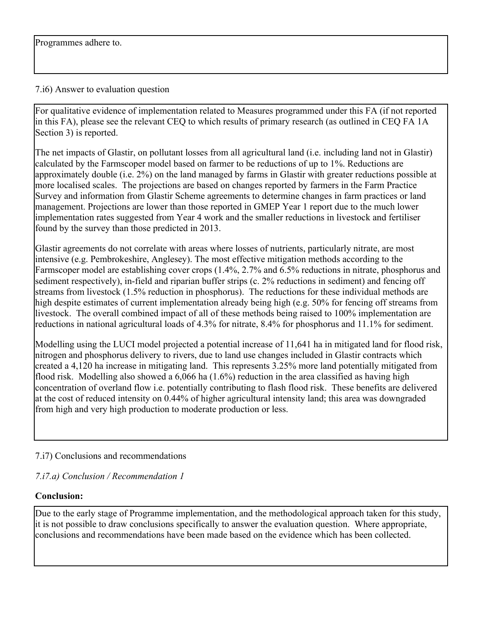### 7.i6) Answer to evaluation question

For qualitative evidence of implementation related to Measures programmed under this FA (if not reported in this FA), please see the relevant CEQ to which results of primary research (as outlined in CEQ FA 1A Section 3) is reported.

The net impacts of Glastir, on pollutant losses from all agricultural land (i.e. including land not in Glastir) calculated by the Farmscoper model based on farmer to be reductions of up to 1%. Reductions are approximately double (i.e. 2%) on the land managed by farms in Glastir with greater reductions possible at more localised scales. The projections are based on changes reported by farmers in the Farm Practice Survey and information from Glastir Scheme agreements to determine changes in farm practices or land management. Projections are lower than those reported in GMEP Year 1 report due to the much lower implementation rates suggested from Year 4 work and the smaller reductions in livestock and fertiliser found by the survey than those predicted in 2013.

Glastir agreements do not correlate with areas where losses of nutrients, particularly nitrate, are most intensive (e.g. Pembrokeshire, Anglesey). The most effective mitigation methods according to the Farmscoper model are establishing cover crops (1.4%, 2.7% and 6.5% reductions in nitrate, phosphorus and sediment respectively), in-field and riparian buffer strips (c. 2% reductions in sediment) and fencing off streams from livestock (1.5% reduction in phosphorus). The reductions for these individual methods are high despite estimates of current implementation already being high (e.g. 50% for fencing off streams from livestock. The overall combined impact of all of these methods being raised to 100% implementation are reductions in national agricultural loads of 4.3% for nitrate, 8.4% for phosphorus and 11.1% for sediment.

Modelling using the LUCI model projected a potential increase of 11,641 ha in mitigated land for flood risk, nitrogen and phosphorus delivery to rivers, due to land use changes included in Glastir contracts which created a 4,120 ha increase in mitigating land. This represents 3.25% more land potentially mitigated from flood risk. Modelling also showed a 6,066 ha (1.6%) reduction in the area classified as having high concentration of overland flow i.e. potentially contributing to flash flood risk. These benefits are delivered at the cost of reduced intensity on 0.44% of higher agricultural intensity land; this area was downgraded from high and very high production to moderate production or less.

# 7.i7) Conclusions and recommendations

# *7.i7.a) Conclusion / Recommendation 1*

# **Conclusion:**

Due to the early stage of Programme implementation, and the methodological approach taken for this study, it is not possible to draw conclusions specifically to answer the evaluation question. Where appropriate, conclusions and recommendations have been made based on the evidence which has been collected.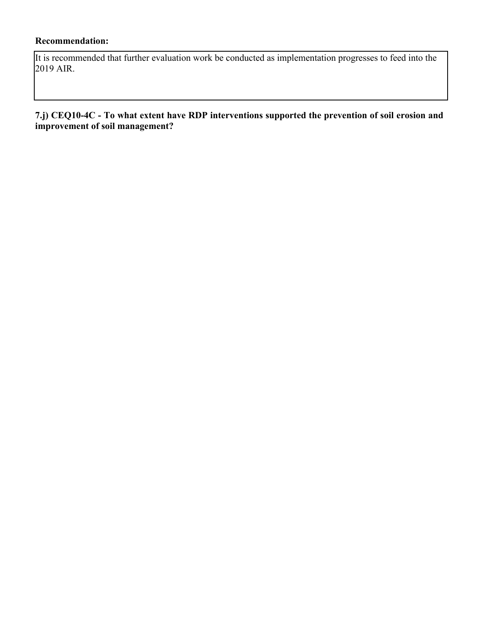## **Recommendation:**

It is recommended that further evaluation work be conducted as implementation progresses to feed into the 2019 AIR.

#### **7.j) CEQ10-4C - To what extent have RDP interventions supported the prevention of soil erosion and improvement of soil management?**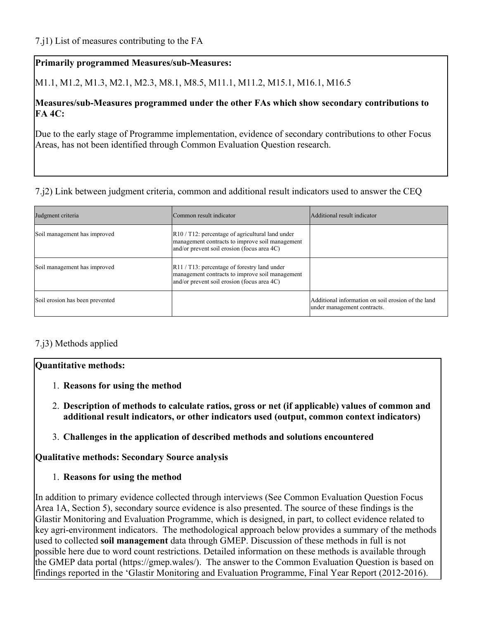M1.1, M1.2, M1.3, M2.1, M2.3, M8.1, M8.5, M11.1, M11.2, M15.1, M16.1, M16.5

## **Measures/sub-Measures programmed under the other FAs which show secondary contributions to FA 4C:**

Due to the early stage of Programme implementation, evidence of secondary contributions to other Focus Areas, has not been identified through Common Evaluation Question research.

## 7.j2) Link between judgment criteria, common and additional result indicators used to answer the CEQ

| Judgment criteria               | Common result indicator                                                                                                                                              | Additional result indicator                                                       |
|---------------------------------|----------------------------------------------------------------------------------------------------------------------------------------------------------------------|-----------------------------------------------------------------------------------|
| Soil management has improved    | $\left  R10 / T12 \right $ : percentage of agricultural land under<br>management contracts to improve soil management<br>and/or prevent soil erosion (focus area 4C) |                                                                                   |
| Soil management has improved    | $\left  R11 / T13 \right $ : percentage of forestry land under<br>management contracts to improve soil management<br>and/or prevent soil erosion (focus area 4C)     |                                                                                   |
| Soil erosion has been prevented |                                                                                                                                                                      | Additional information on soil erosion of the land<br>under management contracts. |

## 7.j3) Methods applied

## **Quantitative methods:**

- 1. **Reasons for using the method**
- 2. **Description of methods to calculate ratios, gross or net (if applicable) values of common and additional result indicators, or other indicators used (output, common context indicators)**
- 3. **Challenges in the application of described methods and solutions encountered**

**Qualitative methods: Secondary Source analysis**

1. **Reasons for using the method**

In addition to primary evidence collected through interviews (See Common Evaluation Question Focus Area 1A, Section 5), secondary source evidence is also presented. The source of these findings is the Glastir Monitoring and Evaluation Programme, which is designed, in part, to collect evidence related to key agri-environment indicators. The methodological approach below provides a summary of the methods used to collected **soil management** data through GMEP. Discussion of these methods in full is not possible here due to word count restrictions. Detailed information on these methods is available through the GMEP data portal (https://gmep.wales/). The answer to the Common Evaluation Question is based on findings reported in the 'Glastir Monitoring and Evaluation Programme, Final Year Report (2012-2016).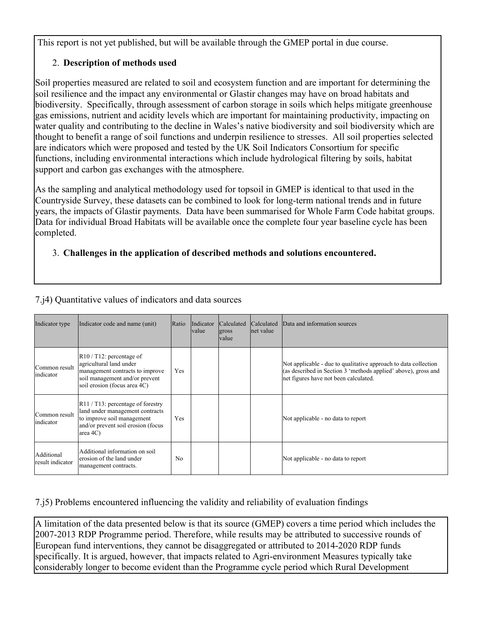This report is not yet published, but will be available through the GMEP portal in due course.

## 2. **Description of methods used**

Soil properties measured are related to soil and ecosystem function and are important for determining the soil resilience and the impact any environmental or Glastir changes may have on broad habitats and biodiversity. Specifically, through assessment of carbon storage in soils which helps mitigate greenhouse gas emissions, nutrient and acidity levels which are important for maintaining productivity, impacting on water quality and contributing to the decline in Wales's native biodiversity and soil biodiversity which are thought to benefit a range of soil functions and underpin resilience to stresses. All soil properties selected are indicators which were proposed and tested by the UK Soil Indicators Consortium for specific functions, including environmental interactions which include hydrological filtering by soils, habitat support and carbon gas exchanges with the atmosphere.

As the sampling and analytical methodology used for topsoil in GMEP is identical to that used in the Countryside Survey, these datasets can be combined to look for long-term national trends and in future years, the impacts of Glastir payments. Data have been summarised for Whole Farm Code habitat groups. Data for individual Broad Habitats will be available once the complete four year baseline cycle has been completed.

## 3. **Challenges in the application of described methods and solutions encountered.**

| Indicator type                 | Indicator code and name (unit)                                                                                                                                                  | Ratio          | Indicator<br>lvalue | Calculated<br>gross<br><b>value</b> | Calculated<br>lnet value | Data and information sources                                                                                                                                               |
|--------------------------------|---------------------------------------------------------------------------------------------------------------------------------------------------------------------------------|----------------|---------------------|-------------------------------------|--------------------------|----------------------------------------------------------------------------------------------------------------------------------------------------------------------------|
| Common result<br>indicator     | $\left  R10 / T12 \right $ : percentage of<br>agricultural land under<br>management contracts to improve<br>soil management and/or prevent<br>soil erosion (focus area 4C)      | Yes            |                     |                                     |                          | Not applicable - due to qualitative approach to data collection<br>(as described in Section 3 'methods applied' above), gross and<br>net figures have not been calculated. |
| Common result<br>indicator     | $\left  R11 / T13 \right $ : percentage of forestry<br>land under management contracts<br>to improve soil management<br>and/or prevent soil erosion (focus<br>$ area 4C\rangle$ | Yes            |                     |                                     |                          | Not applicable - no data to report                                                                                                                                         |
| Additional<br>result indicator | Additional information on soil<br>lerosion of the land under<br>management contracts.                                                                                           | N <sub>0</sub> |                     |                                     |                          | Not applicable - no data to report                                                                                                                                         |

## 7.j4) Quantitative values of indicators and data sources

7.j5) Problems encountered influencing the validity and reliability of evaluation findings

A limitation of the data presented below is that its source (GMEP) covers a time period which includes the 2007-2013 RDP Programme period. Therefore, while results may be attributed to successive rounds of European fund interventions, they cannot be disaggregated or attributed to 2014-2020 RDP funds specifically. It is argued, however, that impacts related to Agri-environment Measures typically take considerably longer to become evident than the Programme cycle period which Rural Development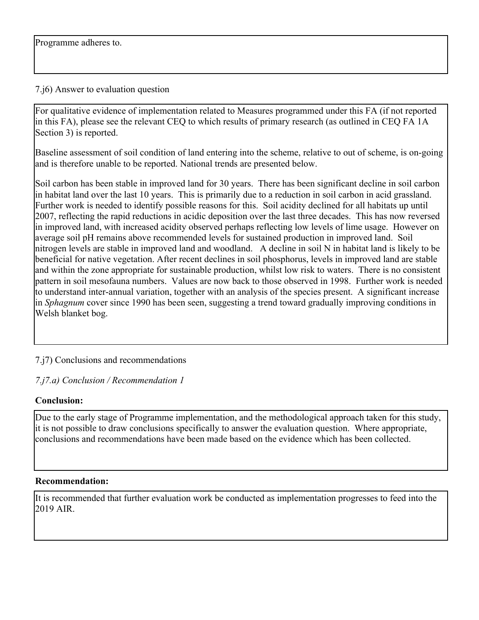#### 7.j6) Answer to evaluation question

For qualitative evidence of implementation related to Measures programmed under this FA (if not reported in this FA), please see the relevant CEQ to which results of primary research (as outlined in CEQ FA 1A Section 3) is reported.

Baseline assessment of soil condition of land entering into the scheme, relative to out of scheme, is on-going and is therefore unable to be reported. National trends are presented below.

Soil carbon has been stable in improved land for 30 years. There has been significant decline in soil carbon in habitat land over the last 10 years. This is primarily due to a reduction in soil carbon in acid grassland. Further work is needed to identify possible reasons for this. Soil acidity declined for all habitats up until 2007, reflecting the rapid reductions in acidic deposition over the last three decades. This has now reversed in improved land, with increased acidity observed perhaps reflecting low levels of lime usage. However on average soil pH remains above recommended levels for sustained production in improved land. Soil nitrogen levels are stable in improved land and woodland. A decline in soil N in habitat land is likely to be beneficial for native vegetation. After recent declines in soil phosphorus, levels in improved land are stable and within the zone appropriate for sustainable production, whilst low risk to waters. There is no consistent pattern in soil mesofauna numbers. Values are now back to those observed in 1998. Further work is needed to understand inter-annual variation, together with an analysis of the species present. A significant increase in *Sphagnum* cover since 1990 has been seen, suggesting a trend toward gradually improving conditions in Welsh blanket bog.

## 7.j7) Conclusions and recommendations

#### *7.j7.a) Conclusion / Recommendation 1*

## **Conclusion:**

Due to the early stage of Programme implementation, and the methodological approach taken for this study, it is not possible to draw conclusions specifically to answer the evaluation question. Where appropriate, conclusions and recommendations have been made based on the evidence which has been collected.

#### **Recommendation:**

It is recommended that further evaluation work be conducted as implementation progresses to feed into the 2019 AIR.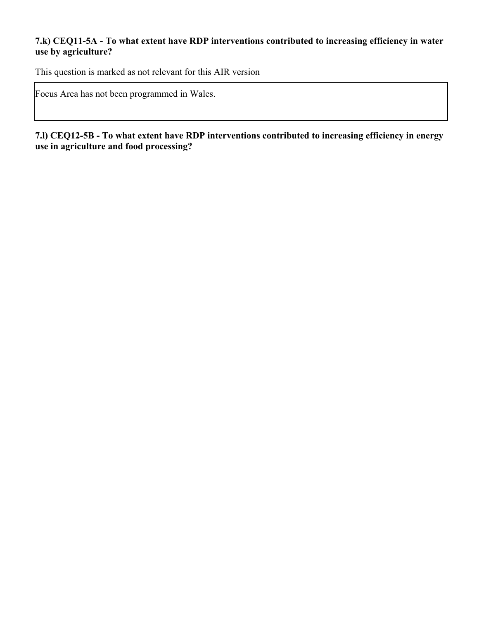## **7.k) CEQ11-5A - To what extent have RDP interventions contributed to increasing efficiency in water use by agriculture?**

This question is marked as not relevant for this AIR version

Focus Area has not been programmed in Wales.

**7.l) CEQ12-5B - To what extent have RDP interventions contributed to increasing efficiency in energy use in agriculture and food processing?**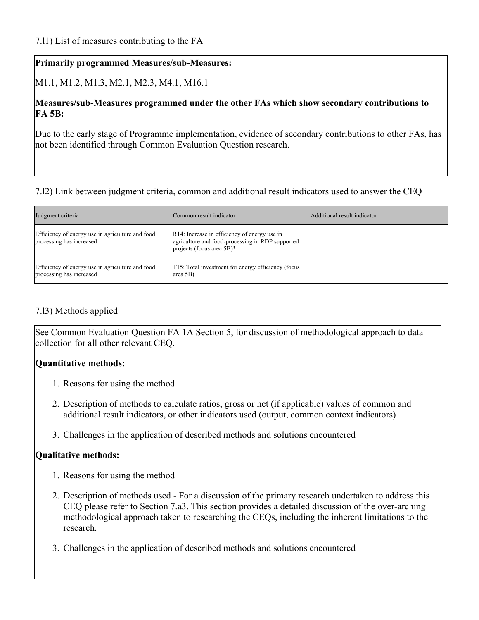M1.1, M1.2, M1.3, M2.1, M2.3, M4.1, M16.1

## **Measures/sub-Measures programmed under the other FAs which show secondary contributions to FA 5B:**

Due to the early stage of Programme implementation, evidence of secondary contributions to other FAs, has not been identified through Common Evaluation Question research.

## 7.l2) Link between judgment criteria, common and additional result indicators used to answer the CEQ

| Judgment criteria                                                            | Common result indicator                                                                                                                   | Additional result indicator |
|------------------------------------------------------------------------------|-------------------------------------------------------------------------------------------------------------------------------------------|-----------------------------|
| Efficiency of energy use in agriculture and food<br>processing has increased | $\vert R14$ : Increase in efficiency of energy use in<br>agriculture and food-processing in RDP supported<br>projects (focus area $5B$ )* |                             |
| Efficiency of energy use in agriculture and food<br>processing has increased | T15: Total investment for energy efficiency (focus<br>$ area 5B\rangle$                                                                   |                             |

## 7.l3) Methods applied

See Common Evaluation Question FA 1A Section 5, for discussion of methodological approach to data collection for all other relevant CEQ.

## **Quantitative methods:**

- 1. Reasons for using the method
- 2. Description of methods to calculate ratios, gross or net (if applicable) values of common and additional result indicators, or other indicators used (output, common context indicators)
- 3. Challenges in the application of described methods and solutions encountered

## **Qualitative methods:**

- 1. Reasons for using the method
- 2. Description of methods used For a discussion of the primary research undertaken to address this CEQ please refer to Section 7.a3. This section provides a detailed discussion of the over-arching methodological approach taken to researching the CEQs, including the inherent limitations to the research.
- 3. Challenges in the application of described methods and solutions encountered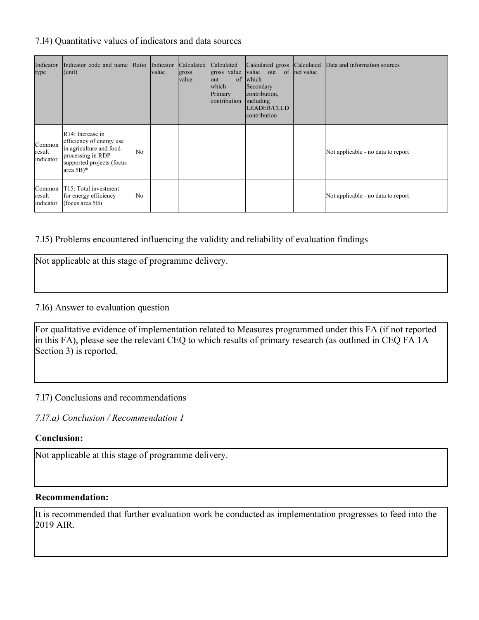## 7.l4) Quantitative values of indicators and data sources

| Indicator<br>type             | Indicator code and name Ratio Indicator<br>$ $ (unit)                                                                                                             |                | value | Calculated<br>gross<br>value | Calculated<br>gross value<br>of<br>lout<br>which<br>Primary<br>contribution | value out of net value<br>which<br>Secondary<br>contribution,<br>including<br><b>LEADER/CLLD</b><br>contribution | Calculated gross Calculated Data and information sources |
|-------------------------------|-------------------------------------------------------------------------------------------------------------------------------------------------------------------|----------------|-------|------------------------------|-----------------------------------------------------------------------------|------------------------------------------------------------------------------------------------------------------|----------------------------------------------------------|
| Common<br>result<br>indicator | R <sub>14</sub> : Increase in<br>efficiency of energy use<br>in agriculture and food-<br>processing in RDP<br>supported projects (focus<br>area $5B$ <sup>*</sup> | N <sub>o</sub> |       |                              |                                                                             |                                                                                                                  | Not applicable - no data to report                       |
| Common<br>result<br>indicator | T15: Total investment<br>for energy efficiency<br>(focus area $5B$ )                                                                                              | N <sub>0</sub> |       |                              |                                                                             |                                                                                                                  | Not applicable - no data to report                       |

## 7.l5) Problems encountered influencing the validity and reliability of evaluation findings

Not applicable at this stage of programme delivery.

#### 7.l6) Answer to evaluation question

For qualitative evidence of implementation related to Measures programmed under this FA (if not reported in this FA), please see the relevant CEQ to which results of primary research (as outlined in CEQ FA 1A Section 3) is reported.

7.l7) Conclusions and recommendations

*7.l7.a) Conclusion / Recommendation 1*

#### **Conclusion:**

Not applicable at this stage of programme delivery.

#### **Recommendation:**

It is recommended that further evaluation work be conducted as implementation progresses to feed into the 2019 AIR.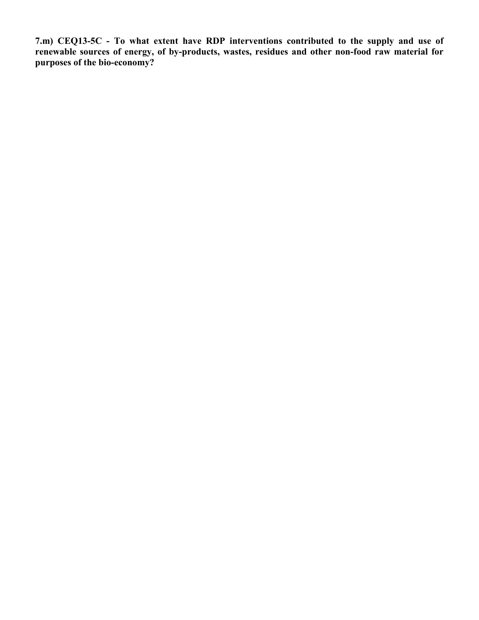**7.m) CEQ13-5C - To what extent have RDP interventions contributed to the supply and use of renewable sources of energy, of by-products, wastes, residues and other non-food raw material for purposes of the bio-economy?**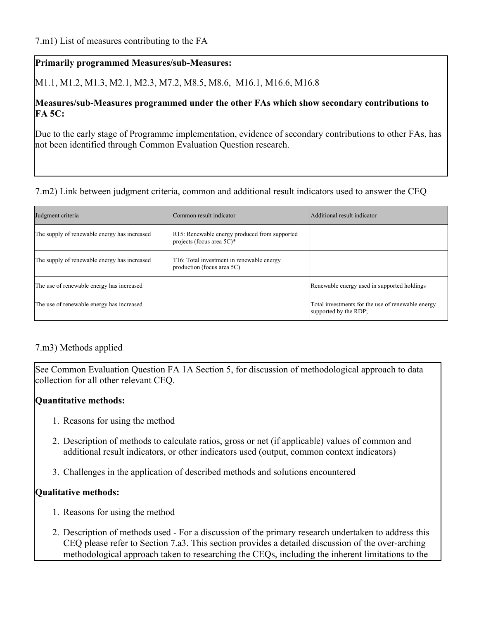M1.1, M1.2, M1.3, M2.1, M2.3, M7.2, M8.5, M8.6, M16.1, M16.6, M16.8

## **Measures/sub-Measures programmed under the other FAs which show secondary contributions to FA 5C:**

Due to the early stage of Programme implementation, evidence of secondary contributions to other FAs, has not been identified through Common Evaluation Question research.

## 7.m2) Link between judgment criteria, common and additional result indicators used to answer the CEQ

| Judgment criteria                            | Common result indicator                                                              | Additional result indicator                                                |
|----------------------------------------------|--------------------------------------------------------------------------------------|----------------------------------------------------------------------------|
| The supply of renewable energy has increased | R15: Renewable energy produced from supported<br>projects (focus area $5C$ )*        |                                                                            |
| The supply of renewable energy has increased | T <sub>16</sub> : Total investment in renewable energy<br>production (focus area 5C) |                                                                            |
| The use of renewable energy has increased    |                                                                                      | Renewable energy used in supported holdings                                |
| The use of renewable energy has increased    |                                                                                      | Total investments for the use of renewable energy<br>supported by the RDP; |

## 7.m3) Methods applied

See Common Evaluation Question FA 1A Section 5, for discussion of methodological approach to data collection for all other relevant CEQ.

## **Quantitative methods:**

- 1. Reasons for using the method
- 2. Description of methods to calculate ratios, gross or net (if applicable) values of common and additional result indicators, or other indicators used (output, common context indicators)
- 3. Challenges in the application of described methods and solutions encountered

#### **Qualitative methods:**

- 1. Reasons for using the method
- 2. Description of methods used For a discussion of the primary research undertaken to address this CEQ please refer to Section 7.a3. This section provides a detailed discussion of the over-arching methodological approach taken to researching the CEQs, including the inherent limitations to the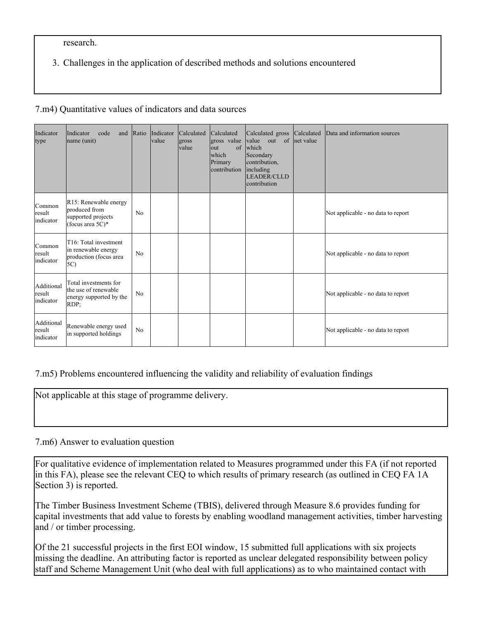research.

3. Challenges in the application of described methods and solutions encountered

#### 7.m4) Quantitative values of indicators and data sources

| Indicator<br>type                 | Indicator<br>code<br>and<br>name (unit)                                                   | Ratio | Indicator<br>value | Calculated<br>gross<br>value | Calculated<br>gross value<br>of<br>$\vert$ out<br><b>which</b><br>Primary<br>contribution | Calculated gross<br>value out of<br>which<br>Secondary<br>contribution,<br>including<br><b>LEADER/CLLD</b><br>contribution | Calculated<br>net value | Data and information sources       |
|-----------------------------------|-------------------------------------------------------------------------------------------|-------|--------------------|------------------------------|-------------------------------------------------------------------------------------------|----------------------------------------------------------------------------------------------------------------------------|-------------------------|------------------------------------|
| Common<br>result<br>indicator     | R15: Renewable energy<br>produced from<br>supported projects<br>(focus area $5C$ )*       | No    |                    |                              |                                                                                           |                                                                                                                            |                         | Not applicable - no data to report |
| Common<br>result<br>indicator     | T <sub>16</sub> : Total investment<br>in renewable energy<br>production (focus area<br>5C | No    |                    |                              |                                                                                           |                                                                                                                            |                         | Not applicable - no data to report |
| Additional<br>result<br>indicator | Total investments for<br>the use of renewable<br>energy supported by the<br>$RDP$ ;       | No    |                    |                              |                                                                                           |                                                                                                                            |                         | Not applicable - no data to report |
| Additional<br>result<br>indicator | Renewable energy used<br>in supported holdings                                            | No    |                    |                              |                                                                                           |                                                                                                                            |                         | Not applicable - no data to report |

#### 7.m5) Problems encountered influencing the validity and reliability of evaluation findings

Not applicable at this stage of programme delivery.

#### 7.m6) Answer to evaluation question

For qualitative evidence of implementation related to Measures programmed under this FA (if not reported in this FA), please see the relevant CEQ to which results of primary research (as outlined in CEQ FA 1A Section 3) is reported.

The Timber Business Investment Scheme (TBIS), delivered through Measure 8.6 provides funding for capital investments that add value to forests by enabling woodland management activities, timber harvesting and / or timber processing.

Of the 21 successful projects in the first EOI window, 15 submitted full applications with six projects missing the deadline. An attributing factor is reported as unclear delegated responsibility between policy staff and Scheme Management Unit (who deal with full applications) as to who maintained contact with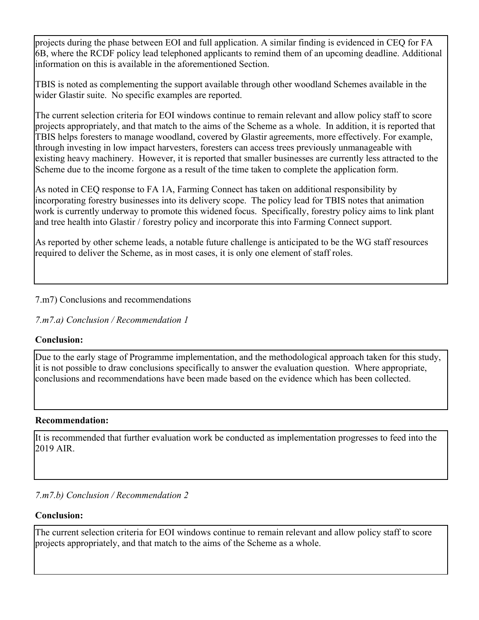projects during the phase between EOI and full application. A similar finding is evidenced in CEQ for FA 6B, where the RCDF policy lead telephoned applicants to remind them of an upcoming deadline. Additional information on this is available in the aforementioned Section.

TBIS is noted as complementing the support available through other woodland Schemes available in the wider Glastir suite. No specific examples are reported.

The current selection criteria for EOI windows continue to remain relevant and allow policy staff to score projects appropriately, and that match to the aims of the Scheme as a whole. In addition, it is reported that TBIS helps foresters to manage woodland, covered by Glastir agreements, more effectively. For example, through investing in low impact harvesters, foresters can access trees previously unmanageable with existing heavy machinery. However, it is reported that smaller businesses are currently less attracted to the Scheme due to the income forgone as a result of the time taken to complete the application form.

As noted in CEQ response to FA 1A, Farming Connect has taken on additional responsibility by incorporating forestry businesses into its delivery scope. The policy lead for TBIS notes that animation work is currently underway to promote this widened focus. Specifically, forestry policy aims to link plant and tree health into Glastir / forestry policy and incorporate this into Farming Connect support.

As reported by other scheme leads, a notable future challenge is anticipated to be the WG staff resources required to deliver the Scheme, as in most cases, it is only one element of staff roles.

## 7.m7) Conclusions and recommendations

*7.m7.a) Conclusion / Recommendation 1*

## **Conclusion:**

Due to the early stage of Programme implementation, and the methodological approach taken for this study, it is not possible to draw conclusions specifically to answer the evaluation question. Where appropriate, conclusions and recommendations have been made based on the evidence which has been collected.

#### **Recommendation:**

It is recommended that further evaluation work be conducted as implementation progresses to feed into the 2019 AIR.

*7.m7.b) Conclusion / Recommendation 2*

## **Conclusion:**

The current selection criteria for EOI windows continue to remain relevant and allow policy staff to score projects appropriately, and that match to the aims of the Scheme as a whole.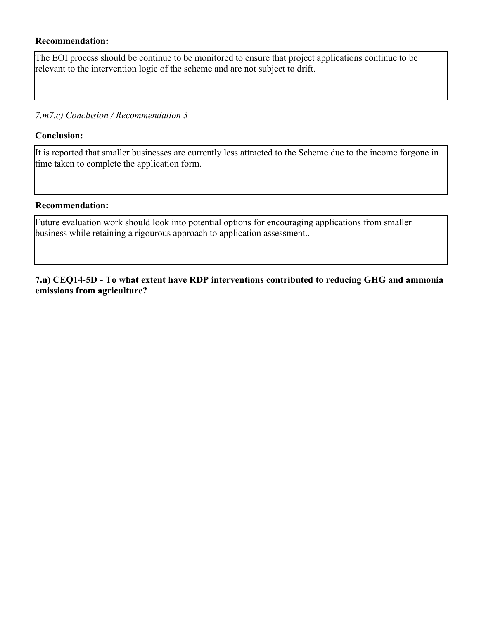#### **Recommendation:**

The EOI process should be continue to be monitored to ensure that project applications continue to be relevant to the intervention logic of the scheme and are not subject to drift.

#### *7.m7.c) Conclusion / Recommendation 3*

#### **Conclusion:**

It is reported that smaller businesses are currently less attracted to the Scheme due to the income forgone in time taken to complete the application form.

#### **Recommendation:**

Future evaluation work should look into potential options for encouraging applications from smaller business while retaining a rigourous approach to application assessment..

**7.n) CEQ14-5D - To what extent have RDP interventions contributed to reducing GHG and ammonia emissions from agriculture?**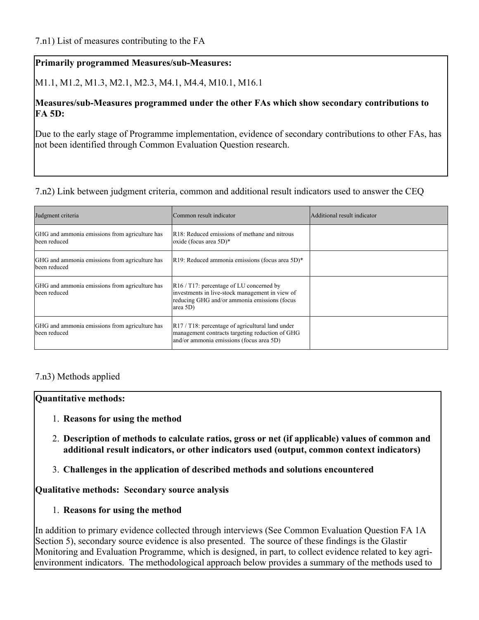M1.1, M1.2, M1.3, M2.1, M2.3, M4.1, M4.4, M10.1, M16.1

#### **Measures/sub-Measures programmed under the other FAs which show secondary contributions to FA 5D:**

Due to the early stage of Programme implementation, evidence of secondary contributions to other FAs, has not been identified through Common Evaluation Question research.

#### 7.n2) Link between judgment criteria, common and additional result indicators used to answer the CEQ

| Judgment criteria                                              | Common result indicator                                                                                                                                                   | Additional result indicator |
|----------------------------------------------------------------|---------------------------------------------------------------------------------------------------------------------------------------------------------------------------|-----------------------------|
| GHG and ammonia emissions from agriculture has<br>been reduced | R18: Reduced emissions of methane and nitrous<br>$\vert$ oxide (focus area 5D)*                                                                                           |                             |
| GHG and ammonia emissions from agriculture has<br>been reduced | $\vert R19$ : Reduced ammonia emissions (focus area 5D) <sup>*</sup>                                                                                                      |                             |
| GHG and ammonia emissions from agriculture has<br>been reduced | $\vert R16 / T17$ : percentage of LU concerned by<br>investments in live-stock management in view of<br>reducing GHG and/or ammonia emissions (focus<br>$ area 5D\rangle$ |                             |
| GHG and ammonia emissions from agriculture has<br>been reduced | $\left  R17 / T18 \right $ : percentage of agricultural land under<br>management contracts targeting reduction of GHG<br>and/or ammonia emissions (focus area 5D)         |                             |

#### 7.n3) Methods applied

#### **Quantitative methods:**

- 1. **Reasons for using the method**
- 2. **Description of methods to calculate ratios, gross or net (if applicable) values of common and additional result indicators, or other indicators used (output, common context indicators)**
- 3. **Challenges in the application of described methods and solutions encountered**

#### **Qualitative methods: Secondary source analysis**

1. **Reasons for using the method**

In addition to primary evidence collected through interviews (See Common Evaluation Question FA 1A Section 5), secondary source evidence is also presented. The source of these findings is the Glastir Monitoring and Evaluation Programme, which is designed, in part, to collect evidence related to key agrienvironment indicators. The methodological approach below provides a summary of the methods used to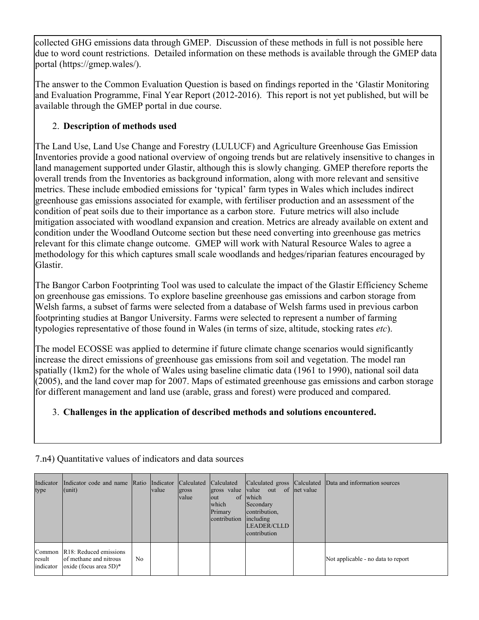collected GHG emissions data through GMEP. Discussion of these methods in full is not possible here due to word count restrictions. Detailed information on these methods is available through the GMEP data portal (https://gmep.wales/).

The answer to the Common Evaluation Question is based on findings reported in the 'Glastir Monitoring and Evaluation Programme, Final Year Report (2012-2016). This report is not yet published, but will be available through the GMEP portal in due course.

# 2. **Description of methods used**

The Land Use, Land Use Change and Forestry (LULUCF) and Agriculture Greenhouse Gas Emission Inventories provide a good national overview of ongoing trends but are relatively insensitive to changes in land management supported under Glastir, although this is slowly changing. GMEP therefore reports the overall trends from the Inventories as background information, along with more relevant and sensitive metrics. These include embodied emissions for 'typical' farm types in Wales which includes indirect greenhouse gas emissions associated for example, with fertiliser production and an assessment of the condition of peat soils due to their importance as a carbon store. Future metrics will also include mitigation associated with woodland expansion and creation. Metrics are already available on extent and condition under the Woodland Outcome section but these need converting into greenhouse gas metrics relevant for this climate change outcome. GMEP will work with Natural Resource Wales to agree a methodology for this which captures small scale woodlands and hedges/riparian features encouraged by Glastir.

The Bangor Carbon Footprinting Tool was used to calculate the impact of the Glastir Efficiency Scheme on greenhouse gas emissions. To explore baseline greenhouse gas emissions and carbon storage from Welsh farms, a subset of farms were selected from a database of Welsh farms used in previous carbon footprinting studies at Bangor University. Farms were selected to represent a number of farming typologies representative of those found in Wales (in terms of size, altitude, stocking rates *etc*).

The model ECOSSE was applied to determine if future climate change scenarios would significantly increase the direct emissions of greenhouse gas emissions from soil and vegetation. The model ran spatially (1km2) for the whole of Wales using baseline climatic data (1961 to 1990), national soil data (2005), and the land cover map for 2007. Maps of estimated greenhouse gas emissions and carbon storage for different management and land use (arable, grass and forest) were produced and compared.

# 3. **Challenges in the application of described methods and solutions encountered.**

| Indicator<br>type             | Indicator code and name Ratio Indicator Calculated<br>$ $ (unit)                    |    | <b>value</b> | gross<br>value | Calculated<br>gross value<br>of<br>lout<br>which<br>Primary<br>contribution | value out<br>which<br>Secondary<br>contribution,<br>including<br>LEADER/CLLD<br>contribution | of lnet value | Calculated gross Calculated Data and information sources |
|-------------------------------|-------------------------------------------------------------------------------------|----|--------------|----------------|-----------------------------------------------------------------------------|----------------------------------------------------------------------------------------------|---------------|----------------------------------------------------------|
| Common<br>result<br>indicator | R18: Reduced emissions<br>of methane and nitrous<br>$\alpha$ oxide (focus area 5D)* | No |              |                |                                                                             |                                                                                              |               | Not applicable - no data to report                       |

7.n4) Quantitative values of indicators and data sources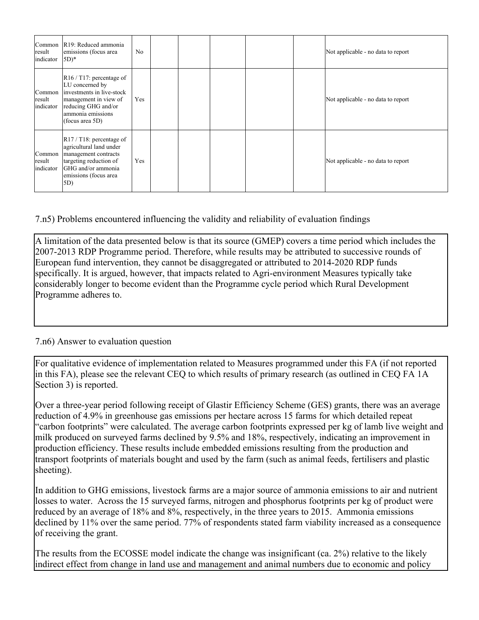| Common<br>result<br>indicator | R19: Reduced ammonia<br>emissions (focus area<br>$(5D)*$                                                                                                                     | No         |  |  | Not applicable - no data to report |
|-------------------------------|------------------------------------------------------------------------------------------------------------------------------------------------------------------------------|------------|--|--|------------------------------------|
| Common<br>result<br>indicator | $\vert R16 / T17$ : percentage of<br>LU concerned by<br>investments in live-stock<br>management in view of<br>reducing GHG and/or<br>ammonia emissions<br>(focus area 5D)    | <b>Yes</b> |  |  | Not applicable - no data to report |
| Common<br>result<br>indicator | $\left  R17/ T18 \right $ : percentage of<br>agricultural land under<br>management contracts<br>targeting reduction of<br>GHG and/or ammonia<br>emissions (focus area<br>5D) | Yes        |  |  | Not applicable - no data to report |

7.n5) Problems encountered influencing the validity and reliability of evaluation findings

A limitation of the data presented below is that its source (GMEP) covers a time period which includes the 2007-2013 RDP Programme period. Therefore, while results may be attributed to successive rounds of European fund intervention, they cannot be disaggregated or attributed to 2014-2020 RDP funds specifically. It is argued, however, that impacts related to Agri-environment Measures typically take considerably longer to become evident than the Programme cycle period which Rural Development Programme adheres to.

#### 7.n6) Answer to evaluation question

For qualitative evidence of implementation related to Measures programmed under this FA (if not reported in this FA), please see the relevant CEQ to which results of primary research (as outlined in CEQ FA 1A Section 3) is reported.

Over a three-year period following receipt of Glastir Efficiency Scheme (GES) grants, there was an average reduction of 4.9% in greenhouse gas emissions per hectare across 15 farms for which detailed repeat "carbon footprints" were calculated. The average carbon footprints expressed per kg of lamb live weight and milk produced on surveyed farms declined by 9.5% and 18%, respectively, indicating an improvement in production efficiency. These results include embedded emissions resulting from the production and transport footprints of materials bought and used by the farm (such as animal feeds, fertilisers and plastic sheeting).

In addition to GHG emissions, livestock farms are a major source of ammonia emissions to air and nutrient losses to water. Across the 15 surveyed farms, nitrogen and phosphorus footprints per kg of product were reduced by an average of 18% and 8%, respectively, in the three years to 2015. Ammonia emissions declined by 11% over the same period. 77% of respondents stated farm viability increased as a consequence of receiving the grant.

The results from the ECOSSE model indicate the change was insignificant (ca. 2%) relative to the likely indirect effect from change in land use and management and animal numbers due to economic and policy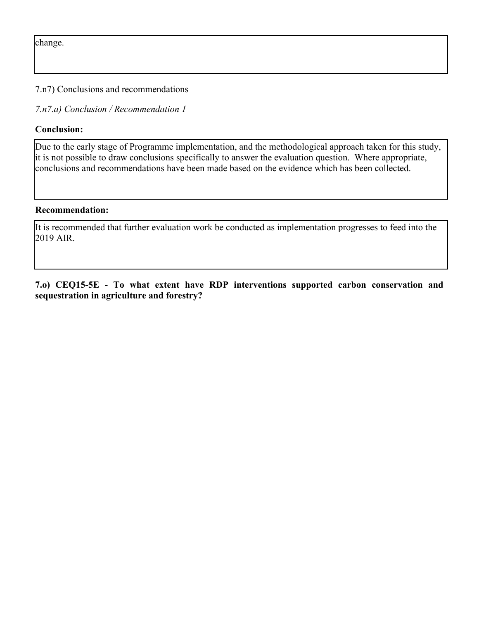change.

7.n7) Conclusions and recommendations

*7.n7.a) Conclusion / Recommendation 1*

## **Conclusion:**

Due to the early stage of Programme implementation, and the methodological approach taken for this study, it is not possible to draw conclusions specifically to answer the evaluation question. Where appropriate, conclusions and recommendations have been made based on the evidence which has been collected.

#### **Recommendation:**

It is recommended that further evaluation work be conducted as implementation progresses to feed into the 2019 AIR.

**7.o) CEQ15-5E - To what extent have RDP interventions supported carbon conservation and sequestration in agriculture and forestry?**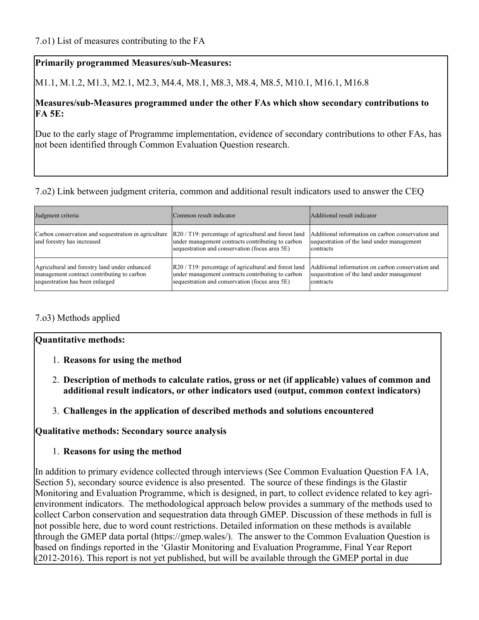M1.1, M.1.2, M1.3, M2.1, M2.3, M4.4, M8.1, M8.3, M8.4, M8.5, M10.1, M16.1, M16.8

#### **Measures/sub-Measures programmed under the other FAs which show secondary contributions to FA 5E:**

Due to the early stage of Programme implementation, evidence of secondary contributions to other FAs, has not been identified through Common Evaluation Question research.

## 7.o2) Link between judgment criteria, common and additional result indicators used to answer the CEQ

| Judgment criteria                                                                                                              | Common result indicator                                                                                                                                                        | Additional result indicator                                                                                  |
|--------------------------------------------------------------------------------------------------------------------------------|--------------------------------------------------------------------------------------------------------------------------------------------------------------------------------|--------------------------------------------------------------------------------------------------------------|
| Carbon conservation and sequestration in agriculture<br>and forestry has increased                                             | $\left  R20 / T19 \right $ : percentage of agricultural and forest land<br>under management contracts contributing to carbon<br>sequestration and conservation (focus area 5E) | Additional information on carbon conservation and<br>sequestration of the land under management<br>contracts |
| Agricultural and forestry land under enhanced<br>management contract contributing to carbon<br>sequestration has been enlarged | R20 / T19: percentage of agricultural and forest land<br>under management contracts contributing to carbon<br>sequestration and conservation (focus area 5E)                   | Additional information on carbon conservation and<br>sequestration of the land under management<br>contracts |

#### 7.o3) Methods applied

#### **Quantitative methods:**

- 1. **Reasons for using the method**
- 2. **Description of methods to calculate ratios, gross or net (if applicable) values of common and additional result indicators, or other indicators used (output, common context indicators)**
- 3. **Challenges in the application of described methods and solutions encountered**

**Qualitative methods: Secondary source analysis**

#### 1. **Reasons for using the method**

In addition to primary evidence collected through interviews (See Common Evaluation Question FA 1A, Section 5), secondary source evidence is also presented. The source of these findings is the Glastir Monitoring and Evaluation Programme, which is designed, in part, to collect evidence related to key agrienvironment indicators. The methodological approach below provides a summary of the methods used to collect Carbon conservation and sequestration data through GMEP. Discussion of these methods in full is not possible here, due to word count restrictions. Detailed information on these methods is available through the GMEP data portal (https://gmep.wales/). The answer to the Common Evaluation Question is based on findings reported in the 'Glastir Monitoring and Evaluation Programme, Final Year Report  $(2012-2016)$ . This report is not yet published, but will be available through the GMEP portal in due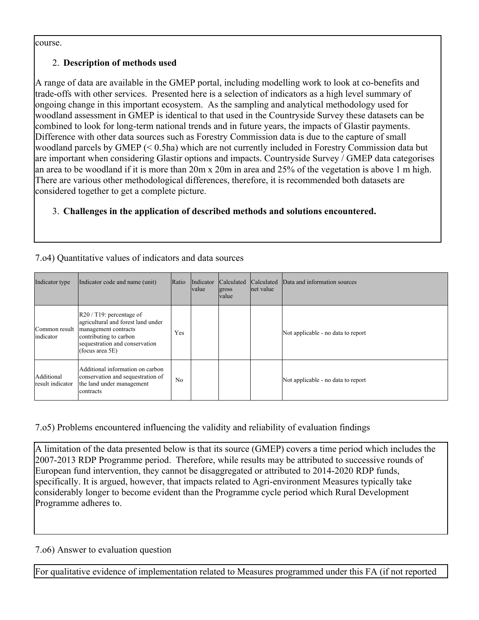course.

## 2. **Description of methods used**

A range of data are available in the GMEP portal, including modelling work to look at co-benefits and trade-offs with other services. Presented here is a selection of indicators as a high level summary of ongoing change in this important ecosystem. As the sampling and analytical methodology used for woodland assessment in GMEP is identical to that used in the Countryside Survey these datasets can be combined to look for long-term national trends and in future years, the impacts of Glastir payments. Difference with other data sources such as Forestry Commission data is due to the capture of small woodland parcels by GMEP (< 0.5ha) which are not currently included in Forestry Commission data but are important when considering Glastir options and impacts. Countryside Survey / GMEP data categorises an area to be woodland if it is more than 20m x 20m in area and 25% of the vegetation is above 1 m high. There are various other methodological differences, therefore, it is recommended both datasets are considered together to get a complete picture.

## 3. **Challenges in the application of described methods and solutions encountered.**

| Indicator type                 | Indicator code and name (unit)                                                                                                                                                             | Ratio          | Indicator<br>value | Calculated<br>gross<br><b>value</b> | Calculated<br>net value | Data and information sources       |
|--------------------------------|--------------------------------------------------------------------------------------------------------------------------------------------------------------------------------------------|----------------|--------------------|-------------------------------------|-------------------------|------------------------------------|
| Common result<br>indicator     | $\left  R20 / T19 \right $ : percentage of<br>agricultural and forest land under<br>management contracts<br>contributing to carbon<br>sequestration and conservation<br>(focus area $5E$ ) | Yes            |                    |                                     |                         | Not applicable - no data to report |
| Additional<br>result indicator | Additional information on carbon<br>conservation and sequestration of<br>the land under management<br>lcontracts                                                                           | N <sub>0</sub> |                    |                                     |                         | Not applicable - no data to report |

#### 7.o4) Quantitative values of indicators and data sources

## 7.o5) Problems encountered influencing the validity and reliability of evaluation findings

A limitation of the data presented below is that its source (GMEP) covers a time period which includes the 2007-2013 RDP Programme period. Therefore, while results may be attributed to successive rounds of European fund intervention, they cannot be disaggregated or attributed to 2014-2020 RDP funds, specifically. It is argued, however, that impacts related to Agri-environment Measures typically take considerably longer to become evident than the Programme cycle period which Rural Development Programme adheres to.

## 7.o6) Answer to evaluation question

For qualitative evidence of implementation related to Measures programmed under this FA (if not reported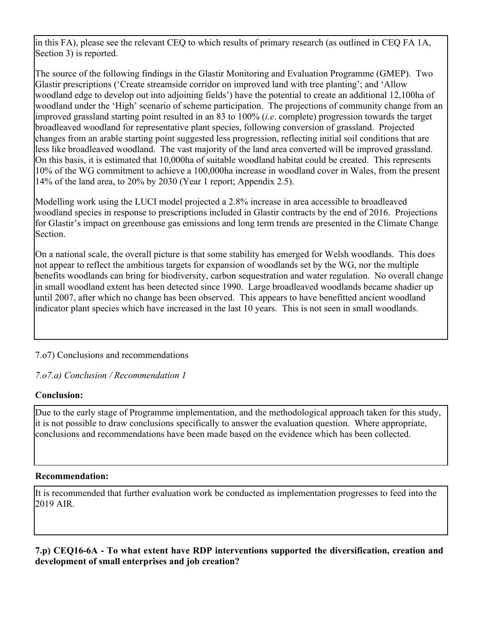in this FA), please see the relevant CEQ to which results of primary research (as outlined in CEQ FA 1A, Section 3) is reported.

The source of the following findings in the Glastir Monitoring and Evaluation Programme (GMEP). Two Glastir prescriptions ('Create streamside corridor on improved land with tree planting'; and 'Allow woodland edge to develop out into adjoining fields') have the potential to create an additional 12,100ha of woodland under the 'High' scenario of scheme participation. The projections of community change from an improved grassland starting point resulted in an 83 to 100% (*i.e*. complete) progression towards the target broadleaved woodland for representative plant species, following conversion of grassland. Projected changes from an arable starting point suggested less progression, reflecting initial soil conditions that are less like broadleaved woodland. The vast majority of the land area converted will be improved grassland. On this basis, it is estimated that 10,000ha of suitable woodland habitat could be created. This represents 10% of the WG commitment to achieve a 100,000ha increase in woodland cover in Wales, from the present 14% of the land area, to 20% by 2030 (Year 1 report; Appendix 2.5).

Modelling work using the LUCI model projected a 2.8% increase in area accessible to broadleaved woodland species in response to prescriptions included in Glastir contracts by the end of 2016. Projections for Glastir's impact on greenhouse gas emissions and long term trends are presented in the Climate Change **Section** 

On a national scale, the overall picture is that some stability has emerged for Welsh woodlands. This does not appear to reflect the ambitious targets for expansion of woodlands set by the WG, nor the multiple benefits woodlands can bring for biodiversity, carbon sequestration and water regulation. No overall change in small woodland extent has been detected since 1990. Large broadleaved woodlands became shadier up until 2007, after which no change has been observed. This appears to have benefitted ancient woodland indicator plant species which have increased in the last 10 years. This is not seen in small woodlands.

## 7.o7) Conclusions and recommendations

*7.o7.a) Conclusion / Recommendation 1*

#### **Conclusion:**

Due to the early stage of Programme implementation, and the methodological approach taken for this study, it is not possible to draw conclusions specifically to answer the evaluation question. Where appropriate, conclusions and recommendations have been made based on the evidence which has been collected.

#### **Recommendation:**

It is recommended that further evaluation work be conducted as implementation progresses to feed into the 2019 AIR.

**7.p) CEQ16-6A - To what extent have RDP interventions supported the diversification, creation and development of small enterprises and job creation?**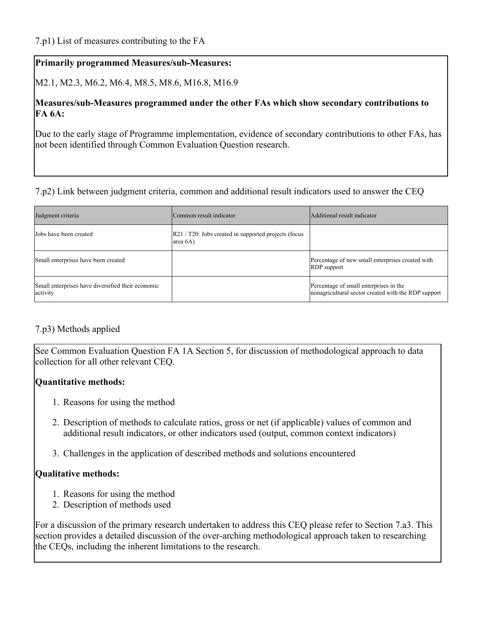M2.1, M2.3, M6.2, M6.4, M8.5, M8.6, M16.8, M16.9

#### **Measures/sub-Measures programmed under the other FAs which show secondary contributions to FA 6A:**

Due to the early stage of Programme implementation, evidence of secondary contributions to other FAs, has not been identified through Common Evaluation Question research.

#### 7.p2) Link between judgment criteria, common and additional result indicators used to answer the CEQ

| Judgment criteria                                             | Common result indicator                                                              | Additional result indicator                                                                   |
|---------------------------------------------------------------|--------------------------------------------------------------------------------------|-----------------------------------------------------------------------------------------------|
| Jobs have been created                                        | $\left  R21 / T20 \right $ . Jobs created in supported projects (focus<br>area $6A)$ |                                                                                               |
| Small enterprises have been created                           |                                                                                      | Percentage of new small enterprises created with<br><b>RDP</b> support                        |
| Small enterprises have diversified their economic<br>activity |                                                                                      | Percentage of small enterprises in the<br>nonagricultural sector created with the RDP support |

#### 7.p3) Methods applied

See Common Evaluation Question FA 1A Section 5, for discussion of methodological approach to data collection for all other relevant CEQ.

#### **Quantitative methods:**

- 1. Reasons for using the method
- 2. Description of methods to calculate ratios, gross or net (if applicable) values of common and additional result indicators, or other indicators used (output, common context indicators)
- 3. Challenges in the application of described methods and solutions encountered

## **Qualitative methods:**

- 1. Reasons for using the method
- 2. Description of methods used

For a discussion of the primary research undertaken to address this CEQ please refer to Section 7.a3. This section provides a detailed discussion of the over-arching methodological approach taken to researching the CEQs, including the inherent limitations to the research.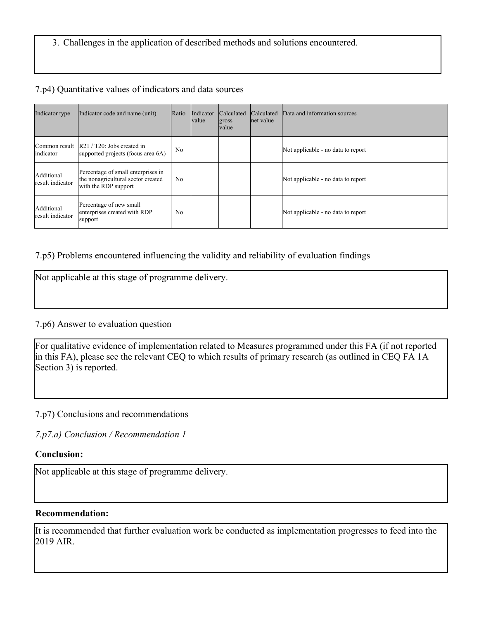## 3. Challenges in the application of described methods and solutions encountered.

#### 7.p4) Quantitative values of indicators and data sources

| Indicator type                 | Indicator code and name (unit)                                                                   | Ratio          | Indicator<br> value | Calculated<br>gross<br><b>value</b> | <b>Calculated</b><br>net value | Data and information sources       |
|--------------------------------|--------------------------------------------------------------------------------------------------|----------------|---------------------|-------------------------------------|--------------------------------|------------------------------------|
| indicator                      | Common result   R21 / T20: Jobs created in<br>supported projects (focus area 6A)                 | N <sub>0</sub> |                     |                                     |                                | Not applicable - no data to report |
| Additional<br>result indicator | Percentage of small enterprises in<br>the nonagricultural sector created<br>with the RDP support | No             |                     |                                     |                                | Not applicable - no data to report |
| Additional<br>result indicator | Percentage of new small<br>enterprises created with RDP<br>support                               | N <sub>0</sub> |                     |                                     |                                | Not applicable - no data to report |

## 7.p5) Problems encountered influencing the validity and reliability of evaluation findings

#### 7.p6) Answer to evaluation question

For qualitative evidence of implementation related to Measures programmed under this FA (if not reported in this FA), please see the relevant CEQ to which results of primary research (as outlined in CEQ FA 1A Section 3) is reported.

7.p7) Conclusions and recommendations

*7.p7.a) Conclusion / Recommendation 1*

#### **Conclusion:**

Not applicable at this stage of programme delivery.

#### **Recommendation:**

It is recommended that further evaluation work be conducted as implementation progresses to feed into the 2019 AIR.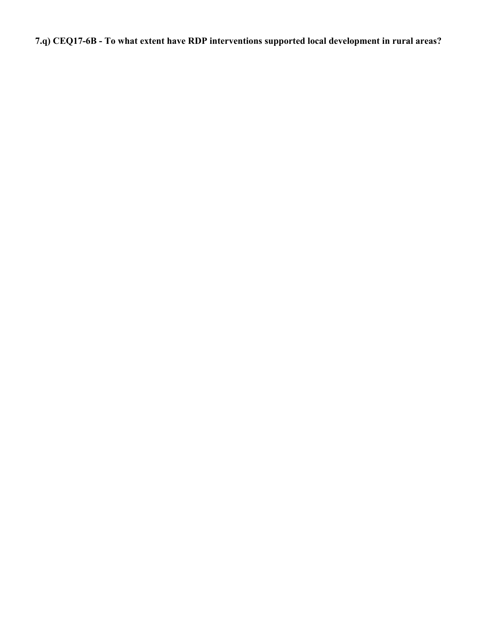**7.q) CEQ17-6B - To what extent have RDP interventions supported local development in rural areas?**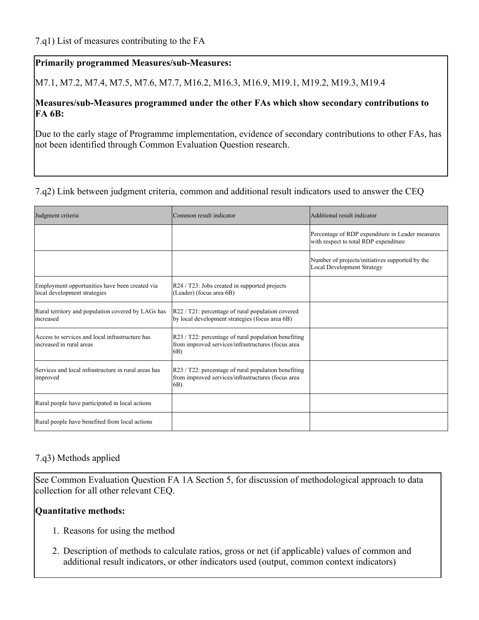M7.1, M7.2, M7.4, M7.5, M7.6, M7.7, M16.2, M16.3, M16.9, M19.1, M19.2, M19.3, M19.4

### **Measures/sub-Measures programmed under the other FAs which show secondary contributions to FA 6B:**

Due to the early stage of Programme implementation, evidence of secondary contributions to other FAs, has not been identified through Common Evaluation Question research.

## 7.q2) Link between judgment criteria, common and additional result indicators used to answer the CEQ

| Judgment criteria                                                              | Common result indicator                                                                                               | Additional result indicator                                                               |
|--------------------------------------------------------------------------------|-----------------------------------------------------------------------------------------------------------------------|-------------------------------------------------------------------------------------------|
|                                                                                |                                                                                                                       | Percentage of RDP expenditure in Leader measures<br>with respect to total RDP expenditure |
|                                                                                |                                                                                                                       | Number of projects/initiatives supported by the<br><b>Local Development Strategy</b>      |
| Employment opportunities have been created via<br>local development strategies | R24 / T23: Jobs created in supported projects<br>(Leader) (focus area $6B$ )                                          |                                                                                           |
| Rural territory and population covered by LAGs has<br>increased                | $R22 / T21$ : percentage of rural population covered<br>by local development strategies (focus area 6B)               |                                                                                           |
| Access to services and local infrastructure has<br>increased in rural areas    | $R23 / T22$ : percentage of rural population benefiting<br>from improved services/infrastructures (focus area<br>(6B) |                                                                                           |
| Services and local infrastructure in rural areas has<br>improved               | $R23 / T22$ : percentage of rural population benefiting<br>from improved services/infrastructures (focus area<br>(6B) |                                                                                           |
| Rural people have participated in local actions                                |                                                                                                                       |                                                                                           |
| Rural people have benefited from local actions                                 |                                                                                                                       |                                                                                           |

## 7.q3) Methods applied

See Common Evaluation Question FA 1A Section 5, for discussion of methodological approach to data collection for all other relevant CEQ.

## **Quantitative methods:**

- 1. Reasons for using the method
- 2. Description of methods to calculate ratios, gross or net (if applicable) values of common and additional result indicators, or other indicators used (output, common context indicators)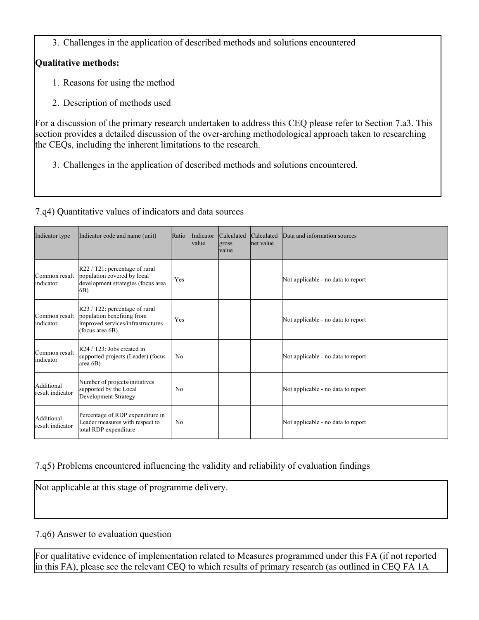3. Challenges in the application of described methods and solutions encountered

## **Qualitative methods:**

- 1. Reasons for using the method
- 2. Description of methods used

For a discussion of the primary research undertaken to address this CEQ please refer to Section 7.a3. This section provides a detailed discussion of the over-arching methodological approach taken to researching the CEQs, including the inherent limitations to the research.

3. Challenges in the application of described methods and solutions encountered.

## 7.q4) Quantitative values of indicators and data sources

| Indicator type                 | Indicator code and name (unit)                                                                                       | Ratio          | Indicator<br><b>value</b> | Calculated<br>gross<br>value | Calculated<br>net value | Data and information sources       |
|--------------------------------|----------------------------------------------------------------------------------------------------------------------|----------------|---------------------------|------------------------------|-------------------------|------------------------------------|
| Common result<br>indicator     | $R22 / T21$ : percentage of rural<br>population covered by local<br>development strategies (focus area<br>6B)        | Yes            |                           |                              |                         | Not applicable - no data to report |
| Common result<br>indicator     | R23 / T22: percentage of rural<br>population benefiting from<br>improved services/infrastructures<br>(focus area 6B) | Yes            |                           |                              |                         | Not applicable - no data to report |
| Common result<br>lindicator    | R24 / T23: Jobs created in<br>supported projects (Leader) (focus<br>area $6B$ )                                      | No             |                           |                              |                         | Not applicable - no data to report |
| Additional<br>result indicator | Number of projects/initiatives<br>supported by the Local<br>Development Strategy                                     | N <sub>0</sub> |                           |                              |                         | Not applicable - no data to report |
| Additional<br>result indicator | Percentage of RDP expenditure in<br>Leader measures with respect to<br>total RDP expenditure                         | N <sub>0</sub> |                           |                              |                         | Not applicable - no data to report |

## 7.q5) Problems encountered influencing the validity and reliability of evaluation findings

Not applicable at this stage of programme delivery.

## 7.q6) Answer to evaluation question

For qualitative evidence of implementation related to Measures programmed under this FA (if not reported in this FA), please see the relevant CEQ to which results of primary research (as outlined in CEQ FA 1A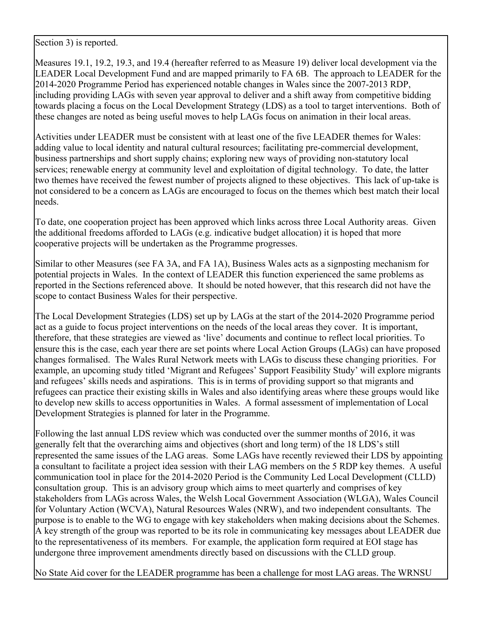Section 3) is reported.

Measures 19.1, 19.2, 19.3, and 19.4 (hereafter referred to as Measure 19) deliver local development via the LEADER Local Development Fund and are mapped primarily to FA 6B. The approach to LEADER for the 2014-2020 Programme Period has experienced notable changes in Wales since the 2007-2013 RDP, including providing LAGs with seven year approval to deliver and a shift away from competitive bidding towards placing a focus on the Local Development Strategy (LDS) as a tool to target interventions. Both of these changes are noted as being useful moves to help LAGs focus on animation in their local areas.

Activities under LEADER must be consistent with at least one of the five LEADER themes for Wales: adding value to local identity and natural cultural resources; facilitating pre-commercial development, business partnerships and short supply chains; exploring new ways of providing non-statutory local services; renewable energy at community level and exploitation of digital technology. To date, the latter two themes have received the fewest number of projects aligned to these objectives. This lack of up-take is not considered to be a concern as LAGs are encouraged to focus on the themes which best match their local needs.

To date, one cooperation project has been approved which links across three Local Authority areas. Given the additional freedoms afforded to LAGs (e.g. indicative budget allocation) it is hoped that more cooperative projects will be undertaken as the Programme progresses.

Similar to other Measures (see FA 3A, and FA 1A), Business Wales acts as a signposting mechanism for potential projects in Wales. In the context of LEADER this function experienced the same problems as reported in the Sections referenced above. It should be noted however, that this research did not have the scope to contact Business Wales for their perspective.

The Local Development Strategies (LDS) set up by LAGs at the start of the 2014-2020 Programme period act as a guide to focus project interventions on the needs of the local areas they cover. It is important, therefore, that these strategies are viewed as 'live' documents and continue to reflect local priorities. To ensure this is the case, each year there are set points where Local Action Groups (LAGs) can have proposed changes formalised. The Wales Rural Network meets with LAGs to discuss these changing priorities. For example, an upcoming study titled 'Migrant and Refugees' Support Feasibility Study' will explore migrants and refugees' skills needs and aspirations. This is in terms of providing support so that migrants and refugees can practice their existing skills in Wales and also identifying areas where these groups would like to develop new skills to access opportunities in Wales. A formal assessment of implementation of Local Development Strategies is planned for later in the Programme.

Following the last annual LDS review which was conducted over the summer months of 2016, it was generally felt that the overarching aims and objectives (short and long term) of the 18 LDS's still represented the same issues of the LAG areas. Some LAGs have recently reviewed their LDS by appointing a consultant to facilitate a project idea session with their LAG members on the 5 RDP key themes. A useful communication tool in place for the 2014-2020 Period is the Community Led Local Development (CLLD) consultation group. This is an advisory group which aims to meet quarterly and comprises of key stakeholders from LAGs across Wales, the Welsh Local Government Association (WLGA), Wales Council for Voluntary Action (WCVA), Natural Resources Wales (NRW), and two independent consultants. The purpose is to enable to the WG to engage with key stakeholders when making decisions about the Schemes. A key strength of the group was reported to be its role in communicating key messages about LEADER due to the representativeness of its members. For example, the application form required at EOI stage has undergone three improvement amendments directly based on discussions with the CLLD group.

No State Aid cover for the LEADER programme has been a challenge for most LAG areas. The WRNSU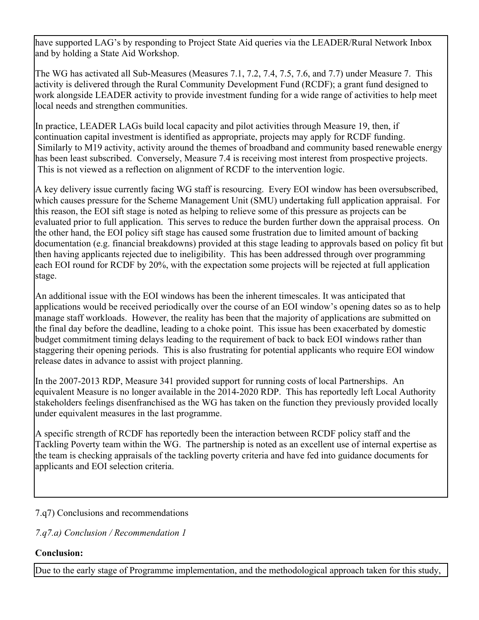have supported LAG's by responding to Project State Aid queries via the LEADER/Rural Network Inbox and by holding a State Aid Workshop.

The WG has activated all Sub-Measures (Measures 7.1, 7.2, 7.4, 7.5, 7.6, and 7.7) under Measure 7. This activity is delivered through the Rural Community Development Fund (RCDF); a grant fund designed to work alongside LEADER activity to provide investment funding for a wide range of activities to help meet local needs and strengthen communities.

In practice, LEADER LAGs build local capacity and pilot activities through Measure 19, then, if continuation capital investment is identified as appropriate, projects may apply for RCDF funding. Similarly to M19 activity, activity around the themes of broadband and community based renewable energy has been least subscribed. Conversely, Measure 7.4 is receiving most interest from prospective projects. This is not viewed as a reflection on alignment of RCDF to the intervention logic.

A key delivery issue currently facing WG staff is resourcing. Every EOI window has been oversubscribed, which causes pressure for the Scheme Management Unit (SMU) undertaking full application appraisal. For this reason, the EOI sift stage is noted as helping to relieve some of this pressure as projects can be evaluated prior to full application. This serves to reduce the burden further down the appraisal process. On the other hand, the EOI policy sift stage has caused some frustration due to limited amount of backing documentation (e.g. financial breakdowns) provided at this stage leading to approvals based on policy fit but then having applicants rejected due to ineligibility. This has been addressed through over programming each EOI round for RCDF by 20%, with the expectation some projects will be rejected at full application stage.

An additional issue with the EOI windows has been the inherent timescales. It was anticipated that applications would be received periodically over the course of an EOI window's opening dates so as to help manage staff workloads. However, the reality has been that the majority of applications are submitted on the final day before the deadline, leading to a choke point. This issue has been exacerbated by domestic budget commitment timing delays leading to the requirement of back to back EOI windows rather than staggering their opening periods. This is also frustrating for potential applicants who require EOI window release dates in advance to assist with project planning.

In the 2007-2013 RDP, Measure 341 provided support for running costs of local Partnerships. An equivalent Measure is no longer available in the 2014-2020 RDP. This has reportedly left Local Authority stakeholders feelings disenfranchised as the WG has taken on the function they previously provided locally under equivalent measures in the last programme.

A specific strength of RCDF has reportedly been the interaction between RCDF policy staff and the Tackling Poverty team within the WG. The partnership is noted as an excellent use of internal expertise as the team is checking appraisals of the tackling poverty criteria and have fed into guidance documents for applicants and EOI selection criteria.

7.q7) Conclusions and recommendations

*7.q7.a) Conclusion / Recommendation 1*

## **Conclusion:**

Due to the early stage of Programme implementation, and the methodological approach taken for this study,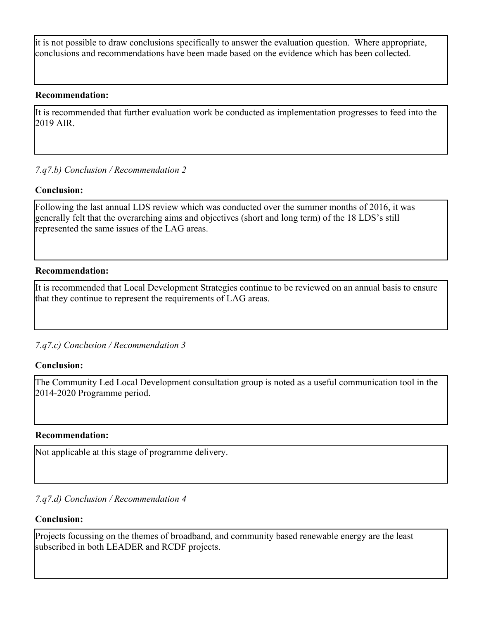it is not possible to draw conclusions specifically to answer the evaluation question. Where appropriate, conclusions and recommendations have been made based on the evidence which has been collected.

#### **Recommendation:**

It is recommended that further evaluation work be conducted as implementation progresses to feed into the 2019 AIR.

## *7.q7.b) Conclusion / Recommendation 2*

#### **Conclusion:**

Following the last annual LDS review which was conducted over the summer months of 2016, it was generally felt that the overarching aims and objectives (short and long term) of the 18 LDS's still represented the same issues of the LAG areas.

#### **Recommendation:**

It is recommended that Local Development Strategies continue to be reviewed on an annual basis to ensure that they continue to represent the requirements of LAG areas.

*7.q7.c) Conclusion / Recommendation 3*

#### **Conclusion:**

The Community Led Local Development consultation group is noted as a useful communication tool in the 2014-2020 Programme period.

#### **Recommendation:**

Not applicable at this stage of programme delivery.

#### *7.q7.d) Conclusion / Recommendation 4*

#### **Conclusion:**

Projects focussing on the themes of broadband, and community based renewable energy are the least subscribed in both LEADER and RCDF projects.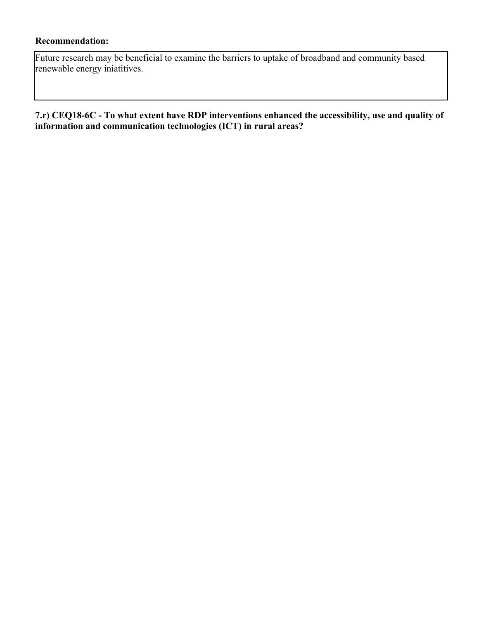### **Recommendation:**

Future research may be beneficial to examine the barriers to uptake of broadband and community based renewable energy iniatitives.

**7.r) CEQ18-6C - To what extent have RDP interventions enhanced the accessibility, use and quality of information and communication technologies (ICT) in rural areas?**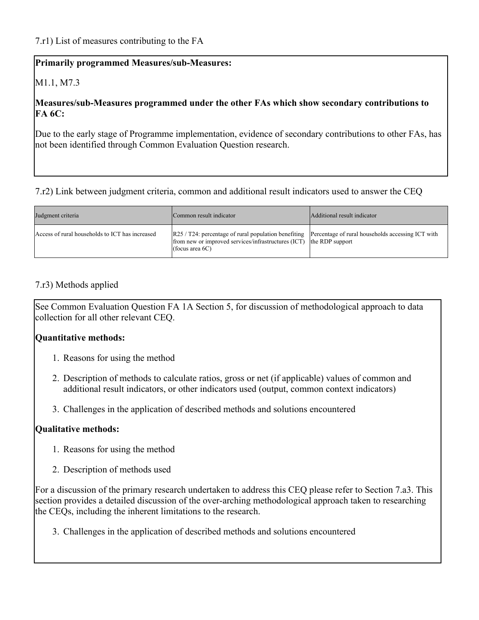## M1.1, M7.3

#### **Measures/sub-Measures programmed under the other FAs which show secondary contributions to FA 6C:**

Due to the early stage of Programme implementation, evidence of secondary contributions to other FAs, has not been identified through Common Evaluation Question research.

#### 7.r2) Link between judgment criteria, common and additional result indicators used to answer the CEQ

| Judgment criteria                               | Common result indicator                                                                                                                             | Additional result indicator                                          |
|-------------------------------------------------|-----------------------------------------------------------------------------------------------------------------------------------------------------|----------------------------------------------------------------------|
| Access of rural households to ICT has increased | $\left  R25 / T24 \right $ : percentage of rural population benefiting<br>from new or improved services/infrastructures (ICT)<br>(focus area $6C$ ) | Percentage of rural households accessing ICT with<br>the RDP support |

#### 7.r3) Methods applied

See Common Evaluation Question FA 1A Section 5, for discussion of methodological approach to data collection for all other relevant CEQ.

#### **Quantitative methods:**

- 1. Reasons for using the method
- 2. Description of methods to calculate ratios, gross or net (if applicable) values of common and additional result indicators, or other indicators used (output, common context indicators)
- 3. Challenges in the application of described methods and solutions encountered

#### **Qualitative methods:**

- 1. Reasons for using the method
- 2. Description of methods used

For a discussion of the primary research undertaken to address this CEQ please refer to Section 7.a3. This section provides a detailed discussion of the over-arching methodological approach taken to researching the CEQs, including the inherent limitations to the research.

3. Challenges in the application of described methods and solutions encountered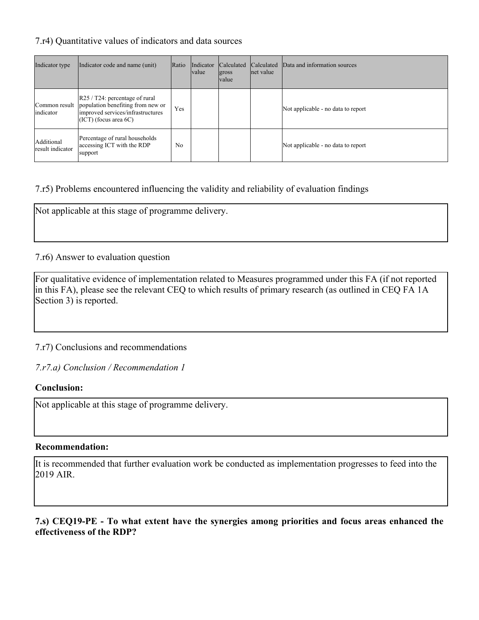#### 7.r4) Quantitative values of indicators and data sources

| Indicator type                 | Indicator code and name (unit)                                                                                                                           | Ratio | Indicator<br><i>value</i> | Calculated<br>gross<br><i>value</i> | Calculated<br>net value | Data and information sources       |
|--------------------------------|----------------------------------------------------------------------------------------------------------------------------------------------------------|-------|---------------------------|-------------------------------------|-------------------------|------------------------------------|
| Common result<br>indicator     | $\left  R25 / T24 \right $ : percentage of rural<br>population benefiting from new or<br>improved services/infrastructures<br>$(ICT)$ (focus area $6C$ ) | Yes   |                           |                                     |                         | Not applicable - no data to report |
| Additional<br>result indicator | Percentage of rural households<br>accessing ICT with the RDP<br>support                                                                                  | No    |                           |                                     |                         | Not applicable - no data to report |

## 7.r5) Problems encountered influencing the validity and reliability of evaluation findings

Not applicable at this stage of programme delivery.

#### 7.r6) Answer to evaluation question

For qualitative evidence of implementation related to Measures programmed under this FA (if not reported in this FA), please see the relevant CEQ to which results of primary research (as outlined in CEQ FA 1A Section 3) is reported.

7.r7) Conclusions and recommendations

*7.r7.a) Conclusion / Recommendation 1*

#### **Conclusion:**

Not applicable at this stage of programme delivery.

#### **Recommendation:**

It is recommended that further evaluation work be conducted as implementation progresses to feed into the 2019 AIR.

**7.s) CEQ19-PE - To what extent have the synergies among priorities and focus areas enhanced the effectiveness of the RDP?**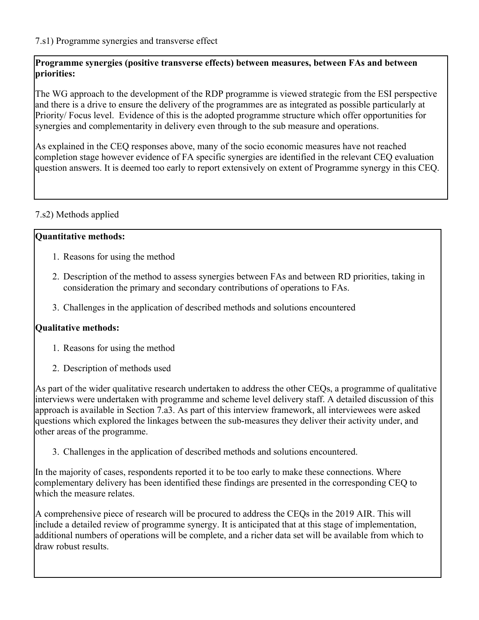## **Programme synergies (positive transverse effects) between measures, between FAs and between priorities:**

The WG approach to the development of the RDP programme is viewed strategic from the ESI perspective and there is a drive to ensure the delivery of the programmes are as integrated as possible particularly at Priority/ Focus level. Evidence of this is the adopted programme structure which offer opportunities for synergies and complementarity in delivery even through to the sub measure and operations.

As explained in the CEQ responses above, many of the socio economic measures have not reached completion stage however evidence of FA specific synergies are identified in the relevant CEQ evaluation question answers. It is deemed too early to report extensively on extent of Programme synergy in this CEQ.

## 7.s2) Methods applied

## **Quantitative methods:**

- 1. Reasons for using the method
- 2. Description of the method to assess synergies between FAs and between RD priorities, taking in consideration the primary and secondary contributions of operations to FAs.
- 3. Challenges in the application of described methods and solutions encountered

# **Qualitative methods:**

- 1. Reasons for using the method
- 2. Description of methods used

As part of the wider qualitative research undertaken to address the other CEQs, a programme of qualitative interviews were undertaken with programme and scheme level delivery staff. A detailed discussion of this approach is available in Section 7.a3. As part of this interview framework, all interviewees were asked questions which explored the linkages between the sub-measures they deliver their activity under, and other areas of the programme.

3. Challenges in the application of described methods and solutions encountered.

In the majority of cases, respondents reported it to be too early to make these connections. Where complementary delivery has been identified these findings are presented in the corresponding CEQ to which the measure relates.

A comprehensive piece of research will be procured to address the CEQs in the 2019 AIR. This will include a detailed review of programme synergy. It is anticipated that at this stage of implementation, additional numbers of operations will be complete, and a richer data set will be available from which to draw robust results.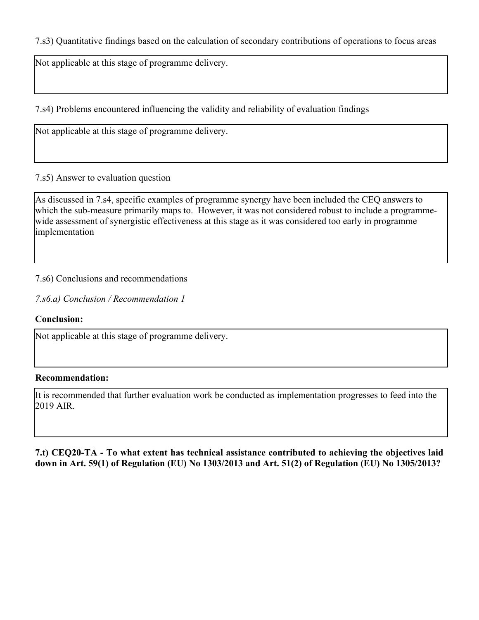7.s3) Quantitative findings based on the calculation of secondary contributions of operations to focus areas

Not applicable at this stage of programme delivery.

7.s4) Problems encountered influencing the validity and reliability of evaluation findings

Not applicable at this stage of programme delivery.

## 7.s5) Answer to evaluation question

As discussed in 7.s4, specific examples of programme synergy have been included the CEQ answers to which the sub-measure primarily maps to. However, it was not considered robust to include a programmewide assessment of synergistic effectiveness at this stage as it was considered too early in programme implementation

## 7.s6) Conclusions and recommendations

*7.s6.a) Conclusion / Recommendation 1*

#### **Conclusion:**

Not applicable at this stage of programme delivery.

#### **Recommendation:**

It is recommended that further evaluation work be conducted as implementation progresses to feed into the 2019 AIR.

**7.t) CEQ20-TA - To what extent has technical assistance contributed to achieving the objectives laid down in Art. 59(1) of Regulation (EU) No 1303/2013 and Art. 51(2) of Regulation (EU) No 1305/2013?**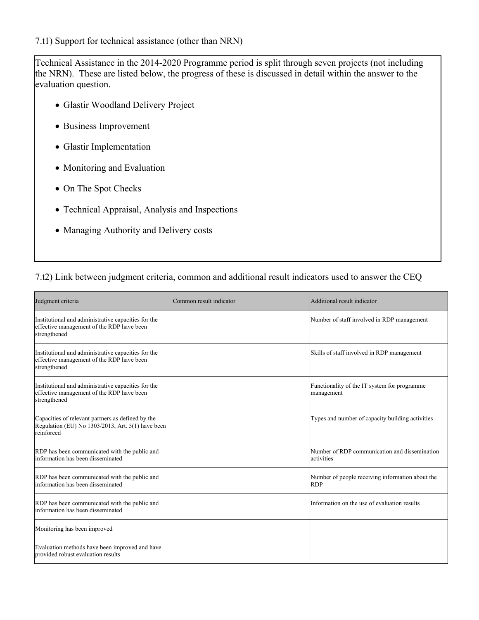#### 7.t1) Support for technical assistance (other than NRN)

Technical Assistance in the 2014-2020 Programme period is split through seven projects (not including the NRN). These are listed below, the progress of these is discussed in detail within the answer to the evaluation question.

- Glastir Woodland Delivery Project
- Business Improvement
- Glastir Implementation
- Monitoring and Evaluation
- On The Spot Checks
- Technical Appraisal, Analysis and Inspections
- Managing Authority and Delivery costs

### 7.t2) Link between judgment criteria, common and additional result indicators used to answer the CEQ

| Judgment criteria                                                                                                    | Common result indicator | Additional result indicator                                    |
|----------------------------------------------------------------------------------------------------------------------|-------------------------|----------------------------------------------------------------|
| Institutional and administrative capacities for the<br>effective management of the RDP have been<br>strengthened     |                         | Number of staff involved in RDP management                     |
| Institutional and administrative capacities for the<br>effective management of the RDP have been<br>strengthened     |                         | Skills of staff involved in RDP management                     |
| Institutional and administrative capacities for the<br>effective management of the RDP have been<br>strengthened     |                         | Functionality of the IT system for programme<br>management     |
| Capacities of relevant partners as defined by the<br>Regulation (EU) No 1303/2013, Art. 5(1) have been<br>reinforced |                         | Types and number of capacity building activities               |
| RDP has been communicated with the public and<br>information has been disseminated                                   |                         | Number of RDP communication and dissemination<br>activities    |
| RDP has been communicated with the public and<br>information has been disseminated                                   |                         | Number of people receiving information about the<br><b>RDP</b> |
| RDP has been communicated with the public and<br>information has been disseminated                                   |                         | Information on the use of evaluation results                   |
| Monitoring has been improved                                                                                         |                         |                                                                |
| Evaluation methods have been improved and have<br>provided robust evaluation results                                 |                         |                                                                |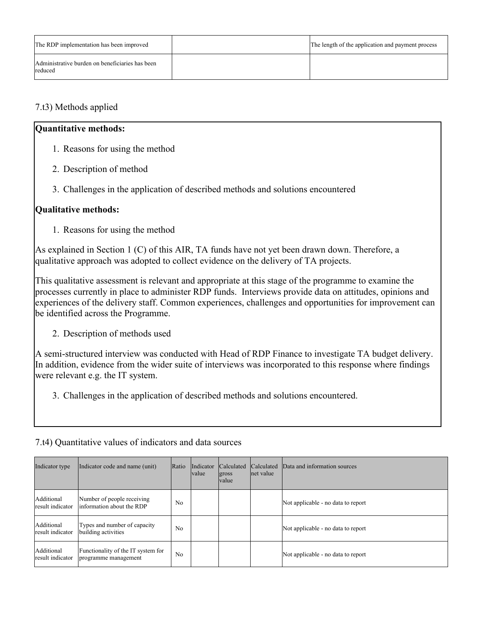| The RDP implementation has been improved                   | The length of the application and payment process |
|------------------------------------------------------------|---------------------------------------------------|
| Administrative burden on beneficiaries has been<br>reduced |                                                   |

## 7.t3) Methods applied

### **Quantitative methods:**

- 1. Reasons for using the method
- 2. Description of method
- 3. Challenges in the application of described methods and solutions encountered

## **Qualitative methods:**

1. Reasons for using the method

As explained in Section 1 (C) of this AIR, TA funds have not yet been drawn down. Therefore, a qualitative approach was adopted to collect evidence on the delivery of TA projects.

This qualitative assessment is relevant and appropriate at this stage of the programme to examine the processes currently in place to administer RDP funds. Interviews provide data on attitudes, opinions and experiences of the delivery staff. Common experiences, challenges and opportunities for improvement can be identified across the Programme.

2. Description of methods used

A semi-structured interview was conducted with Head of RDP Finance to investigate TA budget delivery. In addition, evidence from the wider suite of interviews was incorporated to this response where findings were relevant e.g. the IT system.

3. Challenges in the application of described methods and solutions encountered.

|  |  |  | 7.t4) Quantitative values of indicators and data sources |  |  |  |
|--|--|--|----------------------------------------------------------|--|--|--|
|--|--|--|----------------------------------------------------------|--|--|--|

| Indicator type                 | Indicator code and name (unit)                             | Ratio | Indicator<br><i>value</i> | <b>Calculated</b><br>gross<br><i>value</i> | Calculated<br>net value | Data and information sources       |
|--------------------------------|------------------------------------------------------------|-------|---------------------------|--------------------------------------------|-------------------------|------------------------------------|
| Additional<br>result indicator | Number of people receiving<br>linformation about the RDP   | No    |                           |                                            |                         | Not applicable - no data to report |
| Additional<br>result indicator | Types and number of capacity<br>building activities        | No    |                           |                                            |                         | Not applicable - no data to report |
| Additional<br>result indicator | Functionality of the IT system for<br>programme management | No    |                           |                                            |                         | Not applicable - no data to report |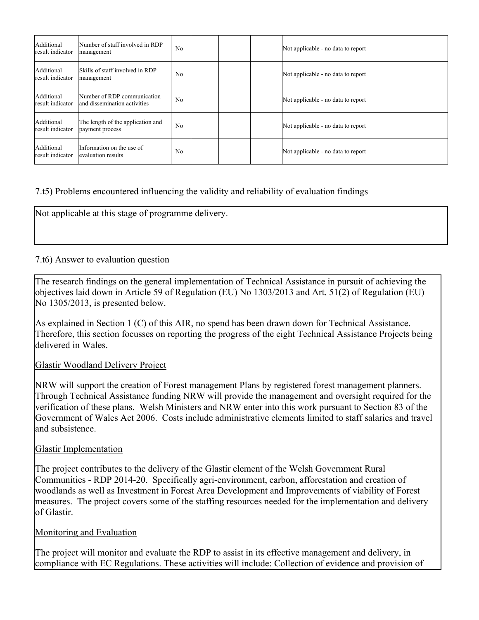| Additional<br>result indicator | Number of staff involved in RDP<br>management                | N <sub>0</sub> |  | Not applicable - no data to report |
|--------------------------------|--------------------------------------------------------------|----------------|--|------------------------------------|
| Additional<br>result indicator | Skills of staff involved in RDP<br>management                | N <sub>0</sub> |  | Not applicable - no data to report |
| Additional<br>result indicator | Number of RDP communication<br>land dissemination activities | N <sub>0</sub> |  | Not applicable - no data to report |
| Additional<br>result indicator | The length of the application and<br>payment process         | N <sub>0</sub> |  | Not applicable - no data to report |
| Additional<br>result indicator | Information on the use of<br>evaluation results              | N <sub>0</sub> |  | Not applicable - no data to report |

## 7.t5) Problems encountered influencing the validity and reliability of evaluation findings

Not applicable at this stage of programme delivery.

## 7.t6) Answer to evaluation question

The research findings on the general implementation of Technical Assistance in pursuit of achieving the objectives laid down in Article 59 of Regulation (EU) No 1303/2013 and Art. 51(2) of Regulation (EU) No 1305/2013, is presented below.

As explained in Section 1 (C) of this AIR, no spend has been drawn down for Technical Assistance. Therefore, this section focusses on reporting the progress of the eight Technical Assistance Projects being delivered in Wales.

#### Glastir Woodland Delivery Project

NRW will support the creation of Forest management Plans by registered forest management planners. Through Technical Assistance funding NRW will provide the management and oversight required for the verification of these plans. Welsh Ministers and NRW enter into this work pursuant to Section 83 of the Government of Wales Act 2006. Costs include administrative elements limited to staff salaries and travel and subsistence.

#### Glastir Implementation

The project contributes to the delivery of the Glastir element of the Welsh Government Rural Communities - RDP 2014-20. Specifically agri-environment, carbon, afforestation and creation of woodlands as well as Investment in Forest Area Development and Improvements of viability of Forest measures. The project covers some of the staffing resources needed for the implementation and delivery of Glastir.

#### Monitoring and Evaluation

The project will monitor and evaluate the RDP to assist in its effective management and delivery, in compliance with EC Regulations. These activities will include: Collection of evidence and provision of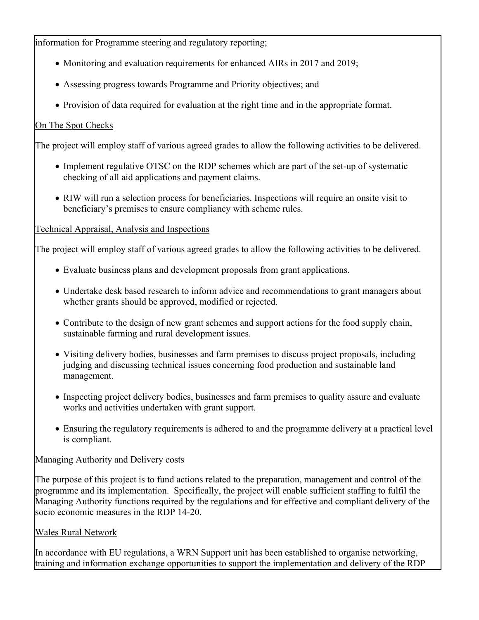information for Programme steering and regulatory reporting;

- Monitoring and evaluation requirements for enhanced AIRs in 2017 and 2019;
- Assessing progress towards Programme and Priority objectives; and
- Provision of data required for evaluation at the right time and in the appropriate format.

## On The Spot Checks

The project will employ staff of various agreed grades to allow the following activities to be delivered.

- Implement regulative OTSC on the RDP schemes which are part of the set-up of systematic checking of all aid applications and payment claims.
- RIW will run a selection process for beneficiaries. Inspections will require an onsite visit to beneficiary's premises to ensure compliancy with scheme rules.

## Technical Appraisal, Analysis and Inspections

The project will employ staff of various agreed grades to allow the following activities to be delivered.

- Evaluate business plans and development proposals from grant applications.
- Undertake desk based research to inform advice and recommendations to grant managers about whether grants should be approved, modified or rejected.
- Contribute to the design of new grant schemes and support actions for the food supply chain, sustainable farming and rural development issues.
- Visiting delivery bodies, businesses and farm premises to discuss project proposals, including judging and discussing technical issues concerning food production and sustainable land management.
- Inspecting project delivery bodies, businesses and farm premises to quality assure and evaluate works and activities undertaken with grant support.
- Ensuring the regulatory requirements is adhered to and the programme delivery at a practical level is compliant.

## Managing Authority and Delivery costs

The purpose of this project is to fund actions related to the preparation, management and control of the programme and its implementation. Specifically, the project will enable sufficient staffing to fulfil the Managing Authority functions required by the regulations and for effective and compliant delivery of the socio economic measures in the RDP 14-20.

## Wales Rural Network

In accordance with EU regulations, a WRN Support unit has been established to organise networking, training and information exchange opportunities to support the implementation and delivery of the RDP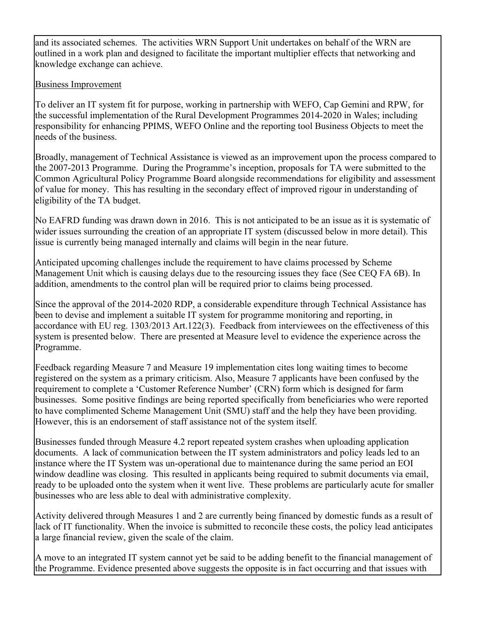and its associated schemes. The activities WRN Support Unit undertakes on behalf of the WRN are outlined in a work plan and designed to facilitate the important multiplier effects that networking and knowledge exchange can achieve.

## Business Improvement

To deliver an IT system fit for purpose, working in partnership with WEFO, Cap Gemini and RPW, for the successful implementation of the Rural Development Programmes 2014-2020 in Wales; including responsibility for enhancing PPIMS, WEFO Online and the reporting tool Business Objects to meet the needs of the business.

Broadly, management of Technical Assistance is viewed as an improvement upon the process compared to the 2007-2013 Programme. During the Programme's inception, proposals for TA were submitted to the Common Agricultural Policy Programme Board alongside recommendations for eligibility and assessment of value for money. This has resulting in the secondary effect of improved rigour in understanding of eligibility of the TA budget.

No EAFRD funding was drawn down in 2016. This is not anticipated to be an issue as it is systematic of wider issues surrounding the creation of an appropriate IT system (discussed below in more detail). This issue is currently being managed internally and claims will begin in the near future.

Anticipated upcoming challenges include the requirement to have claims processed by Scheme Management Unit which is causing delays due to the resourcing issues they face (See CEQ FA 6B). In addition, amendments to the control plan will be required prior to claims being processed.

Since the approval of the 2014-2020 RDP, a considerable expenditure through Technical Assistance has been to devise and implement a suitable IT system for programme monitoring and reporting, in accordance with EU reg. 1303/2013 Art.122(3). Feedback from interviewees on the effectiveness of this system is presented below. There are presented at Measure level to evidence the experience across the Programme.

Feedback regarding Measure 7 and Measure 19 implementation cites long waiting times to become registered on the system as a primary criticism. Also, Measure 7 applicants have been confused by the requirement to complete a 'Customer Reference Number' (CRN) form which is designed for farm businesses. Some positive findings are being reported specifically from beneficiaries who were reported to have complimented Scheme Management Unit (SMU) staff and the help they have been providing. However, this is an endorsement of staff assistance not of the system itself.

Businesses funded through Measure 4.2 report repeated system crashes when uploading application documents. A lack of communication between the IT system administrators and policy leads led to an instance where the IT System was un-operational due to maintenance during the same period an EOI window deadline was closing. This resulted in applicants being required to submit documents via email, ready to be uploaded onto the system when it went live. These problems are particularly acute for smaller businesses who are less able to deal with administrative complexity.

Activity delivered through Measures 1 and 2 are currently being financed by domestic funds as a result of lack of IT functionality. When the invoice is submitted to reconcile these costs, the policy lead anticipates a large financial review, given the scale of the claim.

A move to an integrated IT system cannot yet be said to be adding benefit to the financial management of the Programme. Evidence presented above suggests the opposite is in fact occurring and that issues with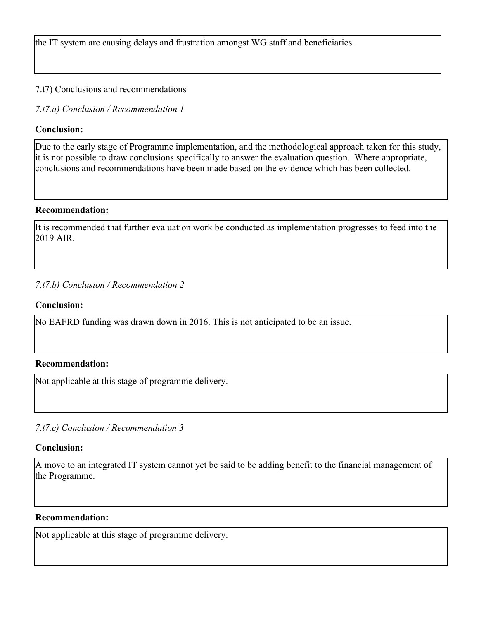the IT system are causing delays and frustration amongst WG staff and beneficiaries.

## 7.t7) Conclusions and recommendations

*7.t7.a) Conclusion / Recommendation 1*

## **Conclusion:**

Due to the early stage of Programme implementation, and the methodological approach taken for this study, it is not possible to draw conclusions specifically to answer the evaluation question. Where appropriate, conclusions and recommendations have been made based on the evidence which has been collected.

## **Recommendation:**

It is recommended that further evaluation work be conducted as implementation progresses to feed into the 2019 AIR.

## *7.t7.b) Conclusion / Recommendation 2*

## **Conclusion:**

No EAFRD funding was drawn down in 2016. This is not anticipated to be an issue.

## **Recommendation:**

Not applicable at this stage of programme delivery.

*7.t7.c) Conclusion / Recommendation 3*

## **Conclusion:**

A move to an integrated IT system cannot yet be said to be adding benefit to the financial management of the Programme.

## **Recommendation:**

Not applicable at this stage of programme delivery.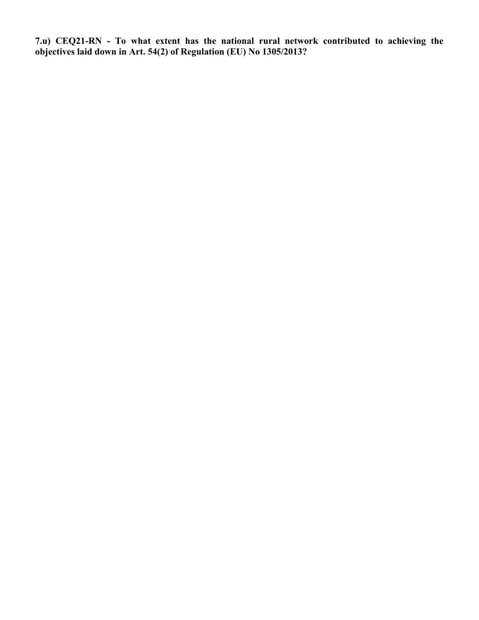**7.u) CEQ21-RN - To what extent has the national rural network contributed to achieving the objectives laid down in Art. 54(2) of Regulation (EU) No 1305/2013?**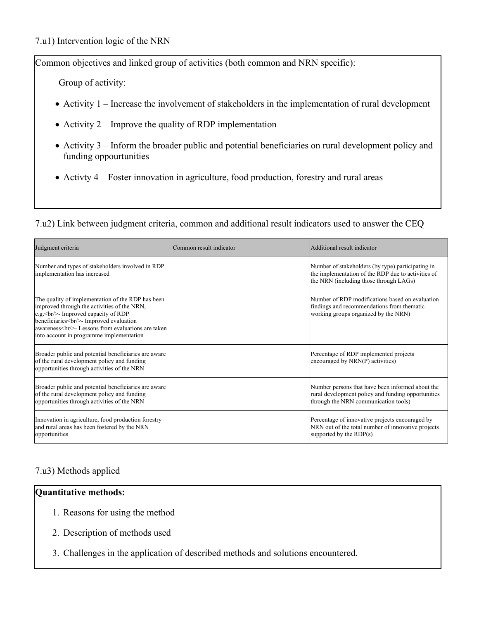Common objectives and linked group of activities (both common and NRN specific):

Group of activity:

- Activity 1 Increase the involvement of stakeholders in the implementation of rural development
- Activity  $2$  Improve the quality of RDP implementation
- Activity 3 Inform the broader public and potential beneficiaries on rural development policy and funding oppourtunities
- Activty 4 Foster innovation in agriculture, food production, forestry and rural areas

7.u2) Link between judgment criteria, common and additional result indicators used to answer the CEQ

| Judgment criteria                                                                                                                                                                                                                                  | Common result indicator | Additional result indicator                                                                                                                       |
|----------------------------------------------------------------------------------------------------------------------------------------------------------------------------------------------------------------------------------------------------|-------------------------|---------------------------------------------------------------------------------------------------------------------------------------------------|
| Number and types of stakeholders involved in RDP<br>implementation has increased                                                                                                                                                                   |                         | Number of stakeholders (by type) participating in<br>the implementation of the RDP due to activities of<br>the NRN (including those through LAGs) |
| The quality of implementation of the RDP has been<br>improved through the activities of the NRN,<br>$ e.g. $ = Improved capacity of RDP<br>beneficiaries<br>br/>- Improved evaluation<br>awareness<br>br/>- Lessons from evaluations are taken<br> |                         | Number of RDP modifications based on evaluation<br>findings and recommendations from thematic<br>working groups organized by the NRN)             |
| Broader public and potential beneficiaries are aware<br>of the rural development policy and funding<br>opportunities through activities of the NRN                                                                                                 |                         | Percentage of RDP implemented projects<br>encouraged by NRN(P) activities)                                                                        |
| Broader public and potential beneficiaries are aware<br>of the rural development policy and funding<br>opportunities through activities of the NRN                                                                                                 |                         | Number persons that have been informed about the<br>rural development policy and funding opportunities<br>through the NRN communication tools)    |
| Innovation in agriculture, food production forestry<br>and rural areas has been fostered by the NRN<br>opportunities                                                                                                                               |                         | Percentage of innovative projects encouraged by<br>NRN out of the total number of innovative projects<br>supported by the $RDP(s)$                |

## 7.u3) Methods applied

## **Quantitative methods:**

- 1. Reasons for using the method
- 2. Description of methods used
- 3. Challenges in the application of described methods and solutions encountered.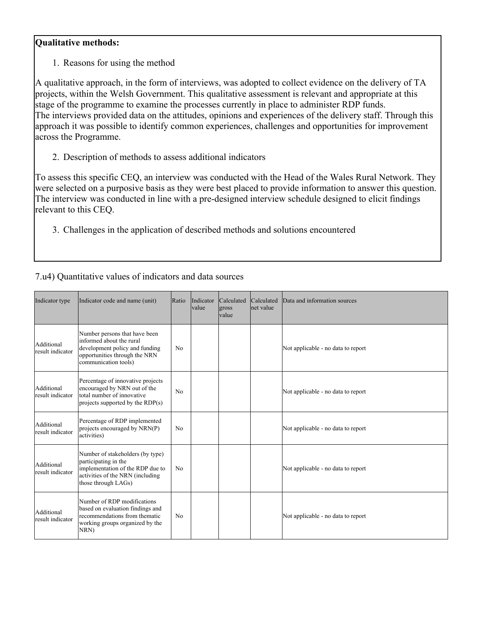## **Qualitative methods:**

1. Reasons for using the method

A qualitative approach, in the form of interviews, was adopted to collect evidence on the delivery of TA projects, within the Welsh Government. This qualitative assessment is relevant and appropriate at this stage of the programme to examine the processes currently in place to administer RDP funds. The interviews provided data on the attitudes, opinions and experiences of the delivery staff. Through this approach it was possible to identify common experiences, challenges and opportunities for improvement across the Programme.

2. Description of methods to assess additional indicators

To assess this specific CEQ, an interview was conducted with the Head of the Wales Rural Network. They were selected on a purposive basis as they were best placed to provide information to answer this question. The interview was conducted in line with a pre-designed interview schedule designed to elicit findings relevant to this CEQ.

3. Challenges in the application of described methods and solutions encountered

7.u4) Quantitative values of indicators and data sources

| Indicator type                 | Indicator code and name (unit)                                                                                                                          | Ratio          | Indicator<br><b>value</b> | Calculated<br>gross<br><i>value</i> | Calculated<br>net value | Data and information sources       |
|--------------------------------|---------------------------------------------------------------------------------------------------------------------------------------------------------|----------------|---------------------------|-------------------------------------|-------------------------|------------------------------------|
| Additional<br>result indicator | Number persons that have been<br>informed about the rural<br>development policy and funding<br>opportunities through the NRN<br>communication tools)    | No             |                           |                                     |                         | Not applicable - no data to report |
| Additional<br>result indicator | Percentage of innovative projects<br>encouraged by NRN out of the<br>total number of innovative<br>projects supported by the $RDP(s)$                   | N <sub>0</sub> |                           |                                     |                         | Not applicable - no data to report |
| Additional<br>result indicator | Percentage of RDP implemented<br>projects encouraged by NRN(P)<br>activities)                                                                           | No             |                           |                                     |                         | Not applicable - no data to report |
| Additional<br>result indicator | Number of stakeholders (by type)<br>participating in the<br>implementation of the RDP due to<br>activities of the NRN (including<br>those through LAGs) | No             |                           |                                     |                         | Not applicable - no data to report |
| Additional<br>result indicator | Number of RDP modifications<br>based on evaluation findings and<br>recommendations from thematic<br>working groups organized by the<br>NRN)             | No             |                           |                                     |                         | Not applicable - no data to report |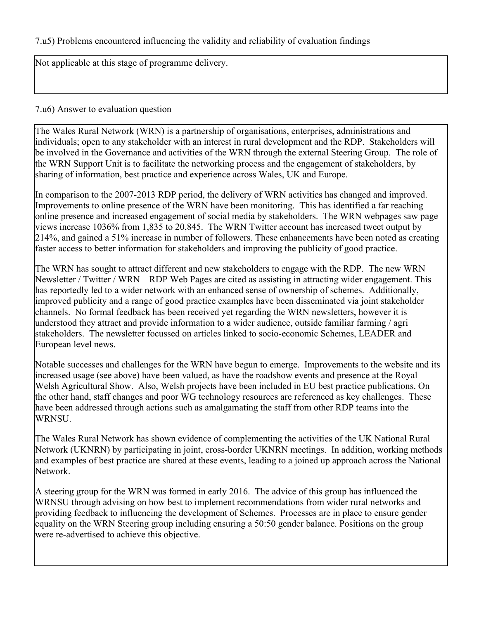7.u5) Problems encountered influencing the validity and reliability of evaluation findings

Not applicable at this stage of programme delivery.

## 7.u6) Answer to evaluation question

The Wales Rural Network (WRN) is a partnership of organisations, enterprises, administrations and individuals; open to any stakeholder with an interest in rural development and the RDP. Stakeholders will be involved in the Governance and activities of the WRN through the external Steering Group. The role of the WRN Support Unit is to facilitate the networking process and the engagement of stakeholders, by sharing of information, best practice and experience across Wales, UK and Europe.

In comparison to the 2007-2013 RDP period, the delivery of WRN activities has changed and improved. Improvements to online presence of the WRN have been monitoring. This has identified a far reaching online presence and increased engagement of social media by stakeholders. The WRN webpages saw page views increase 1036% from 1,835 to 20,845. The WRN Twitter account has increased tweet output by 214%, and gained a 51% increase in number of followers. These enhancements have been noted as creating faster access to better information for stakeholders and improving the publicity of good practice.

The WRN has sought to attract different and new stakeholders to engage with the RDP. The new WRN Newsletter / Twitter / WRN – RDP Web Pages are cited as assisting in attracting wider engagement. This has reportedly led to a wider network with an enhanced sense of ownership of schemes. Additionally, improved publicity and a range of good practice examples have been disseminated via joint stakeholder channels. No formal feedback has been received yet regarding the WRN newsletters, however it is understood they attract and provide information to a wider audience, outside familiar farming / agri stakeholders. The newsletter focussed on articles linked to socio-economic Schemes, LEADER and European level news.

Notable successes and challenges for the WRN have begun to emerge. Improvements to the website and its increased usage (see above) have been valued, as have the roadshow events and presence at the Royal Welsh Agricultural Show. Also, Welsh projects have been included in EU best practice publications. On the other hand, staff changes and poor WG technology resources are referenced as key challenges. These have been addressed through actions such as amalgamating the staff from other RDP teams into the WRNSU.

The Wales Rural Network has shown evidence of complementing the activities of the UK National Rural Network (UKNRN) by participating in joint, cross-border UKNRN meetings. In addition, working methods and examples of best practice are shared at these events, leading to a joined up approach across the National Network.

A steering group for the WRN was formed in early 2016. The advice of this group has influenced the WRNSU through advising on how best to implement recommendations from wider rural networks and providing feedback to influencing the development of Schemes. Processes are in place to ensure gender equality on the WRN Steering group including ensuring a 50:50 gender balance. Positions on the group were re-advertised to achieve this objective.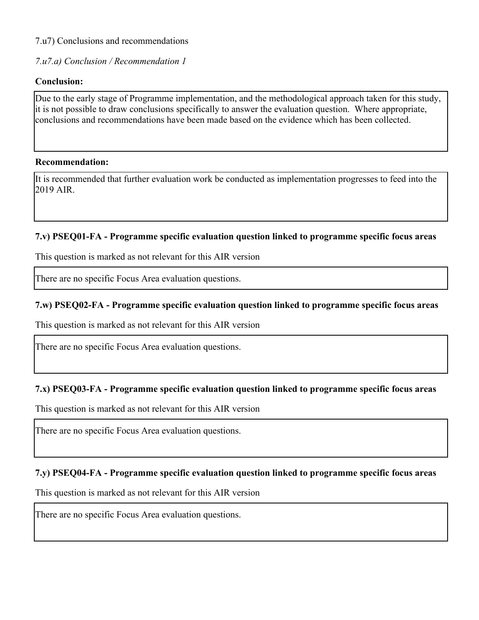7.u7) Conclusions and recommendations

*7.u7.a) Conclusion / Recommendation 1*

## **Conclusion:**

Due to the early stage of Programme implementation, and the methodological approach taken for this study, it is not possible to draw conclusions specifically to answer the evaluation question. Where appropriate, conclusions and recommendations have been made based on the evidence which has been collected.

#### **Recommendation:**

It is recommended that further evaluation work be conducted as implementation progresses to feed into the 2019 AIR.

#### **7.v) PSEQ01-FA - Programme specific evaluation question linked to programme specific focus areas**

This question is marked as not relevant for this AIR version

There are no specific Focus Area evaluation questions.

## **7.w) PSEQ02-FA - Programme specific evaluation question linked to programme specific focus areas**

This question is marked as not relevant for this AIR version

There are no specific Focus Area evaluation questions.

## **7.x) PSEQ03-FA - Programme specific evaluation question linked to programme specific focus areas**

This question is marked as not relevant for this AIR version

There are no specific Focus Area evaluation questions.

## **7.y) PSEQ04-FA - Programme specific evaluation question linked to programme specific focus areas**

This question is marked as not relevant for this AIR version

There are no specific Focus Area evaluation questions.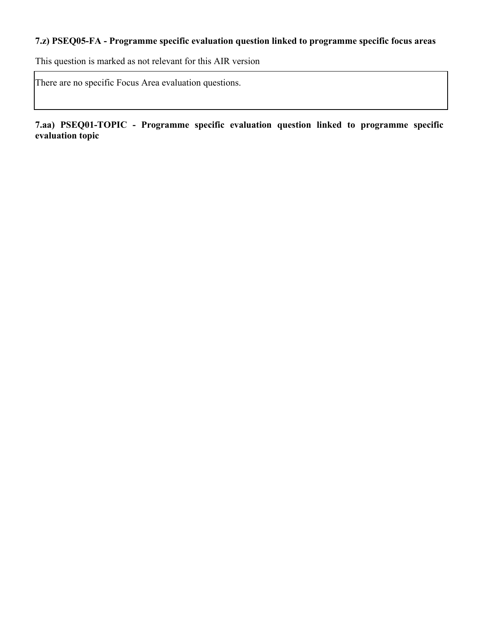## **7.z) PSEQ05-FA - Programme specific evaluation question linked to programme specific focus areas**

This question is marked as not relevant for this AIR version

There are no specific Focus Area evaluation questions.

**7.aa) PSEQ01-TOPIC - Programme specific evaluation question linked to programme specific evaluation topic**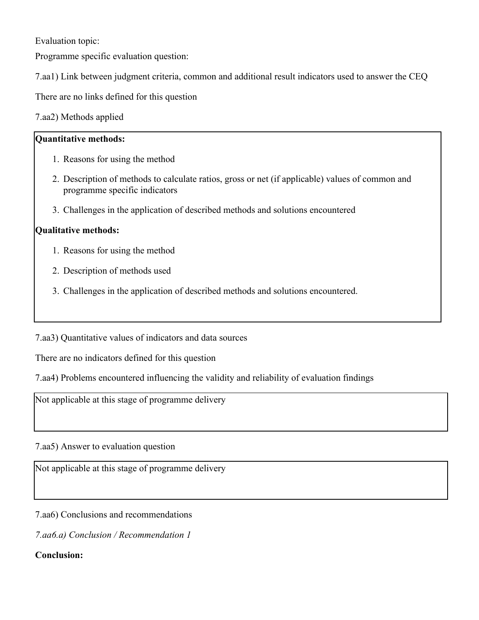Evaluation topic:

Programme specific evaluation question:

7.aa1) Link between judgment criteria, common and additional result indicators used to answer the CEQ

There are no links defined for this question

7.aa2) Methods applied

## **Quantitative methods:**

- 1. Reasons for using the method
- 2. Description of methods to calculate ratios, gross or net (if applicable) values of common and programme specific indicators
- 3. Challenges in the application of described methods and solutions encountered

## **Qualitative methods:**

- 1. Reasons for using the method
- 2. Description of methods used
- 3. Challenges in the application of described methods and solutions encountered.

7.aa3) Quantitative values of indicators and data sources

There are no indicators defined for this question

7.aa4) Problems encountered influencing the validity and reliability of evaluation findings

Not applicable at this stage of programme delivery

7.aa5) Answer to evaluation question

Not applicable at this stage of programme delivery

7.aa6) Conclusions and recommendations

*7.aa6.a) Conclusion / Recommendation 1*

## **Conclusion:**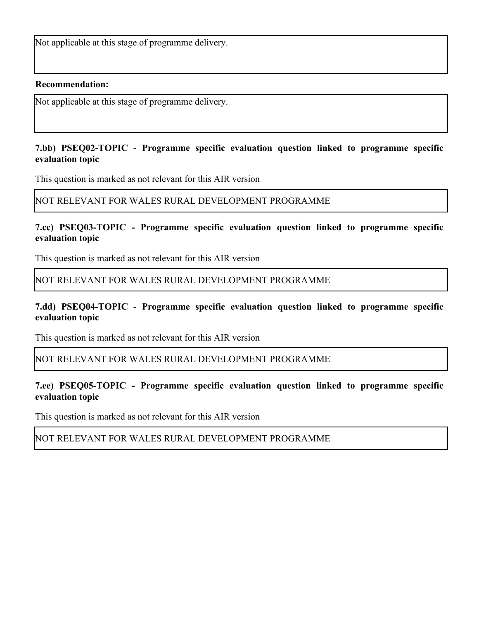Not applicable at this stage of programme delivery.

#### **Recommendation:**

Not applicable at this stage of programme delivery.

#### **7.bb) PSEQ02-TOPIC - Programme specific evaluation question linked to programme specific evaluation topic**

This question is marked as not relevant for this AIR version

#### NOT RELEVANT FOR WALES RURAL DEVELOPMENT PROGRAMME

### **7.cc) PSEQ03-TOPIC - Programme specific evaluation question linked to programme specific evaluation topic**

This question is marked as not relevant for this AIR version

NOT RELEVANT FOR WALES RURAL DEVELOPMENT PROGRAMME

## **7.dd) PSEQ04-TOPIC - Programme specific evaluation question linked to programme specific evaluation topic**

This question is marked as not relevant for this AIR version

#### NOT RELEVANT FOR WALES RURAL DEVELOPMENT PROGRAMME

## **7.ee) PSEQ05-TOPIC - Programme specific evaluation question linked to programme specific evaluation topic**

This question is marked as not relevant for this AIR version

## NOT RELEVANT FOR WALES RURAL DEVELOPMENT PROGRAMME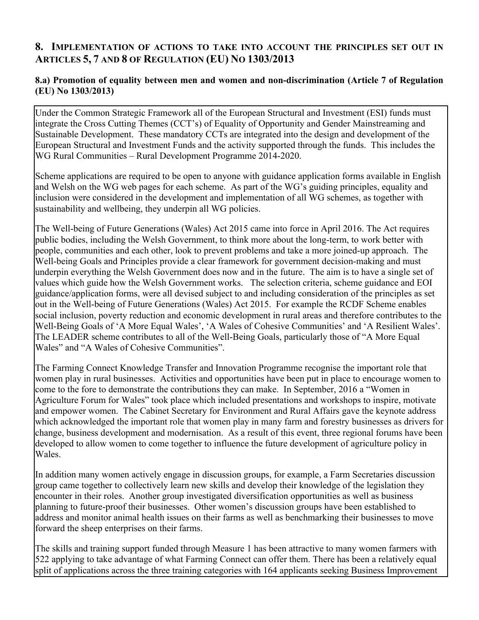## **8. IMPLEMENTATION OF ACTIONS TO TAKE INTO ACCOUNT THE PRINCIPLES SET OUT IN ARTICLES 5, 7 AND 8 OF REGULATION (EU) NO 1303/2013**

## **8.a) Promotion of equality between men and women and non-discrimination (Article 7 of Regulation (EU) No 1303/2013)**

Under the Common Strategic Framework all of the European Structural and Investment (ESI) funds must integrate the Cross Cutting Themes (CCT's) of Equality of Opportunity and Gender Mainstreaming and Sustainable Development. These mandatory CCTs are integrated into the design and development of the European Structural and Investment Funds and the activity supported through the funds. This includes the WG Rural Communities – Rural Development Programme 2014-2020.

Scheme applications are required to be open to anyone with guidance application forms available in English and Welsh on the WG web pages for each scheme. As part of the WG's guiding principles, equality and inclusion were considered in the development and implementation of all WG schemes, as together with sustainability and wellbeing, they underpin all WG policies.

The Well-being of Future Generations (Wales) Act 2015 came into force in April 2016. The Act requires public bodies, including the Welsh Government, to think more about the long-term, to work better with people, communities and each other, look to prevent problems and take a more joined-up approach. The Well-being Goals and Principles provide a clear framework for government decision-making and must underpin everything the Welsh Government does now and in the future. The aim is to have a single set of values which guide how the Welsh Government works. The selection criteria, scheme guidance and EOI guidance/application forms, were all devised subject to and including consideration of the principles as set out in the Well-being of Future Generations (Wales) Act 2015. For example the RCDF Scheme enables social inclusion, poverty reduction and economic development in rural areas and therefore contributes to the Well-Being Goals of 'A More Equal Wales', 'A Wales of Cohesive Communities' and 'A Resilient Wales'. The LEADER scheme contributes to all of the Well-Being Goals, particularly those of "A More Equal Wales" and "A Wales of Cohesive Communities".

The Farming Connect Knowledge Transfer and Innovation Programme recognise the important role that women play in rural businesses. Activities and opportunities have been put in place to encourage women to come to the fore to demonstrate the contributions they can make. In September, 2016 a "Women in Agriculture Forum for Wales" took place which included presentations and workshops to inspire, motivate and empower women. The Cabinet Secretary for Environment and Rural Affairs gave the keynote address which acknowledged the important role that women play in many farm and forestry businesses as drivers for change, business development and modernisation. As a result of this event, three regional forums have been developed to allow women to come together to influence the future development of agriculture policy in Wales.

In addition many women actively engage in discussion groups, for example, a Farm Secretaries discussion group came together to collectively learn new skills and develop their knowledge of the legislation they encounter in their roles. Another group investigated diversification opportunities as well as business planning to future-proof their businesses. Other women's discussion groups have been established to address and monitor animal health issues on their farms as well as benchmarking their businesses to move forward the sheep enterprises on their farms.

The skills and training support funded through Measure 1 has been attractive to many women farmers with 522 applying to take advantage of what Farming Connect can offer them. There has been a relatively equal split of applications across the three training categories with 164 applicants seeking Business Improvement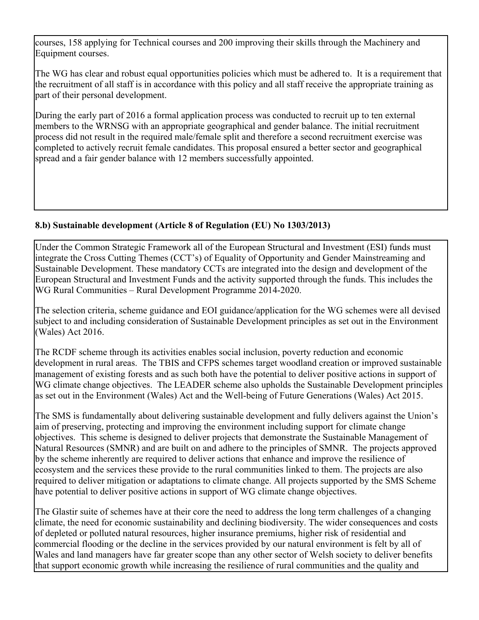courses, 158 applying for Technical courses and 200 improving their skills through the Machinery and Equipment courses.

The WG has clear and robust equal opportunities policies which must be adhered to. It is a requirement that the recruitment of all staff is in accordance with this policy and all staff receive the appropriate training as part of their personal development.

During the early part of 2016 a formal application process was conducted to recruit up to ten external members to the WRNSG with an appropriate geographical and gender balance. The initial recruitment process did not result in the required male/female split and therefore a second recruitment exercise was completed to actively recruit female candidates. This proposal ensured a better sector and geographical spread and a fair gender balance with 12 members successfully appointed.

## **8.b) Sustainable development (Article 8 of Regulation (EU) No 1303/2013)**

Under the Common Strategic Framework all of the European Structural and Investment (ESI) funds must integrate the Cross Cutting Themes (CCT's) of Equality of Opportunity and Gender Mainstreaming and Sustainable Development. These mandatory CCTs are integrated into the design and development of the European Structural and Investment Funds and the activity supported through the funds. This includes the WG Rural Communities – Rural Development Programme 2014-2020.

The selection criteria, scheme guidance and EOI guidance/application for the WG schemes were all devised subject to and including consideration of Sustainable Development principles as set out in the Environment (Wales) Act 2016.

The RCDF scheme through its activities enables social inclusion, poverty reduction and economic development in rural areas. The TBIS and CFPS schemes target woodland creation or improved sustainable management of existing forests and as such both have the potential to deliver positive actions in support of WG climate change objectives. The LEADER scheme also upholds the Sustainable Development principles as set out in the Environment (Wales) Act and the Well-being of Future Generations (Wales) Act 2015.

The SMS is fundamentally about delivering sustainable development and fully delivers against the Union's aim of preserving, protecting and improving the environment including support for climate change objectives. This scheme is designed to deliver projects that demonstrate the Sustainable Management of Natural Resources (SMNR) and are built on and adhere to the principles of SMNR. The projects approved by the scheme inherently are required to deliver actions that enhance and improve the resilience of ecosystem and the services these provide to the rural communities linked to them. The projects are also required to deliver mitigation or adaptations to climate change. All projects supported by the SMS Scheme have potential to deliver positive actions in support of WG climate change objectives.

The Glastir suite of schemes have at their core the need to address the long term challenges of a changing climate, the need for economic sustainability and declining biodiversity. The wider consequences and costs of depleted or polluted natural resources, higher insurance premiums, higher risk of residential and commercial flooding or the decline in the services provided by our natural environment is felt by all of Wales and land managers have far greater scope than any other sector of Welsh society to deliver benefits that support economic growth while increasing the resilience of rural communities and the quality and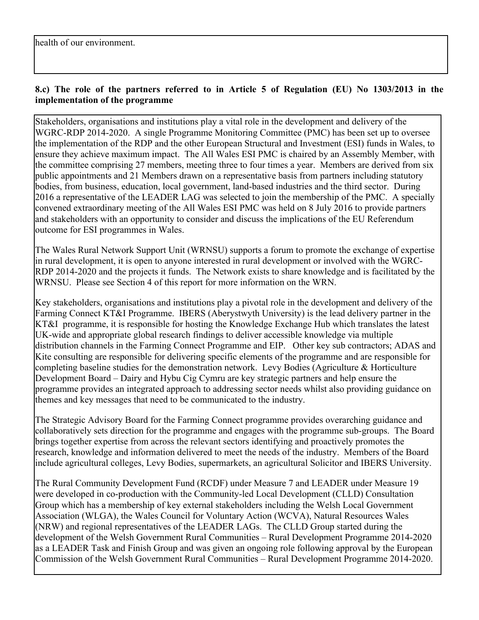## **8.c) The role of the partners referred to in Article 5 of Regulation (EU) No 1303/2013 in the implementation of the programme**

Stakeholders, organisations and institutions play a vital role in the development and delivery of the WGRC-RDP 2014-2020. A single Programme Monitoring Committee (PMC) has been set up to oversee the implementation of the RDP and the other European Structural and Investment (ESI) funds in Wales, to ensure they achieve maximum impact. The All Wales ESI PMC is chaired by an Assembly Member, with the committee comprising 27 members, meeting three to four times a year. Members are derived from six public appointments and 21 Members drawn on a representative basis from partners including statutory bodies, from business, education, local government, land-based industries and the third sector. During 2016 a representative of the LEADER LAG was selected to join the membership of the PMC. A specially convened extraordinary meeting of the All Wales ESI PMC was held on 8 July 2016 to provide partners and stakeholders with an opportunity to consider and discuss the implications of the EU Referendum outcome for ESI programmes in Wales.

The Wales Rural Network Support Unit (WRNSU) supports a forum to promote the exchange of expertise in rural development, it is open to anyone interested in rural development or involved with the WGRC-RDP 2014-2020 and the projects it funds. The Network exists to share knowledge and is facilitated by the WRNSU. Please see Section 4 of this report for more information on the WRN.

Key stakeholders, organisations and institutions play a pivotal role in the development and delivery of the Farming Connect KT&I Programme. IBERS (Aberystwyth University) is the lead delivery partner in the KT&I programme, it is responsible for hosting the Knowledge Exchange Hub which translates the latest UK-wide and appropriate global research findings to deliver accessible knowledge via multiple distribution channels in the Farming Connect Programme and EIP. Other key sub contractors; ADAS and Kite consulting are responsible for delivering specific elements of the programme and are responsible for completing baseline studies for the demonstration network. Levy Bodies (Agriculture & Horticulture Development Board – Dairy and Hybu Cig Cymru are key strategic partners and help ensure the programme provides an integrated approach to addressing sector needs whilst also providing guidance on themes and key messages that need to be communicated to the industry.

The Strategic Advisory Board for the Farming Connect programme provides overarching guidance and collaboratively sets direction for the programme and engages with the programme sub-groups. The Board brings together expertise from across the relevant sectors identifying and proactively promotes the research, knowledge and information delivered to meet the needs of the industry. Members of the Board include agricultural colleges, Levy Bodies, supermarkets, an agricultural Solicitor and IBERS University.

The Rural Community Development Fund (RCDF) under Measure 7 and LEADER under Measure 19 were developed in co-production with the Community-led Local Development (CLLD) Consultation Group which has a membership of key external stakeholders including the Welsh Local Government Association (WLGA), the Wales Council for Voluntary Action (WCVA), Natural Resources Wales (NRW) and regional representatives of the LEADER LAGs. The CLLD Group started during the development of the Welsh Government Rural Communities – Rural Development Programme 2014-2020 as a LEADER Task and Finish Group and was given an ongoing role following approval by the European Commission of the Welsh Government Rural Communities – Rural Development Programme 2014-2020.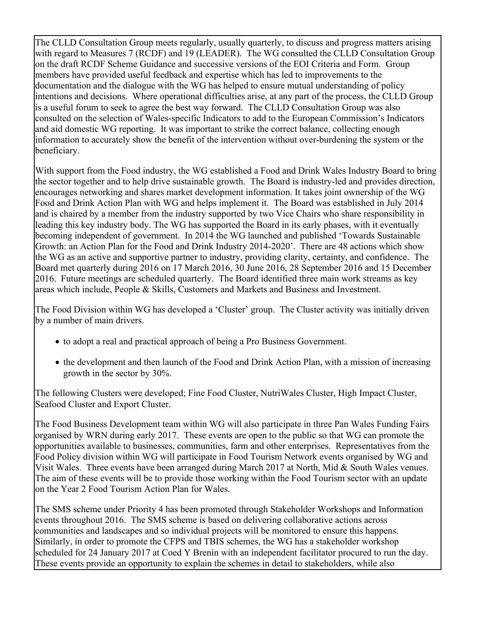The CLLD Consultation Group meets regularly, usually quarterly, to discuss and progress matters arising with regard to Measures 7 (RCDF) and 19 (LEADER). The WG consulted the CLLD Consultation Group on the draft RCDF Scheme Guidance and successive versions of the EOI Criteria and Form. Group members have provided useful feedback and expertise which has led to improvements to the documentation and the dialogue with the WG has helped to ensure mutual understanding of policy intentions and decisions. Where operational difficulties arise, at any part of the process, the CLLD Group is a useful forum to seek to agree the best way forward. The CLLD Consultation Group was also consulted on the selection of Wales-specific Indicators to add to the European Commission's Indicators and aid domestic WG reporting. It was important to strike the correct balance, collecting enough information to accurately show the benefit of the intervention without over-burdening the system or the beneficiary.

With support from the Food industry, the WG established a Food and Drink Wales Industry Board to bring the sector together and to help drive sustainable growth. The Board is industry-led and provides direction, encourages networking and shares market development information. It takes joint ownership of the WG Food and Drink Action Plan with WG and helps implement it. The Board was established in July 2014 and is chaired by a member from the industry supported by two Vice Chairs who share responsibility in leading this key industry body. The WG has supported the Board in its early phases, with it eventually becoming independent of government. In 2014 the WG launched and published 'Towards Sustainable Growth: an Action Plan for the Food and Drink Industry 2014-2020'. There are 48 actions which show the WG as an active and supportive partner to industry, providing clarity, certainty, and confidence. The Board met quarterly during 2016 on 17 March 2016, 30 June 2016, 28 September 2016 and 15 December 2016. Future meetings are scheduled quarterly. The Board identified three main work streams as key areas which include, People & Skills, Customers and Markets and Business and Investment.

The Food Division within WG has developed a 'Cluster' group. The Cluster activity was initially driven by a number of main drivers.

- to adopt a real and practical approach of being a Pro Business Government.
- the development and then launch of the Food and Drink Action Plan, with a mission of increasing growth in the sector by 30%.

The following Clusters were developed; Fine Food Cluster, NutriWales Cluster, High Impact Cluster, Seafood Cluster and Export Cluster.

The Food Business Development team within WG will also participate in three Pan Wales Funding Fairs organised by WRN during early 2017. These events are open to the public so that WG can promote the opportunities available to businesses, communities, farm and other enterprises. Representatives from the Food Policy division within WG will participate in Food Tourism Network events organised by WG and Visit Wales. Three events have been arranged during March 2017 at North, Mid & South Wales venues. The aim of these events will be to provide those working within the Food Tourism sector with an update on the Year 2 Food Tourism Action Plan for Wales.

The SMS scheme under Priority 4 has been promoted through Stakeholder Workshops and Information events throughout 2016. The SMS scheme is based on delivering collaborative actions across communities and landscapes and so individual projects will be monitored to ensure this happens. Similarly, in order to promote the CFPS and TBIS schemes, the WG has a stakeholder workshop scheduled for 24 January 2017 at Coed Y Brenin with an independent facilitator procured to run the day. These events provide an opportunity to explain the schemes in detail to stakeholders, while also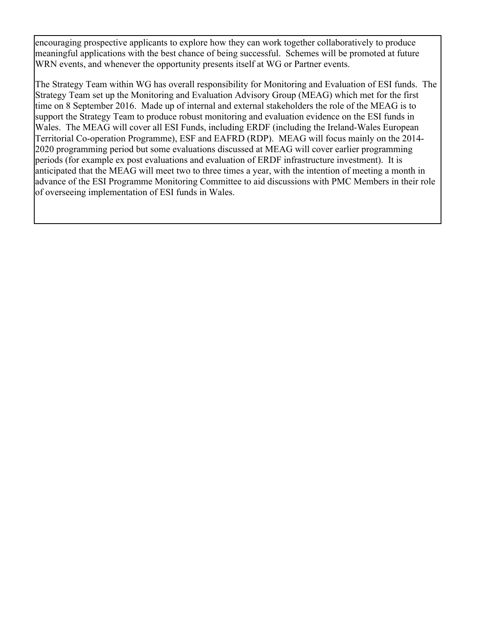encouraging prospective applicants to explore how they can work together collaboratively to produce meaningful applications with the best chance of being successful. Schemes will be promoted at future WRN events, and whenever the opportunity presents itself at WG or Partner events.

The Strategy Team within WG has overall responsibility for Monitoring and Evaluation of ESI funds. The Strategy Team set up the Monitoring and Evaluation Advisory Group (MEAG) which met for the first time on 8 September 2016. Made up of internal and external stakeholders the role of the MEAG is to support the Strategy Team to produce robust monitoring and evaluation evidence on the ESI funds in Wales. The MEAG will cover all ESI Funds, including ERDF (including the Ireland-Wales European Territorial Co-operation Programme), ESF and EAFRD (RDP). MEAG will focus mainly on the 2014- 2020 programming period but some evaluations discussed at MEAG will cover earlier programming periods (for example ex post evaluations and evaluation of ERDF infrastructure investment). It is anticipated that the MEAG will meet two to three times a year, with the intention of meeting a month in advance of the ESI Programme Monitoring Committee to aid discussions with PMC Members in their role of overseeing implementation of ESI funds in Wales.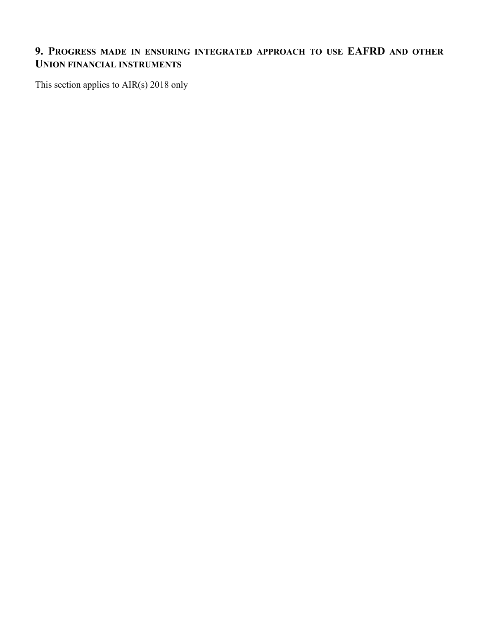## **9. PROGRESS MADE IN ENSURING INTEGRATED APPROACH TO USE EAFRD AND OTHER UNION FINANCIAL INSTRUMENTS**

This section applies to AIR(s) 2018 only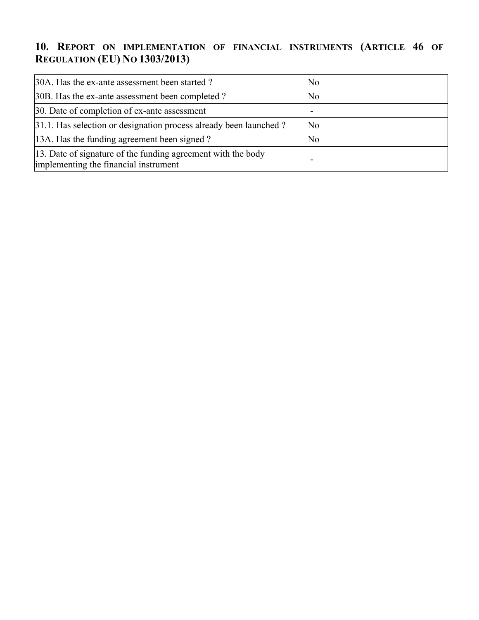# **10. REPORT ON IMPLEMENTATION OF FINANCIAL INSTRUMENTS (ARTICLE 46 OF REGULATION (EU) NO 1303/2013)**

| 30A. Has the ex-ante assessment been started?                                                         | No                  |
|-------------------------------------------------------------------------------------------------------|---------------------|
| 30B. Has the ex-ante assessment been completed?                                                       | No                  |
| 30. Date of completion of ex-ante assessment                                                          |                     |
| 31.1. Has selection or designation process already been launched?                                     | $\overline{\rm No}$ |
| 13A. Has the funding agreement been signed?                                                           | No                  |
| 13. Date of signature of the funding agreement with the body<br>implementing the financial instrument |                     |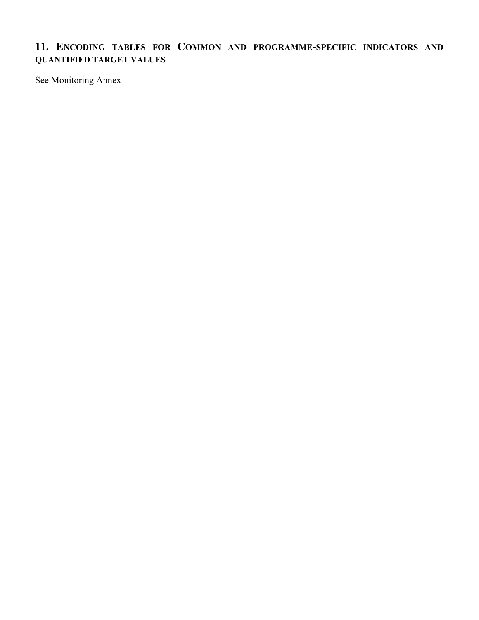## **11. ENCODING TABLES FOR COMMON AND PROGRAMME-SPECIFIC INDICATORS AND QUANTIFIED TARGET VALUES**

See Monitoring Annex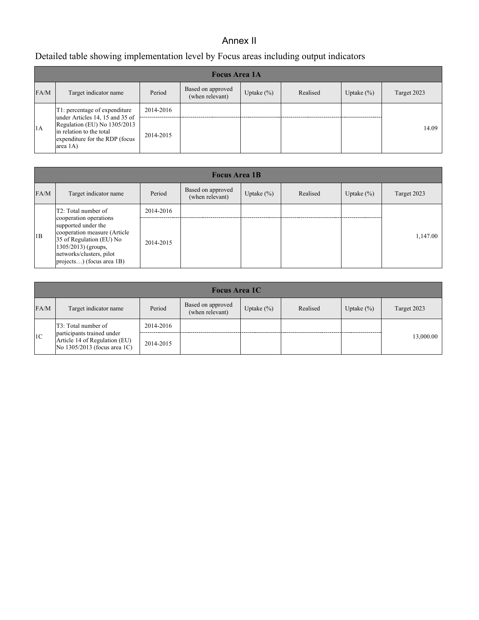## Annex II

## Detailed table showing implementation level by Focus areas including output indicators

|      | <b>Focus Area 1A</b>                                                                                                                               |           |                                      |               |          |               |             |  |  |  |
|------|----------------------------------------------------------------------------------------------------------------------------------------------------|-----------|--------------------------------------|---------------|----------|---------------|-------------|--|--|--|
| FA/M | Target indicator name                                                                                                                              | Period    | Based on approved<br>(when relevant) | Uptake $(\%)$ | Realised | Uptake $(\%)$ | Target 2023 |  |  |  |
|      | T1: percentage of expenditure                                                                                                                      | 2014-2016 |                                      |               |          |               |             |  |  |  |
| 1A   | under Articles 14, 15 and 35 of<br>Regulation (EU) No 1305/2013<br>in relation to the total<br>expenditure for the RDP (focus<br>$ area 1A\rangle$ | 2014-2015 |                                      |               |          |               | 14.09       |  |  |  |

|      | <b>Focus Area 1B</b>                                                                                                                                                                               |           |                                      |                |          |                |             |  |  |  |
|------|----------------------------------------------------------------------------------------------------------------------------------------------------------------------------------------------------|-----------|--------------------------------------|----------------|----------|----------------|-------------|--|--|--|
| FA/M | Target indicator name                                                                                                                                                                              | Period    | Based on approved<br>(when relevant) | Uptake $(\% )$ | Realised | Uptake $(\% )$ | Target 2023 |  |  |  |
|      | T <sub>2</sub> : Total number of                                                                                                                                                                   | 2014-2016 |                                      |                |          |                |             |  |  |  |
| 1B   | cooperation operations<br>supported under the<br>cooperation measure (Article<br>$35$ of Regulation (EU) No<br>$(1305/2013)$ (groups,<br>networks/clusters, pilot<br>$ $ projects) (focus area 1B) | 2014-2015 |                                      |                |          |                | 1,147.00    |  |  |  |

| <b>Focus Area 1C</b> |                                                                                               |           |                                      |               |          |                |             |  |  |
|----------------------|-----------------------------------------------------------------------------------------------|-----------|--------------------------------------|---------------|----------|----------------|-------------|--|--|
| FA/M                 | Target indicator name                                                                         | Period    | Based on approved<br>(when relevant) | Uptake $(\%)$ | Realised | Uptake $(\% )$ | Target 2023 |  |  |
|                      | T3: Total number of                                                                           | 2014-2016 |                                      |               |          |                |             |  |  |
| 1 <sup>C</sup>       | participants trained under<br>Article 14 of Regulation (EU)<br>No $1305/2013$ (focus area 1C) | 2014-2015 |                                      |               |          |                | 13,000.00   |  |  |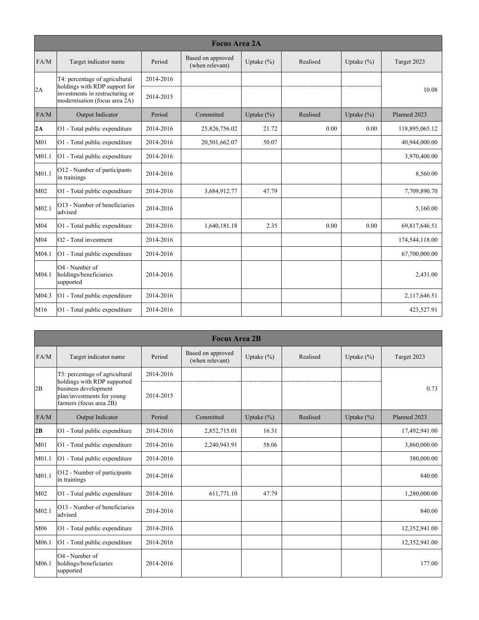|                   |                                                                                                   |           | <b>Focus Area 2A</b>                 |               |          |                |                |
|-------------------|---------------------------------------------------------------------------------------------------|-----------|--------------------------------------|---------------|----------|----------------|----------------|
| FA/M              | Target indicator name                                                                             | Period    | Based on approved<br>(when relevant) | Uptake $(\%)$ | Realised | Uptake $(\% )$ | Target 2023    |
|                   | T4: percentage of agricultural                                                                    | 2014-2016 |                                      |               |          |                |                |
| 2A                | holdings with RDP support for<br>investments in restructuring or<br>modernisation (focus area 2A) | 2014-2015 |                                      |               |          |                | 10.08          |
| FA/M              | Output Indicator                                                                                  | Period    | Committed                            | Uptake $(\%)$ | Realised | Uptake $(\% )$ | Planned 2023   |
| 2A                | O1 - Total public expenditure                                                                     | 2014-2016 | 25,826,756.02                        | 21.72         | 0.00     | 0.00           | 118,895,065.12 |
| M <sub>01</sub>   | O1 - Total public expenditure                                                                     | 2014-2016 | 20,501,662.07                        | 50.07         |          |                | 40,944,000.00  |
| M01.1             | O1 - Total public expenditure                                                                     | 2014-2016 |                                      |               |          |                | 3,970,400.00   |
| M01.1             | O12 - Number of participants<br>in trainings                                                      | 2014-2016 |                                      |               |          |                | 8,560.00       |
| M02               | O1 - Total public expenditure                                                                     | 2014-2016 | 3,684,912.77                         | 47.79         |          |                | 7,709,890.70   |
| M <sub>02.1</sub> | O13 - Number of beneficiaries<br>advised                                                          | 2014-2016 |                                      |               |          |                | 5,160.00       |
| M04               | O1 - Total public expenditure                                                                     | 2014-2016 | 1,640,181.18                         | 2.35          | 0.00     | 0.00           | 69,817,646.51  |
| M04               | $ O2$ - Total investment                                                                          | 2014-2016 |                                      |               |          |                | 174,544,118.00 |
| M04.1             | O1 - Total public expenditure                                                                     | 2014-2016 |                                      |               |          |                | 67,700,000.00  |
| M04.1             | $O4$ - Number of<br>holdings/beneficiaries<br>supported                                           | 2014-2016 |                                      |               |          |                | 2,431.00       |
| M04.3             | O1 - Total public expenditure                                                                     | 2014-2016 |                                      |               |          |                | 2,117,646.51   |
| M <sub>16</sub>   | O1 - Total public expenditure                                                                     | 2014-2016 |                                      |               |          |                | 423,527.91     |

|       | <b>Focus Area 2B</b>                                                          |           |                                      |               |          |                |               |  |  |  |
|-------|-------------------------------------------------------------------------------|-----------|--------------------------------------|---------------|----------|----------------|---------------|--|--|--|
| FA/M  | Target indicator name                                                         | Period    | Based on approved<br>(when relevant) | Uptake (%)    | Realised | Uptake $(\% )$ | Target 2023   |  |  |  |
|       | T5: percentage of agricultural<br>holdings with RDP supported                 | 2014-2016 |                                      |               |          |                |               |  |  |  |
| 2B    | business development<br>plan/investments for young<br>farmers (focus area 2B) | 2014-2015 |                                      |               |          |                | 0.73          |  |  |  |
| FA/M  | Output Indicator                                                              | Period    | Committed                            | Uptake $(\%)$ | Realised | Uptake $(\%)$  | Planned 2023  |  |  |  |
| 2B    | O1 - Total public expenditure                                                 | 2014-2016 | 2,852,715.01                         | 16.31         |          |                | 17,492,941.00 |  |  |  |
| M01   | O1 - Total public expenditure                                                 | 2014-2016 | 2,240,943.91                         | 58.06         |          |                | 3,860,000.00  |  |  |  |
| M01.1 | O1 - Total public expenditure                                                 | 2014-2016 |                                      |               |          |                | 380,000.00    |  |  |  |
| M01.1 | O12 - Number of participants<br>in trainings                                  | 2014-2016 |                                      |               |          |                | 840.00        |  |  |  |
| M02   | O1 - Total public expenditure                                                 | 2014-2016 | 611,771.10                           | 47.79         |          |                | 1,280,000.00  |  |  |  |
| M02.1 | O13 - Number of beneficiaries<br>advised                                      | 2014-2016 |                                      |               |          |                | 840.00        |  |  |  |
| M06   | O1 - Total public expenditure                                                 | 2014-2016 |                                      |               |          |                | 12,352,941.00 |  |  |  |
| M06.1 | O1 - Total public expenditure                                                 | 2014-2016 |                                      |               |          |                | 12,352,941.00 |  |  |  |
| M06.1 | O4 - Number of<br>holdings/beneficiaries<br>supported                         | 2014-2016 |                                      |               |          |                | 177.00        |  |  |  |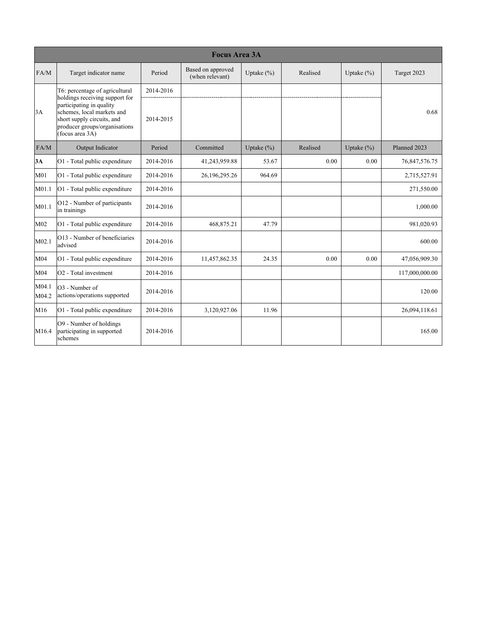|                   | <b>Focus Area 3A</b>                                                                                                                                                       |           |                                      |                |          |                |                |  |  |  |
|-------------------|----------------------------------------------------------------------------------------------------------------------------------------------------------------------------|-----------|--------------------------------------|----------------|----------|----------------|----------------|--|--|--|
| FA/M              | Target indicator name                                                                                                                                                      | Period    | Based on approved<br>(when relevant) | Uptake $(\% )$ | Realised | Uptake $(\% )$ | Target 2023    |  |  |  |
|                   | T6: percentage of agricultural                                                                                                                                             | 2014-2016 |                                      |                |          |                |                |  |  |  |
| 3A                | holdings receiving support for<br>participating in quality<br>schemes, local markets and<br>short supply circuits, and<br>producer groups/organisations<br>(focus area 3A) | 2014-2015 |                                      |                |          |                | 0.68           |  |  |  |
| FA/M              | Output Indicator                                                                                                                                                           | Period    | Committed                            | Uptake $(\%)$  | Realised | Uptake $(\% )$ | Planned 2023   |  |  |  |
| 3A                | O1 - Total public expenditure                                                                                                                                              | 2014-2016 | 41,243,959.88                        | 53.67          | 0.00     | 0.00           | 76,847,576.75  |  |  |  |
| M <sub>01</sub>   | O1 - Total public expenditure                                                                                                                                              | 2014-2016 | 26, 196, 295. 26                     | 964.69         |          |                | 2,715,527.91   |  |  |  |
| M01.1             | O1 - Total public expenditure                                                                                                                                              | 2014-2016 |                                      |                |          |                | 271,550.00     |  |  |  |
| M01.1             | O12 - Number of participants<br>in trainings                                                                                                                               | 2014-2016 |                                      |                |          |                | 1,000.00       |  |  |  |
| M <sub>02</sub>   | O1 - Total public expenditure                                                                                                                                              | 2014-2016 | 468,875.21                           | 47.79          |          |                | 981,020.93     |  |  |  |
| M <sub>02.1</sub> | O13 - Number of beneficiaries<br>advised                                                                                                                                   | 2014-2016 |                                      |                |          |                | 600.00         |  |  |  |
| M04               | O1 - Total public expenditure                                                                                                                                              | 2014-2016 | 11,457,862.35                        | 24.35          | 0.00     | 0.00           | 47,056,909.30  |  |  |  |
| M04               | $ O2$ - Total investment                                                                                                                                                   | 2014-2016 |                                      |                |          |                | 117,000,000.00 |  |  |  |
| M04.1<br>M04.2    | O <sub>3</sub> - Number of<br>actions/operations supported                                                                                                                 | 2014-2016 |                                      |                |          |                | 120.00         |  |  |  |
| M16               | O1 - Total public expenditure                                                                                                                                              | 2014-2016 | 3,120,927.06                         | 11.96          |          |                | 26,094,118.61  |  |  |  |
| M16.4             | $ O9 -$ Number of holdings<br>participating in supported<br>schemes                                                                                                        | 2014-2016 |                                      |                |          |                | 165.00         |  |  |  |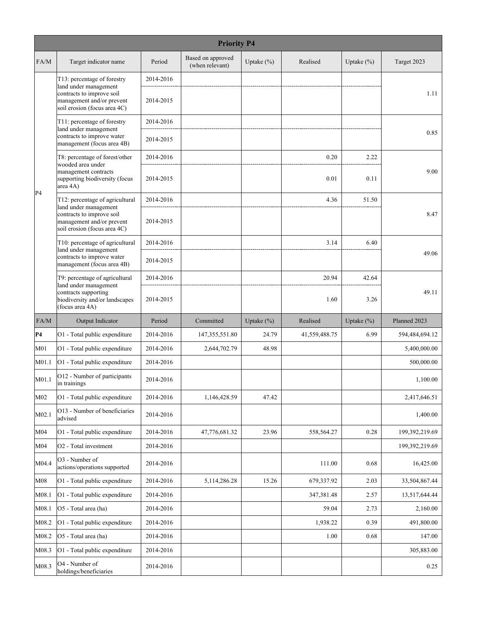|                   | <b>Priority P4</b>                                                                     |           |                                      |               |               |               |                |  |  |
|-------------------|----------------------------------------------------------------------------------------|-----------|--------------------------------------|---------------|---------------|---------------|----------------|--|--|
| FA/M              | Target indicator name                                                                  | Period    | Based on approved<br>(when relevant) | Uptake $(\%)$ | Realised      | Uptake $(\%)$ | Target 2023    |  |  |
|                   | T13: percentage of forestry<br>land under management                                   | 2014-2016 |                                      |               |               |               |                |  |  |
|                   | contracts to improve soil<br>management and/or prevent<br>soil erosion (focus area 4C) | 2014-2015 |                                      |               |               |               | 1.11           |  |  |
|                   | T11: percentage of forestry<br>land under management                                   | 2014-2016 |                                      |               |               |               |                |  |  |
|                   | contracts to improve water<br>management (focus area 4B)                               | 2014-2015 |                                      |               |               |               | 0.85           |  |  |
|                   | T8: percentage of forest/other<br>wooded area under                                    | 2014-2016 |                                      |               | 0.20          | 2.22          |                |  |  |
| P4                | management contracts<br>supporting biodiversity (focus<br>area 4A)                     | 2014-2015 |                                      |               | 0.01          | 0.11          | 9.00           |  |  |
|                   | T12: percentage of agricultural<br>land under management                               | 2014-2016 |                                      |               | 4.36          | 51.50         |                |  |  |
|                   | contracts to improve soil<br>management and/or prevent<br>soil erosion (focus area 4C) | 2014-2015 |                                      |               |               |               | 8.47           |  |  |
|                   | T10: percentage of agricultural<br>land under management                               | 2014-2016 |                                      |               | 3.14          | 6.40          |                |  |  |
|                   | contracts to improve water<br>management (focus area 4B)                               | 2014-2015 |                                      |               |               |               | 49.06          |  |  |
|                   | T9: percentage of agricultural<br>land under management                                | 2014-2016 |                                      |               | 20.94         | 42.64         |                |  |  |
|                   | contracts supporting<br>biodiversity and/or landscapes<br>(focus area 4A)              | 2014-2015 |                                      |               | 1.60          | 3.26          | 49.11          |  |  |
| FA/M              | Output Indicator                                                                       | Period    | Committed                            | Uptake $(\%)$ | Realised      | Uptake $(\%)$ | Planned 2023   |  |  |
| P4                | O1 - Total public expenditure                                                          | 2014-2016 | 147, 355, 551.80                     | 24.79         | 41,559,488.75 | 6.99          | 594,484,694.12 |  |  |
| M <sub>01</sub>   | O1 - Total public expenditure                                                          | 2014-2016 | 2,644,702.79                         | 48.98         |               |               | 5,400,000.00   |  |  |
| M <sub>01.1</sub> | O1 - Total public expenditure                                                          | 2014-2016 |                                      |               |               |               | 500,000.00     |  |  |
| M01.1             | O12 - Number of participants<br>in trainings                                           | 2014-2016 |                                      |               |               |               | 1,100.00       |  |  |
| M <sub>02</sub>   | O1 - Total public expenditure                                                          | 2014-2016 | 1,146,428.59                         | 47.42         |               |               | 2,417,646.51   |  |  |
| M02.1             |                                                                                        |           |                                      |               |               |               |                |  |  |
|                   | O13 - Number of beneficiaries<br>advised                                               | 2014-2016 |                                      |               |               |               | 1,400.00       |  |  |
| M04               | O1 - Total public expenditure                                                          | 2014-2016 | 47,776,681.32                        | 23.96         | 558,564.27    | 0.28          | 199,392,219.69 |  |  |
| M <sub>04</sub>   | O <sub>2</sub> - Total investment                                                      | 2014-2016 |                                      |               |               |               | 199,392,219.69 |  |  |
| M04.4             | O3 - Number of<br>actions/operations supported                                         | 2014-2016 |                                      |               | 111.00        | 0.68          | 16,425.00      |  |  |
| M08               | O1 - Total public expenditure                                                          | 2014-2016 | 5, 114, 286. 28                      | 15.26         | 679,337.92    | 2.03          | 33,504,867.44  |  |  |
| M08.1             | O1 - Total public expenditure                                                          | 2014-2016 |                                      |               | 347,381.48    | 2.57          | 13,517,644.44  |  |  |
| M08.1             | O5 - Total area (ha)                                                                   | 2014-2016 |                                      |               | 59.04         | 2.73          | 2,160.00       |  |  |
| M08.2             | O1 - Total public expenditure                                                          | 2014-2016 |                                      |               | 1,938.22      | 0.39          | 491,800.00     |  |  |
| M08.2             | O5 - Total area (ha)                                                                   | 2014-2016 |                                      |               | 1.00          | 0.68          | 147.00         |  |  |
| M08.3             | O1 - Total public expenditure                                                          | 2014-2016 |                                      |               |               |               | 305,883.00     |  |  |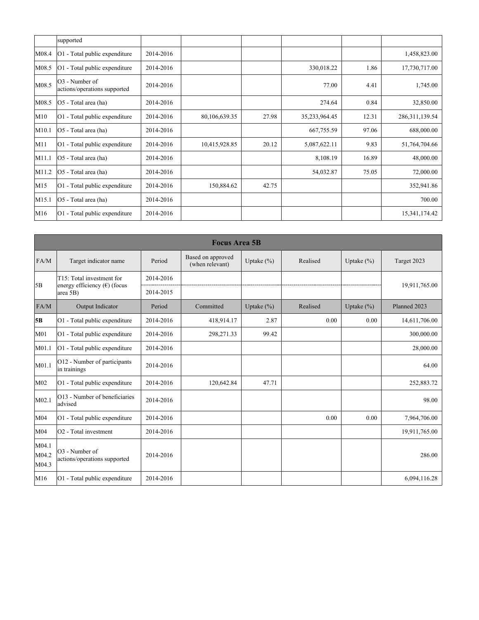|                 | supported                                                  |           |               |       |               |       |                  |
|-----------------|------------------------------------------------------------|-----------|---------------|-------|---------------|-------|------------------|
| M08.4           | O1 - Total public expenditure                              | 2014-2016 |               |       |               |       | 1,458,823.00     |
| M08.5           | O1 - Total public expenditure                              | 2014-2016 |               |       | 330,018.22    | 1.86  | 17,730,717.00    |
| M08.5           | O <sub>3</sub> - Number of<br>actions/operations supported | 2014-2016 |               |       | 77.00         | 4.41  | 1,745.00         |
| M08.5           | O5 - Total area (ha)                                       | 2014-2016 |               |       | 274.64        | 0.84  | 32,850.00        |
| M10             | O1 - Total public expenditure                              | 2014-2016 | 80,106,639.35 | 27.98 | 35,233,964.45 | 12.31 | 286, 311, 139.54 |
| M10.1           | O5 - Total area (ha)                                       | 2014-2016 |               |       | 667,755.59    | 97.06 | 688,000.00       |
| M11             | O1 - Total public expenditure                              | 2014-2016 | 10,415,928.85 | 20.12 | 5,087,622.11  | 9.83  | 51,764,704.66    |
| M11.1           | O5 - Total area (ha)                                       | 2014-2016 |               |       | 8,108.19      | 16.89 | 48,000.00        |
| M11.2           | O5 - Total area (ha)                                       | 2014-2016 |               |       | 54,032.87     | 75.05 | 72,000.00        |
| M15             | O1 - Total public expenditure                              | 2014-2016 | 150,884.62    | 42.75 |               |       | 352,941.86       |
| M15.1           | O5 - Total area (ha)                                       | 2014-2016 |               |       |               |       | 700.00           |
| M <sub>16</sub> | O1 - Total public expenditure                              | 2014-2016 |               |       |               |       | 15,341,174.42    |

|                         | <b>Focus Area 5B</b>                                       |           |                                      |                |          |                |               |  |  |  |
|-------------------------|------------------------------------------------------------|-----------|--------------------------------------|----------------|----------|----------------|---------------|--|--|--|
| FA/M                    | Target indicator name                                      | Period    | Based on approved<br>(when relevant) | Uptake $(\%)$  | Realised | Uptake $(\%)$  | Target 2023   |  |  |  |
|                         | T15: Total investment for                                  | 2014-2016 |                                      |                |          |                | 19,911,765.00 |  |  |  |
| 5B                      | energy efficiency (€) (focus<br>area 5B)                   | 2014-2015 |                                      |                |          |                |               |  |  |  |
| FA/M                    | Output Indicator                                           | Period    | Committed                            | Uptake $(\% )$ | Realised | Uptake $(\% )$ | Planned 2023  |  |  |  |
| 5B                      | O1 - Total public expenditure                              | 2014-2016 | 418,914.17                           | 2.87           | 0.00     | 0.00           | 14,611,706.00 |  |  |  |
| M <sub>01</sub>         | O1 - Total public expenditure                              | 2014-2016 | 298,271.33                           | 99.42          |          |                | 300,000.00    |  |  |  |
| M01.1                   | O1 - Total public expenditure                              | 2014-2016 |                                      |                |          |                | 28,000.00     |  |  |  |
| M <sub>01.1</sub>       | O12 - Number of participants<br>in trainings               | 2014-2016 |                                      |                |          |                | 64.00         |  |  |  |
| M <sub>02</sub>         | O1 - Total public expenditure                              | 2014-2016 | 120,642.84                           | 47.71          |          |                | 252,883.72    |  |  |  |
| M <sub>02.1</sub>       | O13 - Number of beneficiaries<br>ladvised                  | 2014-2016 |                                      |                |          |                | 98.00         |  |  |  |
| M04                     | O1 - Total public expenditure                              | 2014-2016 |                                      |                | 0.00     | 0.00           | 7,964,706.00  |  |  |  |
| M04                     | $ O2$ - Total investment                                   | 2014-2016 |                                      |                |          |                | 19,911,765.00 |  |  |  |
| M04.1<br>M04.2<br>M04.3 | O <sub>3</sub> - Number of<br>actions/operations supported | 2014-2016 |                                      |                |          |                | 286.00        |  |  |  |
| M16                     | O1 - Total public expenditure                              | 2014-2016 |                                      |                |          |                | 6,094,116.28  |  |  |  |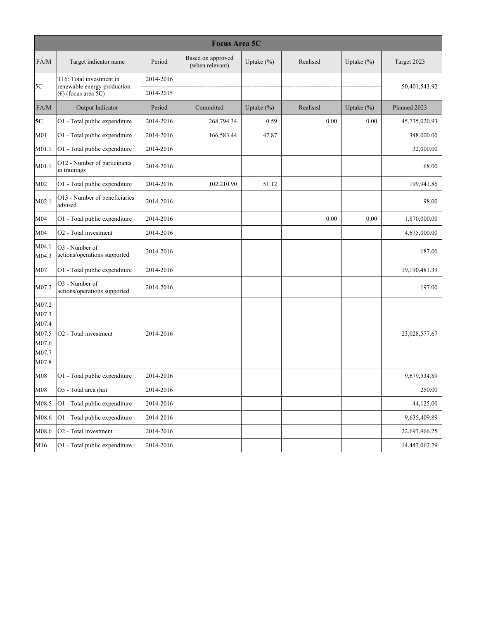|                                                             | <b>Focus Area 5C</b>                                       |           |                                      |               |          |                |               |  |  |  |
|-------------------------------------------------------------|------------------------------------------------------------|-----------|--------------------------------------|---------------|----------|----------------|---------------|--|--|--|
| FA/M                                                        | Target indicator name                                      | Period    | Based on approved<br>(when relevant) | Uptake $(\%)$ | Realised | Uptake $(\% )$ | Target 2023   |  |  |  |
| 5C                                                          | T16: Total investment in<br>renewable energy production    | 2014-2016 |                                      |               |          |                | 50,401,543.92 |  |  |  |
|                                                             | $(\epsilon)$ (focus area 5C)                               | 2014-2015 |                                      |               |          |                |               |  |  |  |
| FA/M                                                        | Output Indicator                                           | Period    | Committed                            | Uptake (%)    | Realised | Uptake $(\%)$  | Planned 2023  |  |  |  |
| 5C                                                          | O1 - Total public expenditure                              | 2014-2016 | 268,794.34                           | 0.59          | 0.00     | 0.00           | 45,735,020.93 |  |  |  |
| M <sub>01</sub>                                             | O1 - Total public expenditure                              | 2014-2016 | 166,583.44                           | 47.87         |          |                | 348,000.00    |  |  |  |
| M01.1                                                       | O1 - Total public expenditure                              | 2014-2016 |                                      |               |          |                | 32,000.00     |  |  |  |
| M01.1                                                       | O12 - Number of participants<br>in trainings               | 2014-2016 |                                      |               |          |                | 68.00         |  |  |  |
| M02                                                         | O1 - Total public expenditure                              | 2014-2016 | 102,210.90                           | 51.12         |          |                | 199,941.86    |  |  |  |
| M02.1                                                       | O13 - Number of beneficiaries<br>advised                   | 2014-2016 |                                      |               |          |                | 98.00         |  |  |  |
| M <sub>04</sub>                                             | O1 - Total public expenditure                              | 2014-2016 |                                      |               | 0.00     | 0.00           | 1,870,000.00  |  |  |  |
| M <sub>04</sub>                                             | O <sub>2</sub> - Total investment                          | 2014-2016 |                                      |               |          |                | 4,675,000.00  |  |  |  |
| M04.1<br>M04.3                                              | O <sub>3</sub> - Number of<br>actions/operations supported | 2014-2016 |                                      |               |          |                | 187.00        |  |  |  |
| M07                                                         | O1 - Total public expenditure                              | 2014-2016 |                                      |               |          |                | 19,190,481.39 |  |  |  |
| M07.2                                                       | O3 - Number of<br>actions/operations supported             | 2014-2016 |                                      |               |          |                | 197.00        |  |  |  |
| M07.2<br>M07.3<br>M07.4<br>M07.5<br>M07.6<br>M07.7<br>M07.8 | O <sub>2</sub> - Total investment                          | 2014-2016 |                                      |               |          |                | 23,028,577.67 |  |  |  |
| M08                                                         | O1 - Total public expenditure                              | 2014-2016 |                                      |               |          |                | 9,679,534.89  |  |  |  |
| M08                                                         | O5 - Total area (ha)                                       | 2014-2016 |                                      |               |          |                | 250.00        |  |  |  |
| M08.5                                                       | O1 - Total public expenditure                              | 2014-2016 |                                      |               |          |                | 44,125.00     |  |  |  |
| M08.6                                                       | O1 - Total public expenditure                              | 2014-2016 |                                      |               |          |                | 9,635,409.89  |  |  |  |
| M08.6                                                       | O <sub>2</sub> - Total investment                          | 2014-2016 |                                      |               |          |                | 22,697,966.25 |  |  |  |
| M16                                                         | O1 - Total public expenditure                              | 2014-2016 |                                      |               |          |                | 14,447,062.79 |  |  |  |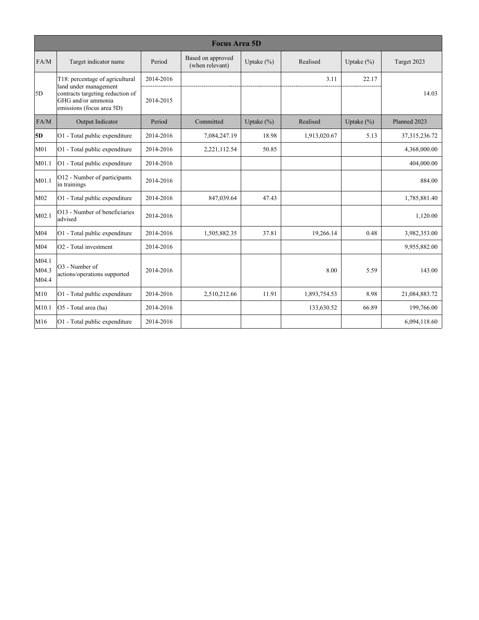|                         | <b>Focus Area 5D</b>                                                                                         |           |                                      |                |              |                |                  |  |  |  |
|-------------------------|--------------------------------------------------------------------------------------------------------------|-----------|--------------------------------------|----------------|--------------|----------------|------------------|--|--|--|
| FA/M                    | Target indicator name                                                                                        | Period    | Based on approved<br>(when relevant) | Uptake $(\% )$ | Realised     | Uptake $(\% )$ | Target 2023      |  |  |  |
|                         | T18: percentage of agricultural                                                                              | 2014-2016 |                                      |                | 3.11         | 22.17          |                  |  |  |  |
| 5D                      | land under management<br>contracts targeting reduction of<br>GHG and/or ammonia<br>emissions (focus area 5D) | 2014-2015 |                                      |                |              |                | 14.03            |  |  |  |
| FA/M                    | Output Indicator                                                                                             | Period    | Committed                            | Uptake $(\% )$ | Realised     | Uptake $(\%)$  | Planned 2023     |  |  |  |
| 5D                      | O1 - Total public expenditure                                                                                | 2014-2016 | 7,084,247.19                         | 18.98          | 1,913,020.67 | 5.13           | 37, 315, 236. 72 |  |  |  |
| M <sub>01</sub>         | O1 - Total public expenditure                                                                                | 2014-2016 | 2,221,112.54                         | 50.85          |              |                | 4,368,000.00     |  |  |  |
| M <sub>01.1</sub>       | O1 - Total public expenditure                                                                                | 2014-2016 |                                      |                |              |                | 404,000.00       |  |  |  |
| M01.1                   | O12 - Number of participants<br>in trainings                                                                 | 2014-2016 |                                      |                |              |                | 884.00           |  |  |  |
| M <sub>02</sub>         | O1 - Total public expenditure                                                                                | 2014-2016 | 847,039.64                           | 47.43          |              |                | 1,785,881.40     |  |  |  |
| M <sub>02.1</sub>       | O13 - Number of beneficiaries<br>advised                                                                     | 2014-2016 |                                      |                |              |                | 1,120.00         |  |  |  |
| M04                     | O1 - Total public expenditure                                                                                | 2014-2016 | 1,505,882.35                         | 37.81          | 19,266.14    | 0.48           | 3,982,353.00     |  |  |  |
| M <sub>04</sub>         | O <sub>2</sub> - Total investment                                                                            | 2014-2016 |                                      |                |              |                | 9,955,882.00     |  |  |  |
| M04.1<br>M04.3<br>M04.4 | O3 - Number of<br>actions/operations supported                                                               | 2014-2016 |                                      |                | 8.00         | 5.59           | 143.00           |  |  |  |
| M10                     | O1 - Total public expenditure                                                                                | 2014-2016 | 2,510,212.66                         | 11.91          | 1,893,754.53 | 8.98           | 21,084,883.72    |  |  |  |
| M10.1                   | O5 - Total area (ha)                                                                                         | 2014-2016 |                                      |                | 133,630.52   | 66.89          | 199,766.00       |  |  |  |
| M16                     | O1 - Total public expenditure                                                                                | 2014-2016 |                                      |                |              |                | 6,094,118.60     |  |  |  |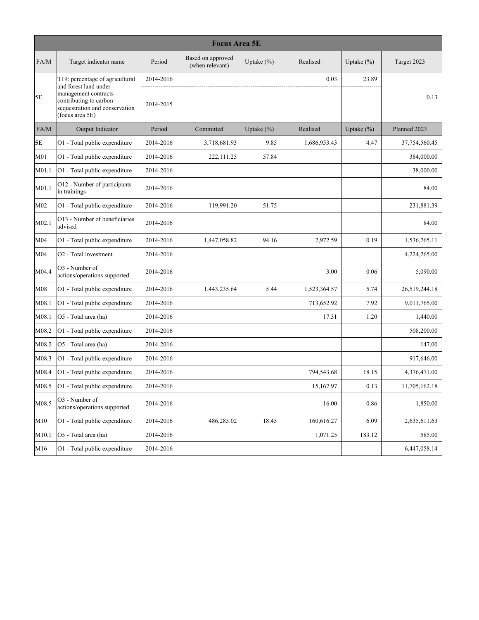|                 | <b>Focus Area 5E</b>                                                                                                         |           |                                      |               |              |               |               |  |  |  |  |
|-----------------|------------------------------------------------------------------------------------------------------------------------------|-----------|--------------------------------------|---------------|--------------|---------------|---------------|--|--|--|--|
| FA/M            | Target indicator name                                                                                                        | Period    | Based on approved<br>(when relevant) | Uptake $(\%)$ | Realised     | Uptake $(\%)$ | Target 2023   |  |  |  |  |
|                 | T19: percentage of agricultural                                                                                              | 2014-2016 |                                      |               | 0.03         | 23.89         |               |  |  |  |  |
| 5E              | and forest land under<br>management contracts<br>contributing to carbon<br>sequestration and conservation<br>(focus area 5E) | 2014-2015 |                                      |               |              |               | 0.13          |  |  |  |  |
| FA/M            | Output Indicator                                                                                                             | Period    | Committed                            | Uptake $(\%)$ | Realised     | Uptake $(\%)$ | Planned 2023  |  |  |  |  |
| 5E              | O1 - Total public expenditure                                                                                                | 2014-2016 | 3,718,681.93                         | 9.85          | 1,686,953.43 | 4.47          | 37,754,560.45 |  |  |  |  |
| M <sub>01</sub> | O1 - Total public expenditure                                                                                                | 2014-2016 | 222,111.25                           | 57.84         |              |               | 384,000.00    |  |  |  |  |
| M01.1           | O1 - Total public expenditure                                                                                                | 2014-2016 |                                      |               |              |               | 38,000.00     |  |  |  |  |
| M01.1           | O12 - Number of participants<br>in trainings                                                                                 | 2014-2016 |                                      |               |              |               | 84.00         |  |  |  |  |
| M <sub>02</sub> | O1 - Total public expenditure                                                                                                | 2014-2016 | 119,991.20                           | 51.75         |              |               | 231,881.39    |  |  |  |  |
| M02.1           | O13 - Number of beneficiaries<br>advised                                                                                     | 2014-2016 |                                      |               |              |               | 84.00         |  |  |  |  |
| M04             | O1 - Total public expenditure                                                                                                | 2014-2016 | 1,447,058.82                         | 94.16         | 2,972.59     | 0.19          | 1,536,765.11  |  |  |  |  |
| M04             | O <sub>2</sub> - Total investment                                                                                            | 2014-2016 |                                      |               |              |               | 4,224,265.00  |  |  |  |  |
| M04.4           | O3 - Number of<br>actions/operations supported                                                                               | 2014-2016 |                                      |               | 3.00         | 0.06          | 5,090.00      |  |  |  |  |
| M08             | O1 - Total public expenditure                                                                                                | 2014-2016 | 1,443,235.64                         | 5.44          | 1,523,364.57 | 5.74          | 26,519,244.18 |  |  |  |  |
| M08.1           | O1 - Total public expenditure                                                                                                | 2014-2016 |                                      |               | 713,652.92   | 7.92          | 9,011,765.00  |  |  |  |  |
| M08.1           | O5 - Total area (ha)                                                                                                         | 2014-2016 |                                      |               | 17.31        | 1.20          | 1,440.00      |  |  |  |  |
| M08.2           | O1 - Total public expenditure                                                                                                | 2014-2016 |                                      |               |              |               | 508,200.00    |  |  |  |  |
| M08.2           | O5 - Total area (ha)                                                                                                         | 2014-2016 |                                      |               |              |               | 147.00        |  |  |  |  |
| M08.3           | O1 - Total public expenditure                                                                                                | 2014-2016 |                                      |               |              |               | 917,646.00    |  |  |  |  |
| M08.4           | O1 - Total public expenditure                                                                                                | 2014-2016 |                                      |               | 794,543.68   | 18.15         | 4,376,471.00  |  |  |  |  |
| M08.5           | O1 - Total public expenditure                                                                                                | 2014-2016 |                                      |               | 15,167.97    | 0.13          | 11,705,162.18 |  |  |  |  |
| M08.5           | O3 - Number of<br>actions/operations supported                                                                               | 2014-2016 |                                      |               | 16.00        | 0.86          | 1,850.00      |  |  |  |  |
| M10             | O1 - Total public expenditure                                                                                                | 2014-2016 | 486,285.02                           | 18.45         | 160,616.27   | 6.09          | 2,635,611.63  |  |  |  |  |
| M10.1           | O5 - Total area (ha)                                                                                                         | 2014-2016 |                                      |               | 1,071.25     | 183.12        | 585.00        |  |  |  |  |
| M16             | O1 - Total public expenditure                                                                                                | 2014-2016 |                                      |               |              |               | 6,447,058.14  |  |  |  |  |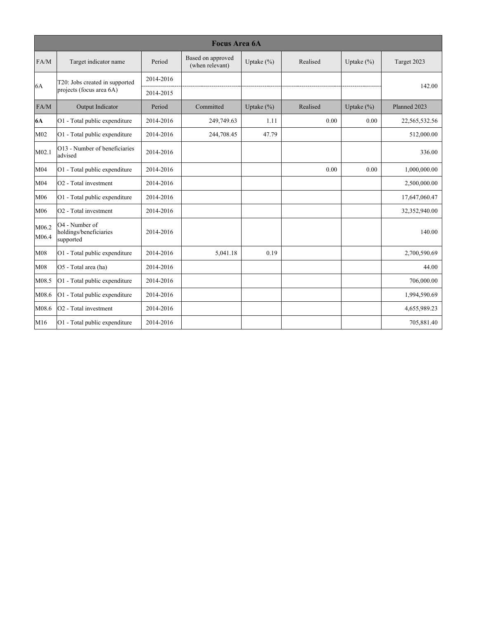|                 | <b>Focus Area 6A</b>                                  |           |                                      |                |          |                |               |  |  |  |
|-----------------|-------------------------------------------------------|-----------|--------------------------------------|----------------|----------|----------------|---------------|--|--|--|
| FA/M            | Target indicator name                                 | Period    | Based on approved<br>(when relevant) | Uptake $(\%)$  | Realised | Uptake $(\% )$ | Target 2023   |  |  |  |
|                 | T20: Jobs created in supported                        | 2014-2016 |                                      |                |          |                |               |  |  |  |
| 6A              | projects (focus area 6A)                              | 2014-2015 |                                      |                |          |                | 142.00        |  |  |  |
| FA/M            | Output Indicator                                      | Period    | Committed                            | Uptake $(\% )$ | Realised | Uptake $(\% )$ | Planned 2023  |  |  |  |
| <b>6A</b>       | O1 - Total public expenditure                         | 2014-2016 | 249,749.63                           | 1.11           | 0.00     | 0.00           | 22,565,532.56 |  |  |  |
| M02             | O1 - Total public expenditure                         | 2014-2016 | 244,708.45                           | 47.79          |          |                | 512,000.00    |  |  |  |
| M02.1           | O13 - Number of beneficiaries<br>advised              | 2014-2016 |                                      |                |          |                | 336.00        |  |  |  |
| M04             | O1 - Total public expenditure                         | 2014-2016 |                                      |                | 0.00     | 0.00           | 1,000,000.00  |  |  |  |
| M04             | O <sub>2</sub> - Total investment                     | 2014-2016 |                                      |                |          |                | 2,500,000.00  |  |  |  |
| M06             | O1 - Total public expenditure                         | 2014-2016 |                                      |                |          |                | 17,647,060.47 |  |  |  |
| M06             | O <sub>2</sub> - Total investment                     | 2014-2016 |                                      |                |          |                | 32,352,940.00 |  |  |  |
| M06.2<br>M06.4  | O4 - Number of<br>holdings/beneficiaries<br>supported | 2014-2016 |                                      |                |          |                | 140.00        |  |  |  |
| M08             | O1 - Total public expenditure                         | 2014-2016 | 5,041.18                             | 0.19           |          |                | 2,700,590.69  |  |  |  |
| M08             | O5 - Total area (ha)                                  | 2014-2016 |                                      |                |          |                | 44.00         |  |  |  |
| M08.5           | O1 - Total public expenditure                         | 2014-2016 |                                      |                |          |                | 706,000.00    |  |  |  |
| M08.6           | O1 - Total public expenditure                         | 2014-2016 |                                      |                |          |                | 1,994,590.69  |  |  |  |
| M08.6           | O <sub>2</sub> - Total investment                     | 2014-2016 |                                      |                |          |                | 4,655,989.23  |  |  |  |
| M <sub>16</sub> | O1 - Total public expenditure                         | 2014-2016 |                                      |                |          |                | 705,881.40    |  |  |  |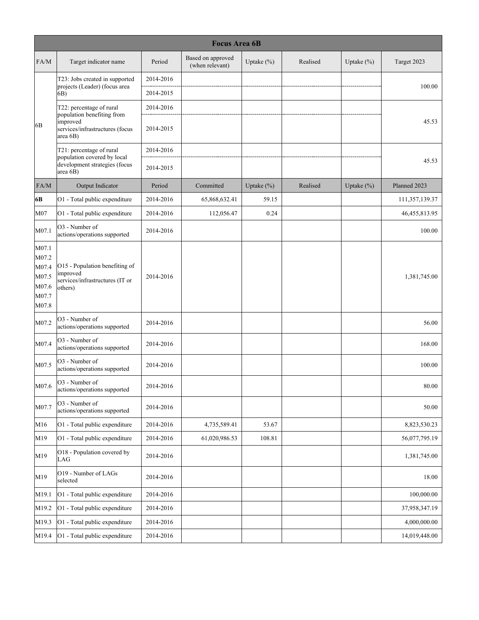|                                                             | <b>Focus Area 6B</b>                                                                     |           |                                      |               |          |               |                |  |  |
|-------------------------------------------------------------|------------------------------------------------------------------------------------------|-----------|--------------------------------------|---------------|----------|---------------|----------------|--|--|
| FA/M                                                        | Target indicator name                                                                    | Period    | Based on approved<br>(when relevant) | Uptake $(\%)$ | Realised | Uptake $(\%)$ | Target 2023    |  |  |
|                                                             | T23: Jobs created in supported                                                           | 2014-2016 |                                      |               |          |               |                |  |  |
|                                                             | projects (Leader) (focus area<br>6B)                                                     | 2014-2015 |                                      |               |          |               | 100.00         |  |  |
|                                                             | T22: percentage of rural                                                                 | 2014-2016 |                                      |               |          |               |                |  |  |
| 6B                                                          | population benefiting from<br>improved<br>services/infrastructures (focus<br>area 6B)    | 2014-2015 |                                      |               |          |               | 45.53          |  |  |
|                                                             | T21: percentage of rural<br>population covered by local                                  | 2014-2016 |                                      |               |          |               |                |  |  |
|                                                             | development strategies (focus<br>area 6B)                                                | 2014-2015 |                                      |               |          |               | 45.53          |  |  |
| FA/M                                                        | Output Indicator                                                                         | Period    | Committed                            | Uptake $(\%)$ | Realised | Uptake $(\%)$ | Planned 2023   |  |  |
| 6B                                                          | O1 - Total public expenditure                                                            | 2014-2016 | 65,868,632.41                        | 59.15         |          |               | 111,357,139.37 |  |  |
| M07                                                         | O1 - Total public expenditure                                                            | 2014-2016 | 112,056.47                           | 0.24          |          |               | 46,455,813.95  |  |  |
| M07.1                                                       | O3 - Number of<br>actions/operations supported                                           | 2014-2016 |                                      |               |          |               | 100.00         |  |  |
| M07.1<br>M07.2<br>M07.4<br>M07.5<br>M07.6<br>M07.7<br>M07.8 | O15 - Population benefiting of<br>improved<br>services/infrastructures (IT or<br>others) | 2014-2016 |                                      |               |          |               | 1,381,745.00   |  |  |
| M07.2                                                       | O3 - Number of<br>actions/operations supported                                           | 2014-2016 |                                      |               |          |               | 56.00          |  |  |
| M07.4                                                       | O3 - Number of<br>actions/operations supported                                           | 2014-2016 |                                      |               |          |               | 168.00         |  |  |
| M07.5                                                       | O3 - Number of<br>actions/operations supported                                           | 2014-2016 |                                      |               |          |               | 100.00         |  |  |
| M07.6                                                       | O3 - Number of<br>actions/operations supported                                           | 2014-2016 |                                      |               |          |               | 80.00          |  |  |
| M07.7                                                       | O3 - Number of<br>actions/operations supported                                           | 2014-2016 |                                      |               |          |               | 50.00          |  |  |
| M16                                                         | O1 - Total public expenditure                                                            | 2014-2016 | 4,735,589.41                         | 53.67         |          |               | 8,823,530.23   |  |  |
| M19                                                         | O1 - Total public expenditure                                                            | 2014-2016 | 61,020,986.53                        | 108.81        |          |               | 56,077,795.19  |  |  |
| M19                                                         | O18 - Population covered by<br>LAG                                                       | 2014-2016 |                                      |               |          |               | 1,381,745.00   |  |  |
| M19                                                         | O19 - Number of LAGs<br>selected                                                         | 2014-2016 |                                      |               |          |               | 18.00          |  |  |
| M19.1                                                       | O1 - Total public expenditure                                                            | 2014-2016 |                                      |               |          |               | 100,000.00     |  |  |
| M19.2                                                       | O1 - Total public expenditure                                                            | 2014-2016 |                                      |               |          |               | 37,958,347.19  |  |  |
| M19.3                                                       | O1 - Total public expenditure                                                            | 2014-2016 |                                      |               |          |               | 4,000,000.00   |  |  |
| M19.4                                                       | O1 - Total public expenditure                                                            | 2014-2016 |                                      |               |          |               | 14,019,448.00  |  |  |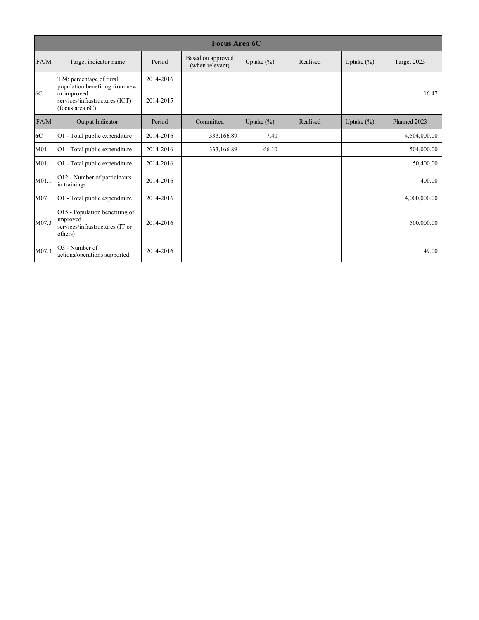|                   | <b>Focus Area 6C</b>                                                                               |           |                                      |               |          |               |              |  |  |  |
|-------------------|----------------------------------------------------------------------------------------------------|-----------|--------------------------------------|---------------|----------|---------------|--------------|--|--|--|
| FA/M              | Target indicator name                                                                              | Period    | Based on approved<br>(when relevant) | Uptake $(\%)$ | Realised | Uptake $(\%)$ | Target 2023  |  |  |  |
|                   | T24: percentage of rural                                                                           | 2014-2016 |                                      |               |          |               |              |  |  |  |
| 6C                | population benefiting from new<br>or improved<br>services/infrastructures (ICT)<br>(focus area 6C) | 2014-2015 |                                      |               |          |               | 16.47        |  |  |  |
| FA/M              | Output Indicator                                                                                   | Period    | Committed                            | Uptake $(\%)$ | Realised | Uptake $(\%)$ | Planned 2023 |  |  |  |
| 6C                | O1 - Total public expenditure                                                                      | 2014-2016 | 333,166.89                           | 7.40          |          |               | 4,504,000.00 |  |  |  |
| M <sub>01</sub>   | O1 - Total public expenditure                                                                      | 2014-2016 | 333,166.89                           | 66.10         |          |               | 504,000.00   |  |  |  |
| M01.1             | $ O1$ - Total public expenditure                                                                   | 2014-2016 |                                      |               |          |               | 50,400.00    |  |  |  |
| M <sub>01.1</sub> | O12 - Number of participants<br>in trainings                                                       | 2014-2016 |                                      |               |          |               | 400.00       |  |  |  |
| M <sub>07</sub>   | O1 - Total public expenditure                                                                      | 2014-2016 |                                      |               |          |               | 4,000,000.00 |  |  |  |
| M07.3             | O15 - Population benefiting of<br>improved<br>services/infrastructures (IT or<br>others)           | 2014-2016 |                                      |               |          |               | 500,000.00   |  |  |  |
| M07.3             | O3 - Number of<br>actions/operations supported                                                     | 2014-2016 |                                      |               |          |               | 49.00        |  |  |  |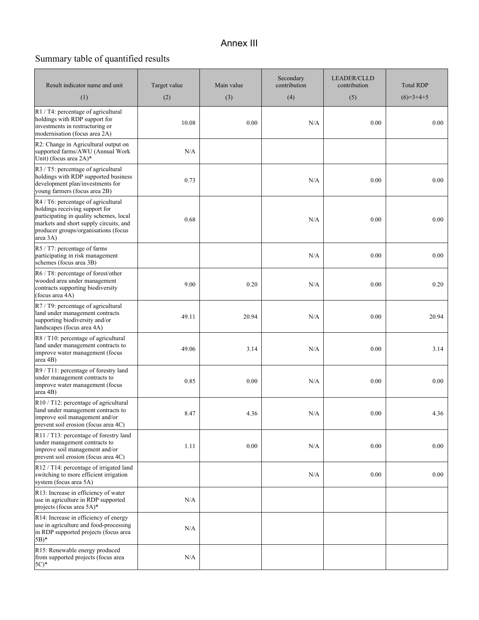## Annex III

# Summary table of quantified results

| Result indicator name and unit                                                                                                                                                                                 | Target value | Main value | Secondary<br>contribution | <b>LEADER/CLLD</b><br>contribution | <b>Total RDP</b> |
|----------------------------------------------------------------------------------------------------------------------------------------------------------------------------------------------------------------|--------------|------------|---------------------------|------------------------------------|------------------|
| (1)                                                                                                                                                                                                            | (2)          | (3)        | (4)                       | (5)                                | $(6)=3+4+5$      |
| R1 / T4: percentage of agricultural<br>holdings with RDP support for<br>investments in restructuring or<br>modernisation (focus area 2A)                                                                       | 10.08        | 0.00       | N/A                       | 0.00                               | 0.00             |
| R2: Change in Agricultural output on<br>supported farms/AWU (Annual Work<br>Unit) (focus area 2A)*                                                                                                             | N/A          |            |                           |                                    |                  |
| R3 / T5: percentage of agricultural<br>holdings with RDP supported business<br>development plan/investments for<br>young farmers (focus area 2B)                                                               | 0.73         |            | N/A                       | 0.00                               | 0.00             |
| R4 / T6: percentage of agricultural<br>holdings receiving support for<br>participating in quality schemes, local<br>markets and short supply circuits, and<br>producer groups/organisations (focus<br>area 3A) | 0.68         |            | N/A                       | 0.00                               | 0.00             |
| R5 / T7: percentage of farms<br>participating in risk management<br>schemes (focus area 3B)                                                                                                                    |              |            | N/A                       | 0.00                               | 0.00             |
| R6 / T8: percentage of forest/other<br>wooded area under management<br>contracts supporting biodiversity<br>(focus area 4A)                                                                                    | 9.00         | 0.20       | N/A                       | 0.00                               | 0.20             |
| R7 / T9: percentage of agricultural<br>land under management contracts<br>supporting biodiversity and/or<br>landscapes (focus area 4A)                                                                         | 49.11        | 20.94      | N/A                       | 0.00                               | 20.94            |
| R8 / T10: percentage of agricultural<br>land under management contracts to<br>improve water management (focus<br>area 4B)                                                                                      | 49.06        | 3.14       | N/A                       | 0.00                               | 3.14             |
| R9 / T11: percentage of forestry land<br>under management contracts to<br>improve water management (focus<br>area 4B)                                                                                          | 0.85         | 0.00       | N/A                       | 0.00                               | 0.00             |
| R10 / T12: percentage of agricultural<br>land under management contracts to<br>improve soil management and/or<br>prevent soil erosion (focus area 4C)                                                          | 8.47         | 4.36       | N/A                       | 0.00                               | 4.36             |
| R11 / T13: percentage of forestry land<br>under management contracts to<br>improve soil management and/or<br>prevent soil erosion (focus area 4C)                                                              | 1.11         | $0.00\,$   | N/A                       | 0.00                               | 0.00             |
| R12 / T14: percentage of irrigated land<br>switching to more efficient irrigation<br>system (focus area 5A)                                                                                                    |              |            | N/A                       | 0.00                               | 0.00             |
| R13: Increase in efficiency of water<br>use in agriculture in RDP supported<br>projects (focus area 5A)*                                                                                                       | N/A          |            |                           |                                    |                  |
| R14: Increase in efficiency of energy<br>use in agriculture and food-processing<br>in RDP supported projects (focus area<br>$5B)*$                                                                             | N/A          |            |                           |                                    |                  |
| R15: Renewable energy produced<br>from supported projects (focus area<br>$5C$ <sup>*</sup>                                                                                                                     | N/A          |            |                           |                                    |                  |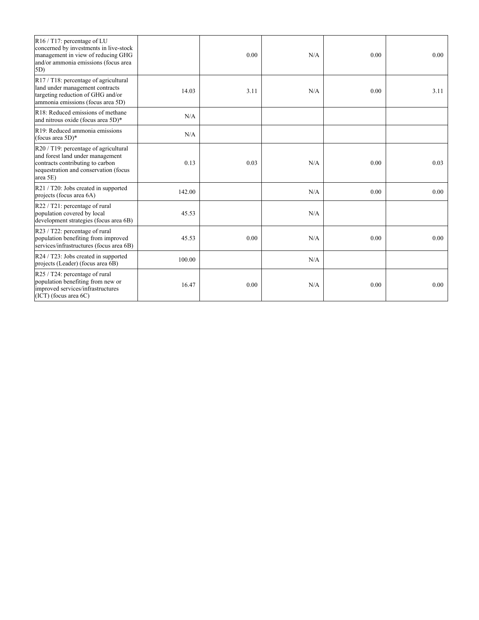| $R16 / T17$ : percentage of LU<br>concerned by investments in live-stock<br>management in view of reducing GHG<br>and/or ammonia emissions (focus area<br>$ 5D\rangle$ |        | 0.00 | N/A | 0.00 | $0.00 -$ |
|------------------------------------------------------------------------------------------------------------------------------------------------------------------------|--------|------|-----|------|----------|
| $R17 / T18$ : percentage of agricultural<br>land under management contracts<br>targeting reduction of GHG and/or<br>ammonia emissions (focus area 5D)                  | 14.03  | 3.11 | N/A | 0.00 | 3.11     |
| R18: Reduced emissions of methane<br>and nitrous oxide (focus area 5D)*                                                                                                | N/A    |      |     |      |          |
| R19: Reduced ammonia emissions<br>(focus area $5D$ )*                                                                                                                  | N/A    |      |     |      |          |
| $R20 / T19$ : percentage of agricultural<br>and forest land under management<br>contracts contributing to carbon<br>sequestration and conservation (focus<br>area 5E)  | 0.13   | 0.03 | N/A | 0.00 | 0.03     |
| R21 / T20: Jobs created in supported<br>projects (focus area 6A)                                                                                                       | 142.00 |      | N/A | 0.00 | 0.00     |
| $R22 / T21$ : percentage of rural<br>population covered by local<br>development strategies (focus area 6B)                                                             | 45.53  |      | N/A |      |          |
| $R23 / T22$ : percentage of rural<br>population benefiting from improved<br>services/infrastructures (focus area 6B)                                                   | 45.53  | 0.00 | N/A | 0.00 | 0.00     |
| R24 / T23: Jobs created in supported<br>projects (Leader) (focus area 6B)                                                                                              | 100.00 |      | N/A |      |          |
| $R25 / T24$ : percentage of rural<br>population benefiting from new or<br>improved services/infrastructures<br>$(ICT)$ (focus area $6C$ )                              | 16.47  | 0.00 | N/A | 0.00 | 0.00     |